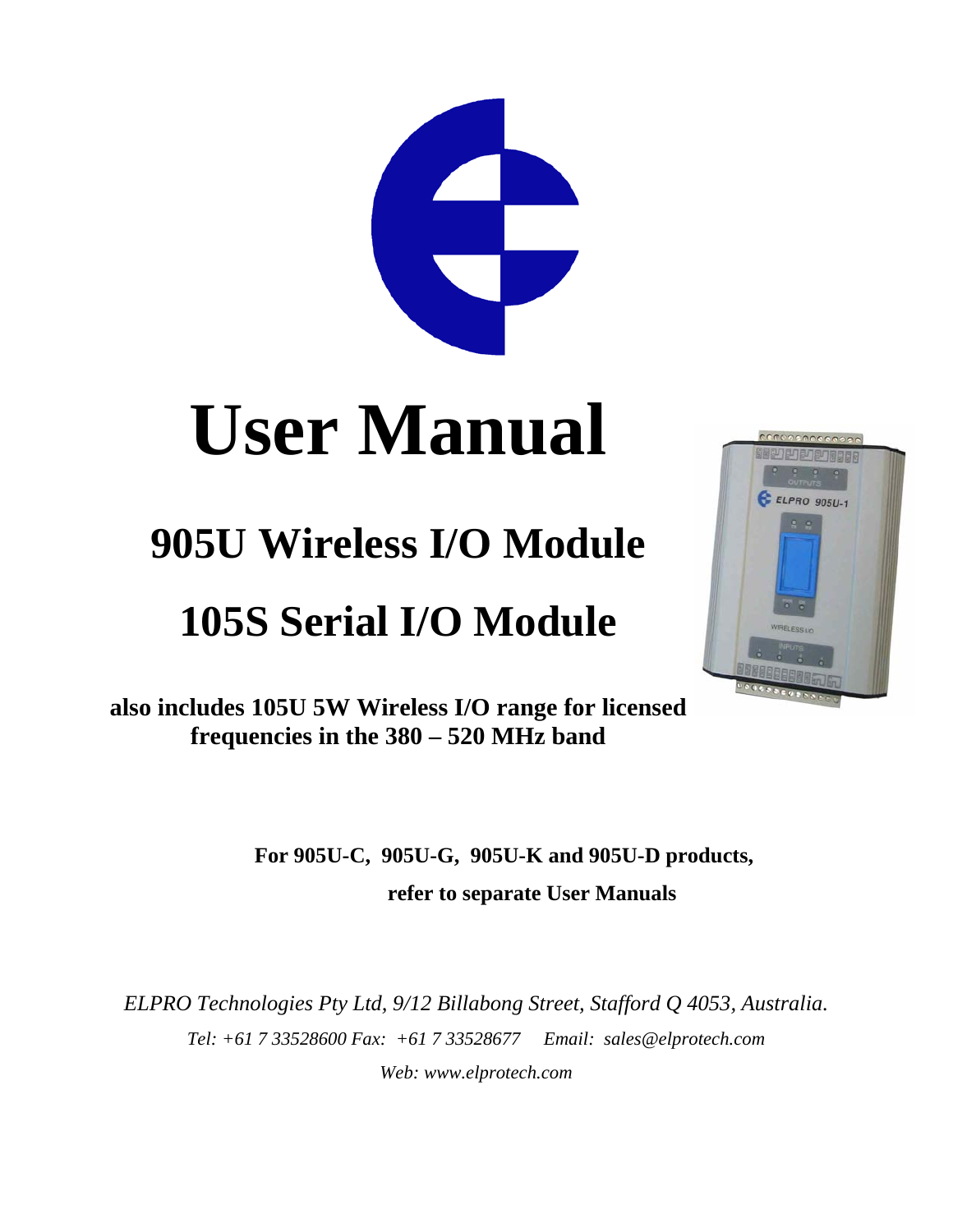# 

# **User Manual**

# **905U Wireless I/O Module**

# **105S Serial I/O Module**



**also includes 105U 5W Wireless I/O range for licensed frequencies in the 380 – 520 MHz band**

> **For 905U-C, 905U-G, 905U-K and 905U-D products, refer to separate User Manuals**

*ELPRO Technologies Pty Ltd, 9/12 Billabong Street, Stafford Q 4053, Australia. Tel: +61 7 33528600 Fax: +61 7 33528677 Email: sales@elprotech.com Web: www.elprotech.com*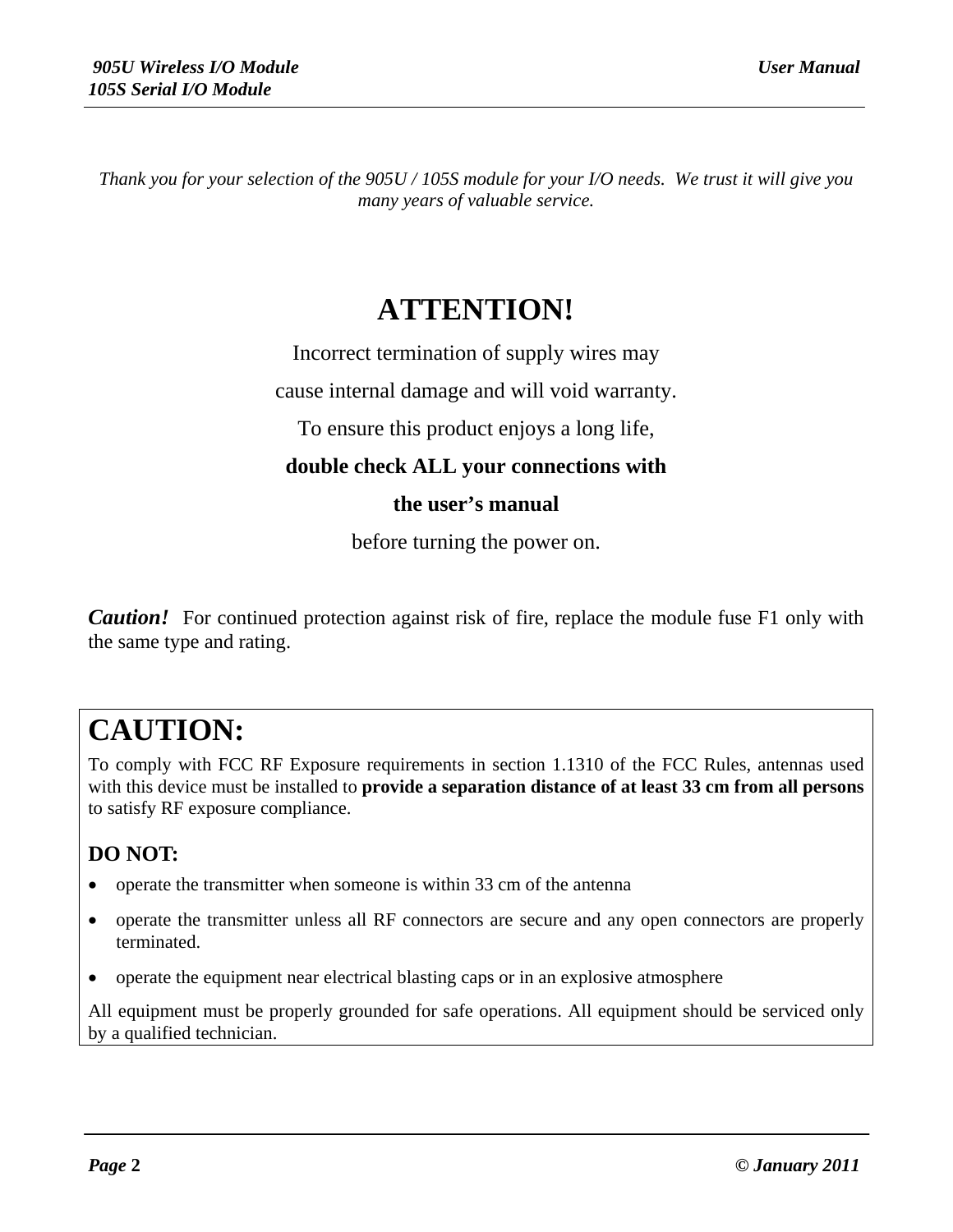*Thank you for your selection of the 905U / 105S module for your I/O needs. We trust it will give you many years of valuable service.*

## **ATTENTION!**

Incorrect termination of supply wires may

cause internal damage and will void warranty.

To ensure this product enjoys a long life,

**double check ALL your connections with**

#### **the user's manual**

before turning the power on.

*Caution!* For continued protection against risk of fire, replace the module fuse F1 only with the same type and rating.

## **CAUTION:**

To comply with FCC RF Exposure requirements in section 1.1310 of the FCC Rules, antennas used with this device must be installed to **provide a separation distance of at least 33 cm from all persons** to satisfy RF exposure compliance.

#### **DO NOT:**

- operate the transmitter when someone is within 33 cm of the antenna
- operate the transmitter unless all RF connectors are secure and any open connectors are properly terminated.
- operate the equipment near electrical blasting caps or in an explosive atmosphere

All equipment must be properly grounded for safe operations. All equipment should be serviced only by a qualified technician.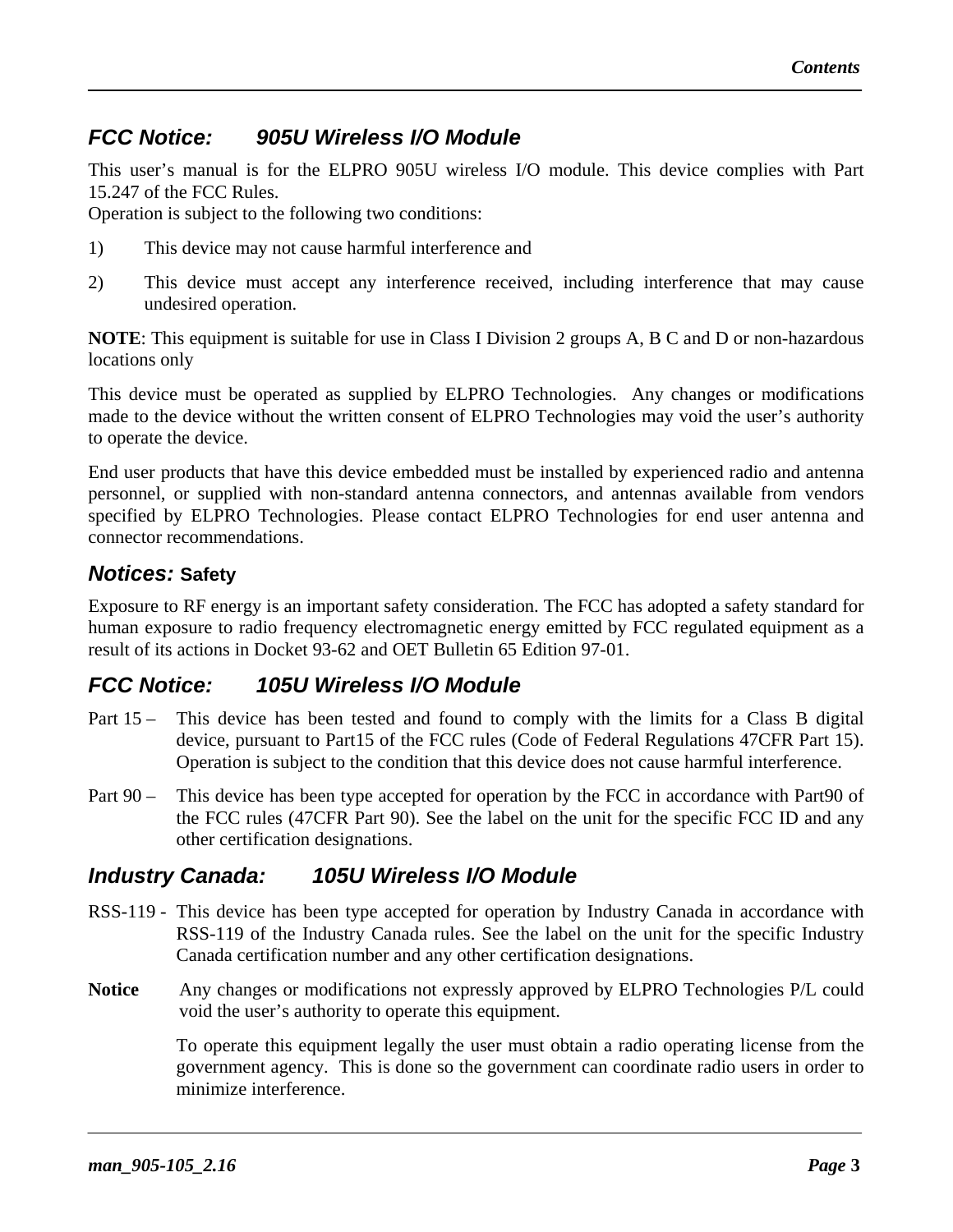#### *FCC Notice: 905U Wireless I/O Module*

This user's manual is for the ELPRO 905U wireless I/O module. This device complies with Part 15.247 of the FCC Rules.

Operation is subject to the following two conditions:

- 1) This device may not cause harmful interference and
- 2) This device must accept any interference received, including interference that may cause undesired operation.

**NOTE**: This equipment is suitable for use in Class I Division 2 groups A, B C and D or non-hazardous locations only

This device must be operated as supplied by ELPRO Technologies. Any changes or modifications made to the device without the written consent of ELPRO Technologies may void the user's authority to operate the device.

End user products that have this device embedded must be installed by experienced radio and antenna personnel, or supplied with non-standard antenna connectors, and antennas available from vendors specified by ELPRO Technologies. Please contact ELPRO Technologies for end user antenna and connector recommendations.

#### *Notices:* **Safety**

Exposure to RF energy is an important safety consideration. The FCC has adopted a safety standard for human exposure to radio frequency electromagnetic energy emitted by FCC regulated equipment as a result of its actions in Docket 93-62 and OET Bulletin 65 Edition 97-01.

#### *FCC Notice: 105U Wireless I/O Module*

- Part 15 This device has been tested and found to comply with the limits for a Class B digital device, pursuant to Part15 of the FCC rules (Code of Federal Regulations 47CFR Part 15). Operation is subject to the condition that this device does not cause harmful interference.
- Part 90 This device has been type accepted for operation by the FCC in accordance with Part90 of the FCC rules (47CFR Part 90). See the label on the unit for the specific FCC ID and any other certification designations.

#### *Industry Canada: 105U Wireless I/O Module*

- RSS-119 This device has been type accepted for operation by Industry Canada in accordance with RSS-119 of the Industry Canada rules. See the label on the unit for the specific Industry Canada certification number and any other certification designations.
- **Notice** Any changes or modifications not expressly approved by ELPRO Technologies P/L could void the user's authority to operate this equipment.

To operate this equipment legally the user must obtain a radio operating license from the government agency. This is done so the government can coordinate radio users in order to minimize interference.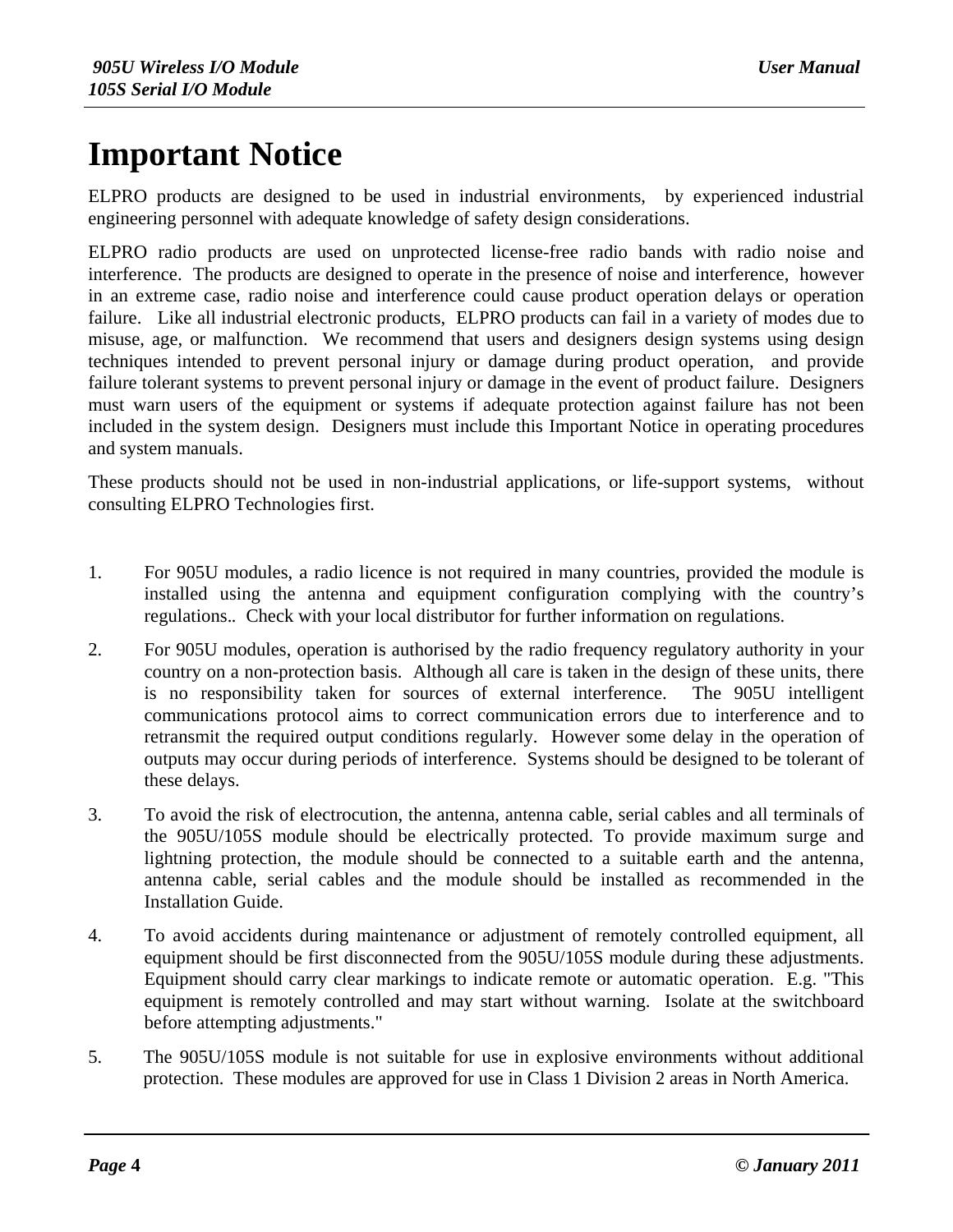## **Important Notice**

ELPRO products are designed to be used in industrial environments, by experienced industrial engineering personnel with adequate knowledge of safety design considerations.

ELPRO radio products are used on unprotected license-free radio bands with radio noise and interference. The products are designed to operate in the presence of noise and interference, however in an extreme case, radio noise and interference could cause product operation delays or operation failure. Like all industrial electronic products, ELPRO products can fail in a variety of modes due to misuse, age, or malfunction. We recommend that users and designers design systems using design techniques intended to prevent personal injury or damage during product operation, and provide failure tolerant systems to prevent personal injury or damage in the event of product failure. Designers must warn users of the equipment or systems if adequate protection against failure has not been included in the system design. Designers must include this Important Notice in operating procedures and system manuals.

These products should not be used in non-industrial applications, or life-support systems, without consulting ELPRO Technologies first.

- 1. For 905U modules, a radio licence is not required in many countries, provided the module is installed using the antenna and equipment configuration complying with the country's regulations.*.* Check with your local distributor for further information on regulations.
- 2. For 905U modules, operation is authorised by the radio frequency regulatory authority in your country on a non-protection basis. Although all care is taken in the design of these units, there is no responsibility taken for sources of external interference. The 905U intelligent communications protocol aims to correct communication errors due to interference and to retransmit the required output conditions regularly. However some delay in the operation of outputs may occur during periods of interference. Systems should be designed to be tolerant of these delays.
- 3. To avoid the risk of electrocution, the antenna, antenna cable, serial cables and all terminals of the 905U/105S module should be electrically protected. To provide maximum surge and lightning protection, the module should be connected to a suitable earth and the antenna, antenna cable, serial cables and the module should be installed as recommended in the Installation Guide.
- 4. To avoid accidents during maintenance or adjustment of remotely controlled equipment, all equipment should be first disconnected from the 905U/105S module during these adjustments. Equipment should carry clear markings to indicate remote or automatic operation. E.g. "This equipment is remotely controlled and may start without warning. Isolate at the switchboard before attempting adjustments."
- 5. The 905U/105S module is not suitable for use in explosive environments without additional protection. These modules are approved for use in Class 1 Division 2 areas in North America.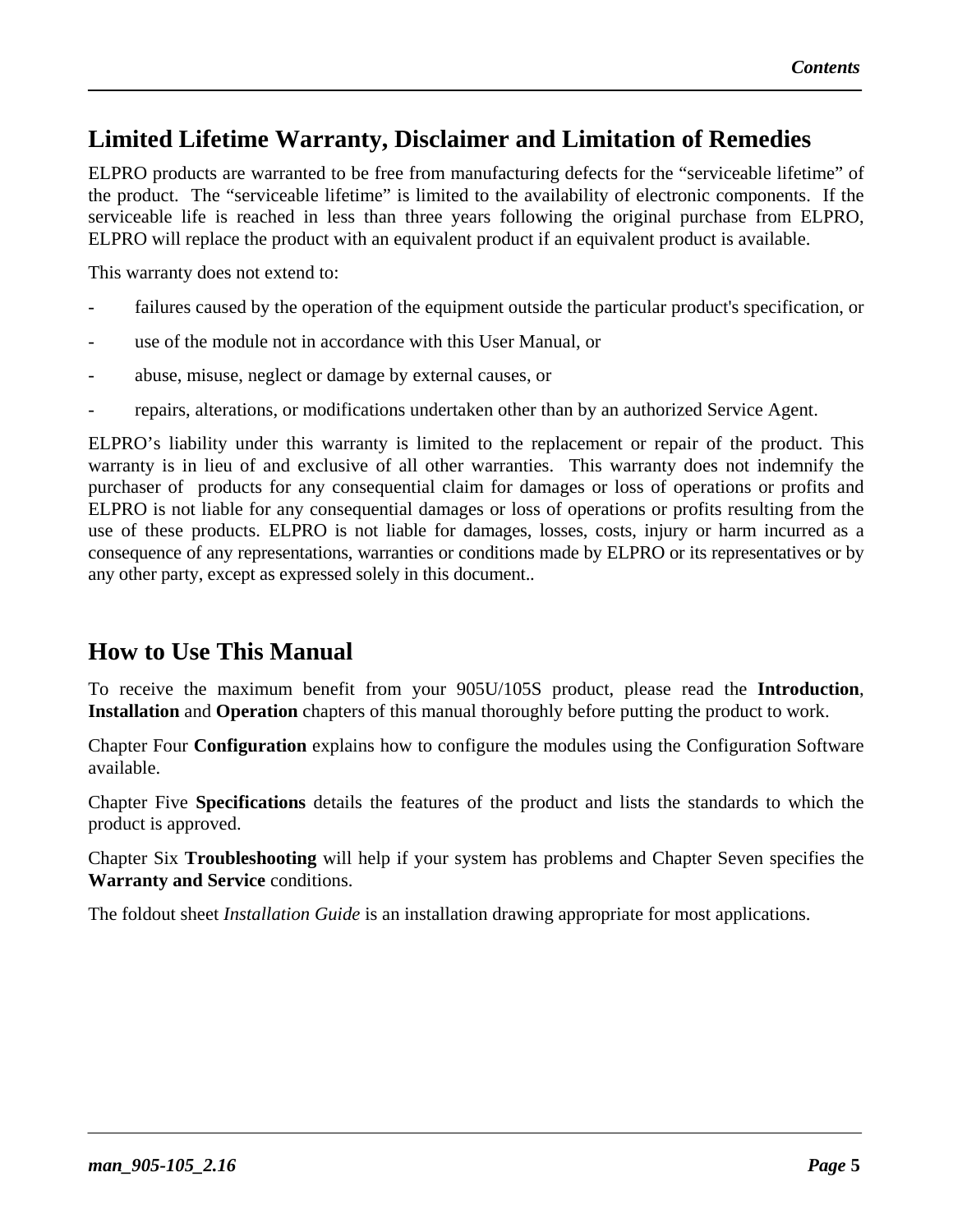### **Limited Lifetime Warranty, Disclaimer and Limitation of Remedies**

ELPRO products are warranted to be free from manufacturing defects for the "serviceable lifetime" of the product. The "serviceable lifetime" is limited to the availability of electronic components. If the serviceable life is reached in less than three years following the original purchase from ELPRO, ELPRO will replace the product with an equivalent product if an equivalent product is available.

This warranty does not extend to:

- failures caused by the operation of the equipment outside the particular product's specification, or
- use of the module not in accordance with this User Manual, or
- abuse, misuse, neglect or damage by external causes, or
- repairs, alterations, or modifications undertaken other than by an authorized Service Agent.

ELPRO's liability under this warranty is limited to the replacement or repair of the product. This warranty is in lieu of and exclusive of all other warranties. This warranty does not indemnify the purchaser of products for any consequential claim for damages or loss of operations or profits and ELPRO is not liable for any consequential damages or loss of operations or profits resulting from the use of these products. ELPRO is not liable for damages, losses, costs, injury or harm incurred as a consequence of any representations, warranties or conditions made by ELPRO or its representatives or by any other party, except as expressed solely in this document..

#### **How to Use This Manual**

To receive the maximum benefit from your 905U/105S product, please read the **Introduction**, **Installation** and **Operation** chapters of this manual thoroughly before putting the product to work.

Chapter Four **Configuration** explains how to configure the modules using the Configuration Software available.

Chapter Five **Specifications** details the features of the product and lists the standards to which the product is approved.

Chapter Six **Troubleshooting** will help if your system has problems and Chapter Seven specifies the **Warranty and Service** conditions.

The foldout sheet *Installation Guide* is an installation drawing appropriate for most applications.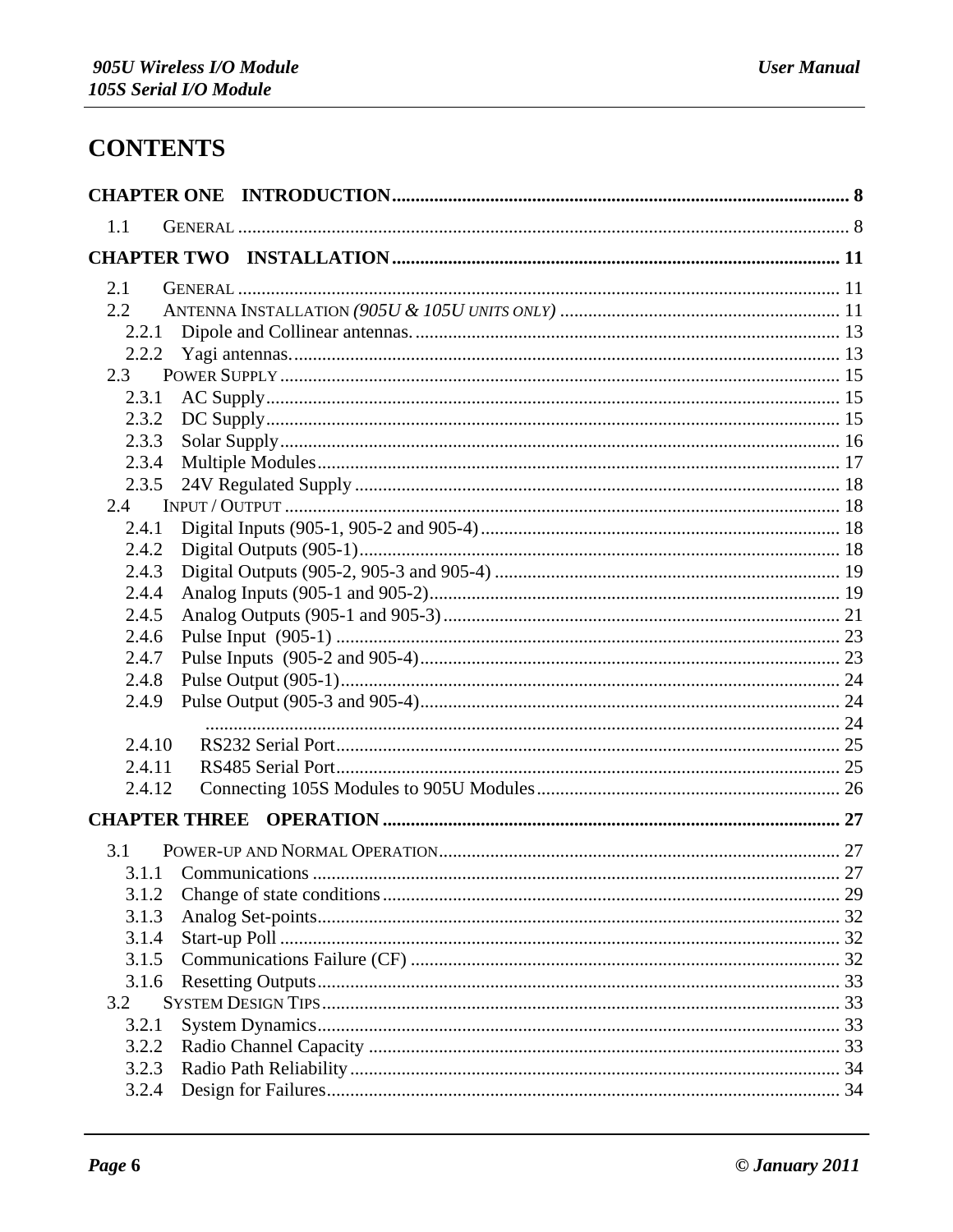## **CONTENTS**

| 1.1                  |  |
|----------------------|--|
|                      |  |
| 2.1                  |  |
| $2.2^{\circ}$        |  |
| 2.2.1                |  |
| 2.2.2                |  |
| 2.3                  |  |
| 2.3.1                |  |
| 2.3.2                |  |
| 2.3.3                |  |
| 2.3.4                |  |
| 2.3.5                |  |
| 2.4                  |  |
| 2.4.1                |  |
| 2.4.2                |  |
| 2.4.3                |  |
| 2.4.4                |  |
| 2.4.5                |  |
| 2.4.6                |  |
| 2.4.7                |  |
| 2.4.8                |  |
| 2.4.9                |  |
|                      |  |
| 2.4.10               |  |
| 2.4.11               |  |
| 2.4.12               |  |
| <b>CHAPTER THREE</b> |  |
| 3.1                  |  |
|                      |  |
| 3.1.2                |  |
| 3.1.3                |  |
| 3.1.4                |  |
| 3.1.5                |  |
| 3.1.6                |  |
| 3.2                  |  |
| 3.2.1                |  |
| 3.2.2                |  |
| 3.2.3                |  |
| 3.2.4                |  |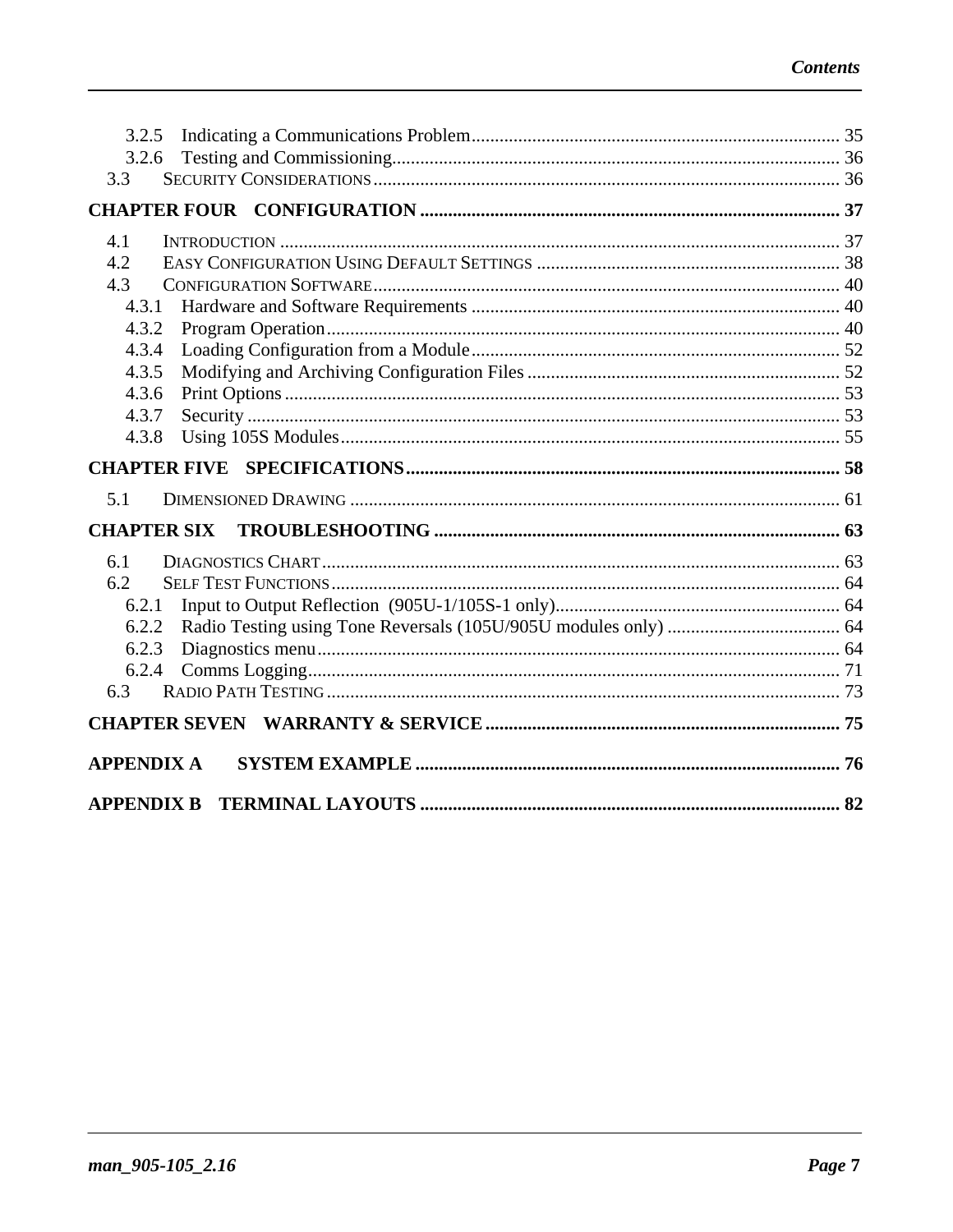| 3.2.5               |  |
|---------------------|--|
| 3.2.6               |  |
| 3.3                 |  |
|                     |  |
| 4.1                 |  |
| 4.2                 |  |
| 4.3                 |  |
| 4.3.1               |  |
| 4.3.2               |  |
| 4.3.4               |  |
| 4.3.5               |  |
| 4.3.6               |  |
| 4.3.7               |  |
| 4.3.8               |  |
|                     |  |
| <b>CHAPTER FIVE</b> |  |
|                     |  |
| 5.1                 |  |
| <b>CHAPTER SIX</b>  |  |
| 6.1                 |  |
| 6.2                 |  |
| 6.2.1               |  |
| 6.2.2               |  |
| 6.2.3               |  |
| 6.2.4               |  |
| 6.3                 |  |
|                     |  |
| <b>APPENDIX A</b>   |  |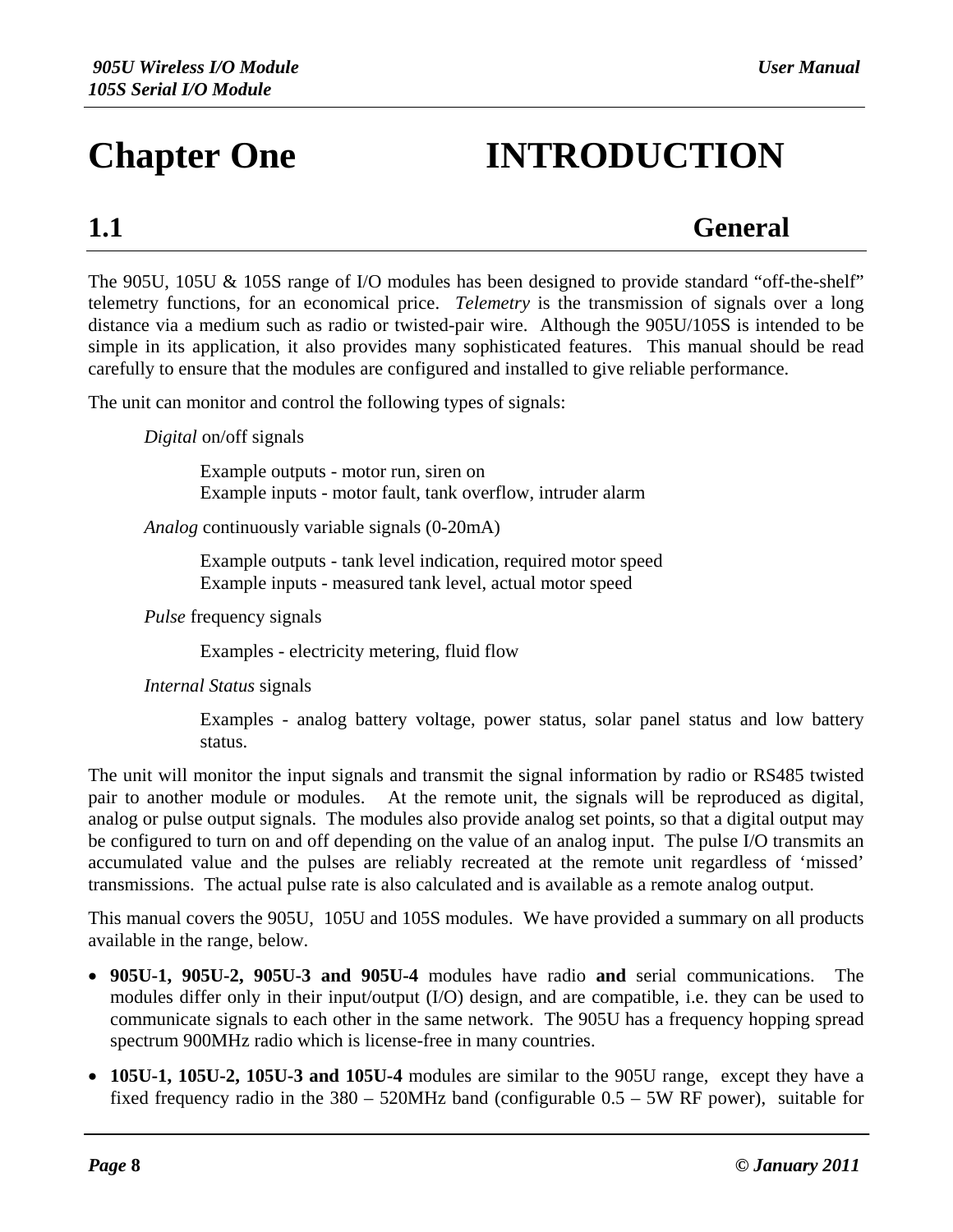# **Chapter One INTRODUCTION**

## **1.1 General**

The 905U, 105U & 105S range of I/O modules has been designed to provide standard "off-the-shelf" telemetry functions, for an economical price. *Telemetry* is the transmission of signals over a long distance via a medium such as radio or twisted-pair wire. Although the 905U/105S is intended to be simple in its application, it also provides many sophisticated features. This manual should be read carefully to ensure that the modules are configured and installed to give reliable performance.

The unit can monitor and control the following types of signals:

*Digital* on/off signals

Example outputs - motor run, siren on Example inputs - motor fault, tank overflow, intruder alarm

*Analog* continuously variable signals (0-20mA)

Example outputs - tank level indication, required motor speed Example inputs - measured tank level, actual motor speed

*Pulse* frequency signals

Examples - electricity metering, fluid flow

*Internal Status* signals

Examples - analog battery voltage, power status, solar panel status and low battery status.

The unit will monitor the input signals and transmit the signal information by radio or RS485 twisted pair to another module or modules. At the remote unit, the signals will be reproduced as digital, analog or pulse output signals. The modules also provide analog set points, so that a digital output may be configured to turn on and off depending on the value of an analog input. The pulse I/O transmits an accumulated value and the pulses are reliably recreated at the remote unit regardless of 'missed' transmissions. The actual pulse rate is also calculated and is available as a remote analog output.

This manual covers the 905U, 105U and 105S modules. We have provided a summary on all products available in the range, below.

- **905U-1, 905U-2, 905U-3 and 905U-4** modules have radio **and** serial communications. The modules differ only in their input/output (I/O) design, and are compatible, i.e. they can be used to communicate signals to each other in the same network. The 905U has a frequency hopping spread spectrum 900MHz radio which is license-free in many countries.
- **105U-1, 105U-2, 105U-3 and 105U-4** modules are similar to the 905U range, except they have a fixed frequency radio in the 380 – 520MHz band (configurable 0.5 – 5W RF power), suitable for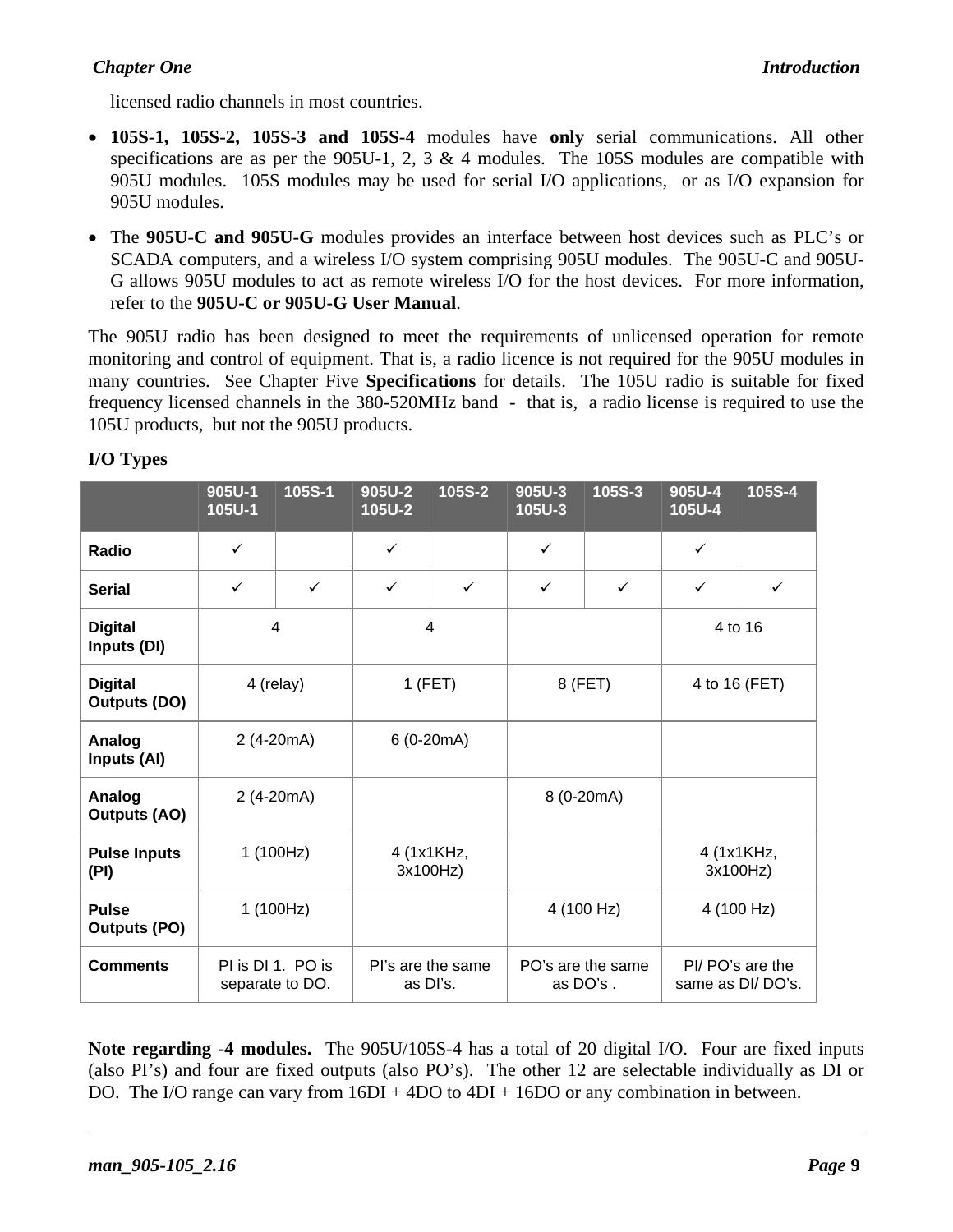#### *Chapter One Introduction*

licensed radio channels in most countries.

- **105S-1, 105S-2, 105S-3 and 105S-4** modules have **only** serial communications. All other specifications are as per the 905U-1, 2, 3  $\&$  4 modules. The 105S modules are compatible with 905U modules. 105S modules may be used for serial I/O applications, or as I/O expansion for 905U modules.
- The **905U-C and 905U-G** modules provides an interface between host devices such as PLC's or SCADA computers, and a wireless I/O system comprising 905U modules. The 905U-C and 905U-G allows 905U modules to act as remote wireless I/O for the host devices. For more information, refer to the **905U-C or 905U-G User Manual**.

The 905U radio has been designed to meet the requirements of unlicensed operation for remote monitoring and control of equipment. That is, a radio licence is not required for the 905U modules in many countries. See Chapter Five **Specifications** for details. The 105U radio is suitable for fixed frequency licensed channels in the 380-520MHz band - that is, a radio license is required to use the 105U products, but not the 905U products.

|                                    | 905U-1<br>105U-1 | 105S-1                               | 905U-2<br>105U-2              | 105S-2               | 905U-3<br>105U-3 | 105S-3            | 905U-4<br>105U-4       | 105S-4           |
|------------------------------------|------------------|--------------------------------------|-------------------------------|----------------------|------------------|-------------------|------------------------|------------------|
| Radio                              | $\checkmark$     |                                      | $\checkmark$                  |                      | $\checkmark$     |                   | $\checkmark$           |                  |
| <b>Serial</b>                      | $\checkmark$     | $\checkmark$                         | $\checkmark$                  | $\checkmark$         | $\checkmark$     | $\checkmark$      | $\checkmark$           | $\checkmark$     |
| 4<br><b>Digital</b><br>Inputs (DI) |                  | 4                                    |                               |                      |                  | 4 to 16           |                        |                  |
| <b>Digital</b><br>Outputs (DO)     |                  | 4 (relay)                            |                               | $1$ (FET)<br>8 (FET) |                  | 4 to 16 (FET)     |                        |                  |
| Analog<br>Inputs (AI)              |                  | $6(0-20mA)$<br>2 (4-20mA)            |                               |                      |                  |                   |                        |                  |
| Analog<br><b>Outputs (AO)</b>      |                  | 2 (4-20mA)                           |                               |                      | 8 (0-20mA)       |                   |                        |                  |
| <b>Pulse Inputs</b><br>(PI)        | 1(100Hz)         |                                      | 4 (1x1KHz,<br>3x100Hz)        |                      |                  |                   | 4 (1x1KHz,<br>3x100Hz) |                  |
| <b>Pulse</b><br>Outputs (PO)       |                  | 1(100Hz)                             |                               |                      |                  | 4 (100 Hz)        |                        | 4 (100 Hz)       |
| <b>Comments</b>                    |                  | PI is DI 1. PO is<br>separate to DO. | Pl's are the same<br>as DI's. |                      | as DO's.         | PO's are the same | same as DI/DO's.       | PI/ PO's are the |

#### **I/O Types**

**Note regarding -4 modules.** The 905U/105S-4 has a total of 20 digital I/O. Four are fixed inputs (also PI's) and four are fixed outputs (also PO's). The other 12 are selectable individually as DI or DO. The I/O range can vary from  $16DI + 4DO$  to  $4DI + 16DO$  or any combination in between.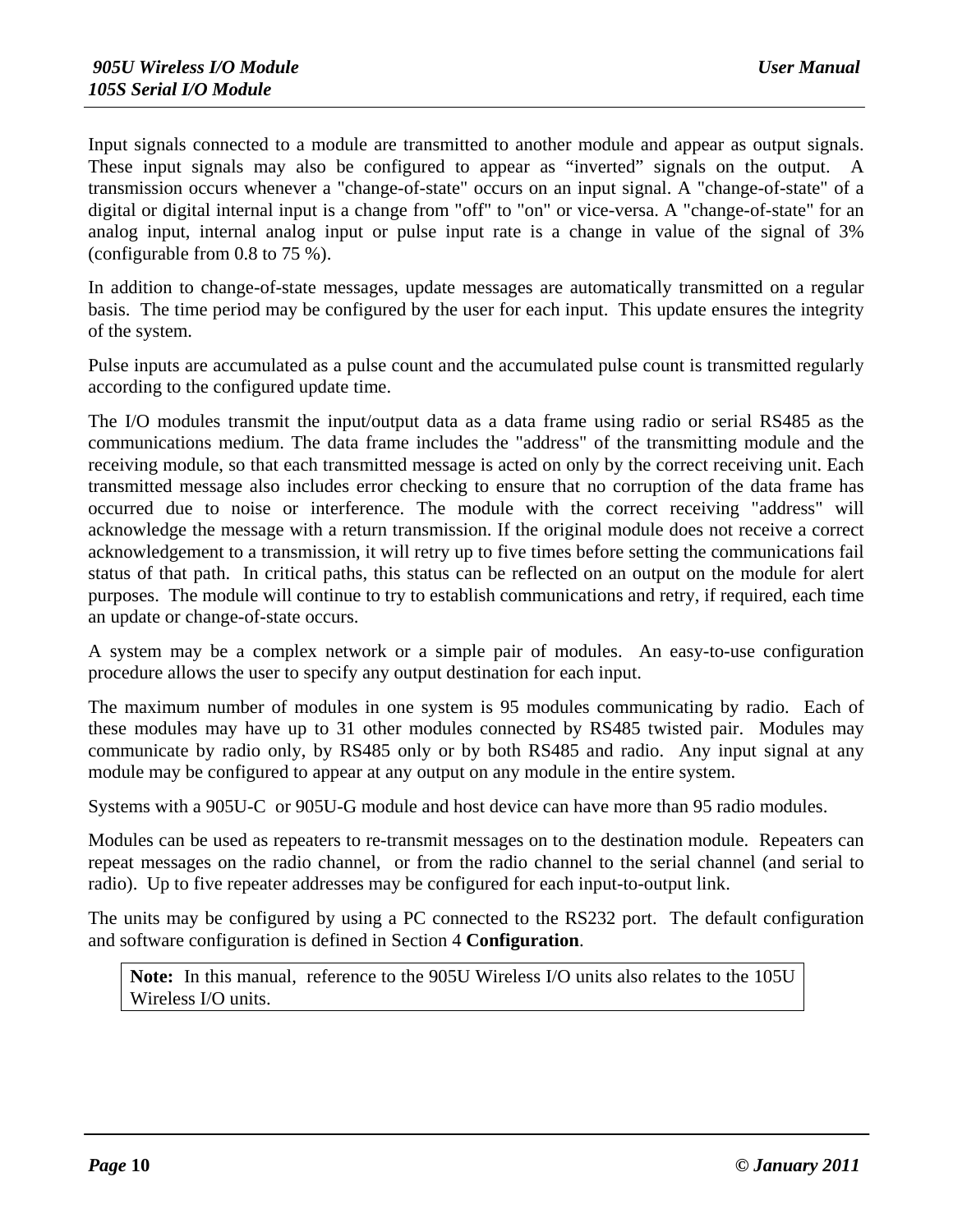Input signals connected to a module are transmitted to another module and appear as output signals. These input signals may also be configured to appear as "inverted" signals on the output. A transmission occurs whenever a "change-of-state" occurs on an input signal. A "change-of-state" of a digital or digital internal input is a change from "off" to "on" or vice-versa. A "change-of-state" for an analog input, internal analog input or pulse input rate is a change in value of the signal of 3% (configurable from 0.8 to 75 %).

In addition to change-of-state messages, update messages are automatically transmitted on a regular basis. The time period may be configured by the user for each input. This update ensures the integrity of the system.

Pulse inputs are accumulated as a pulse count and the accumulated pulse count is transmitted regularly according to the configured update time.

The I/O modules transmit the input/output data as a data frame using radio or serial RS485 as the communications medium. The data frame includes the "address" of the transmitting module and the receiving module, so that each transmitted message is acted on only by the correct receiving unit. Each transmitted message also includes error checking to ensure that no corruption of the data frame has occurred due to noise or interference. The module with the correct receiving "address" will acknowledge the message with a return transmission. If the original module does not receive a correct acknowledgement to a transmission, it will retry up to five times before setting the communications fail status of that path. In critical paths, this status can be reflected on an output on the module for alert purposes. The module will continue to try to establish communications and retry, if required, each time an update or change-of-state occurs.

A system may be a complex network or a simple pair of modules. An easy-to-use configuration procedure allows the user to specify any output destination for each input.

The maximum number of modules in one system is 95 modules communicating by radio. Each of these modules may have up to 31 other modules connected by RS485 twisted pair. Modules may communicate by radio only, by RS485 only or by both RS485 and radio. Any input signal at any module may be configured to appear at any output on any module in the entire system.

Systems with a 905U-C or 905U-G module and host device can have more than 95 radio modules.

Modules can be used as repeaters to re-transmit messages on to the destination module. Repeaters can repeat messages on the radio channel, or from the radio channel to the serial channel (and serial to radio). Up to five repeater addresses may be configured for each input-to-output link.

The units may be configured by using a PC connected to the RS232 port. The default configuration and software configuration is defined in Section 4 **Configuration**.

**Note:** In this manual, reference to the 905U Wireless I/O units also relates to the 105U Wireless I/O units.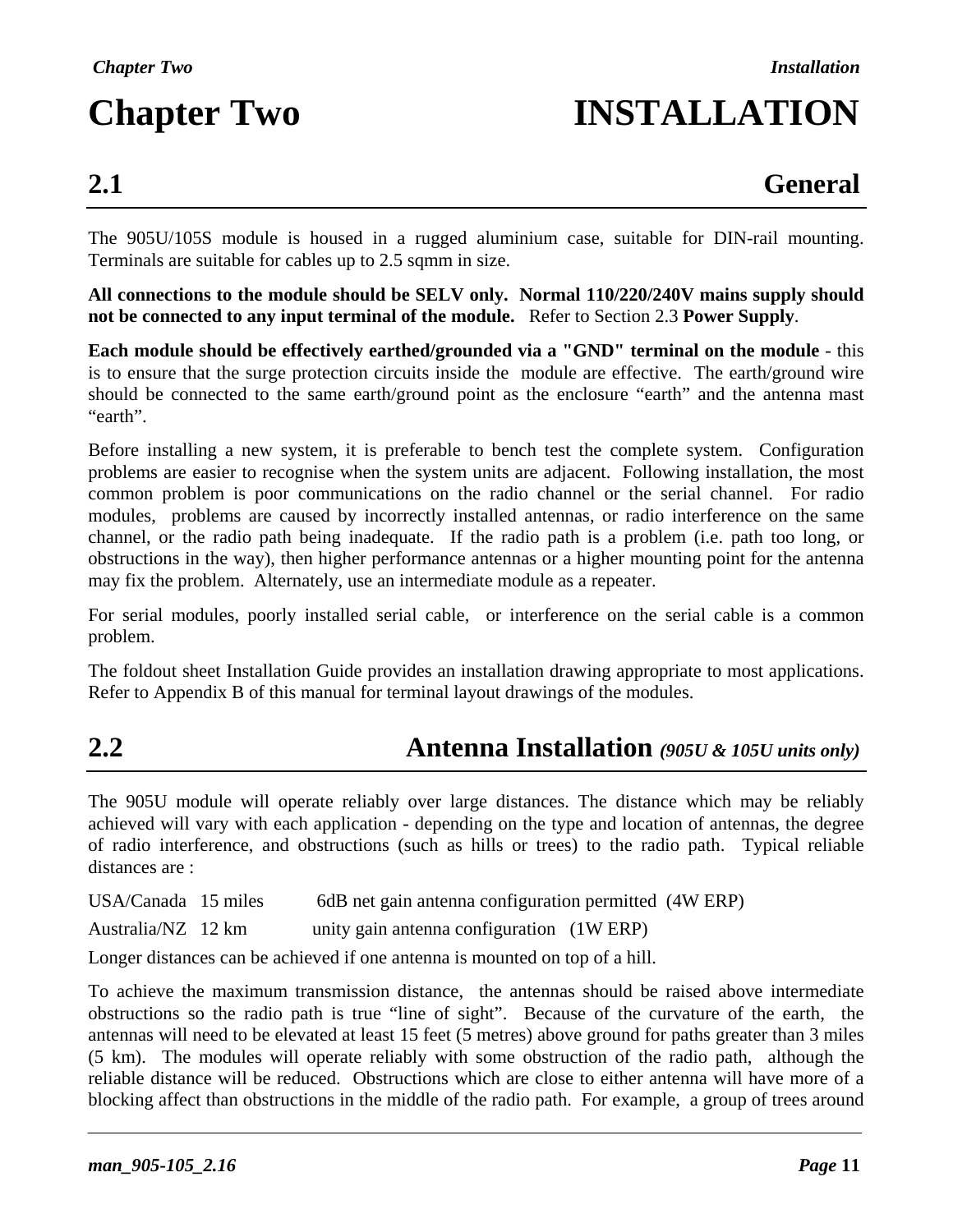# **Chapter Two INSTALLATION**

## **2.1 General**

The 905U/105S module is housed in a rugged aluminium case, suitable for DIN-rail mounting. Terminals are suitable for cables up to 2.5 sqmm in size.

**All connections to the module should be SELV only. Normal 110/220/240V mains supply should not be connected to any input terminal of the module.** Refer to Section 2.3 **Power Supply**.

**Each module should be effectively earthed/grounded via a "GND" terminal on the module** - this is to ensure that the surge protection circuits inside the module are effective. The earth/ground wire should be connected to the same earth/ground point as the enclosure "earth" and the antenna mast "earth".

Before installing a new system, it is preferable to bench test the complete system. Configuration problems are easier to recognise when the system units are adjacent. Following installation, the most common problem is poor communications on the radio channel or the serial channel. For radio modules, problems are caused by incorrectly installed antennas, or radio interference on the same channel, or the radio path being inadequate. If the radio path is a problem (i.e. path too long, or obstructions in the way), then higher performance antennas or a higher mounting point for the antenna may fix the problem. Alternately, use an intermediate module as a repeater.

For serial modules, poorly installed serial cable, or interference on the serial cable is a common problem.

The foldout sheet Installation Guide provides an installation drawing appropriate to most applications. Refer to Appendix B of this manual for terminal layout drawings of the modules.

## **2.2 Antenna Installation** *(905U & 105U units only)*

The 905U module will operate reliably over large distances. The distance which may be reliably achieved will vary with each application - depending on the type and location of antennas, the degree of radio interference, and obstructions (such as hills or trees) to the radio path. Typical reliable distances are :

USA/Canada 15 miles 6dB net gain antenna configuration permitted (4W ERP)

Australia/NZ 12 km unity gain antenna configuration (1W ERP)

Longer distances can be achieved if one antenna is mounted on top of a hill.

To achieve the maximum transmission distance, the antennas should be raised above intermediate obstructions so the radio path is true "line of sight". Because of the curvature of the earth, the antennas will need to be elevated at least 15 feet (5 metres) above ground for paths greater than 3 miles (5 km). The modules will operate reliably with some obstruction of the radio path, although the reliable distance will be reduced. Obstructions which are close to either antenna will have more of a blocking affect than obstructions in the middle of the radio path. For example, a group of trees around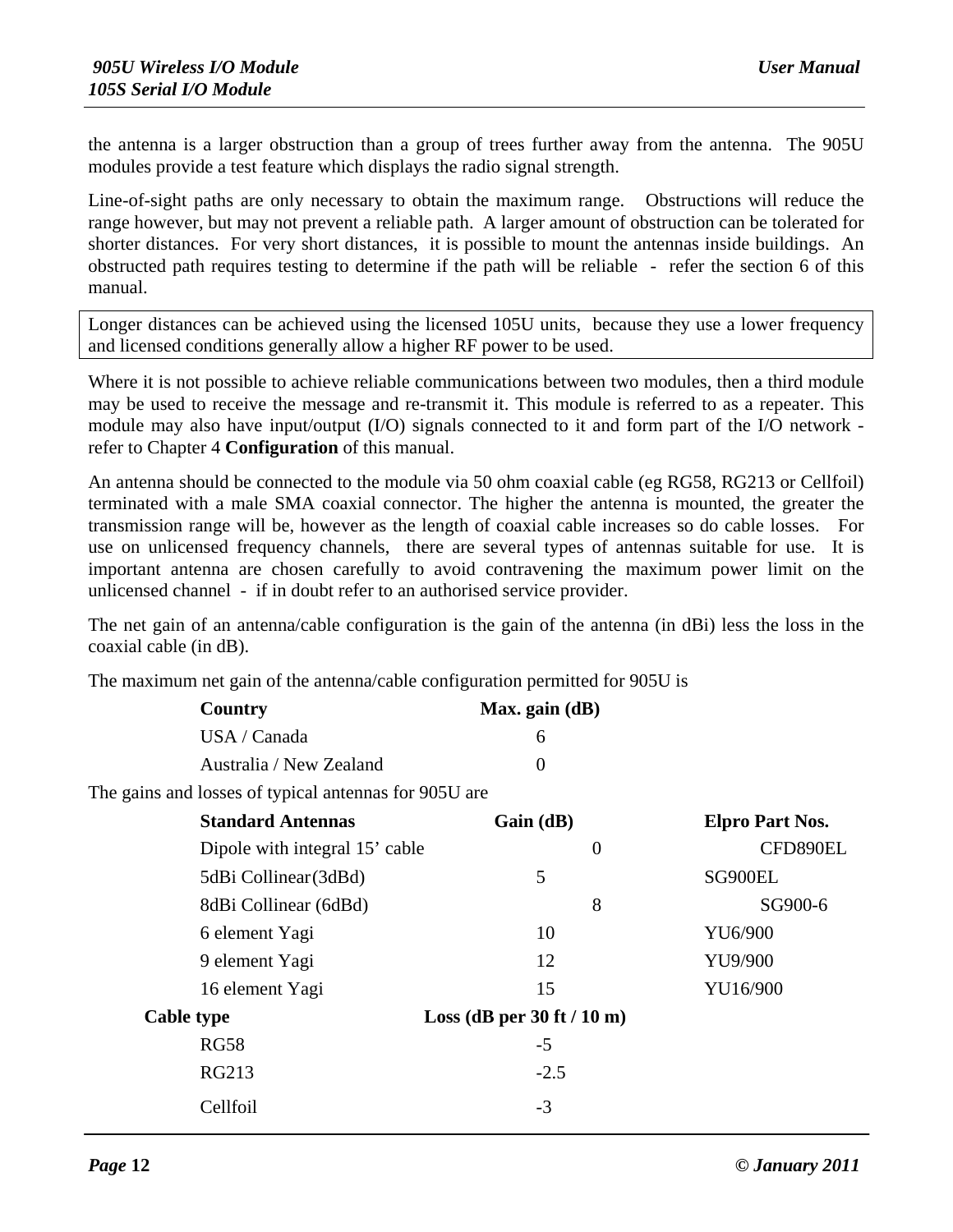the antenna is a larger obstruction than a group of trees further away from the antenna. The 905U modules provide a test feature which displays the radio signal strength.

Line-of-sight paths are only necessary to obtain the maximum range. Obstructions will reduce the range however, but may not prevent a reliable path. A larger amount of obstruction can be tolerated for shorter distances. For very short distances, it is possible to mount the antennas inside buildings. An obstructed path requires testing to determine if the path will be reliable - refer the section 6 of this manual.

Longer distances can be achieved using the licensed 105U units, because they use a lower frequency and licensed conditions generally allow a higher RF power to be used.

Where it is not possible to achieve reliable communications between two modules, then a third module may be used to receive the message and re-transmit it. This module is referred to as a repeater. This module may also have input/output (I/O) signals connected to it and form part of the I/O network refer to Chapter 4 **Configuration** of this manual.

An antenna should be connected to the module via 50 ohm coaxial cable (eg RG58, RG213 or Cellfoil) terminated with a male SMA coaxial connector. The higher the antenna is mounted, the greater the transmission range will be, however as the length of coaxial cable increases so do cable losses. For use on unlicensed frequency channels, there are several types of antennas suitable for use. It is important antenna are chosen carefully to avoid contravening the maximum power limit on the unlicensed channel - if in doubt refer to an authorised service provider.

The net gain of an antenna/cable configuration is the gain of the antenna (in dBi) less the loss in the coaxial cable (in dB).

The maximum net gain of the antenna/cable configuration permitted for 905U is

| Country                 | Max. gain $(dB)$  |  |
|-------------------------|-------------------|--|
| USA / Canada            |                   |  |
| Australia / New Zealand | $\mathbf{\Omega}$ |  |

The gains and losses of typical antennas for 905U are

| <b>Standard Antennas</b>       | Gain (dB)                      | <b>Elpro Part Nos.</b> |
|--------------------------------|--------------------------------|------------------------|
| Dipole with integral 15' cable | $\theta$                       | CFD890EL               |
| 5dBi Collinear (3dBd)          | 5                              | SG900EL                |
| 8dBi Collinear (6dBd)          | 8                              | SG900-6                |
| 6 element Yagi                 | 10                             | YU6/900                |
| 9 element Yagi                 | 12                             | YU9/900                |
| 16 element Yagi                | 15                             | YU16/900               |
| <b>Cable type</b>              | Loss (dB per $30$ ft / $10$ m) |                        |
| <b>RG58</b>                    | $-5$                           |                        |
| <b>RG213</b>                   | $-2.5$                         |                        |
| Cellfoil                       | $-3$                           |                        |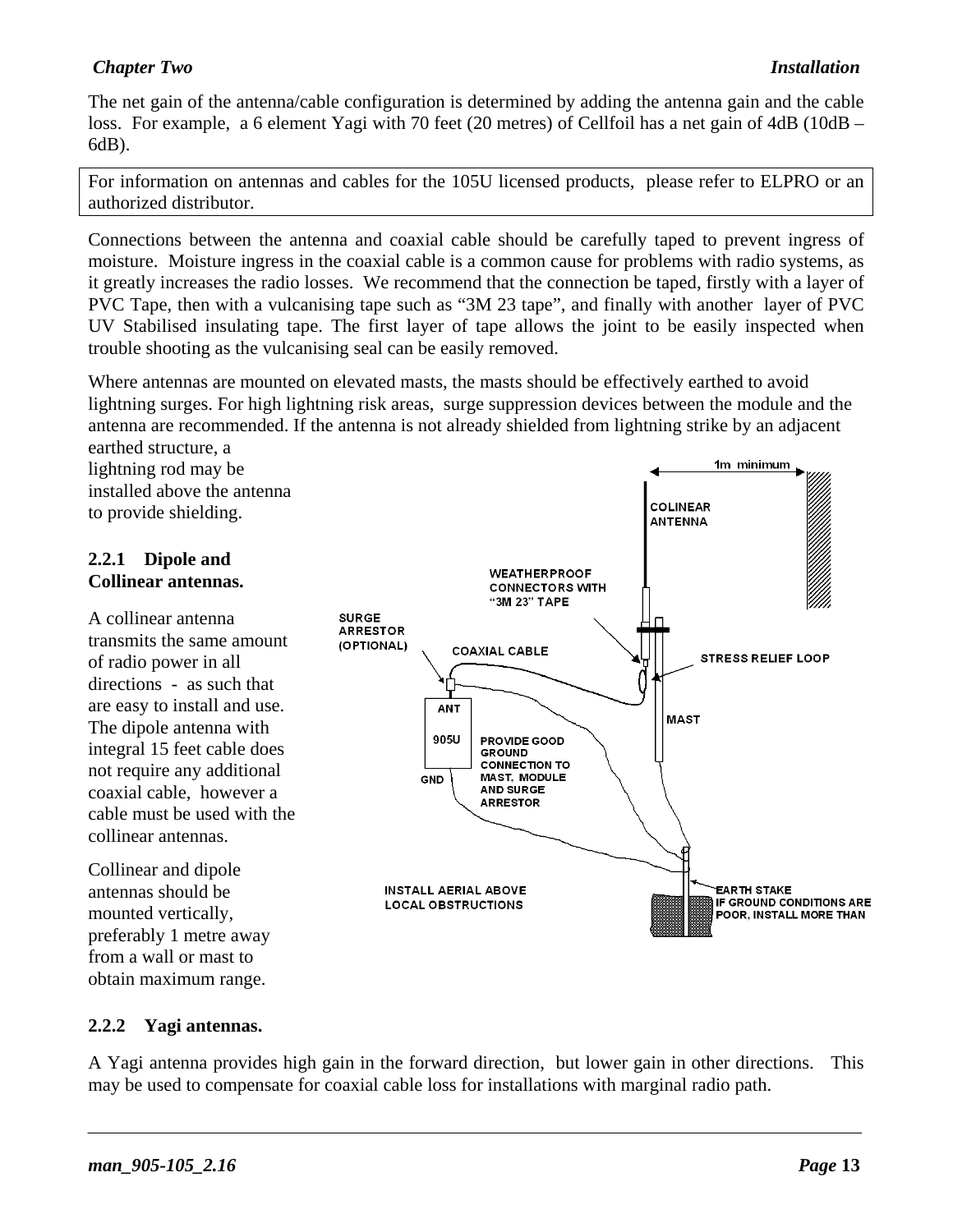#### *Chapter Two Installation*

The net gain of the antenna/cable configuration is determined by adding the antenna gain and the cable loss. For example, a 6 element Yagi with 70 feet (20 metres) of Cellfoil has a net gain of 4dB (10dB – 6dB).

For information on antennas and cables for the 105U licensed products, please refer to ELPRO or an authorized distributor.

Connections between the antenna and coaxial cable should be carefully taped to prevent ingress of moisture. Moisture ingress in the coaxial cable is a common cause for problems with radio systems, as it greatly increases the radio losses. We recommend that the connection be taped, firstly with a layer of PVC Tape, then with a vulcanising tape such as "3M 23 tape", and finally with another layer of PVC UV Stabilised insulating tape. The first layer of tape allows the joint to be easily inspected when trouble shooting as the vulcanising seal can be easily removed.

Where antennas are mounted on elevated masts, the masts should be effectively earthed to avoid lightning surges. For high lightning risk areas, surge suppression devices between the module and the antenna are recommended. If the antenna is not already shielded from lightning strike by an adjacent earthed structure, a

lightning rod may be installed above the antenna to provide shielding.

#### **2.2.1 Dipole and Collinear antennas.**

A collinear antenna transmits the same amount of radio power in all directions - as such that are easy to install and use. The dipole antenna with integral 15 feet cable does not require any additional coaxial cable, however a cable must be used with the collinear antennas.

Collinear and dipole antennas should be mounted vertically, preferably 1 metre away from a wall or mast to obtain maximum range.



#### **2.2.2 Yagi antennas.**

A Yagi antenna provides high gain in the forward direction, but lower gain in other directions. This may be used to compensate for coaxial cable loss for installations with marginal radio path.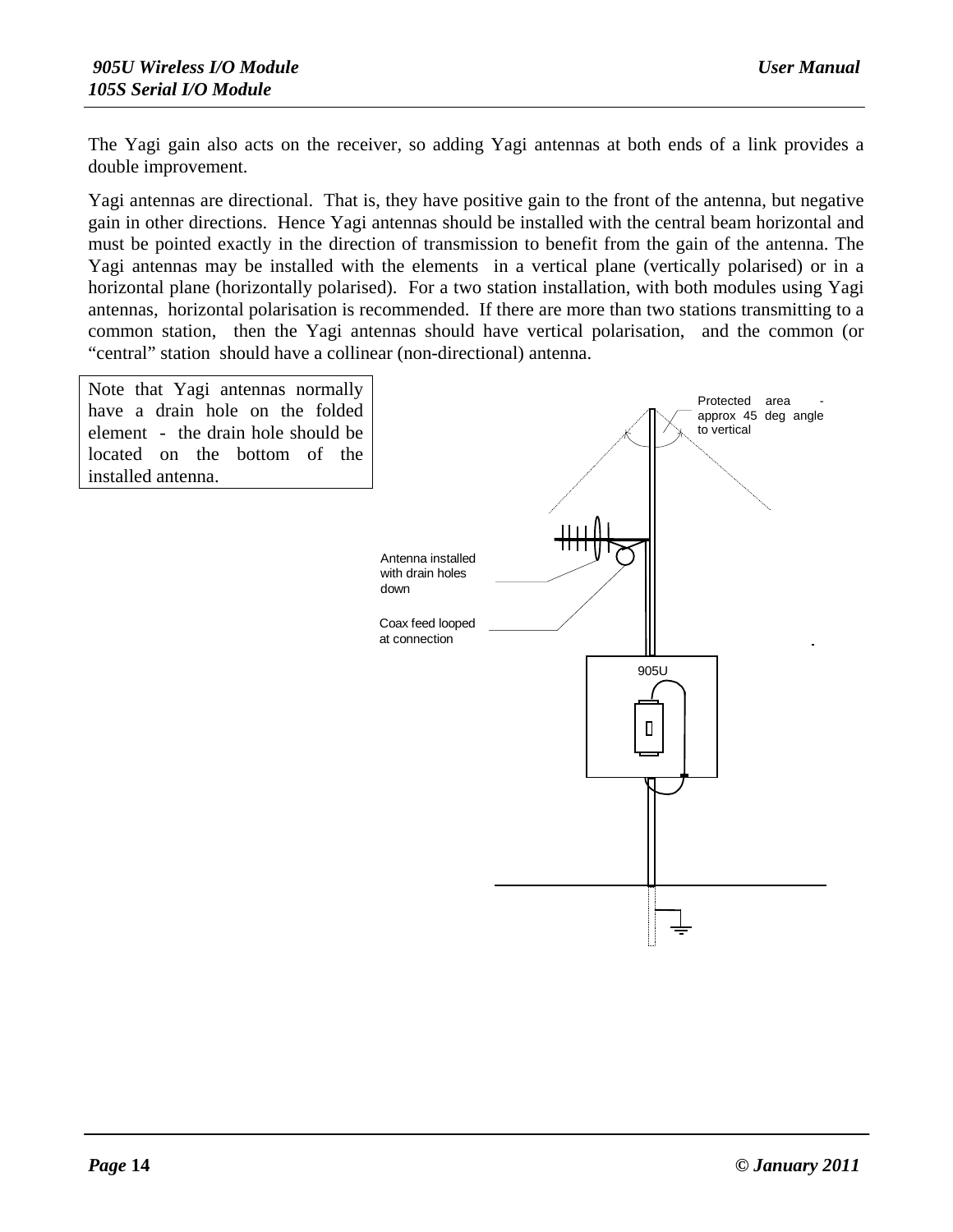The Yagi gain also acts on the receiver, so adding Yagi antennas at both ends of a link provides a double improvement.

Yagi antennas are directional. That is, they have positive gain to the front of the antenna, but negative gain in other directions. Hence Yagi antennas should be installed with the central beam horizontal and must be pointed exactly in the direction of transmission to benefit from the gain of the antenna. The Yagi antennas may be installed with the elements in a vertical plane (vertically polarised) or in a horizontal plane (horizontally polarised). For a two station installation, with both modules using Yagi antennas, horizontal polarisation is recommended. If there are more than two stations transmitting to a common station, then the Yagi antennas should have vertical polarisation, and the common (or "central" station should have a collinear (non-directional) antenna.

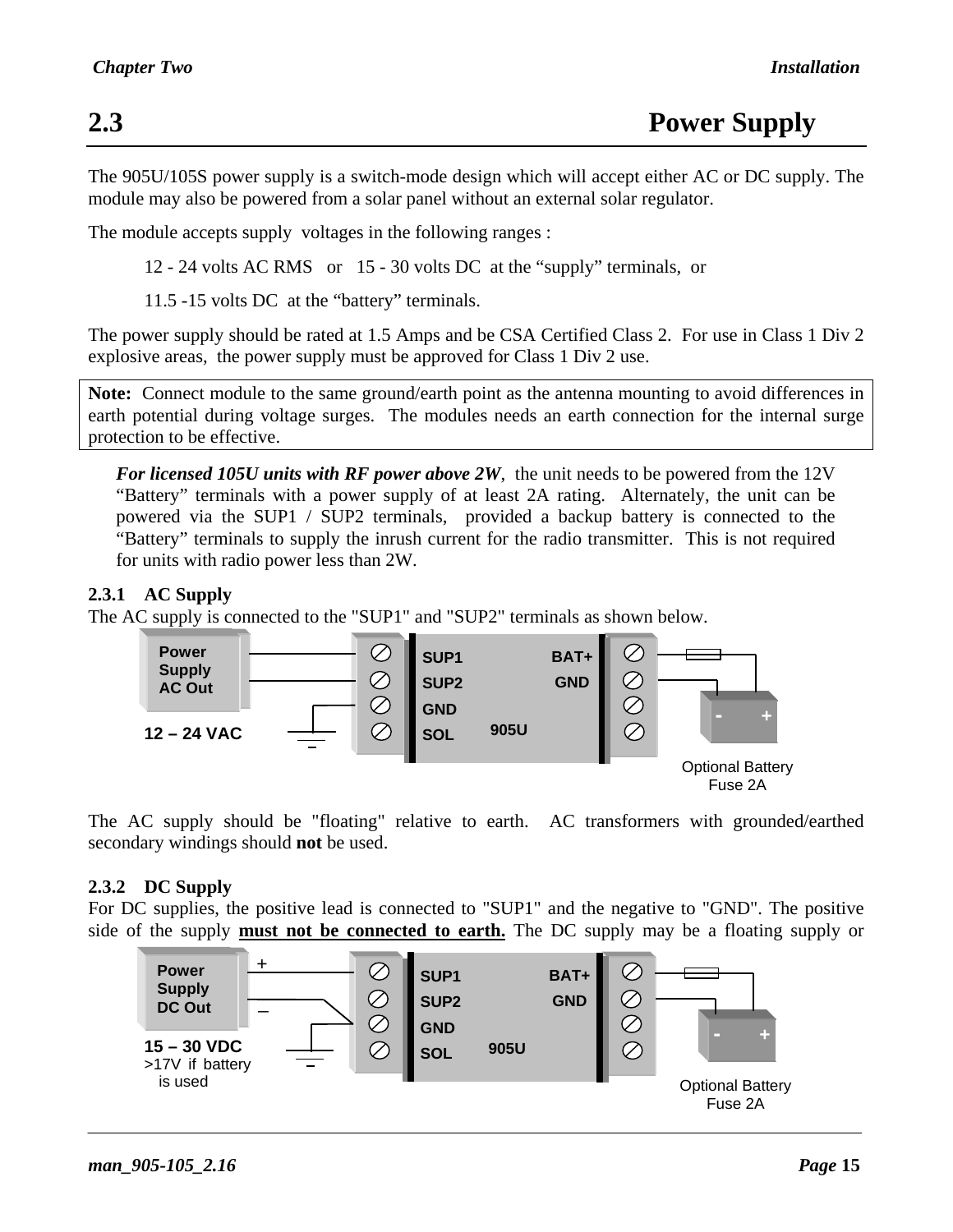The 905U/105S power supply is a switch-mode design which will accept either AC or DC supply. The module may also be powered from a solar panel without an external solar regulator.

The module accepts supply voltages in the following ranges :

12 - 24 volts AC RMS or 15 - 30 volts DC at the "supply" terminals, or

11.5 -15 volts DC at the "battery" terminals.

The power supply should be rated at 1.5 Amps and be CSA Certified Class 2. For use in Class 1 Div 2 explosive areas, the power supply must be approved for Class 1 Div 2 use.

**Note:** Connect module to the same ground/earth point as the antenna mounting to avoid differences in earth potential during voltage surges. The modules needs an earth connection for the internal surge protection to be effective.

*For licensed 105U units with RF power above 2W*, the unit needs to be powered from the 12V "Battery" terminals with a power supply of at least 2A rating. Alternately, the unit can be powered via the SUP1 / SUP2 terminals, provided a backup battery is connected to the "Battery" terminals to supply the inrush current for the radio transmitter. This is not required for units with radio power less than 2W.

#### **2.3.1 AC Supply**

The AC supply is connected to the "SUP1" and "SUP2" terminals as shown below.



The AC supply should be "floating" relative to earth. AC transformers with grounded/earthed secondary windings should **not** be used.

#### **2.3.2 DC Supply**

For DC supplies, the positive lead is connected to "SUP1" and the negative to "GND". The positive side of the supply **must not be connected to earth.** The DC supply may be a floating supply or

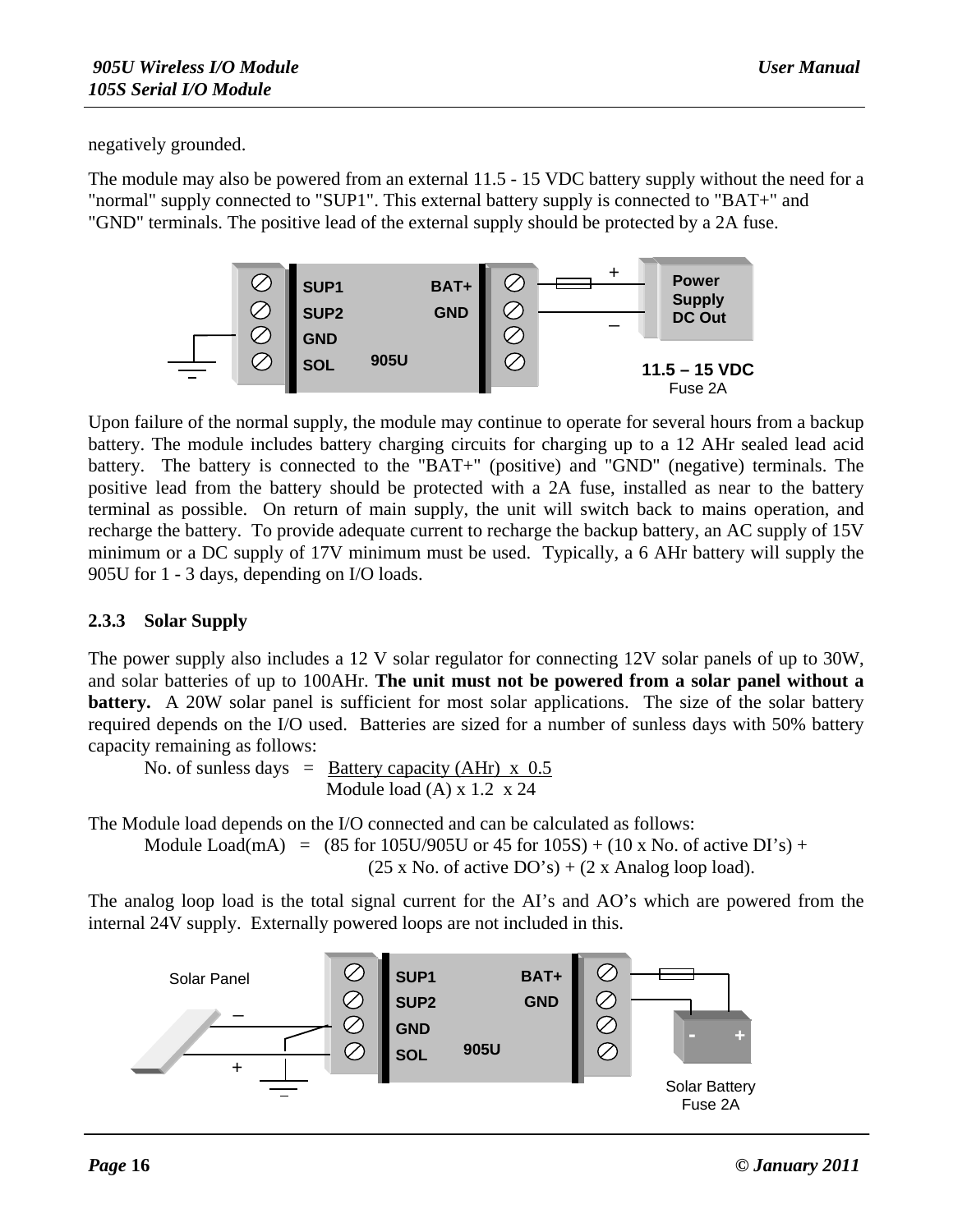negatively grounded.

The module may also be powered from an external 11.5 - 15 VDC battery supply without the need for a "normal" supply connected to "SUP1". This external battery supply is connected to "BAT+" and "GND" terminals. The positive lead of the external supply should be protected by a 2A fuse.



Upon failure of the normal supply, the module may continue to operate for several hours from a backup battery. The module includes battery charging circuits for charging up to a 12 AHr sealed lead acid battery. The battery is connected to the "BAT+" (positive) and "GND" (negative) terminals. The positive lead from the battery should be protected with a 2A fuse, installed as near to the battery terminal as possible. On return of main supply, the unit will switch back to mains operation, and recharge the battery. To provide adequate current to recharge the backup battery, an AC supply of 15V minimum or a DC supply of 17V minimum must be used. Typically, a 6 AHr battery will supply the 905U for 1 - 3 days, depending on I/O loads.

#### **2.3.3 Solar Supply**

The power supply also includes a 12 V solar regulator for connecting 12V solar panels of up to 30W, and solar batteries of up to 100AHr. **The unit must not be powered from a solar panel without a battery.** A 20W solar panel is sufficient for most solar applications. The size of the solar battery required depends on the I/O used. Batteries are sized for a number of sunless days with 50% battery capacity remaining as follows:

No. of sunless days = Battery capacity (AHr)  $\times$  0.5 Module load (A) x 1.2 x 24

The Module load depends on the I/O connected and can be calculated as follows: Module Load(mA) =  $(85$  for  $105U/905U$  or  $45$  for  $105S$ ) +  $(10 \times No)$ . of active DI's) +  $(25 \times No.$  of active  $DO's$ ) +  $(2 \times Analog A)$  loop load).

The analog loop load is the total signal current for the AI's and AO's which are powered from the internal 24V supply. Externally powered loops are not included in this.

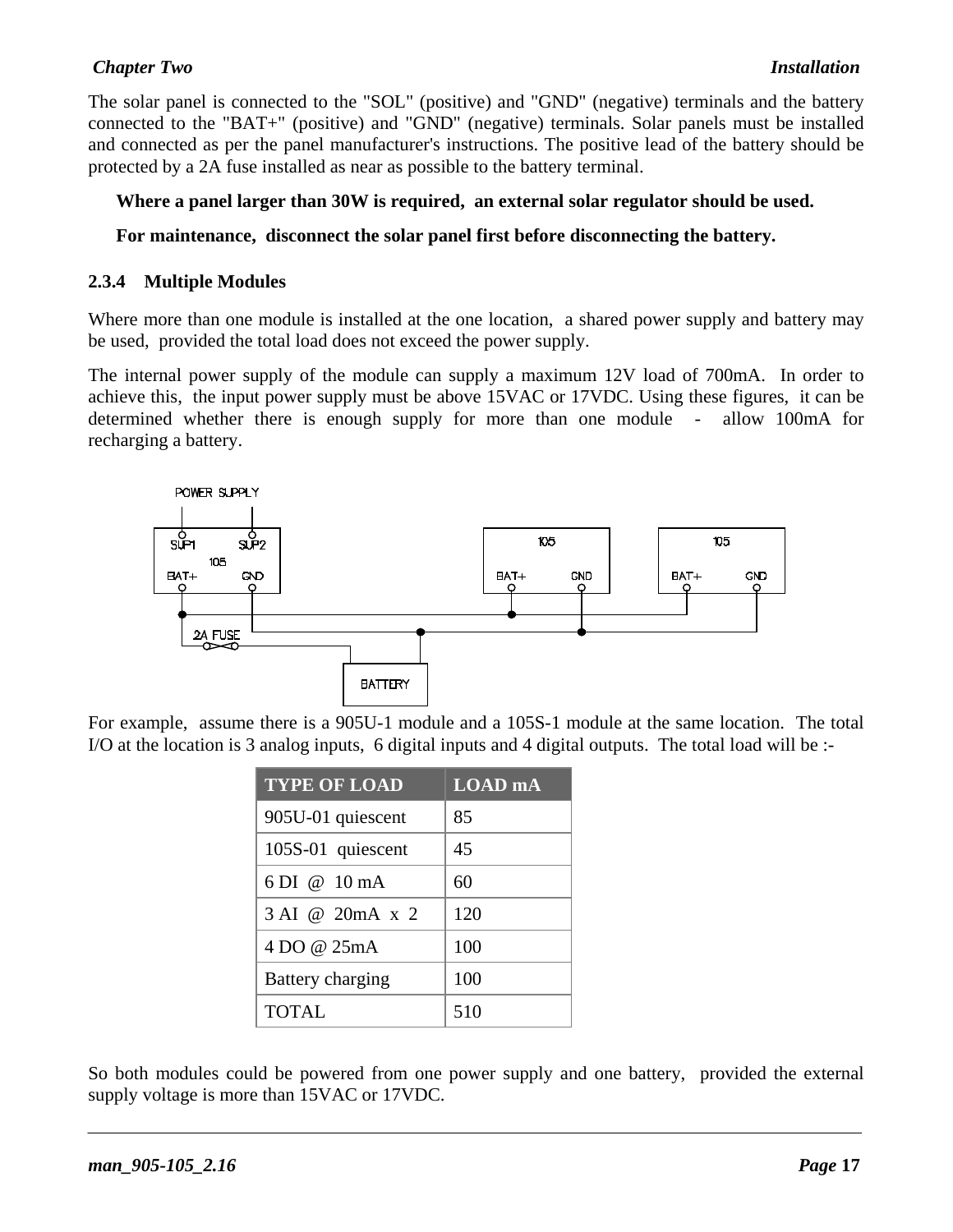#### *Chapter Two Installation*

The solar panel is connected to the "SOL" (positive) and "GND" (negative) terminals and the battery connected to the "BAT+" (positive) and "GND" (negative) terminals. Solar panels must be installed and connected as per the panel manufacturer's instructions. The positive lead of the battery should be protected by a 2A fuse installed as near as possible to the battery terminal.

#### **Where a panel larger than 30W is required, an external solar regulator should be used.**

#### **For maintenance, disconnect the solar panel first before disconnecting the battery.**

#### **2.3.4 Multiple Modules**

Where more than one module is installed at the one location, a shared power supply and battery may be used, provided the total load does not exceed the power supply.

The internal power supply of the module can supply a maximum 12V load of 700mA. In order to achieve this, the input power supply must be above 15VAC or 17VDC. Using these figures, it can be determined whether there is enough supply for more than one module - allow 100mA for recharging a battery.



For example, assume there is a 905U-1 module and a 105S-1 module at the same location. The total I/O at the location is 3 analog inputs, 6 digital inputs and 4 digital outputs. The total load will be :-

| <b>TYPE OF LOAD</b>    | <b>LOAD</b> mA |
|------------------------|----------------|
| 905U-01 quiescent      | 85             |
| 105S-01 quiescent      | 45             |
| 6 DI @ $10 \text{ mA}$ | 60             |
| 3 AI @ 20mA x 2        | 120            |
| 4 DO @ 25mA            | 100            |
| Battery charging       | 100            |
| <b>TOTAL</b>           | 510            |

So both modules could be powered from one power supply and one battery, provided the external supply voltage is more than 15VAC or 17VDC.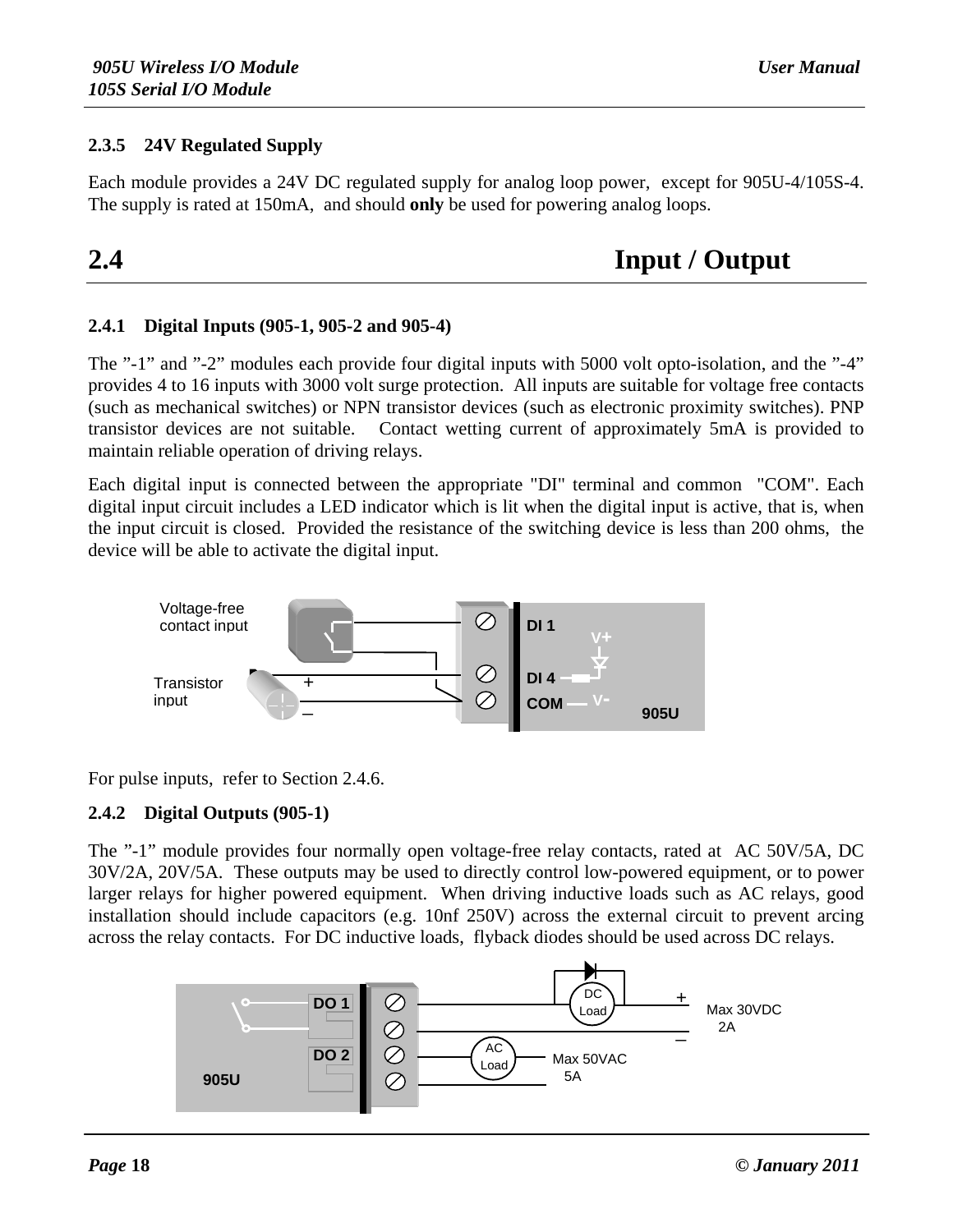#### **2.3.5 24V Regulated Supply**

Each module provides a 24V DC regulated supply for analog loop power, except for 905U-4/105S-4. The supply is rated at 150mA, and should **only** be used for powering analog loops.

**2.4 Input / Output**

#### **2.4.1 Digital Inputs (905-1, 905-2 and 905-4)**

The "-1" and "-2" modules each provide four digital inputs with 5000 volt opto-isolation, and the "-4" provides 4 to 16 inputs with 3000 volt surge protection. All inputs are suitable for voltage free contacts (such as mechanical switches) or NPN transistor devices (such as electronic proximity switches). PNP transistor devices are not suitable. Contact wetting current of approximately 5mA is provided to maintain reliable operation of driving relays.

Each digital input is connected between the appropriate "DI" terminal and common "COM". Each digital input circuit includes a LED indicator which is lit when the digital input is active, that is, when the input circuit is closed. Provided the resistance of the switching device is less than 200 ohms, the device will be able to activate the digital input.



For pulse inputs, refer to Section 2.4.6.

#### **2.4.2 Digital Outputs (905-1)**

The "-1" module provides four normally open voltage-free relay contacts, rated at AC 50V/5A, DC 30V/2A, 20V/5A. These outputs may be used to directly control low-powered equipment, or to power larger relays for higher powered equipment. When driving inductive loads such as AC relays, good installation should include capacitors (e.g. 10nf 250V) across the external circuit to prevent arcing across the relay contacts. For DC inductive loads, flyback diodes should be used across DC relays.

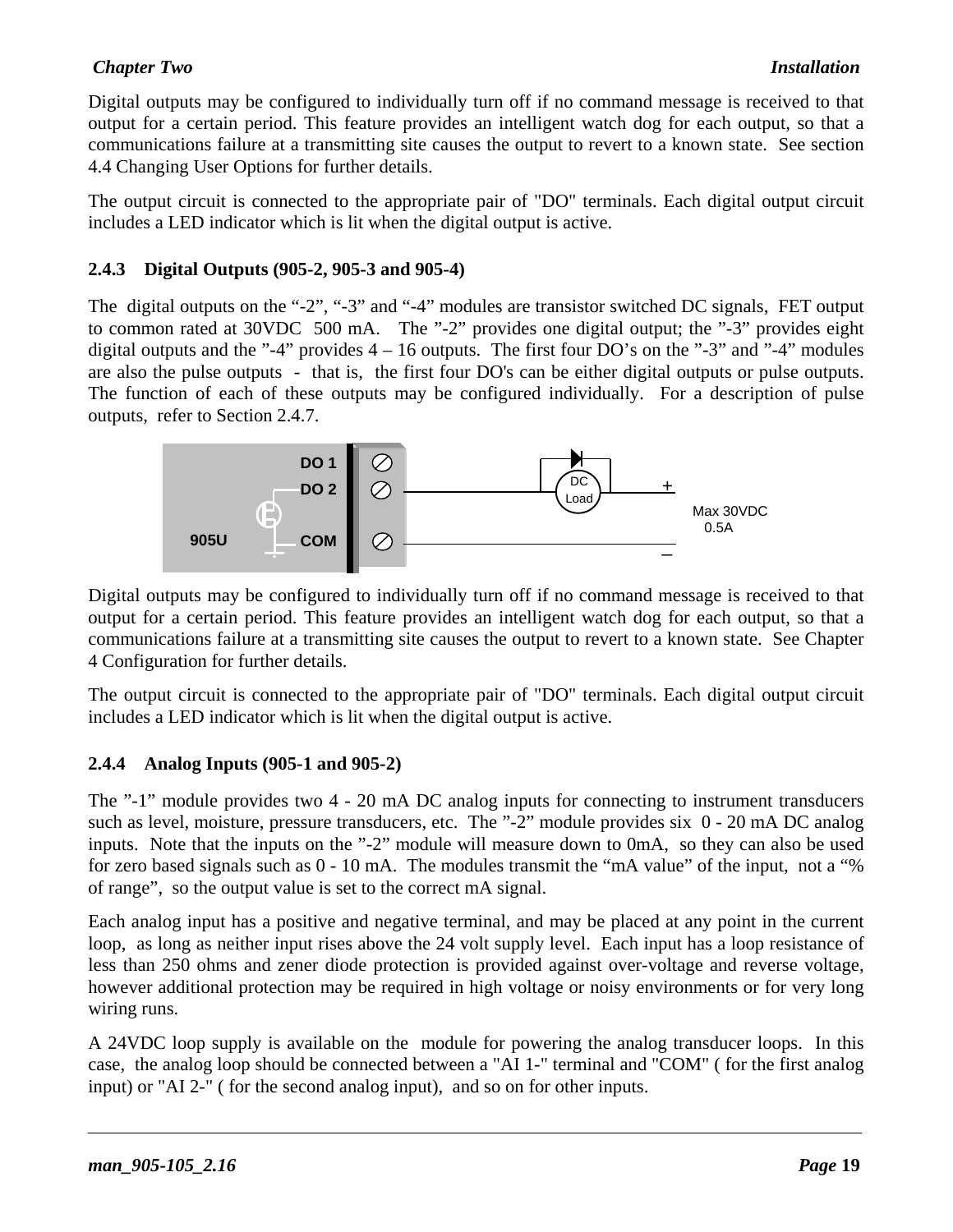#### *Chapter Two Installation*

Digital outputs may be configured to individually turn off if no command message is received to that output for a certain period. This feature provides an intelligent watch dog for each output, so that a communications failure at a transmitting site causes the output to revert to a known state. See section 4.4 Changing User Options for further details.

The output circuit is connected to the appropriate pair of "DO" terminals. Each digital output circuit includes a LED indicator which is lit when the digital output is active.

#### **2.4.3 Digital Outputs (905-2, 905-3 and 905-4)**

The digital outputs on the "-2", "-3" and "-4" modules are transistor switched DC signals, FET output to common rated at 30VDC 500 mA. The "-2" provides one digital output; the "-3" provides eight digital outputs and the "-4" provides  $4 - 16$  outputs. The first four DO's on the "-3" and "-4" modules are also the pulse outputs - that is, the first four DO's can be either digital outputs or pulse outputs. The function of each of these outputs may be configured individually. For a description of pulse outputs, refer to Section 2.4.7.



Digital outputs may be configured to individually turn off if no command message is received to that output for a certain period. This feature provides an intelligent watch dog for each output, so that a communications failure at a transmitting site causes the output to revert to a known state. See Chapter 4 Configuration for further details.

The output circuit is connected to the appropriate pair of "DO" terminals. Each digital output circuit includes a LED indicator which is lit when the digital output is active.

#### **2.4.4 Analog Inputs (905-1 and 905-2)**

The "-1" module provides two 4 - 20 mA DC analog inputs for connecting to instrument transducers such as level, moisture, pressure transducers, etc. The "-2" module provides six  $0 - 20$  mA DC analog inputs. Note that the inputs on the "-2" module will measure down to 0mA, so they can also be used for zero based signals such as 0 - 10 mA. The modules transmit the "mA value" of the input, not a "% of range", so the output value is set to the correct mA signal.

Each analog input has a positive and negative terminal, and may be placed at any point in the current loop, as long as neither input rises above the 24 volt supply level. Each input has a loop resistance of less than 250 ohms and zener diode protection is provided against over-voltage and reverse voltage, however additional protection may be required in high voltage or noisy environments or for very long wiring runs.

A 24VDC loop supply is available on the module for powering the analog transducer loops. In this case, the analog loop should be connected between a "AI 1-" terminal and "COM" ( for the first analog input) or "AI 2-" ( for the second analog input), and so on for other inputs.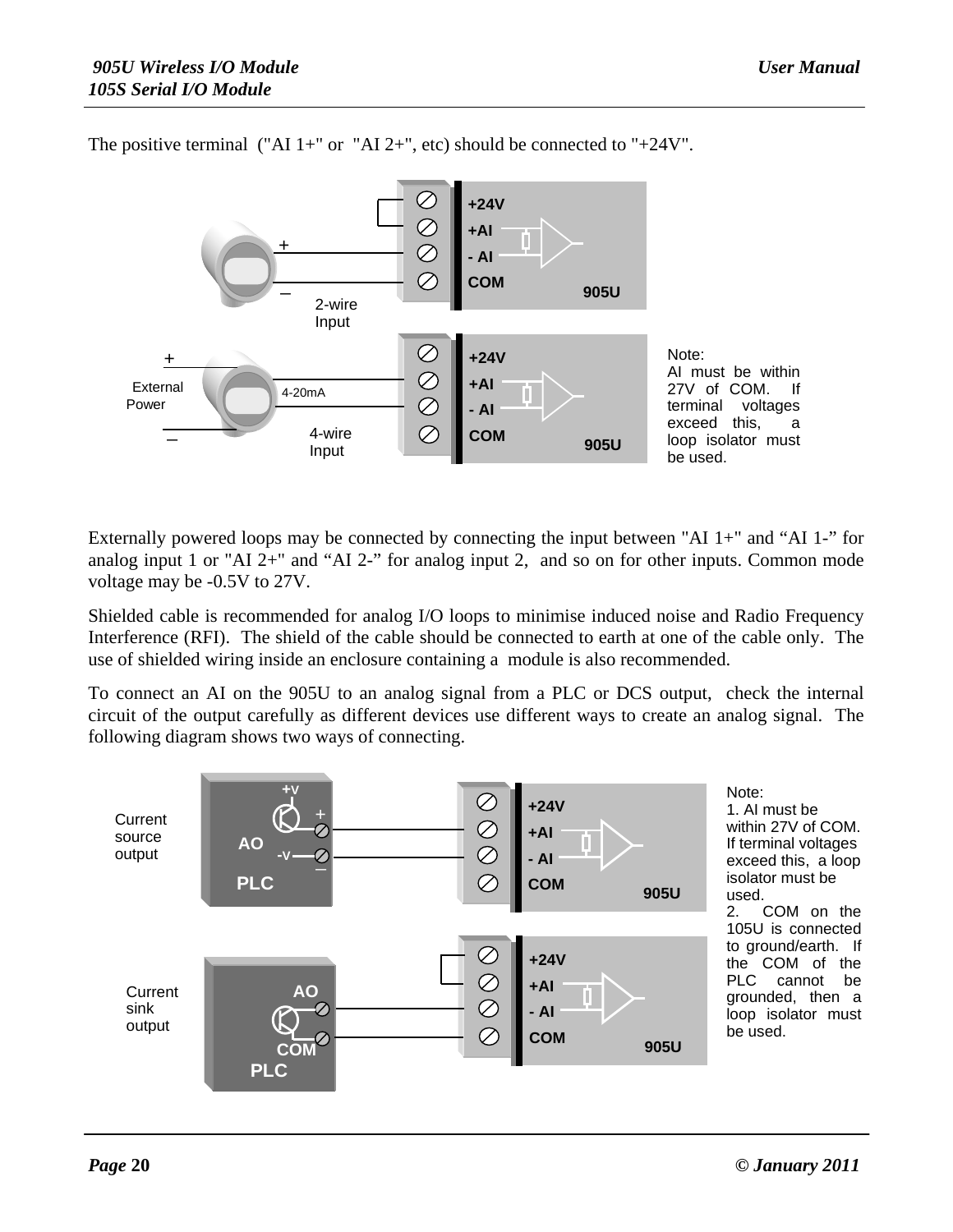

The positive terminal ("AI 1+" or "AI 2+", etc) should be connected to "+24V".

Externally powered loops may be connected by connecting the input between "AI 1+" and "AI 1-" for analog input 1 or "AI 2+" and "AI 2-" for analog input 2, and so on for other inputs. Common mode voltage may be -0.5V to 27V.

Shielded cable is recommended for analog I/O loops to minimise induced noise and Radio Frequency Interference (RFI). The shield of the cable should be connected to earth at one of the cable only. The use of shielded wiring inside an enclosure containing a module is also recommended.

To connect an AI on the 905U to an analog signal from a PLC or DCS output, check the internal circuit of the output carefully as different devices use different ways to create an analog signal. The following diagram shows two ways of connecting.

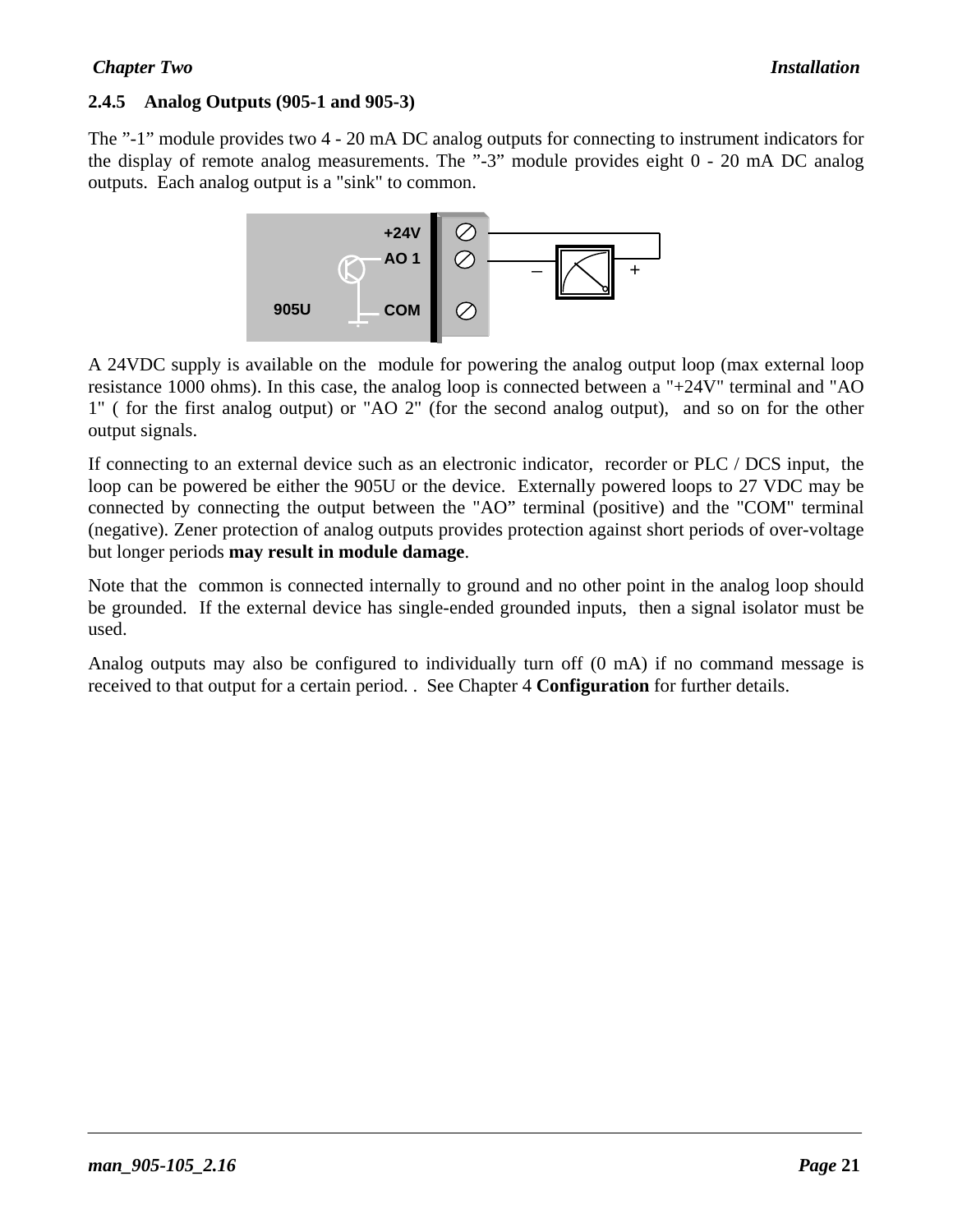#### **2.4.5 Analog Outputs (905-1 and 905-3)**

The "-1" module provides two 4 - 20 mA DC analog outputs for connecting to instrument indicators for the display of remote analog measurements. The "-3" module provides eight 0 - 20 mA DC analog outputs. Each analog output is a "sink" to common.



A 24VDC supply is available on the module for powering the analog output loop (max external loop resistance 1000 ohms). In this case, the analog loop is connected between a "+24V" terminal and "AO 1" ( for the first analog output) or "AO 2" (for the second analog output), and so on for the other output signals.

If connecting to an external device such as an electronic indicator, recorder or PLC / DCS input, the loop can be powered be either the 905U or the device. Externally powered loops to 27 VDC may be connected by connecting the output between the "AO" terminal (positive) and the "COM" terminal (negative). Zener protection of analog outputs provides protection against short periods of over-voltage but longer periods **may result in module damage**.

Note that the common is connected internally to ground and no other point in the analog loop should be grounded. If the external device has single-ended grounded inputs, then a signal isolator must be used.

Analog outputs may also be configured to individually turn off (0 mA) if no command message is received to that output for a certain period. . See Chapter 4 **Configuration** for further details.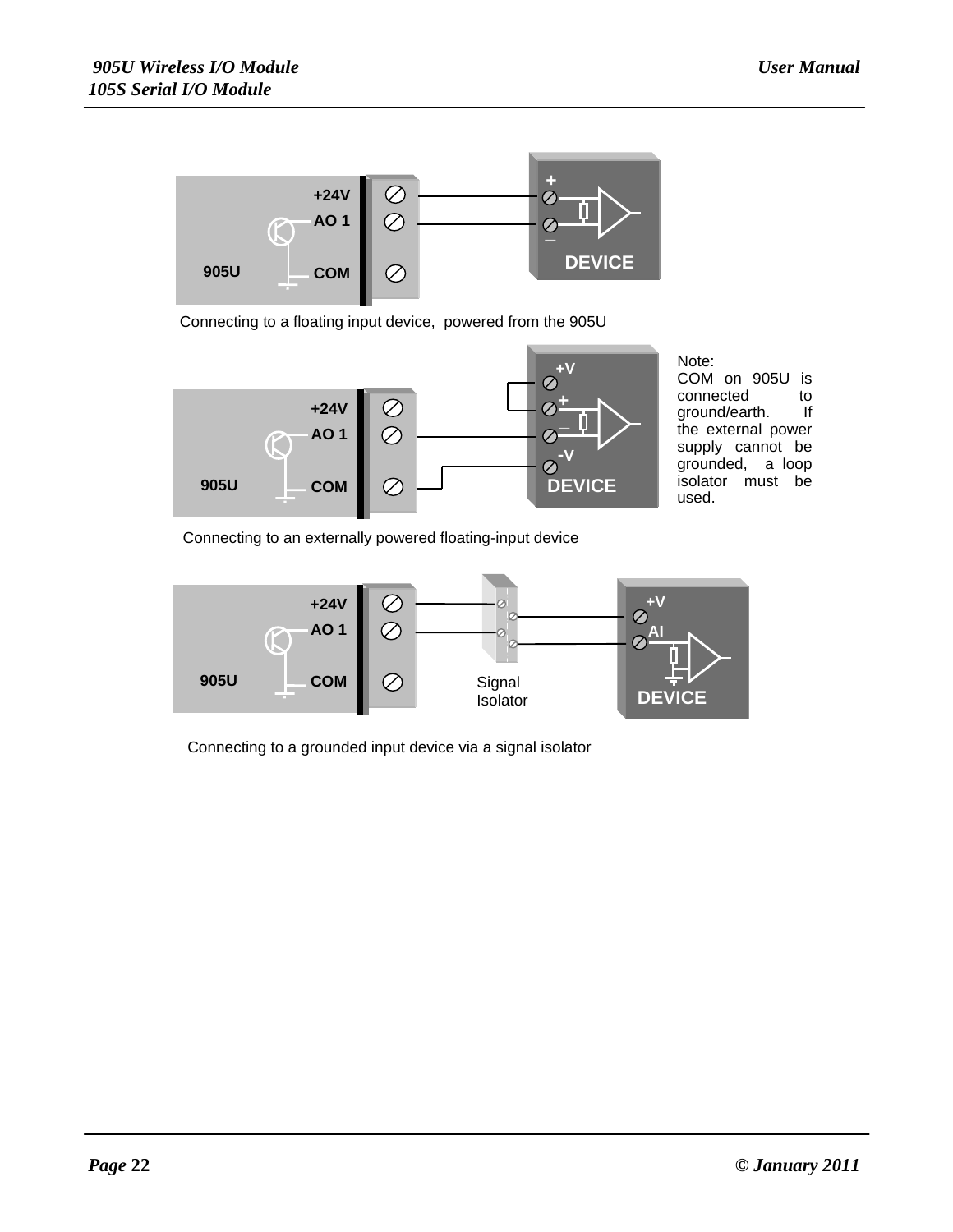

Connecting to a floating input device, powered from the 905U



COM on 905U is connected to<br>ground/earth. If ground/earth. the external power supply cannot be grounded, a loop isolator must be used.

Connecting to an externally powered floating-input device



Connecting to a grounded input device via a signal isolator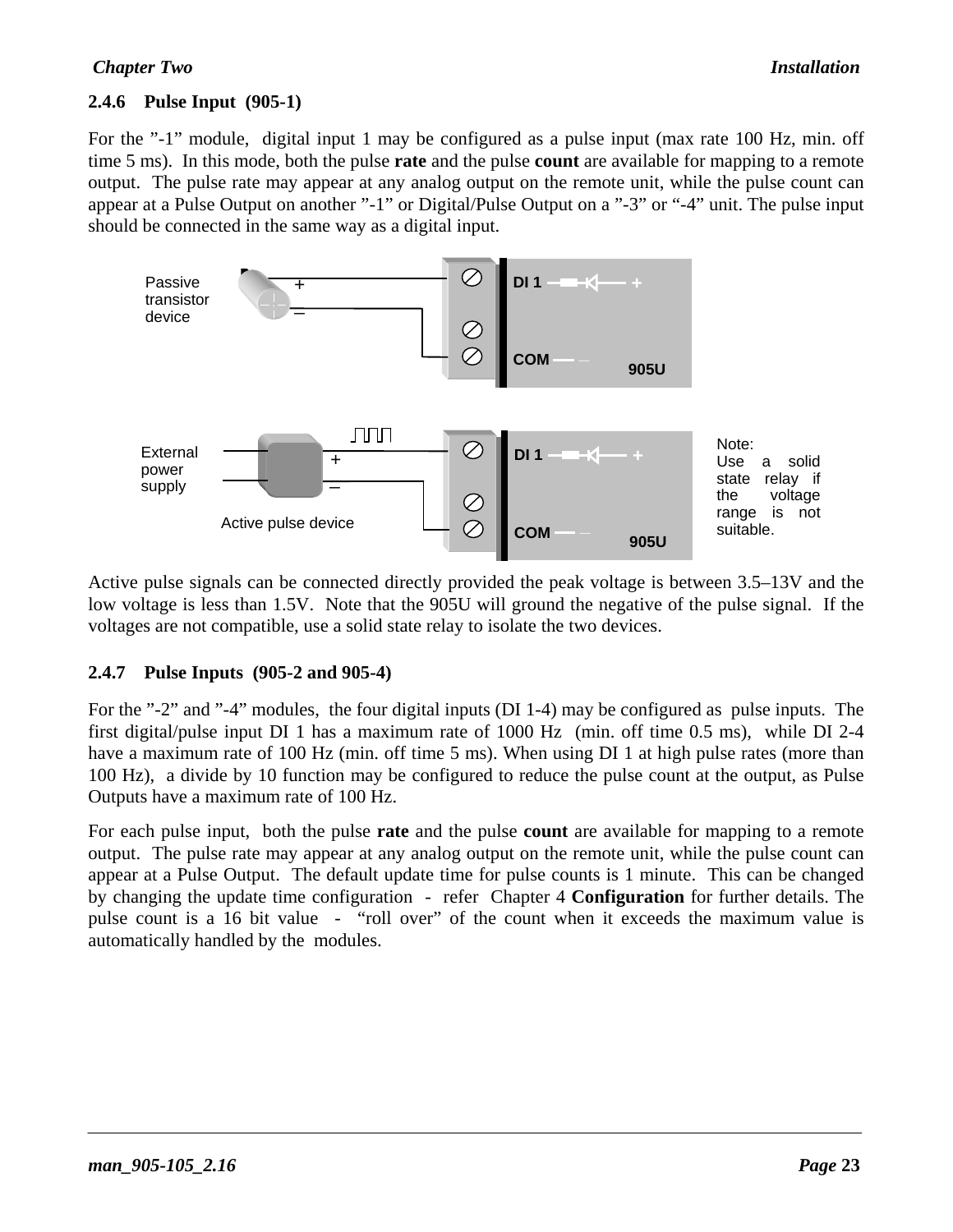#### **2.4.6 Pulse Input (905-1)**

For the "-1" module, digital input 1 may be configured as a pulse input (max rate 100 Hz, min. off time 5 ms). In this mode, both the pulse **rate** and the pulse **count** are available for mapping to a remote output. The pulse rate may appear at any analog output on the remote unit, while the pulse count can appear at a Pulse Output on another "-1" or Digital/Pulse Output on a "-3" or "-4" unit. The pulse input should be connected in the same way as a digital input.



Active pulse signals can be connected directly provided the peak voltage is between 3.5–13V and the low voltage is less than 1.5V. Note that the 905U will ground the negative of the pulse signal. If the voltages are not compatible, use a solid state relay to isolate the two devices.

#### **2.4.7 Pulse Inputs (905-2 and 905-4)**

For the "-2" and "-4" modules, the four digital inputs (DI 1-4) may be configured as pulse inputs. The first digital/pulse input DI 1 has a maximum rate of 1000 Hz (min. off time 0.5 ms), while DI 2-4 have a maximum rate of 100 Hz (min. off time 5 ms). When using DI 1 at high pulse rates (more than 100 Hz), a divide by 10 function may be configured to reduce the pulse count at the output, as Pulse Outputs have a maximum rate of 100 Hz.

For each pulse input, both the pulse **rate** and the pulse **count** are available for mapping to a remote output. The pulse rate may appear at any analog output on the remote unit, while the pulse count can appear at a Pulse Output. The default update time for pulse counts is 1 minute. This can be changed by changing the update time configuration - refer Chapter 4 **Configuration** for further details. The pulse count is a 16 bit value - "roll over" of the count when it exceeds the maximum value is automatically handled by the modules.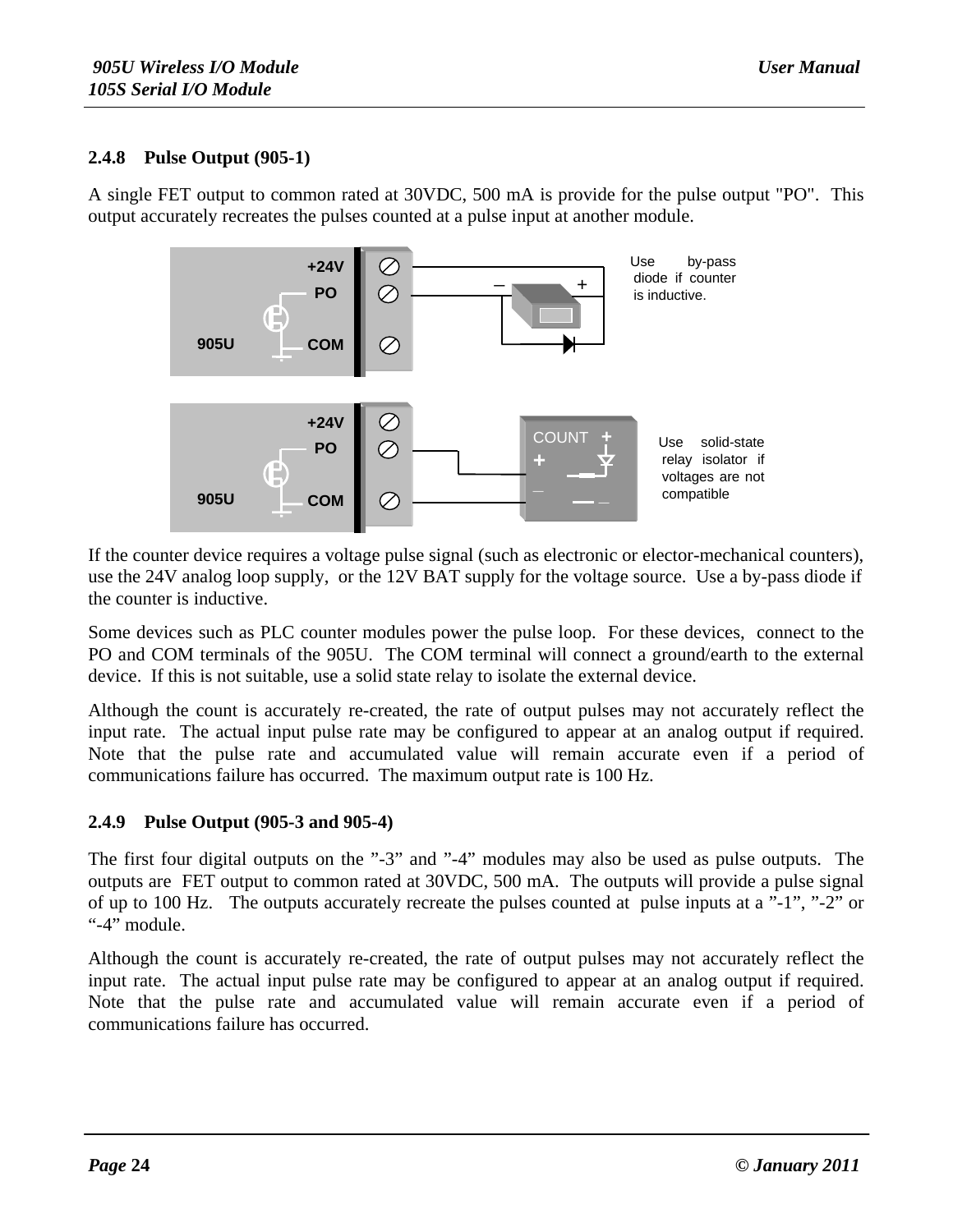#### **2.4.8 Pulse Output (905-1)**

A single FET output to common rated at 30VDC, 500 mA is provide for the pulse output "PO". This output accurately recreates the pulses counted at a pulse input at another module.



If the counter device requires a voltage pulse signal (such as electronic or elector-mechanical counters), use the 24V analog loop supply, or the 12V BAT supply for the voltage source. Use a by-pass diode if the counter is inductive.

Some devices such as PLC counter modules power the pulse loop. For these devices, connect to the PO and COM terminals of the 905U. The COM terminal will connect a ground/earth to the external device. If this is not suitable, use a solid state relay to isolate the external device.

Although the count is accurately re-created, the rate of output pulses may not accurately reflect the input rate. The actual input pulse rate may be configured to appear at an analog output if required. Note that the pulse rate and accumulated value will remain accurate even if a period of communications failure has occurred. The maximum output rate is 100 Hz.

#### **2.4.9 Pulse Output (905-3 and 905-4)**

The first four digital outputs on the "-3" and "-4" modules may also be used as pulse outputs. The outputs are FET output to common rated at 30VDC, 500 mA. The outputs will provide a pulse signal of up to 100 Hz. The outputs accurately recreate the pulses counted at pulse inputs at a "-1", "-2" or "-4" module.

Although the count is accurately re-created, the rate of output pulses may not accurately reflect the input rate. The actual input pulse rate may be configured to appear at an analog output if required. Note that the pulse rate and accumulated value will remain accurate even if a period of communications failure has occurred.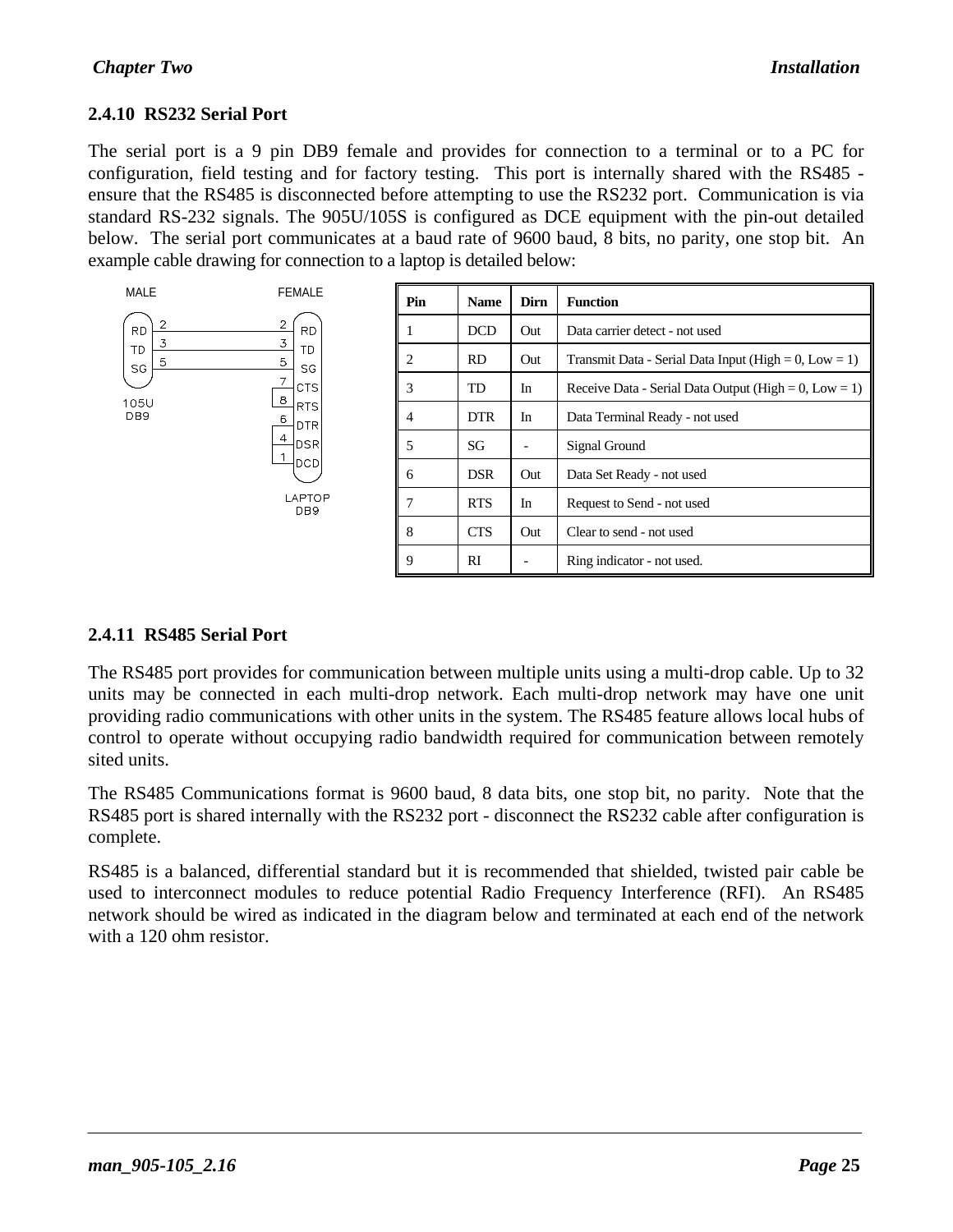#### **2.4.10 RS232 Serial Port**

The serial port is a 9 pin DB9 female and provides for connection to a terminal or to a PC for configuration, field testing and for factory testing. This port is internally shared with the RS485 ensure that the RS485 is disconnected before attempting to use the RS232 port. Communication is via standard RS-232 signals. The 905U/105S is configured as DCE equipment with the pin-out detailed below. The serial port communicates at a baud rate of 9600 baud, 8 bits, no parity, one stop bit. An example cable drawing for connection to a laptop is detailed below:



#### **2.4.11 RS485 Serial Port**

The RS485 port provides for communication between multiple units using a multi-drop cable. Up to 32 units may be connected in each multi-drop network. Each multi-drop network may have one unit providing radio communications with other units in the system. The RS485 feature allows local hubs of control to operate without occupying radio bandwidth required for communication between remotely sited units.

The RS485 Communications format is 9600 baud, 8 data bits, one stop bit, no parity. Note that the RS485 port is shared internally with the RS232 port - disconnect the RS232 cable after configuration is complete.

RS485 is a balanced, differential standard but it is recommended that shielded, twisted pair cable be used to interconnect modules to reduce potential Radio Frequency Interference (RFI). An RS485 network should be wired as indicated in the diagram below and terminated at each end of the network with a 120 ohm resistor.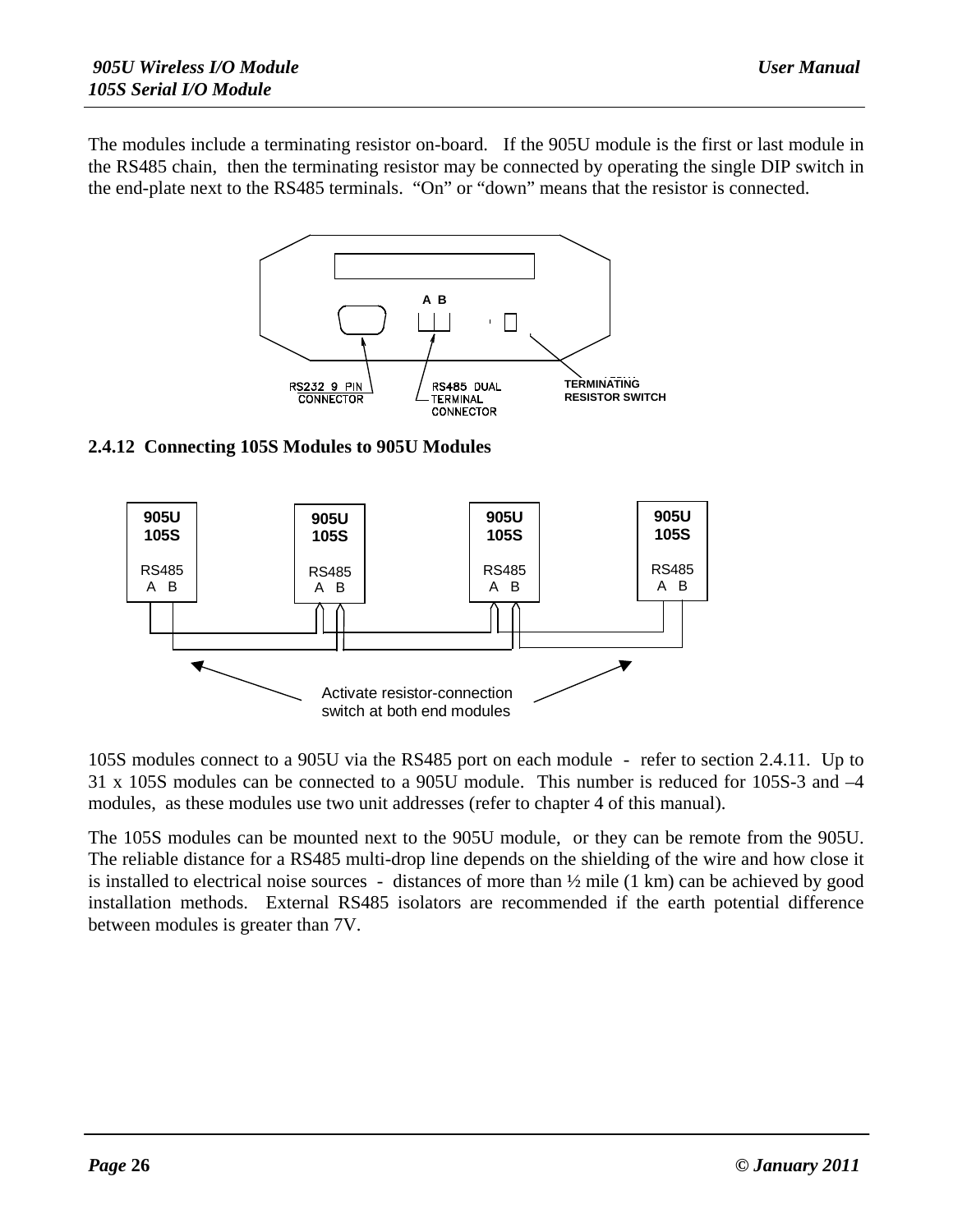The modules include a terminating resistor on-board. If the 905U module is the first or last module in the RS485 chain, then the terminating resistor may be connected by operating the single DIP switch in the end-plate next to the RS485 terminals. "On" or "down" means that the resistor is connected.



#### **2.4.12 Connecting 105S Modules to 905U Modules**



105S modules connect to a 905U via the RS485 port on each module - refer to section 2.4.11. Up to 31 x 105S modules can be connected to a 905U module. This number is reduced for 105S-3 and –4 modules, as these modules use two unit addresses (refer to chapter 4 of this manual).

The 105S modules can be mounted next to the 905U module, or they can be remote from the 905U. The reliable distance for a RS485 multi-drop line depends on the shielding of the wire and how close it is installed to electrical noise sources - distances of more than  $\frac{1}{2}$  mile (1 km) can be achieved by good installation methods. External RS485 isolators are recommended if the earth potential difference between modules is greater than 7V.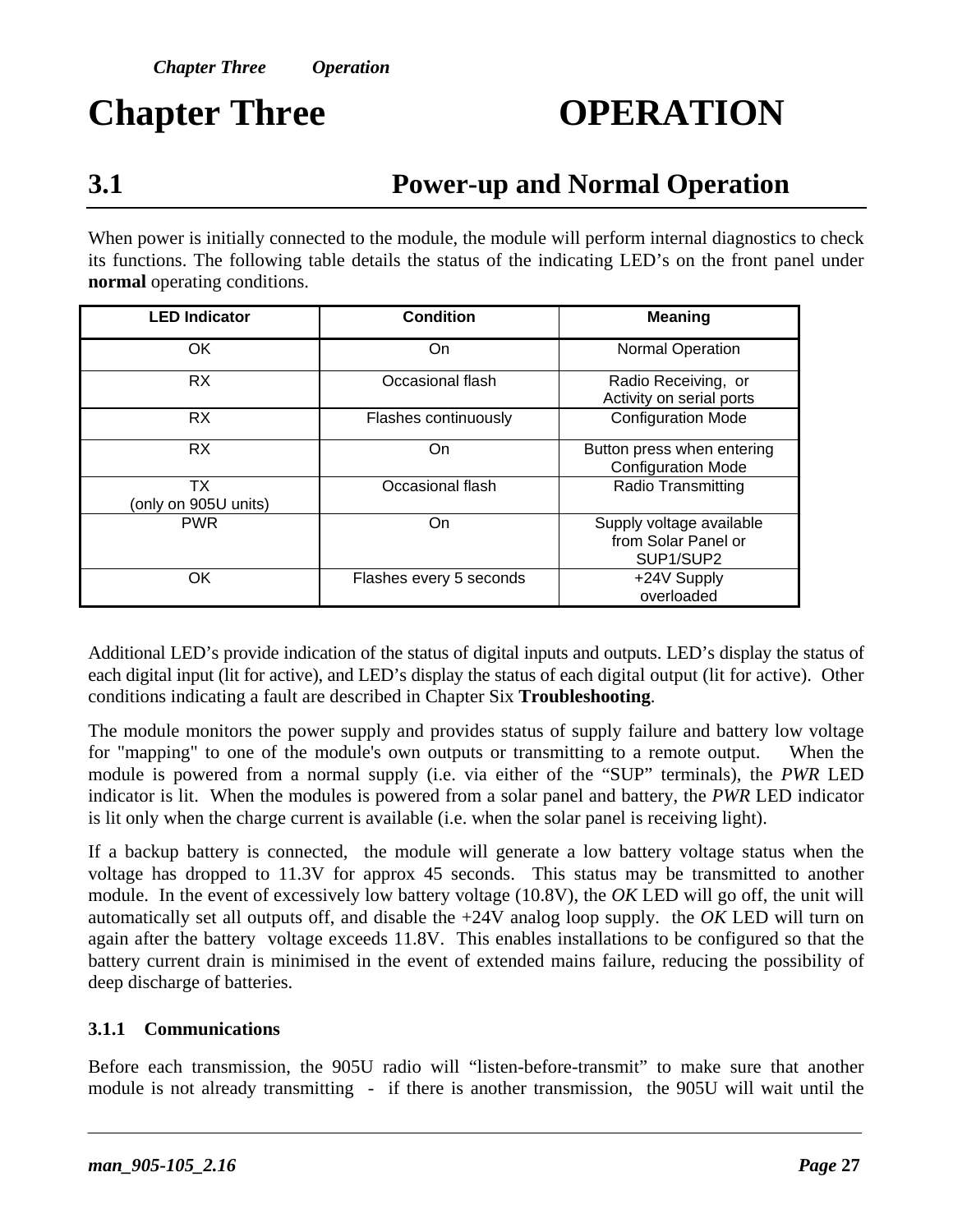# **Chapter Three OPERATION**

# **3.1 Power-up and Normal Operation**

When power is initially connected to the module, the module will perform internal diagnostics to check its functions. The following table details the status of the indicating LED's on the front panel under **normal** operating conditions.

| <b>LED Indicator</b>       | <b>Condition</b>        | <b>Meaning</b>                                               |
|----------------------------|-------------------------|--------------------------------------------------------------|
| OK                         | <b>On</b>               | <b>Normal Operation</b>                                      |
| <b>RX</b>                  | Occasional flash        | Radio Receiving, or<br>Activity on serial ports              |
| <b>RX</b>                  | Flashes continuously    | <b>Configuration Mode</b>                                    |
| <b>RX</b>                  | On.                     | Button press when entering<br><b>Configuration Mode</b>      |
| ТX<br>(only on 905U units) | Occasional flash        | <b>Radio Transmitting</b>                                    |
| <b>PWR</b>                 | On.                     | Supply voltage available<br>from Solar Panel or<br>SUP1/SUP2 |
| OK                         | Flashes every 5 seconds | +24V Supply<br>overloaded                                    |

Additional LED's provide indication of the status of digital inputs and outputs. LED's display the status of each digital input (lit for active), and LED's display the status of each digital output (lit for active). Other conditions indicating a fault are described in Chapter Six **Troubleshooting**.

The module monitors the power supply and provides status of supply failure and battery low voltage for "mapping" to one of the module's own outputs or transmitting to a remote output. When the module is powered from a normal supply (i.e. via either of the "SUP" terminals), the *PWR* LED indicator is lit. When the modules is powered from a solar panel and battery, the *PWR* LED indicator is lit only when the charge current is available (i.e. when the solar panel is receiving light).

If a backup battery is connected, the module will generate a low battery voltage status when the voltage has dropped to 11.3V for approx 45 seconds. This status may be transmitted to another module. In the event of excessively low battery voltage (10.8V), the *OK* LED will go off, the unit will automatically set all outputs off, and disable the +24V analog loop supply. the *OK* LED will turn on again after the battery voltage exceeds 11.8V. This enables installations to be configured so that the battery current drain is minimised in the event of extended mains failure, reducing the possibility of deep discharge of batteries.

#### **3.1.1 Communications**

Before each transmission, the 905U radio will "listen-before-transmit" to make sure that another module is not already transmitting - if there is another transmission, the 905U will wait until the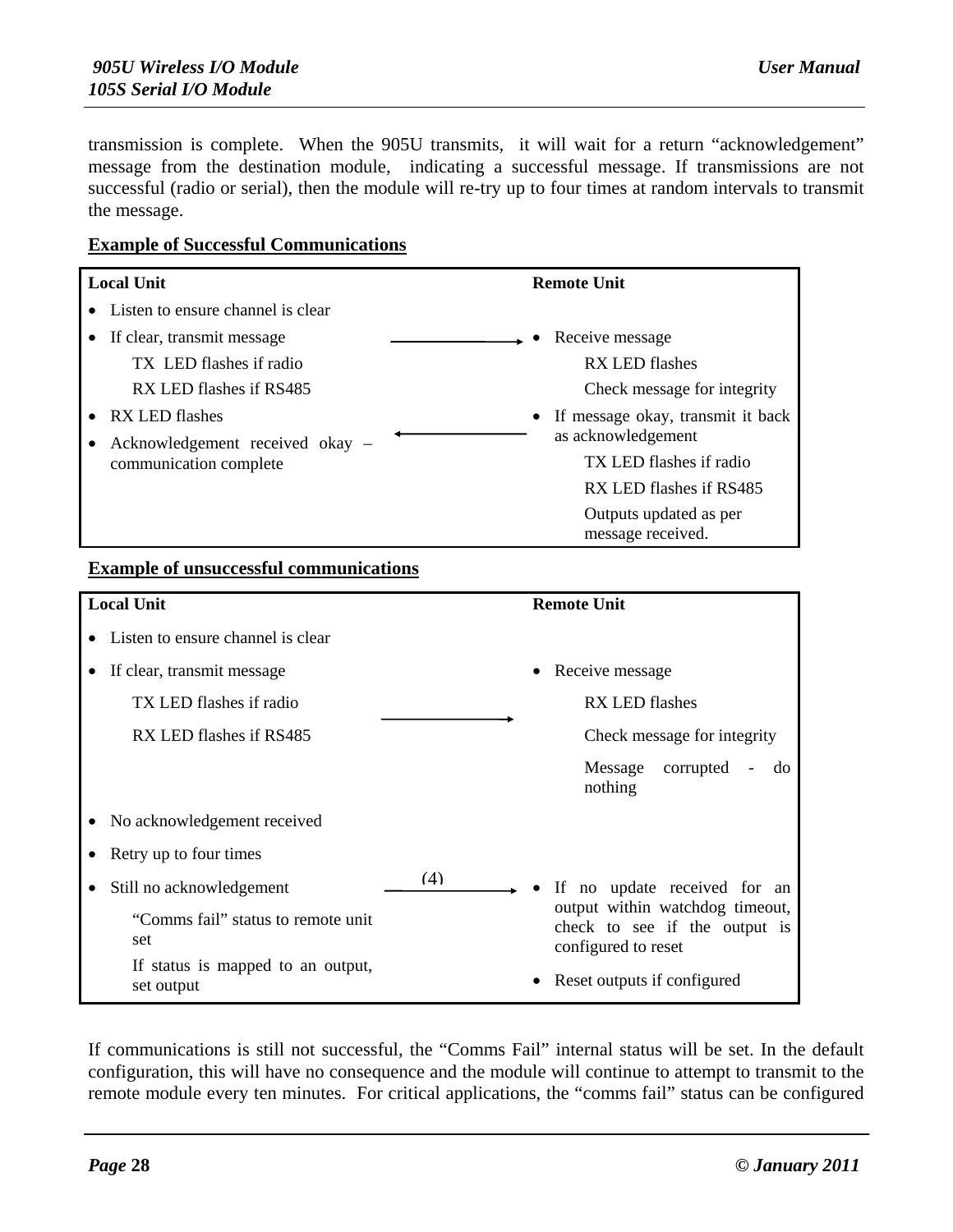transmission is complete. When the 905U transmits, it will wait for a return "acknowledgement" message from the destination module, indicating a successful message. If transmissions are not successful (radio or serial), then the module will re-try up to four times at random intervals to transmit the message.

#### **Example of Successful Communications**

| <b>Local Unit</b> |                                                           | <b>Remote Unit</b>                          |
|-------------------|-----------------------------------------------------------|---------------------------------------------|
|                   | Listen to ensure channel is clear                         |                                             |
|                   | If clear, transmit message                                | • Receive message                           |
|                   | TX LED flashes if radio                                   | RX LED flashes                              |
|                   | RX LED flashes if RS485                                   | Check message for integrity                 |
|                   | • RX LED flashes                                          | • If message okay, transmit it back         |
|                   | Acknowledgement received okay –<br>communication complete | as acknowledgement                          |
|                   |                                                           | TX LED flashes if radio                     |
|                   |                                                           | RX LED flashes if RS485                     |
|                   |                                                           | Outputs updated as per<br>message received. |

#### **Example of unsuccessful communications**

| <b>Local Unit</b> |                                                                                                                                                                                   |     | <b>Remote Unit</b>                                                                                                                                          |
|-------------------|-----------------------------------------------------------------------------------------------------------------------------------------------------------------------------------|-----|-------------------------------------------------------------------------------------------------------------------------------------------------------------|
|                   | • Listen to ensure channel is clear                                                                                                                                               |     |                                                                                                                                                             |
|                   | If clear, transmit message<br>TX LED flashes if radio<br>RX LED flashes if RS485                                                                                                  |     | • Receive message<br><b>RX LED flashes</b><br>Check message for integrity<br>corrupted<br>Message<br>do<br>nothing                                          |
|                   | No acknowledgement received<br>Retry up to four times<br>Still no acknowledgement<br>"Comms fail" status to remote unit<br>set<br>If status is mapped to an output,<br>set output | (4) | If no update received for an<br>output within watchdog timeout,<br>check to see if the output is<br>configured to reset<br>Reset outputs if configured<br>٠ |

If communications is still not successful, the "Comms Fail" internal status will be set. In the default configuration, this will have no consequence and the module will continue to attempt to transmit to the remote module every ten minutes. For critical applications, the "comms fail" status can be configured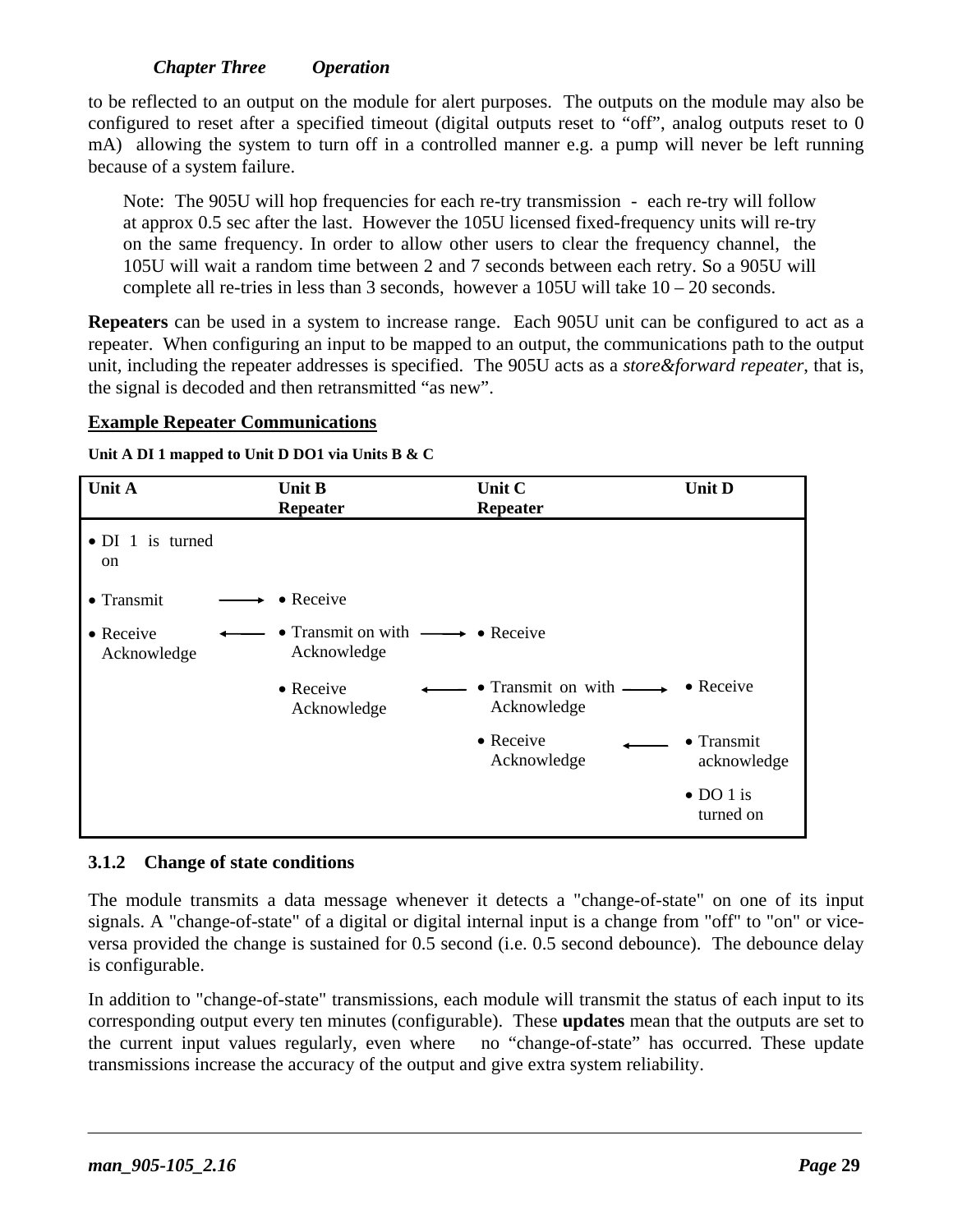#### *Chapter Three Operation*

to be reflected to an output on the module for alert purposes. The outputs on the module may also be configured to reset after a specified timeout (digital outputs reset to "off", analog outputs reset to 0 mA) allowing the system to turn off in a controlled manner e.g. a pump will never be left running because of a system failure.

Note: The 905U will hop frequencies for each re-try transmission - each re-try will follow at approx 0.5 sec after the last. However the 105U licensed fixed-frequency units will re-try on the same frequency. In order to allow other users to clear the frequency channel, the 105U will wait a random time between 2 and 7 seconds between each retry. So a 905U will complete all re-tries in less than 3 seconds, however a 105U will take  $10 - 20$  seconds.

**Repeaters** can be used in a system to increase range. Each 905U unit can be configured to act as a repeater. When configuring an input to be mapped to an output, the communications path to the output unit, including the repeater addresses is specified. The 905U acts as a *store&forward repeater*, that is, the signal is decoded and then retransmitted "as new".

#### **Example Repeater Communications**

**Unit A DI 1 mapped to Unit D DO1 via Units B & C**

| Unit A                                    | <b>Unit B</b><br><b>Repeater</b>                              | Unit C<br><b>Repeater</b>                           | <b>Unit D</b>                  |
|-------------------------------------------|---------------------------------------------------------------|-----------------------------------------------------|--------------------------------|
| $\bullet$ DI 1 is turned<br><sub>on</sub> |                                                               |                                                     |                                |
| $\bullet$ Transmit                        | $\bullet$ Receive                                             |                                                     |                                |
| • Receive<br>Acknowledge                  | • Transmit on with $\longrightarrow$ • Receive<br>Acknowledge |                                                     |                                |
|                                           | $\bullet$ Receive<br>Acknowledge                              | • Transmit on with $\longrightarrow$<br>Acknowledge | $\bullet$ Receive              |
|                                           |                                                               | $\bullet$ Receive<br>Acknowledge                    | • Transmit<br>acknowledge      |
|                                           |                                                               |                                                     | $\bullet$ DO 1 is<br>turned on |

#### **3.1.2 Change of state conditions**

The module transmits a data message whenever it detects a "change-of-state" on one of its input signals. A "change-of-state" of a digital or digital internal input is a change from "off" to "on" or viceversa provided the change is sustained for 0.5 second (i.e. 0.5 second debounce). The debounce delay is configurable.

In addition to "change-of-state" transmissions, each module will transmit the status of each input to its corresponding output every ten minutes (configurable). These **updates** mean that the outputs are set to the current input values regularly, even where no "change-of-state" has occurred. These update transmissions increase the accuracy of the output and give extra system reliability.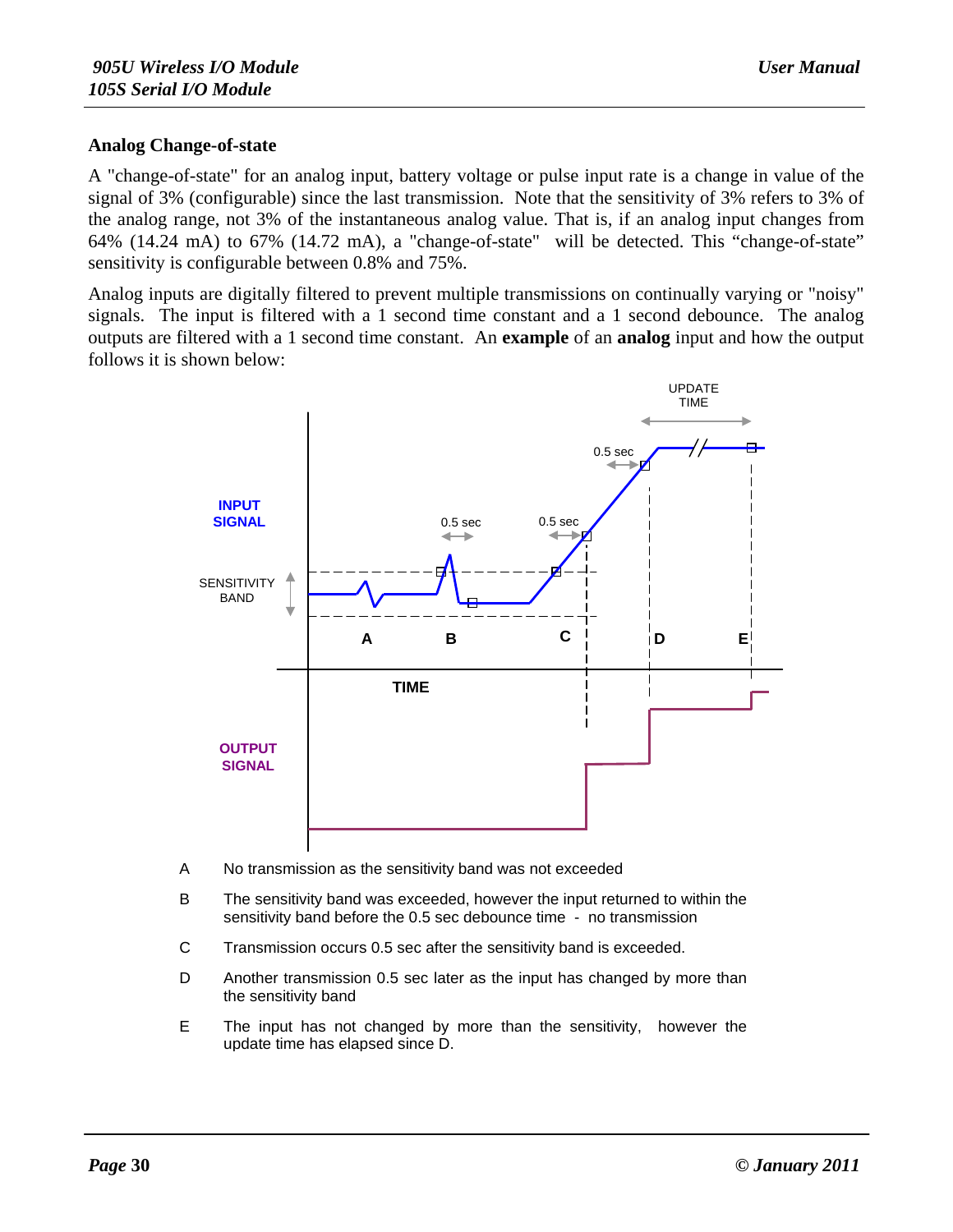#### **Analog Change-of-state**

A "change-of-state" for an analog input, battery voltage or pulse input rate is a change in value of the signal of 3% (configurable) since the last transmission. Note that the sensitivity of 3% refers to 3% of the analog range, not 3% of the instantaneous analog value. That is, if an analog input changes from 64% (14.24 mA) to 67% (14.72 mA), a "change-of-state" will be detected. This "change-of-state" sensitivity is configurable between 0.8% and 75%.

Analog inputs are digitally filtered to prevent multiple transmissions on continually varying or "noisy" signals. The input is filtered with a 1 second time constant and a 1 second debounce. The analog outputs are filtered with a 1 second time constant. An **example** of an **analog** input and how the output follows it is shown below:



- A No transmission as the sensitivity band was not exceeded
- B The sensitivity band was exceeded, however the input returned to within the sensitivity band before the 0.5 sec debounce time - no transmission
- C Transmission occurs 0.5 sec after the sensitivity band is exceeded.
- D Another transmission 0.5 sec later as the input has changed by more than the sensitivity band
- E The input has not changed by more than the sensitivity, however the update time has elapsed since D.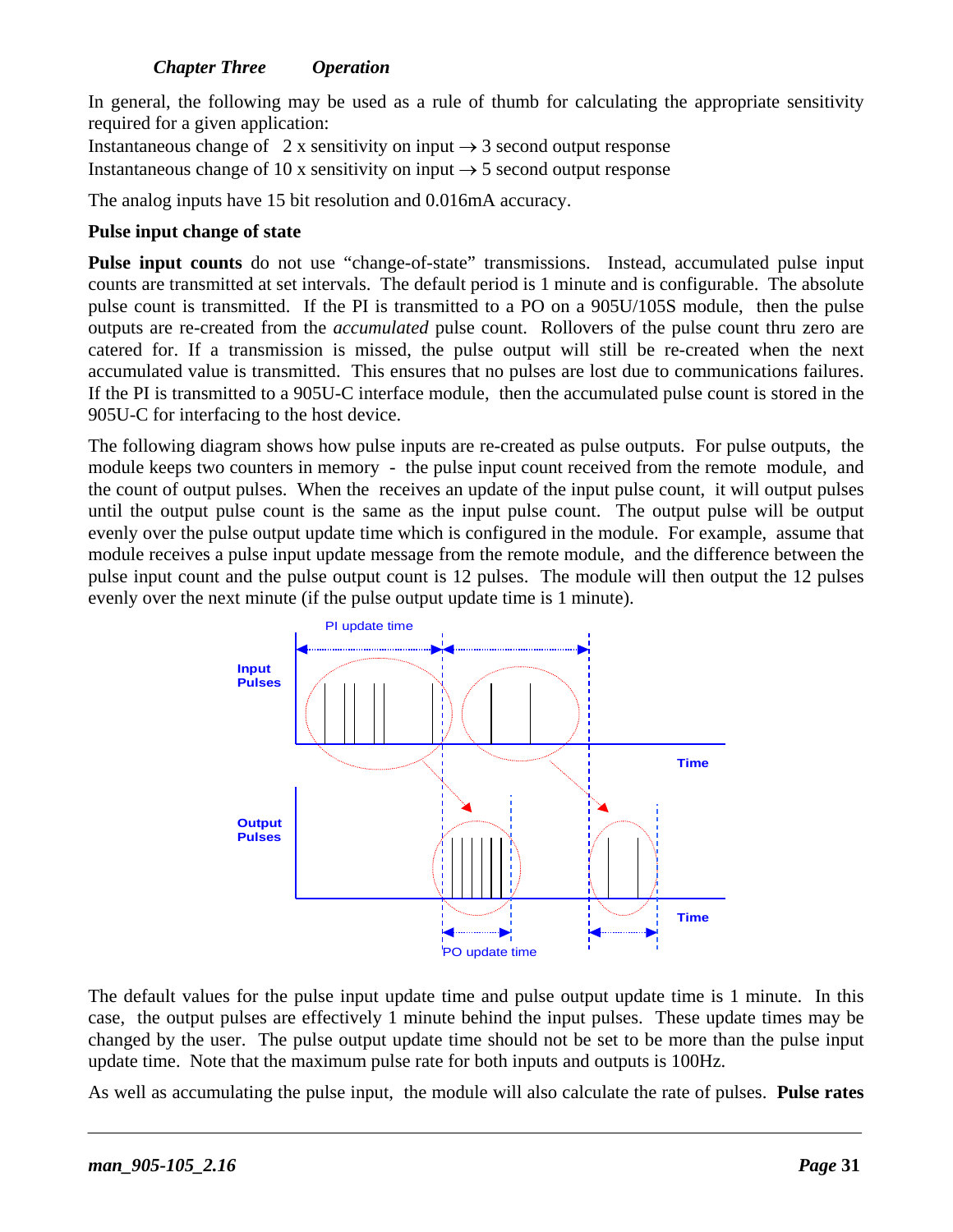#### *Chapter Three Operation*

In general, the following may be used as a rule of thumb for calculating the appropriate sensitivity required for a given application:

Instantaneous change of 2 x sensitivity on input  $\rightarrow$  3 second output response Instantaneous change of 10 x sensitivity on input  $\rightarrow$  5 second output response

The analog inputs have 15 bit resolution and 0.016mA accuracy.

#### **Pulse input change of state**

**Pulse input counts** do not use "change-of-state" transmissions. Instead, accumulated pulse input counts are transmitted at set intervals. The default period is 1 minute and is configurable. The absolute pulse count is transmitted. If the PI is transmitted to a PO on a 905U/105S module, then the pulse outputs are re-created from the *accumulated* pulse count. Rollovers of the pulse count thru zero are catered for. If a transmission is missed, the pulse output will still be re-created when the next accumulated value is transmitted. This ensures that no pulses are lost due to communications failures. If the PI is transmitted to a 905U-C interface module, then the accumulated pulse count is stored in the 905U-C for interfacing to the host device.

The following diagram shows how pulse inputs are re-created as pulse outputs. For pulse outputs, the module keeps two counters in memory - the pulse input count received from the remote module, and the count of output pulses. When the receives an update of the input pulse count, it will output pulses until the output pulse count is the same as the input pulse count. The output pulse will be output evenly over the pulse output update time which is configured in the module. For example, assume that module receives a pulse input update message from the remote module, and the difference between the pulse input count and the pulse output count is 12 pulses. The module will then output the 12 pulses evenly over the next minute (if the pulse output update time is 1 minute).



The default values for the pulse input update time and pulse output update time is 1 minute. In this case, the output pulses are effectively 1 minute behind the input pulses. These update times may be changed by the user. The pulse output update time should not be set to be more than the pulse input update time. Note that the maximum pulse rate for both inputs and outputs is 100Hz.

As well as accumulating the pulse input, the module will also calculate the rate of pulses. **Pulse rates**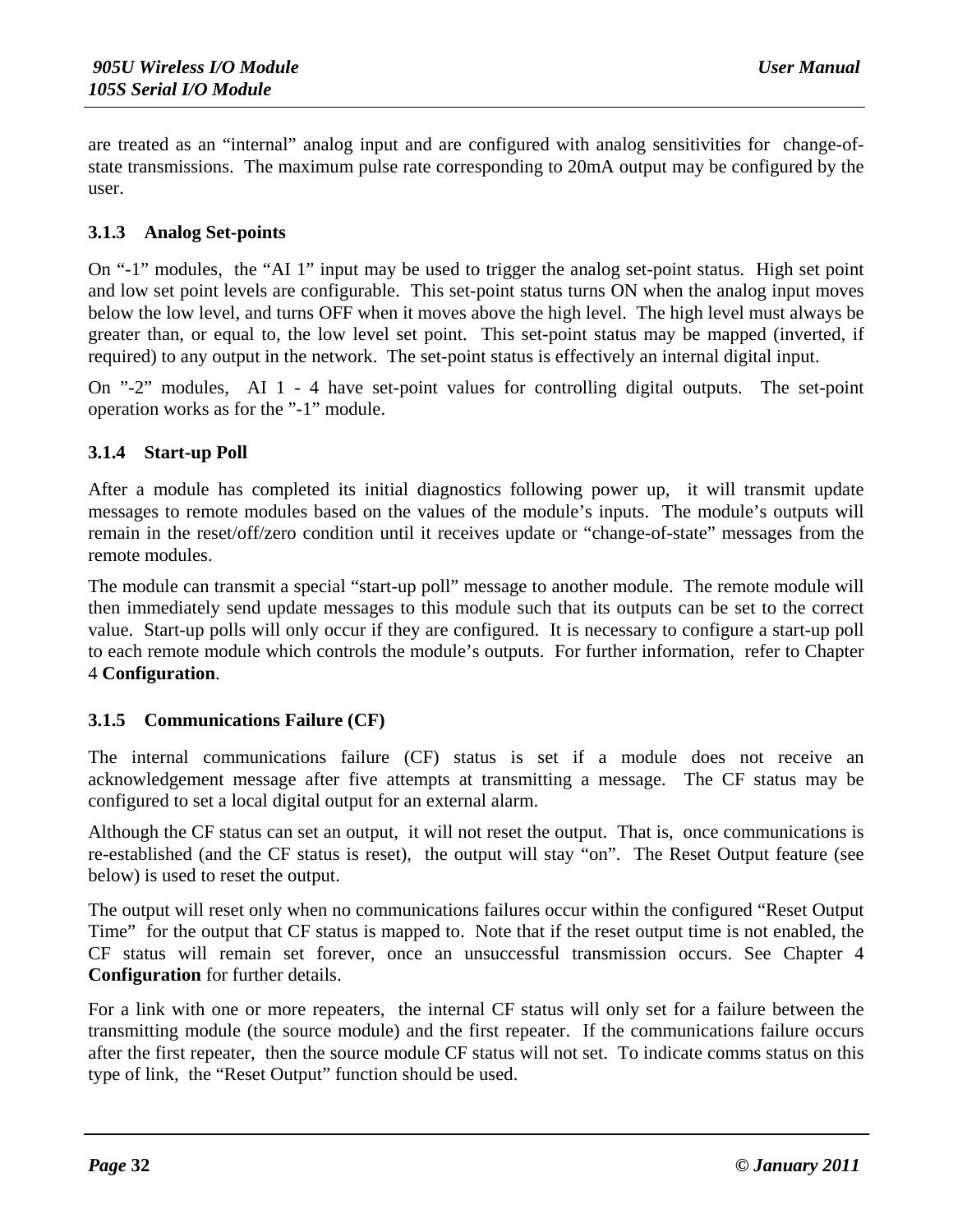are treated as an "internal" analog input and are configured with analog sensitivities for change-ofstate transmissions. The maximum pulse rate corresponding to 20mA output may be configured by the user.

#### **3.1.3 Analog Set-points**

On "-1" modules, the "AI 1" input may be used to trigger the analog set-point status. High set point and low set point levels are configurable. This set-point status turns ON when the analog input moves below the low level, and turns OFF when it moves above the high level. The high level must always be greater than, or equal to, the low level set point. This set-point status may be mapped (inverted, if required) to any output in the network. The set-point status is effectively an internal digital input.

On "-2" modules, AI 1 - 4 have set-point values for controlling digital outputs. The set-point operation works as for the "-1" module.

#### **3.1.4 Start-up Poll**

After a module has completed its initial diagnostics following power up, it will transmit update messages to remote modules based on the values of the module's inputs. The module's outputs will remain in the reset/off/zero condition until it receives update or "change-of-state" messages from the remote modules.

The module can transmit a special "start-up poll" message to another module. The remote module will then immediately send update messages to this module such that its outputs can be set to the correct value. Start-up polls will only occur if they are configured. It is necessary to configure a start-up poll to each remote module which controls the module's outputs. For further information, refer to Chapter 4 **Configuration**.

#### **3.1.5 Communications Failure (CF)**

The internal communications failure (CF) status is set if a module does not receive an acknowledgement message after five attempts at transmitting a message. The CF status may be configured to set a local digital output for an external alarm.

Although the CF status can set an output, it will not reset the output. That is, once communications is re-established (and the CF status is reset), the output will stay "on". The Reset Output feature (see below) is used to reset the output.

The output will reset only when no communications failures occur within the configured "Reset Output Time" for the output that CF status is mapped to. Note that if the reset output time is not enabled, the CF status will remain set forever, once an unsuccessful transmission occurs. See Chapter 4 **Configuration** for further details.

For a link with one or more repeaters, the internal CF status will only set for a failure between the transmitting module (the source module) and the first repeater. If the communications failure occurs after the first repeater, then the source module CF status will not set. To indicate comms status on this type of link, the "Reset Output" function should be used.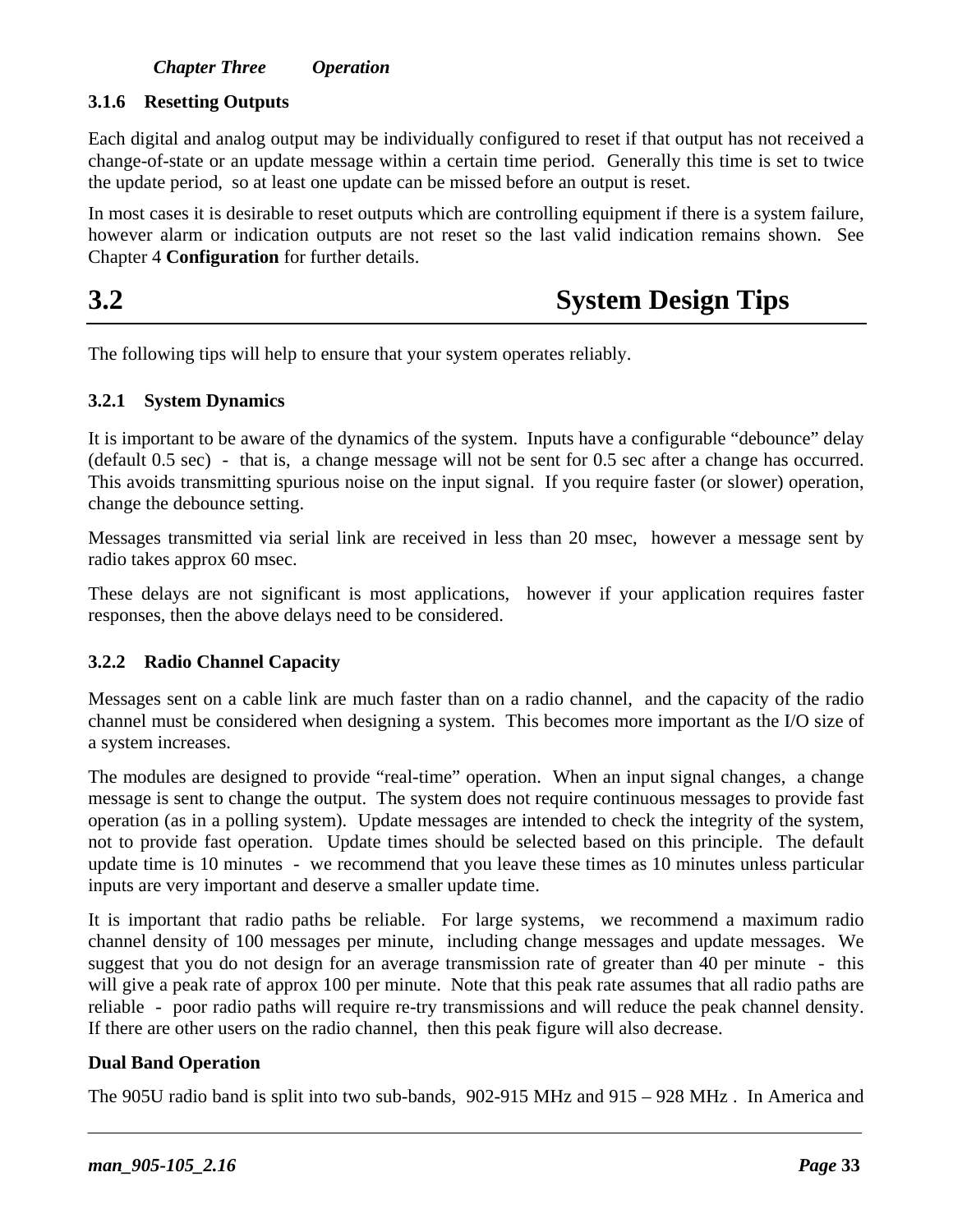#### *Chapter Three Operation*

#### **3.1.6 Resetting Outputs**

Each digital and analog output may be individually configured to reset if that output has not received a change-of-state or an update message within a certain time period. Generally this time is set to twice the update period, so at least one update can be missed before an output is reset.

In most cases it is desirable to reset outputs which are controlling equipment if there is a system failure, however alarm or indication outputs are not reset so the last valid indication remains shown. See Chapter 4 **Configuration** for further details.

## **3.2 System Design Tips**

The following tips will help to ensure that your system operates reliably.

#### **3.2.1 System Dynamics**

It is important to be aware of the dynamics of the system. Inputs have a configurable "debounce" delay (default 0.5 sec) - that is, a change message will not be sent for 0.5 sec after a change has occurred. This avoids transmitting spurious noise on the input signal. If you require faster (or slower) operation, change the debounce setting.

Messages transmitted via serial link are received in less than 20 msec, however a message sent by radio takes approx 60 msec.

These delays are not significant is most applications, however if your application requires faster responses, then the above delays need to be considered.

#### **3.2.2 Radio Channel Capacity**

Messages sent on a cable link are much faster than on a radio channel, and the capacity of the radio channel must be considered when designing a system. This becomes more important as the I/O size of a system increases.

The modules are designed to provide "real-time" operation. When an input signal changes, a change message is sent to change the output. The system does not require continuous messages to provide fast operation (as in a polling system). Update messages are intended to check the integrity of the system, not to provide fast operation. Update times should be selected based on this principle. The default update time is 10 minutes - we recommend that you leave these times as 10 minutes unless particular inputs are very important and deserve a smaller update time.

It is important that radio paths be reliable. For large systems, we recommend a maximum radio channel density of 100 messages per minute, including change messages and update messages. We suggest that you do not design for an average transmission rate of greater than 40 per minute - this will give a peak rate of approx 100 per minute. Note that this peak rate assumes that all radio paths are reliable - poor radio paths will require re-try transmissions and will reduce the peak channel density. If there are other users on the radio channel, then this peak figure will also decrease.

#### **Dual Band Operation**

The 905U radio band is split into two sub-bands, 902-915 MHz and 915 – 928 MHz . In America and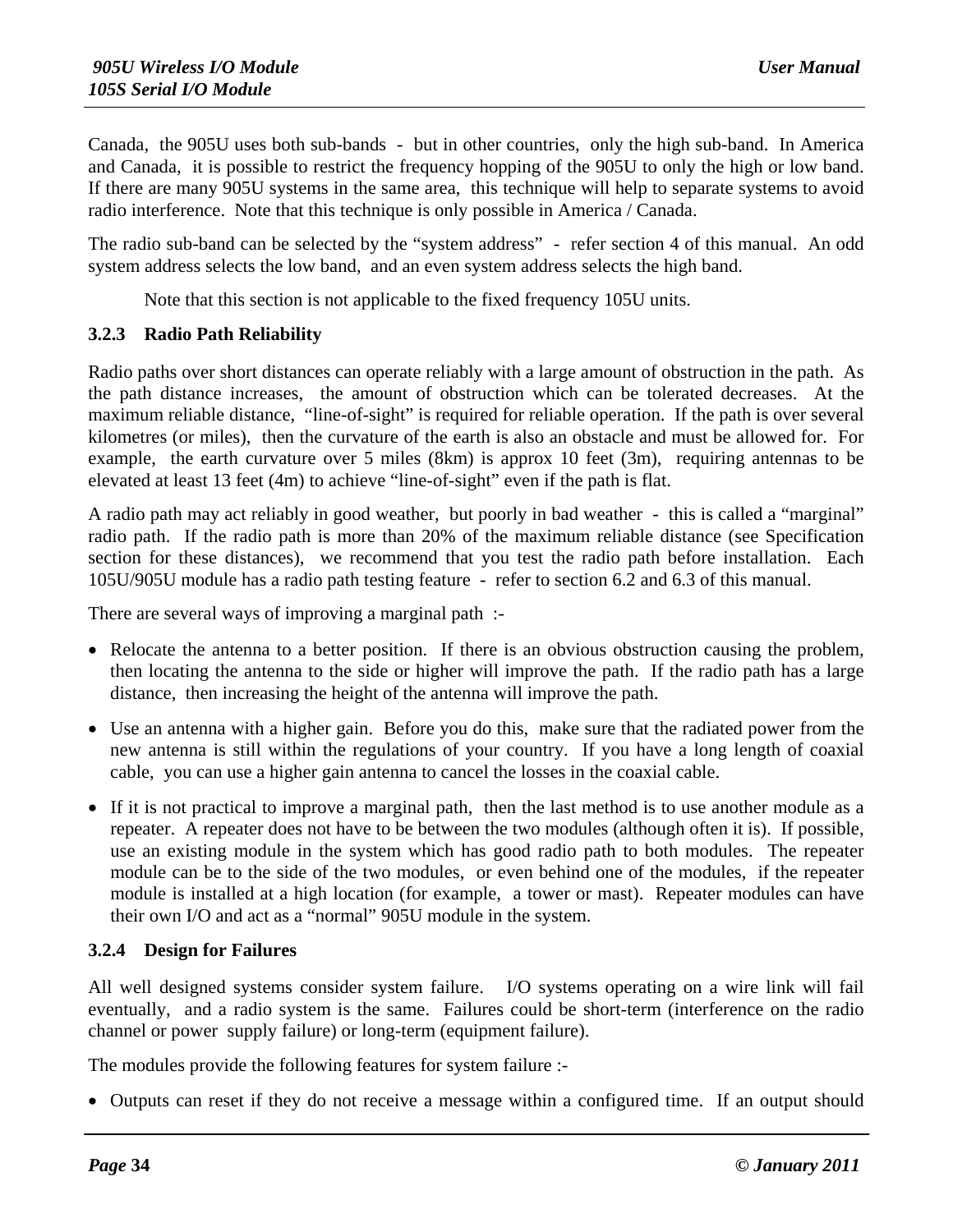Canada, the 905U uses both sub-bands - but in other countries, only the high sub-band. In America and Canada, it is possible to restrict the frequency hopping of the 905U to only the high or low band. If there are many 905U systems in the same area, this technique will help to separate systems to avoid radio interference. Note that this technique is only possible in America / Canada.

The radio sub-band can be selected by the "system address" - refer section 4 of this manual. An odd system address selects the low band, and an even system address selects the high band.

Note that this section is not applicable to the fixed frequency 105U units.

#### **3.2.3 Radio Path Reliability**

Radio paths over short distances can operate reliably with a large amount of obstruction in the path. As the path distance increases, the amount of obstruction which can be tolerated decreases. At the maximum reliable distance, "line-of-sight" is required for reliable operation. If the path is over several kilometres (or miles), then the curvature of the earth is also an obstacle and must be allowed for. For example, the earth curvature over 5 miles (8km) is approx 10 feet (3m), requiring antennas to be elevated at least 13 feet (4m) to achieve "line-of-sight" even if the path is flat.

A radio path may act reliably in good weather, but poorly in bad weather - this is called a "marginal" radio path. If the radio path is more than 20% of the maximum reliable distance (see Specification section for these distances), we recommend that you test the radio path before installation. Each 105U/905U module has a radio path testing feature - refer to section 6.2 and 6.3 of this manual.

There are several ways of improving a marginal path :-

- Relocate the antenna to a better position. If there is an obvious obstruction causing the problem, then locating the antenna to the side or higher will improve the path. If the radio path has a large distance, then increasing the height of the antenna will improve the path.
- Use an antenna with a higher gain. Before you do this, make sure that the radiated power from the new antenna is still within the regulations of your country. If you have a long length of coaxial cable, you can use a higher gain antenna to cancel the losses in the coaxial cable.
- If it is not practical to improve a marginal path, then the last method is to use another module as a repeater. A repeater does not have to be between the two modules (although often it is). If possible, use an existing module in the system which has good radio path to both modules. The repeater module can be to the side of the two modules, or even behind one of the modules, if the repeater module is installed at a high location (for example, a tower or mast). Repeater modules can have their own I/O and act as a "normal" 905U module in the system.

#### **3.2.4 Design for Failures**

All well designed systems consider system failure. I/O systems operating on a wire link will fail eventually, and a radio system is the same. Failures could be short-term (interference on the radio channel or power supply failure) or long-term (equipment failure).

The modules provide the following features for system failure :-

• Outputs can reset if they do not receive a message within a configured time. If an output should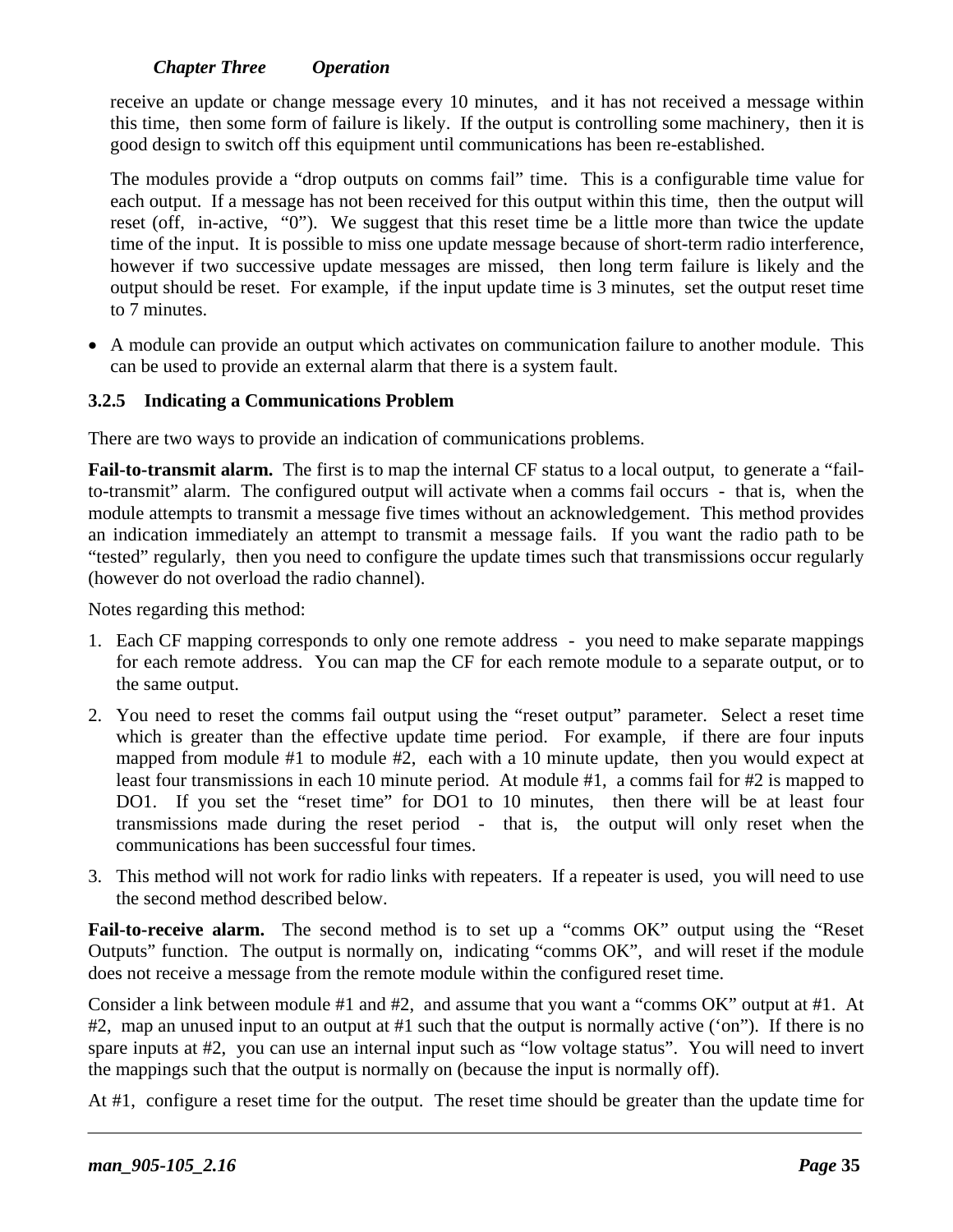#### *Chapter Three Operation*

receive an update or change message every 10 minutes, and it has not received a message within this time, then some form of failure is likely. If the output is controlling some machinery, then it is good design to switch off this equipment until communications has been re-established.

The modules provide a "drop outputs on comms fail" time. This is a configurable time value for each output. If a message has not been received for this output within this time, then the output will reset (off, in-active, "0"). We suggest that this reset time be a little more than twice the update time of the input. It is possible to miss one update message because of short-term radio interference, however if two successive update messages are missed, then long term failure is likely and the output should be reset. For example, if the input update time is 3 minutes, set the output reset time to 7 minutes.

• A module can provide an output which activates on communication failure to another module. This can be used to provide an external alarm that there is a system fault.

#### **3.2.5 Indicating a Communications Problem**

There are two ways to provide an indication of communications problems.

**Fail-to-transmit alarm.** The first is to map the internal CF status to a local output, to generate a "failto-transmit" alarm. The configured output will activate when a comms fail occurs - that is, when the module attempts to transmit a message five times without an acknowledgement. This method provides an indication immediately an attempt to transmit a message fails. If you want the radio path to be "tested" regularly, then you need to configure the update times such that transmissions occur regularly (however do not overload the radio channel).

Notes regarding this method:

- 1. Each CF mapping corresponds to only one remote address you need to make separate mappings for each remote address. You can map the CF for each remote module to a separate output, or to the same output.
- 2. You need to reset the comms fail output using the "reset output" parameter. Select a reset time which is greater than the effective update time period. For example, if there are four inputs mapped from module #1 to module #2, each with a 10 minute update, then you would expect at least four transmissions in each 10 minute period. At module #1, a comms fail for #2 is mapped to DO1. If you set the "reset time" for DO1 to 10 minutes, then there will be at least four transmissions made during the reset period - that is, the output will only reset when the communications has been successful four times.
- 3. This method will not work for radio links with repeaters. If a repeater is used, you will need to use the second method described below.

Fail-to-receive alarm. The second method is to set up a "comms OK" output using the "Reset Outputs" function. The output is normally on, indicating "comms OK", and will reset if the module does not receive a message from the remote module within the configured reset time.

Consider a link between module #1 and #2, and assume that you want a "comms OK" output at #1. At #2, map an unused input to an output at #1 such that the output is normally active ('on"). If there is no spare inputs at #2, you can use an internal input such as "low voltage status". You will need to invert the mappings such that the output is normally on (because the input is normally off).

At #1, configure a reset time for the output. The reset time should be greater than the update time for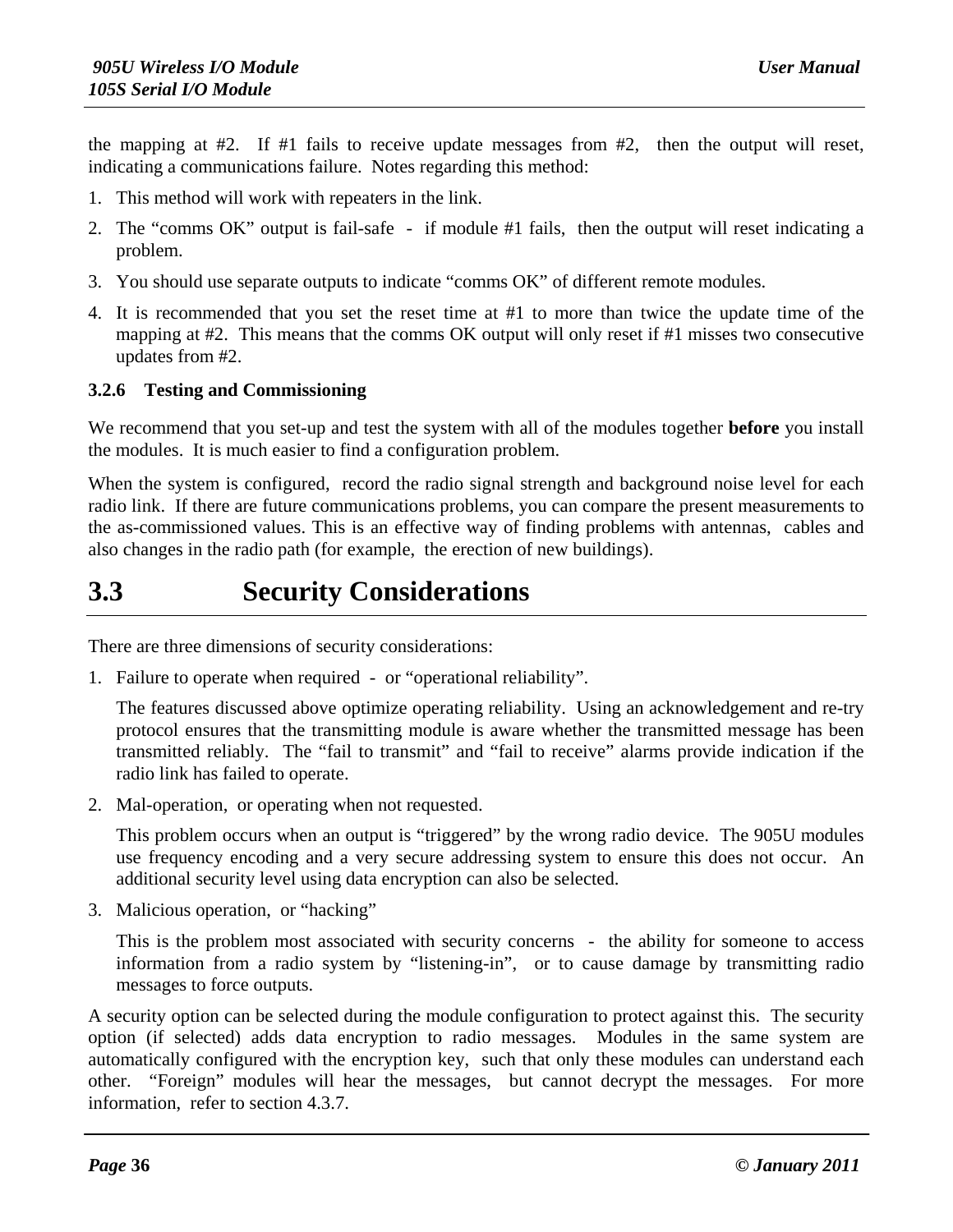the mapping at #2. If #1 fails to receive update messages from #2, then the output will reset, indicating a communications failure. Notes regarding this method:

- 1. This method will work with repeaters in the link.
- 2. The "comms OK" output is fail-safe if module #1 fails, then the output will reset indicating a problem.
- 3. You should use separate outputs to indicate "comms OK" of different remote modules.
- 4. It is recommended that you set the reset time at #1 to more than twice the update time of the mapping at #2. This means that the comms OK output will only reset if #1 misses two consecutive updates from #2.

#### **3.2.6 Testing and Commissioning**

We recommend that you set-up and test the system with all of the modules together **before** you install the modules. It is much easier to find a configuration problem.

When the system is configured, record the radio signal strength and background noise level for each radio link. If there are future communications problems, you can compare the present measurements to the as-commissioned values. This is an effective way of finding problems with antennas, cables and also changes in the radio path (for example, the erection of new buildings).

## **3.3 Security Considerations**

There are three dimensions of security considerations:

1. Failure to operate when required - or "operational reliability".

The features discussed above optimize operating reliability. Using an acknowledgement and re-try protocol ensures that the transmitting module is aware whether the transmitted message has been transmitted reliably. The "fail to transmit" and "fail to receive" alarms provide indication if the radio link has failed to operate.

2. Mal-operation, or operating when not requested.

This problem occurs when an output is "triggered" by the wrong radio device. The 905U modules use frequency encoding and a very secure addressing system to ensure this does not occur. An additional security level using data encryption can also be selected.

3. Malicious operation, or "hacking"

This is the problem most associated with security concerns - the ability for someone to access information from a radio system by "listening-in", or to cause damage by transmitting radio messages to force outputs.

A security option can be selected during the module configuration to protect against this. The security option (if selected) adds data encryption to radio messages. Modules in the same system are automatically configured with the encryption key, such that only these modules can understand each other. "Foreign" modules will hear the messages, but cannot decrypt the messages. For more information, refer to section 4.3.7.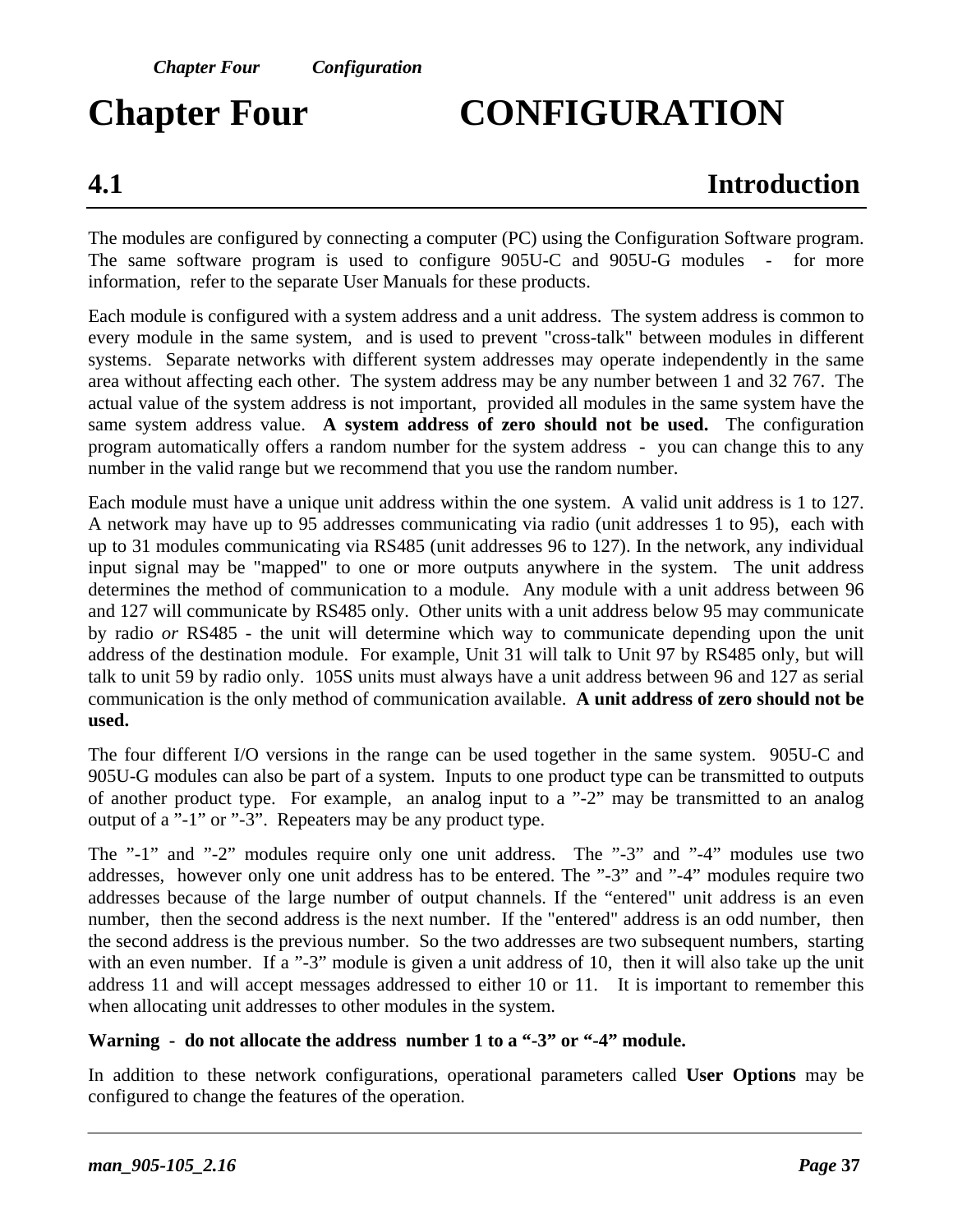# **Chapter Four CONFIGURATION**

## **4.1 Introduction**

The modules are configured by connecting a computer (PC) using the Configuration Software program. The same software program is used to configure 905U-C and 905U-G modules - for more information, refer to the separate User Manuals for these products.

Each module is configured with a system address and a unit address. The system address is common to every module in the same system, and is used to prevent "cross-talk" between modules in different systems. Separate networks with different system addresses may operate independently in the same area without affecting each other. The system address may be any number between 1 and 32 767. The actual value of the system address is not important, provided all modules in the same system have the same system address value. **A system address of zero should not be used.** The configuration program automatically offers a random number for the system address - you can change this to any number in the valid range but we recommend that you use the random number.

Each module must have a unique unit address within the one system. A valid unit address is 1 to 127. A network may have up to 95 addresses communicating via radio (unit addresses 1 to 95), each with up to 31 modules communicating via RS485 (unit addresses 96 to 127). In the network, any individual input signal may be "mapped" to one or more outputs anywhere in the system. The unit address determines the method of communication to a module. Any module with a unit address between 96 and 127 will communicate by RS485 only. Other units with a unit address below 95 may communicate by radio *or* RS485 - the unit will determine which way to communicate depending upon the unit address of the destination module. For example, Unit 31 will talk to Unit 97 by RS485 only, but will talk to unit 59 by radio only. 105S units must always have a unit address between 96 and 127 as serial communication is the only method of communication available. **A unit address of zero should not be used.**

The four different I/O versions in the range can be used together in the same system. 905U-C and 905U-G modules can also be part of a system. Inputs to one product type can be transmitted to outputs of another product type. For example, an analog input to a "-2" may be transmitted to an analog output of a "-1" or "-3". Repeaters may be any product type.

The "-1" and "-2" modules require only one unit address. The "-3" and "-4" modules use two addresses, however only one unit address has to be entered. The "-3" and "-4" modules require two addresses because of the large number of output channels. If the "entered" unit address is an even number, then the second address is the next number. If the "entered" address is an odd number, then the second address is the previous number. So the two addresses are two subsequent numbers, starting with an even number. If a "-3" module is given a unit address of 10, then it will also take up the unit address 11 and will accept messages addressed to either 10 or 11. It is important to remember this when allocating unit addresses to other modules in the system.

#### **Warning - do not allocate the address number 1 to a "-3" or "-4" module.**

In addition to these network configurations, operational parameters called **User Options** may be configured to change the features of the operation.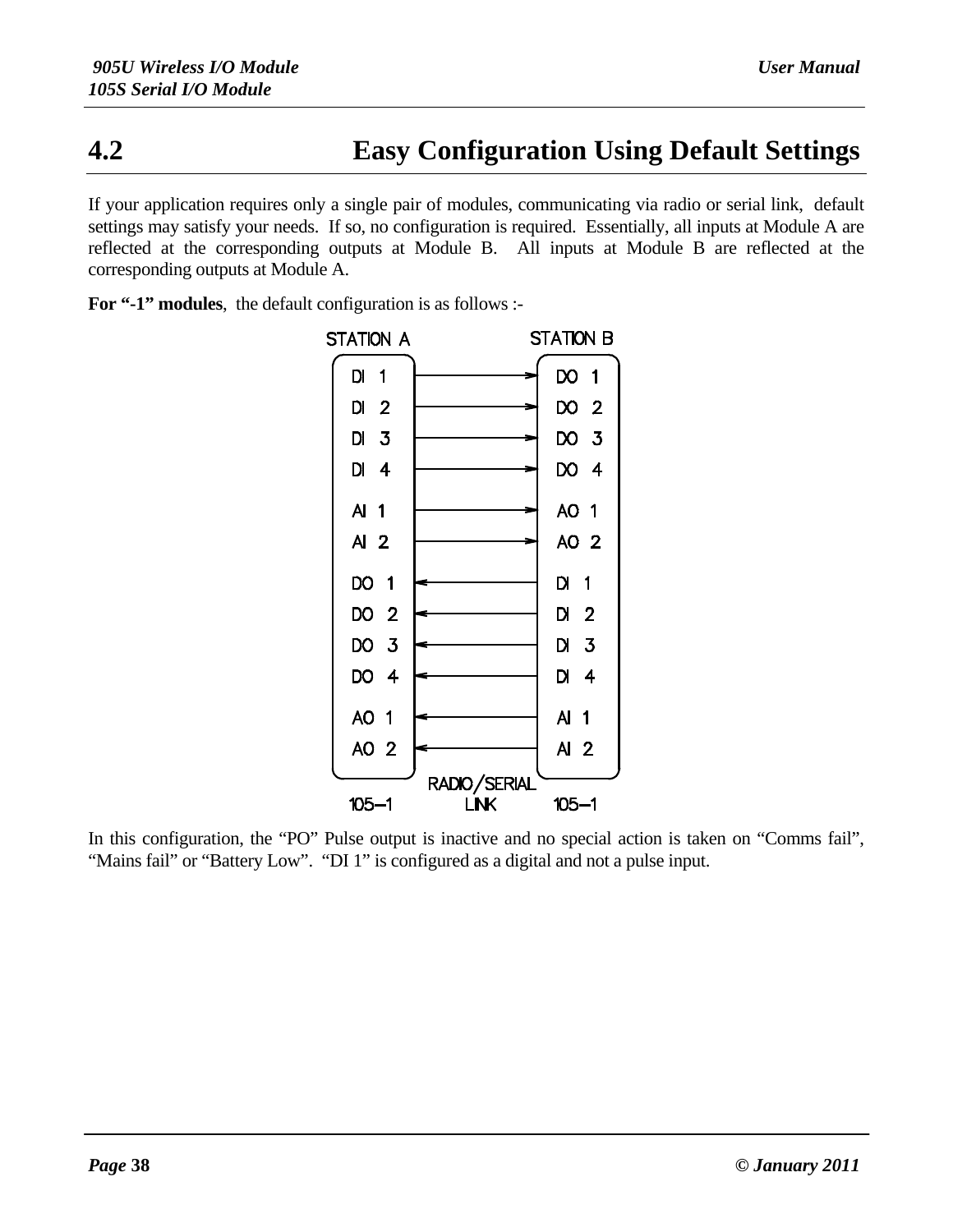## **4.2 Easy Configuration Using Default Settings**

If your application requires only a single pair of modules, communicating via radio or serial link, default settings may satisfy your needs. If so, no configuration is required. Essentially, all inputs at Module A are reflected at the corresponding outputs at Module B. All inputs at Module B are reflected at the corresponding outputs at Module A.

For "-1" modules, the default configuration is as follows :-



In this configuration, the "PO" Pulse output is inactive and no special action is taken on "Comms fail", "Mains fail" or "Battery Low". "DI 1" is configured as a digital and not a pulse input.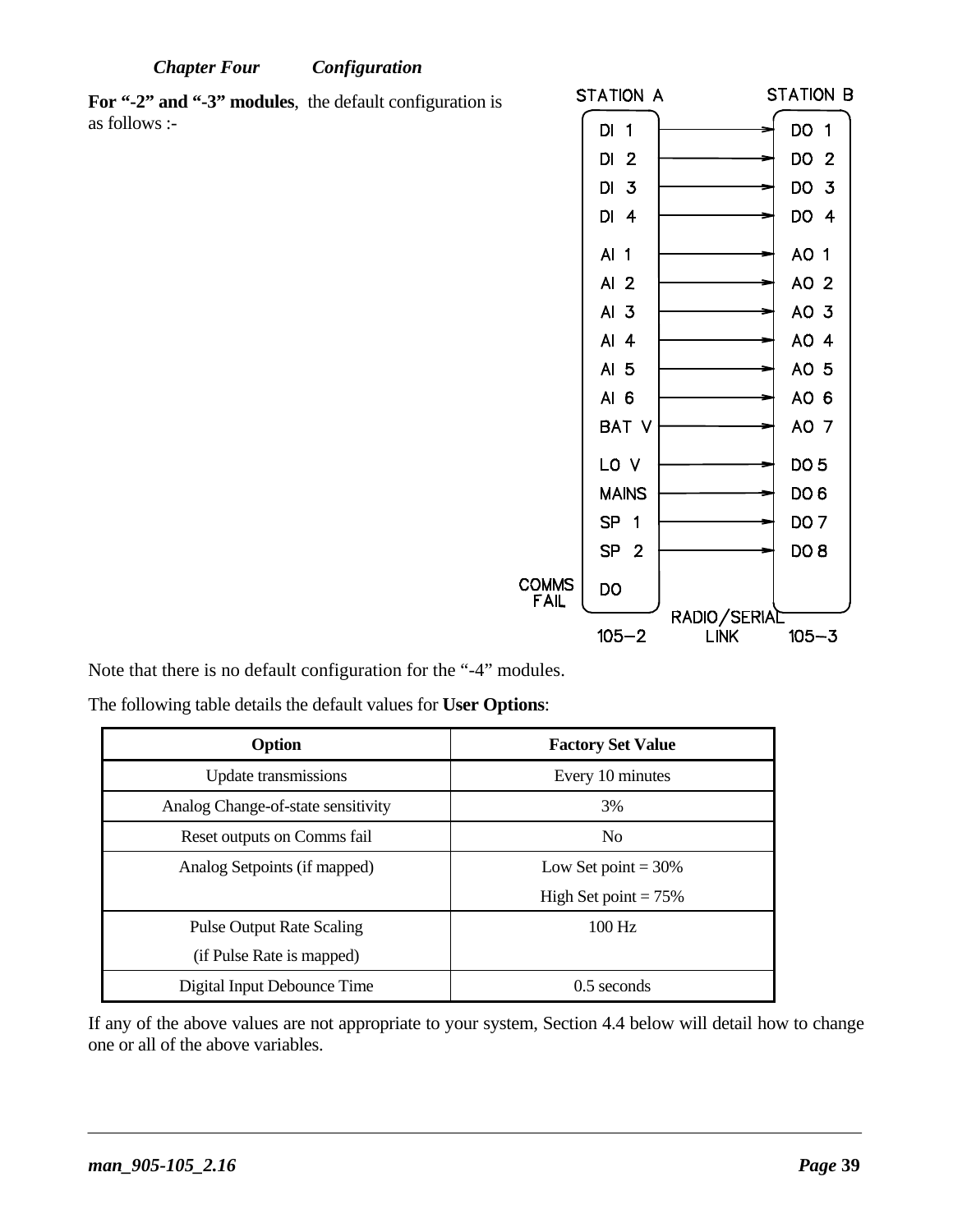**For "-2" and "-3" modules**, the default configuration is as follows :-



Note that there is no default configuration for the "-4" modules.

The following table details the default values for **User Options**:

| Option                             | <b>Factory Set Value</b> |
|------------------------------------|--------------------------|
| Update transmissions               | Every 10 minutes         |
| Analog Change-of-state sensitivity | 3%                       |
| Reset outputs on Comms fail        | N <sub>0</sub>           |
| Analog Setpoints (if mapped)       | Low Set point $=$ 30%    |
|                                    | High Set point $= 75\%$  |
| <b>Pulse Output Rate Scaling</b>   | $100$ Hz                 |
| (if Pulse Rate is mapped)          |                          |
| Digital Input Debounce Time        | $0.5$ seconds            |

If any of the above values are not appropriate to your system, Section 4.4 below will detail how to change one or all of the above variables.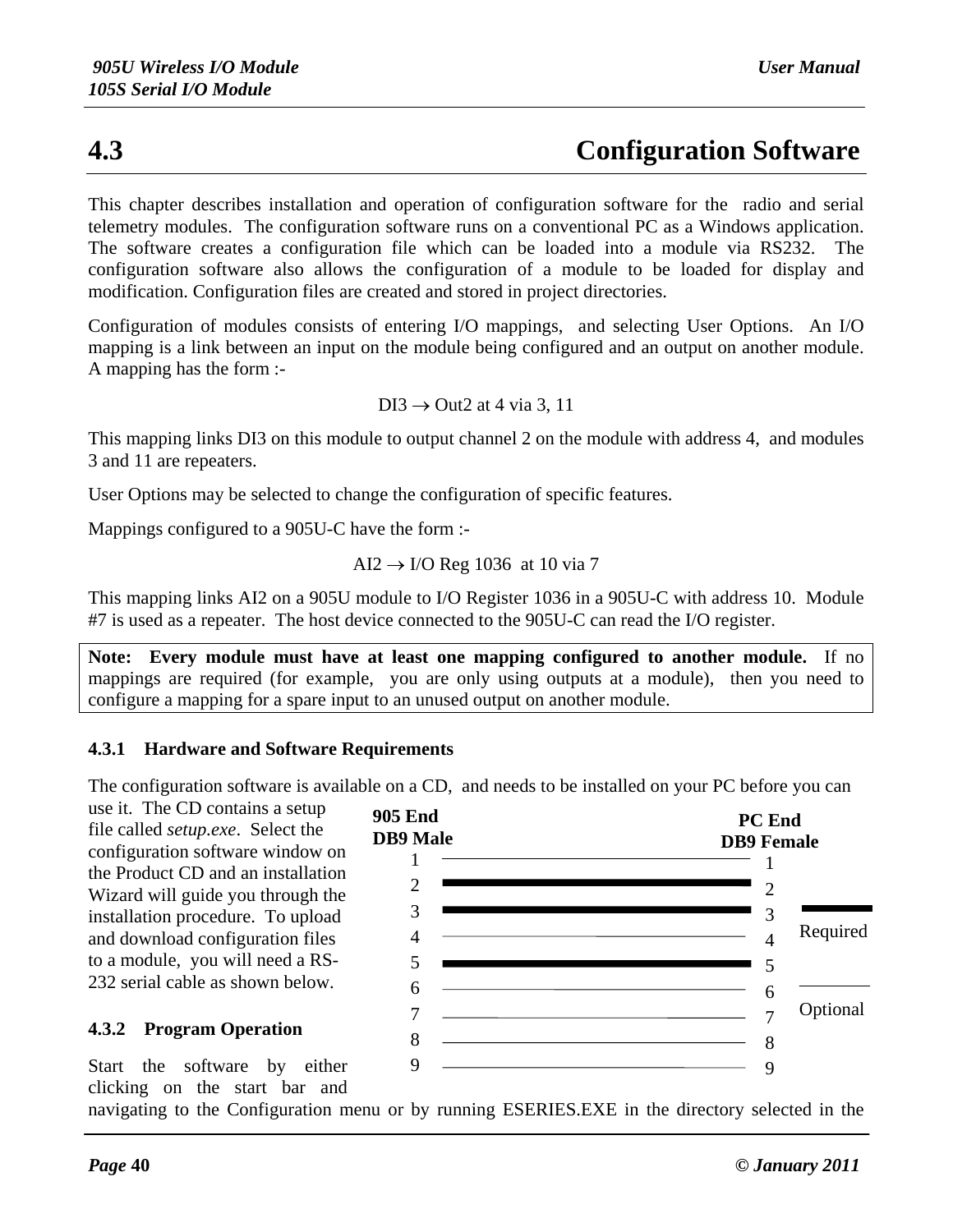## **4.3 Configuration Software**

This chapter describes installation and operation of configuration software for the radio and serial telemetry modules. The configuration software runs on a conventional PC as a Windows application. The software creates a configuration file which can be loaded into a module via RS232. The configuration software also allows the configuration of a module to be loaded for display and modification. Configuration files are created and stored in project directories.

Configuration of modules consists of entering I/O mappings, and selecting User Options. An I/O mapping is a link between an input on the module being configured and an output on another module. A mapping has the form :-

$$
DI3 \rightarrow Out2 \text{ at } 4 \text{ via } 3, 11
$$

This mapping links DI3 on this module to output channel 2 on the module with address 4, and modules 3 and 11 are repeaters.

User Options may be selected to change the configuration of specific features.

Mappings configured to a 905U-C have the form :-

AI2  $\rightarrow$  I/O Reg 1036 at 10 via 7

This mapping links AI2 on a 905U module to I/O Register 1036 in a 905U-C with address 10. Module #7 is used as a repeater. The host device connected to the 905U-C can read the I/O register.

**Note: Every module must have at least one mapping configured to another module.** If no mappings are required (for example, you are only using outputs at a module), then you need to configure a mapping for a spare input to an unused output on another module.

#### **4.3.1 Hardware and Software Requirements**

The configuration software is available on a CD, and needs to be installed on your PC before you can

use it. The CD contains a setup file called *setup.exe*. Select the configuration software window on the Product CD and an installation Wizard will guide you through the installation procedure. To upload and download configuration files to a module, you will need a RS-232 serial cable as shown below.

#### **4.3.2 Program Operation**

**905 End PC End DB9 Male DB9 Female** 1 1 2  $\mathcal{D}_{\mathcal{L}}$ 3 3 Required 4  $\overline{A}$ 5 5 <u> 1990 - Johann Barn, mars ann an t-Amhain ann an t-A</u> 6 6 **Optional** 7 7 8 8  $\begin{array}{c|c|c|c|c} \hline \rule{0pt}{16pt} \rule{0pt}{2.5ex} \rule{0pt}{2.5ex} \rule{0pt}{2.5ex} \rule{0pt}{2.5ex} \rule{0pt}{2.5ex} \rule{0pt}{2.5ex} \rule{0pt}{2.5ex} \rule{0pt}{2.5ex} \rule{0pt}{2.5ex} \rule{0pt}{2.5ex} \rule{0pt}{2.5ex} \rule{0pt}{2.5ex} \rule{0pt}{2.5ex} \rule{0pt}{2.5ex} \rule{0pt}{2.5ex} \rule{0pt}{2.5ex} \rule{0pt}{2.5ex} \rule{0pt$ 9

Start the software by either clicking on the start bar and

navigating to the Configuration menu or by running ESERIES.EXE in the directory selected in the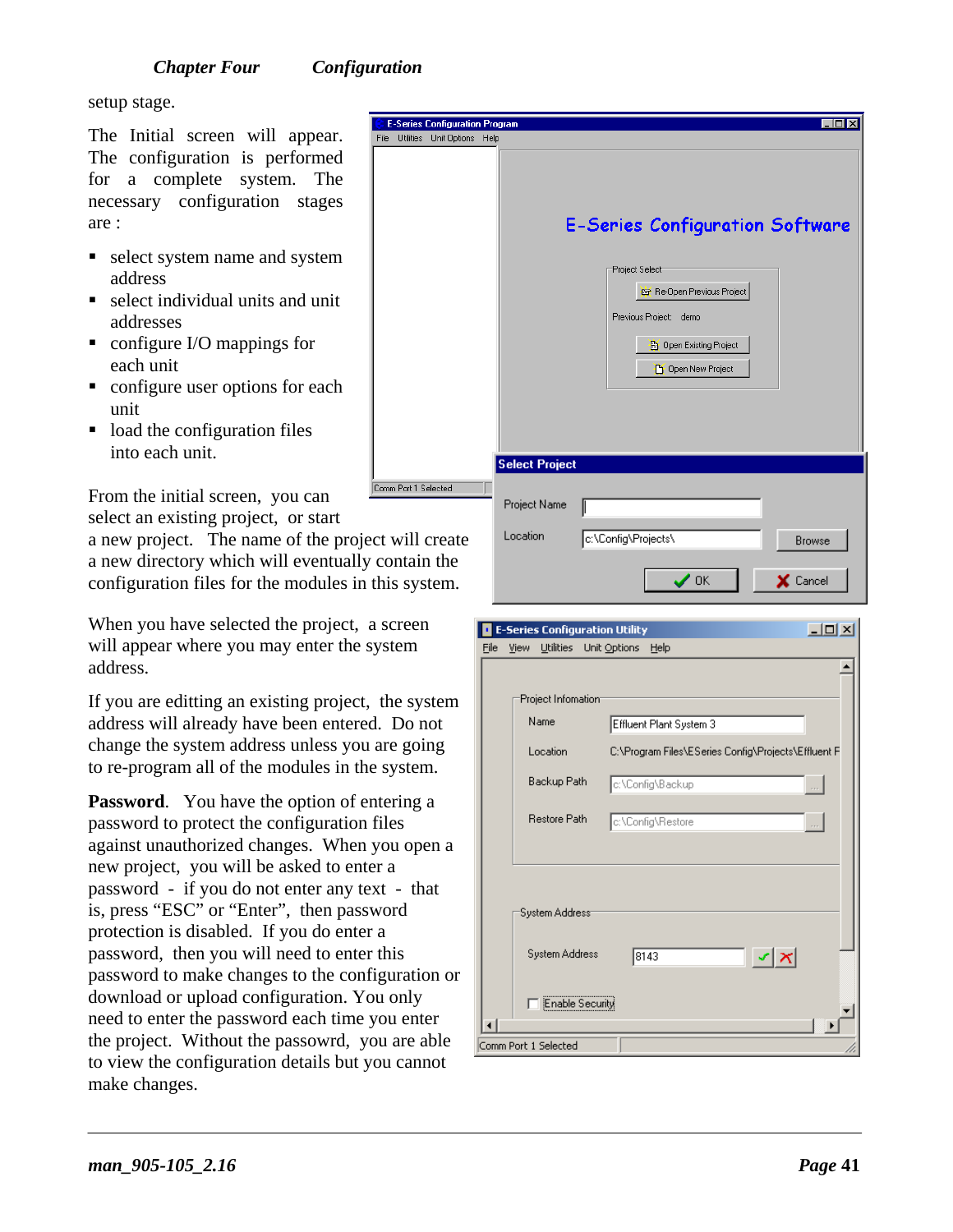setup stage.

The Initial screen will appear. The configuration is performed for a complete system. The necessary configuration stages are :

- select system name and system address
- select individual units and unit addresses
- configure I/O mappings for each unit
- configure user options for each unit
- $\blacksquare$  load the configuration files into each unit.

From the initial screen, you can select an existing project, or start

a new project. The name of the project a new directory which will eventually configuration files for the modules in

When you have selected the project, a screen will appear where you may enter the system address.

If you are editting an existing project, the system address will already have been entered. Do not change the system address unless you are going to re -program all of the modules in the system.

**Password.** You have the option of entering a password to protect the configuration files against unauthorized changes. When you open a new project, you will be asked to enter a password - if you do not enter any text - that is, press "ESC" or "Enter", then password protection is disabled. If you do enter a password, then you will need to enter this password to make changes to the configuration or download or upload configuration. You only need to enter the password each time you enter the project. Without the passowrd, you are able to view the configuration details but you cannot make changes.

| <b>Utilities</b><br>Unit Options Help<br>File<br><b>E-Series Configuration Software</b><br>Project Select<br>Re-Open Previous Project<br>Previous Project: demo<br>B Open Existing Project<br>Open New Project<br><b>Select Project</b><br>Project Name<br>Location<br>c:\Config\Projects\<br><b>Browse</b><br>$\boldsymbol{\checkmark}$ ok<br>X Cancel | <b>E-Series Configuration Program</b> | $\Box$ olx |
|---------------------------------------------------------------------------------------------------------------------------------------------------------------------------------------------------------------------------------------------------------------------------------------------------------------------------------------------------------|---------------------------------------|------------|
|                                                                                                                                                                                                                                                                                                                                                         |                                       |            |
|                                                                                                                                                                                                                                                                                                                                                         |                                       |            |
|                                                                                                                                                                                                                                                                                                                                                         |                                       |            |
|                                                                                                                                                                                                                                                                                                                                                         | Comm Port 1 Selected                  |            |
|                                                                                                                                                                                                                                                                                                                                                         | ct will create                        |            |
|                                                                                                                                                                                                                                                                                                                                                         | contain the                           |            |
|                                                                                                                                                                                                                                                                                                                                                         | this system.                          |            |

| <b>E-Series Configuration Utility</b> | <u>니미지</u>                                          |  |  |  |  |
|---------------------------------------|-----------------------------------------------------|--|--|--|--|
| File<br><b>Utilities</b><br>View      | Unit Options<br>Help                                |  |  |  |  |
| Project Infomation <sup>®</sup>       |                                                     |  |  |  |  |
| Name                                  | Effluent Plant System 3                             |  |  |  |  |
| Location                              | C:\Program Files\ESeries Config\Projects\Effluent F |  |  |  |  |
| Backup Path                           | c:\Config\Backup                                    |  |  |  |  |
| <b>Restore Path</b>                   | c:\Config\Restore                                   |  |  |  |  |
| System Address                        |                                                     |  |  |  |  |
| System Address                        | $\mathbf{v} \mathbf{x}$<br>8143                     |  |  |  |  |
| Enable Security                       |                                                     |  |  |  |  |
| Comm Port 1 Selected                  |                                                     |  |  |  |  |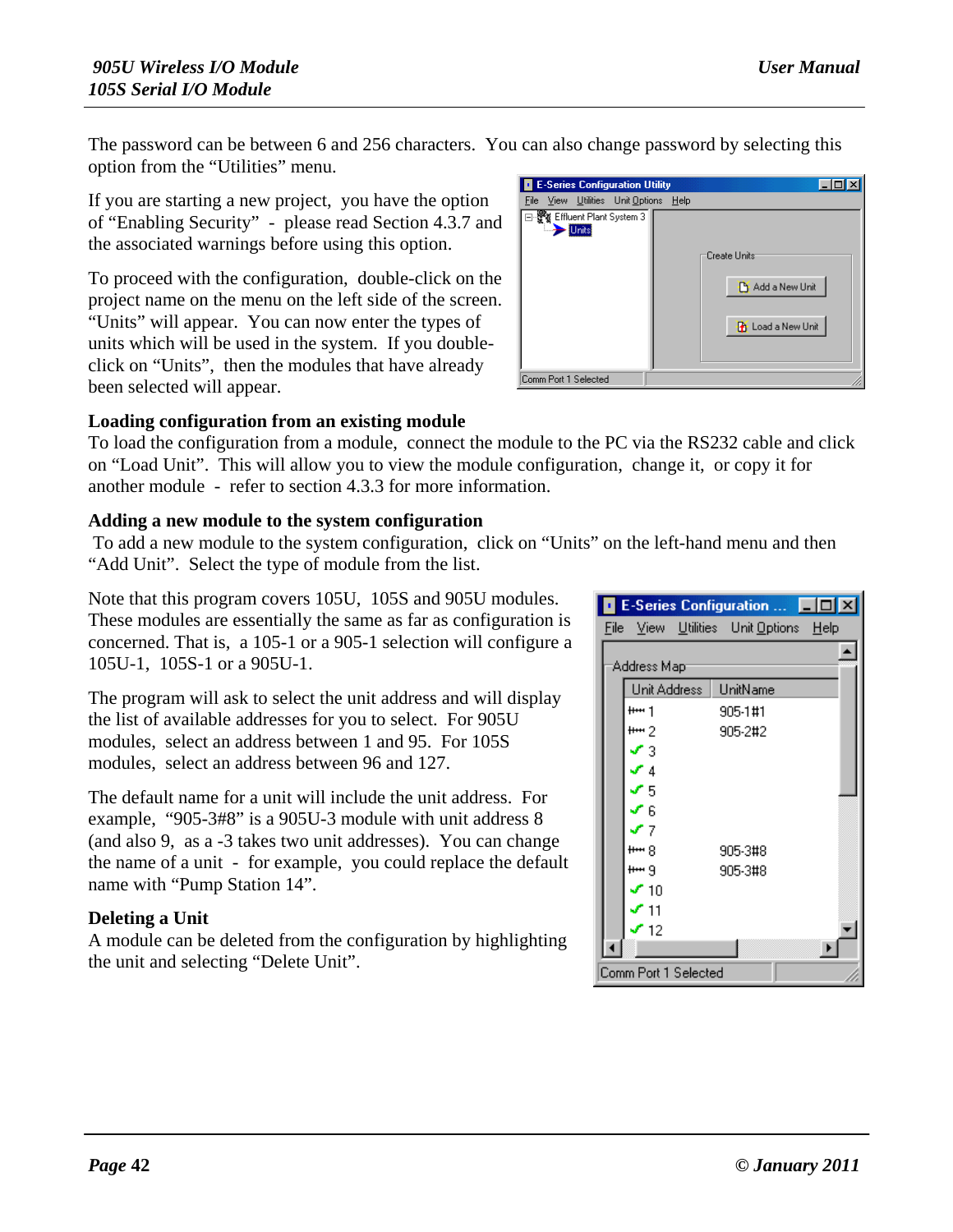The password can be between 6 and 256 characters. You can also change password by selecting this option from the "Utilities" menu.

If you are starting a new project, you have the option of "Enabling Security" - please read Section 4.3.7 and the associated warnings before using this option.

To proceed with the configuration, double-click on the project name on the menu on the left side of the screen. "Units" will appear. You can now enter the types of units which will be used in the system. If you doubleclick on "Units", then the modules that have already been selected will appear.



To load the configuration from a module, connect the module to the PC via the RS232 cable and click on "Load Unit". This will allow you to view the module configuration, change it, or copy it for another module - refer to section 4.3.3 for more information.

### **Adding a new module to the system configuration**

To add a new module to the system configuration, click on "Units" on the left-hand menu and then "Add Unit". Select the type of module from the list.

Note that this program covers 105U, 105S and 905U modules. These modules are essentially the same as far as configuration is concerned. That is, a 105-1 or a 905-1 selection will configure a 105U-1, 105S-1 or a 905U-1.

The program will ask to select the unit address and will display the list of available addresses for you to select. For 905U modules, select an address between 1 and 95. For 105S modules, select an address between 96 and 127.

The default name for a unit will include the unit address. For example, "905-3#8" is a 905U-3 module with unit address 8 (and also 9, as a -3 takes two unit addresses). You can change the name of a unit - for example, you could replace the default name with "Pump Station 14".

### **Deleting a Unit**

A module can be deleted from the configuration by highlighting the unit and selecting "Delete Unit".

| <b>E-Series Configuration Utility</b>                  |                                                                       |
|--------------------------------------------------------|-----------------------------------------------------------------------|
| File View Utilities Unit Options                       | Help                                                                  |
| ∃ - ▒ Effluent Plant System 3  <br>$\rightarrow$ Units | Create Units<br><b>Pi</b> Add a New Unit<br><b>Th</b> Load a New Unit |
| Comm Port 1 Selected                                   |                                                                       |

|                      | E-Series Configuration                                         |  |
|----------------------|----------------------------------------------------------------|--|
|                      | <u>File View U</u> tilities Unit: <u>O</u> ptions <u>H</u> elp |  |
| Address Mapi         |                                                                |  |
| Unit Address         | UnitName                                                       |  |
| $+ + +$ 1            | 905-1#1                                                        |  |
| $+ + 2$              | 905-2#2                                                        |  |
| 13                   |                                                                |  |
| r 4                  |                                                                |  |
| ۶5                   |                                                                |  |
| " R                  |                                                                |  |
| - 7                  |                                                                |  |
| ዙ ጸ                  | 905-3#8                                                        |  |
| <del>۱۰۰۰</del> ۹    | 905-3#8                                                        |  |
| ' 1N                 |                                                                |  |
| 11                   |                                                                |  |
| ' 12                 |                                                                |  |
|                      |                                                                |  |
| Comm Port 1 Selected |                                                                |  |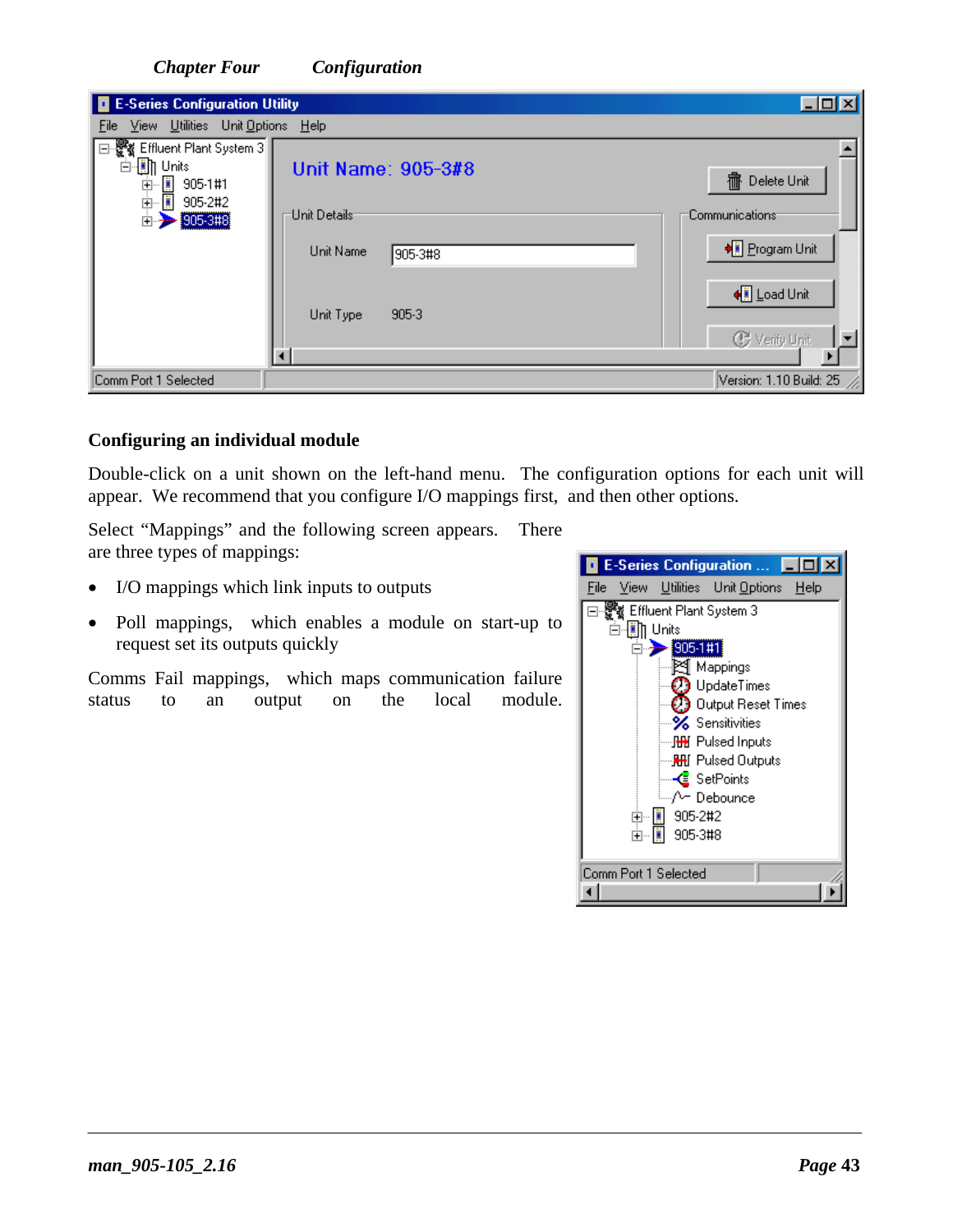| <b>E-Series Configuration Utility</b><br>ш                                         |                                        | 口回凶                                 |
|------------------------------------------------------------------------------------|----------------------------------------|-------------------------------------|
| View Utilities Unit Options Help<br>File                                           |                                        |                                     |
| 쁗 Effluent Plant System 3<br>E<br>-∭∏ Units<br>Ė<br>-∭ 905-1#1<br>-∭ 905-2#2<br>中国 | Unit Name: 905-3#8                     | 霝<br>Delete Unit                    |
| 905-2#2<br>905-3#8<br>Ėŀ                                                           | <sup>-</sup> Unit Details <sup>.</sup> | <b>Communications</b>               |
|                                                                                    | Unit Name<br>905-3#8                   | ♦ Program Unit                      |
|                                                                                    | 905-3<br>Unit Type                     | + Load Unit<br><b>C</b> Verify Unit |
|                                                                                    |                                        |                                     |
| Comm Port 1 Selected                                                               |                                        | Version: 1.10 Build: 25             |

#### **Configuring an individual module**

Double-click on a unit shown on the left-hand menu. The configuration options for each unit will appear. We recommend that you configure I/O mappings first, and then other options.

Select "Mappings" and the following screen appears. There are three types of mappings:

- I/O mappings which link inputs to outputs
- Poll mappings, which enables a module on start-up to request set its outputs quickly

Comms Fail mappings, which maps communication failure status to an output on the local module.

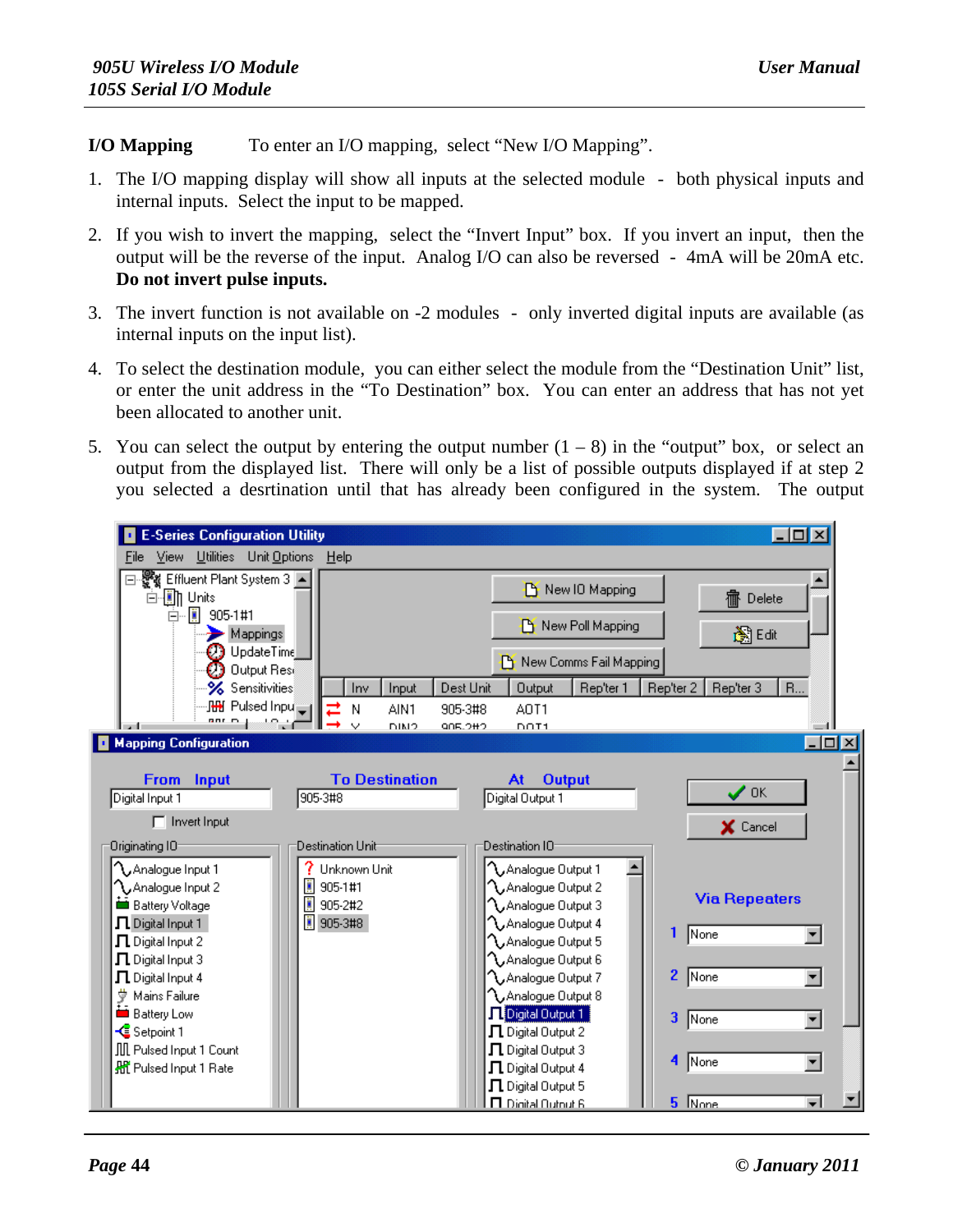**I/O Mapping** To enter an I/O mapping, select "New I/O Mapping".

- 1. The I/O mapping display will show all inputs at the selected module both physical inputs and internal inputs. Select the input to be mapped.
- 2. If you wish to invert the mapping, select the "Invert Input" box. If you invert an input, then the output will be the reverse of the input. Analog I/O can also be reversed - 4mA will be 20mA etc. **Do not invert pulse inputs.**
- 3. The invert function is not available on -2 modules only inverted digital inputs are available (as internal inputs on the input list).
- 4. To select the destination module, you can either select the module from the "Destination Unit" list, or enter the unit address in the "To Destination" box. You can enter an address that has not yet been allocated to another unit.
- 5. You can select the output by entering the output number  $(1 8)$  in the "output" box, or select an output from the displayed list. There will only be a list of possible outputs displayed if at step 2 you selected a desrtination until that has already been configured in the system. The output

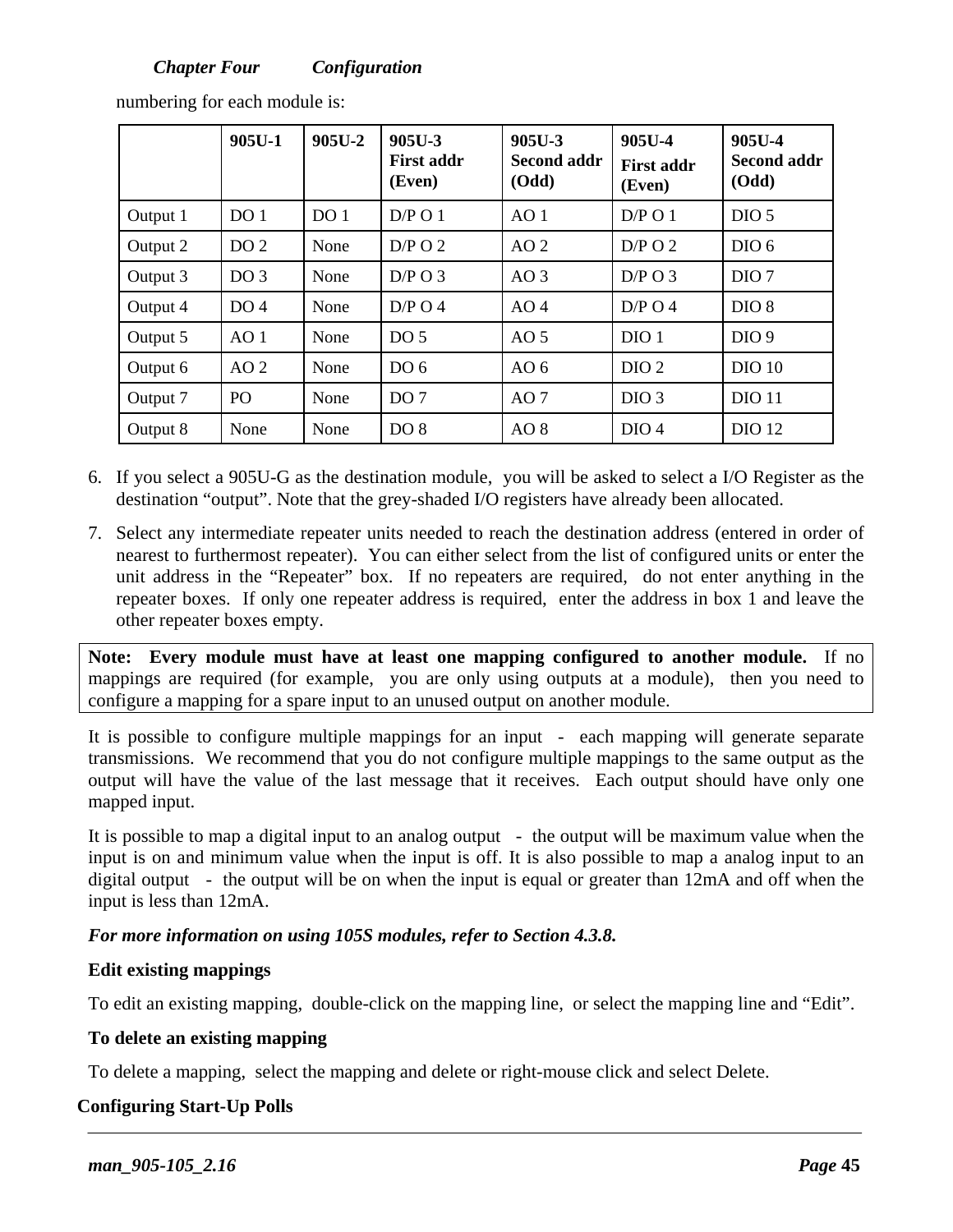|          | $905U-1$        | 905U-2          | 905U-3<br><b>First addr</b><br>(Even) | 905U-3<br><b>Second addr</b><br><b>(Odd)</b> | 905U-4<br><b>First addr</b><br>(Even) | 905U-4<br><b>Second addr</b><br>(Odd) |
|----------|-----------------|-----------------|---------------------------------------|----------------------------------------------|---------------------------------------|---------------------------------------|
| Output 1 | DO <sub>1</sub> | DO <sub>1</sub> | D/P O 1                               | AO <sub>1</sub>                              | D/P O 1                               | DIO <sub>5</sub>                      |
| Output 2 | DO <sub>2</sub> | None            | $D/P$ O 2                             | AO <sub>2</sub>                              | $D/P$ O 2                             | DIO <sub>6</sub>                      |
| Output 3 | DO <sub>3</sub> | None            | $D/P$ O 3                             | AO <sub>3</sub>                              | $D/P$ O 3                             | DIO <sub>7</sub>                      |
| Output 4 | DO <sub>4</sub> | None            | $D/P$ O 4                             | AO <sub>4</sub>                              | $D/P$ O 4                             | DIO <sub>8</sub>                      |
| Output 5 | AO <sub>1</sub> | None            | DO <sub>5</sub>                       | AO <sub>5</sub>                              | DIO <sub>1</sub>                      | DIO <sub>9</sub>                      |
| Output 6 | AO2             | None            | DO <sub>6</sub>                       | AO $6$                                       | DIO <sub>2</sub>                      | <b>DIO 10</b>                         |
| Output 7 | P <sub>O</sub>  | None            | DO <sub>7</sub>                       | AO <sub>7</sub>                              | DIO <sub>3</sub>                      | <b>DIO 11</b>                         |
| Output 8 | None            | None            | DO <sub>8</sub>                       | AO <sub>8</sub>                              | DIO <sub>4</sub>                      | <b>DIO 12</b>                         |

numbering for each module is:

- 6. If you select a 905U-G as the destination module, you will be asked to select a I/O Register as the destination "output". Note that the grey-shaded I/O registers have already been allocated.
- 7. Select any intermediate repeater units needed to reach the destination address (entered in order of nearest to furthermost repeater). You can either select from the list of configured units or enter the unit address in the "Repeater" box. If no repeaters are required, do not enter anything in the repeater boxes. If only one repeater address is required, enter the address in box 1 and leave the other repeater boxes empty.

**Note: Every module must have at least one mapping configured to another module.** If no mappings are required (for example, you are only using outputs at a module), then you need to configure a mapping for a spare input to an unused output on another module.

It is possible to configure multiple mappings for an input - each mapping will generate separate transmissions. We recommend that you do not configure multiple mappings to the same output as the output will have the value of the last message that it receives. Each output should have only one mapped input.

It is possible to map a digital input to an analog output - the output will be maximum value when the input is on and minimum value when the input is off. It is also possible to map a analog input to an digital output - the output will be on when the input is equal or greater than 12mA and off when the input is less than 12mA.

*For more information on using 105S modules, refer to Section 4.3.8.* 

#### **Edit existing mappings**

To edit an existing mapping, double-click on the mapping line, or select the mapping line and "Edit".

#### **To delete an existing mapping**

To delete a mapping, select the mapping and delete or right-mouse click and select Delete.

#### **Configuring Start-Up Polls**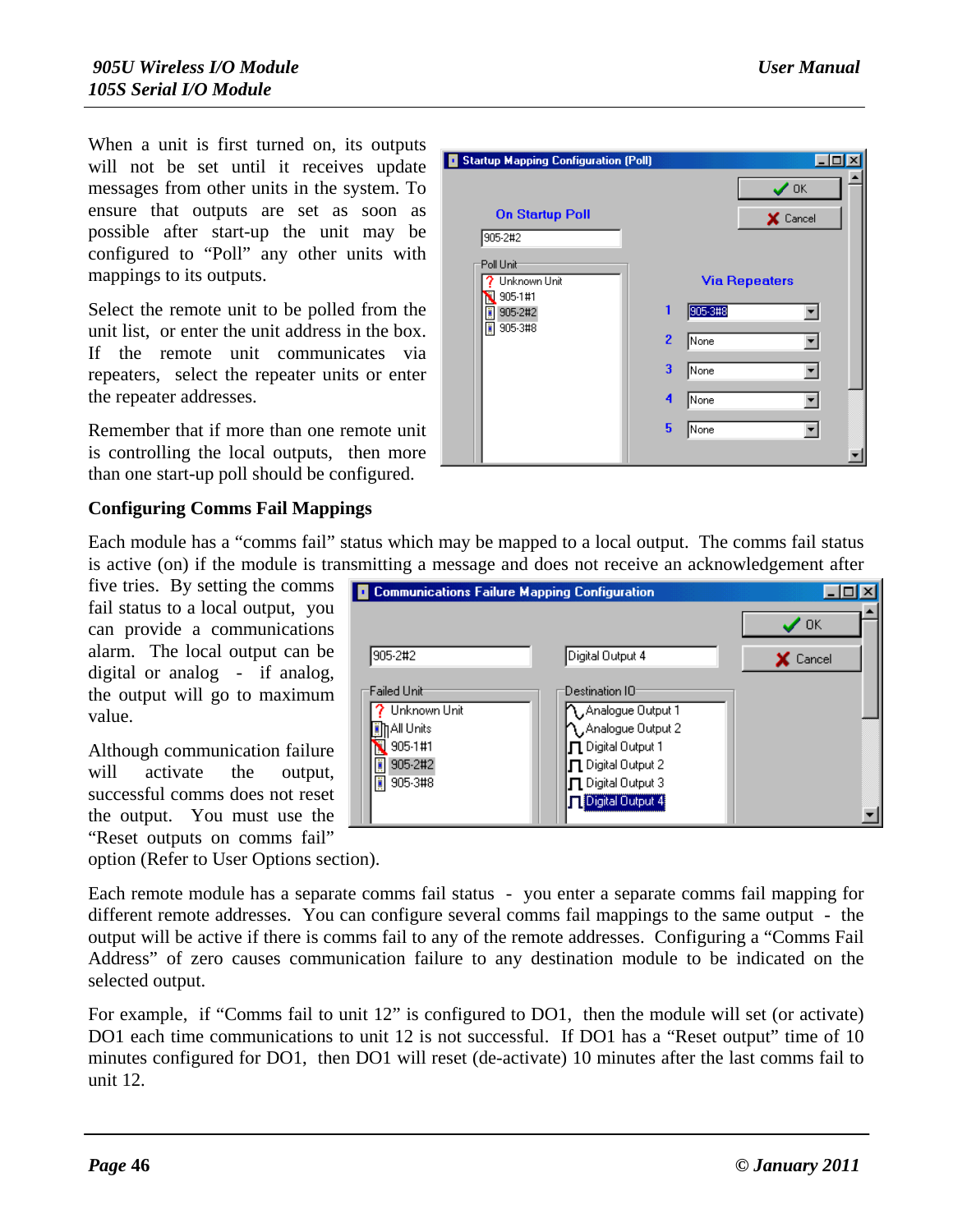When a unit is first turned on, its outputs will not be set until it receives update messages from other units in the system. To ensure that outputs are set as soon as possible after start-up the unit may be configured to "Poll" any other units with mappings to its outputs.

Select the remote unit to be polled from the unit list, or enter the unit address in the box. If the remote unit communicates via repeaters, select the repeater units or enter the repeater addresses.

Remember that if more than one remote unit is controlling the local outputs, then more than one start-up poll should be configured.

| <b>Startup Mapping Configuration (Poll)</b> |                        |
|---------------------------------------------|------------------------|
|                                             | $\checkmark$ ok        |
| <b>On Startup Poll</b><br>905-2#2           | X Cancel               |
| Poll Unit<br>Unknown Unit<br>905-1#1        | <b>Via Repeaters</b>   |
| 905-2#2                                     | 1<br>905-3#8           |
| 905-3#8                                     | $\overline{2}$<br>None |
|                                             | 3<br>None              |
|                                             | 4<br>None              |
|                                             | 5<br>None              |
|                                             |                        |

#### **Configuring Comms Fail Mappings**

Each module has a "comms fail" status which may be mapped to a local output. The comms fail status is active (on) if the module is transmitting a message and does not receive an acknowledgement after

five tries. By setting the comms fail status to a local output, you can provide a communications alarm. The local output can be digital or analog - if analog. the output will go to maximum value.

Although communication failure will activate the output. successful comms does not reset the output. You must use the "Reset outputs on comms fail"

option (Refer to User Options section).

Each remote module has a separate comms fail status - you enter a separate comms fail mapping for different remote addresses. You can configure several comms fail mappings to the same output - the output will be active if there is comms fail to any of the remote addresses. Configuring a "Comms Fail Address" of zero causes communication failure to any destination module to be indicated on the selected output.

For example, if "Comms fail to unit 12" is configured to DO1, then the module will set (or activate) DO1 each time communications to unit 12 is not successful. If DO1 has a "Reset output" time of 10 minutes configured for DO1, then DO1 will reset (de-activate) 10 minutes after the last comms fail to unit 12.

| <b>Communications Failure Mapping Configuration</b><br>ш |                                 |                 |
|----------------------------------------------------------|---------------------------------|-----------------|
|                                                          |                                 | ΟK              |
| 905-2#2                                                  | Digital Output 4                | <b>X</b> Cancel |
| :Failed Unit                                             | Destination IO                  |                 |
| Unknown Unit                                             | Analogue Output 1               |                 |
| IAII Units                                               | Analogue Output 2               |                 |
| 905-1#1                                                  | $\sqcap$ Digital Output 1       |                 |
| 905-2#2                                                  | $\blacksquare$ Digital Output 2 |                 |
| 905-3#8                                                  | [ Digital Output 3              |                 |
|                                                          | Digital Output 4                |                 |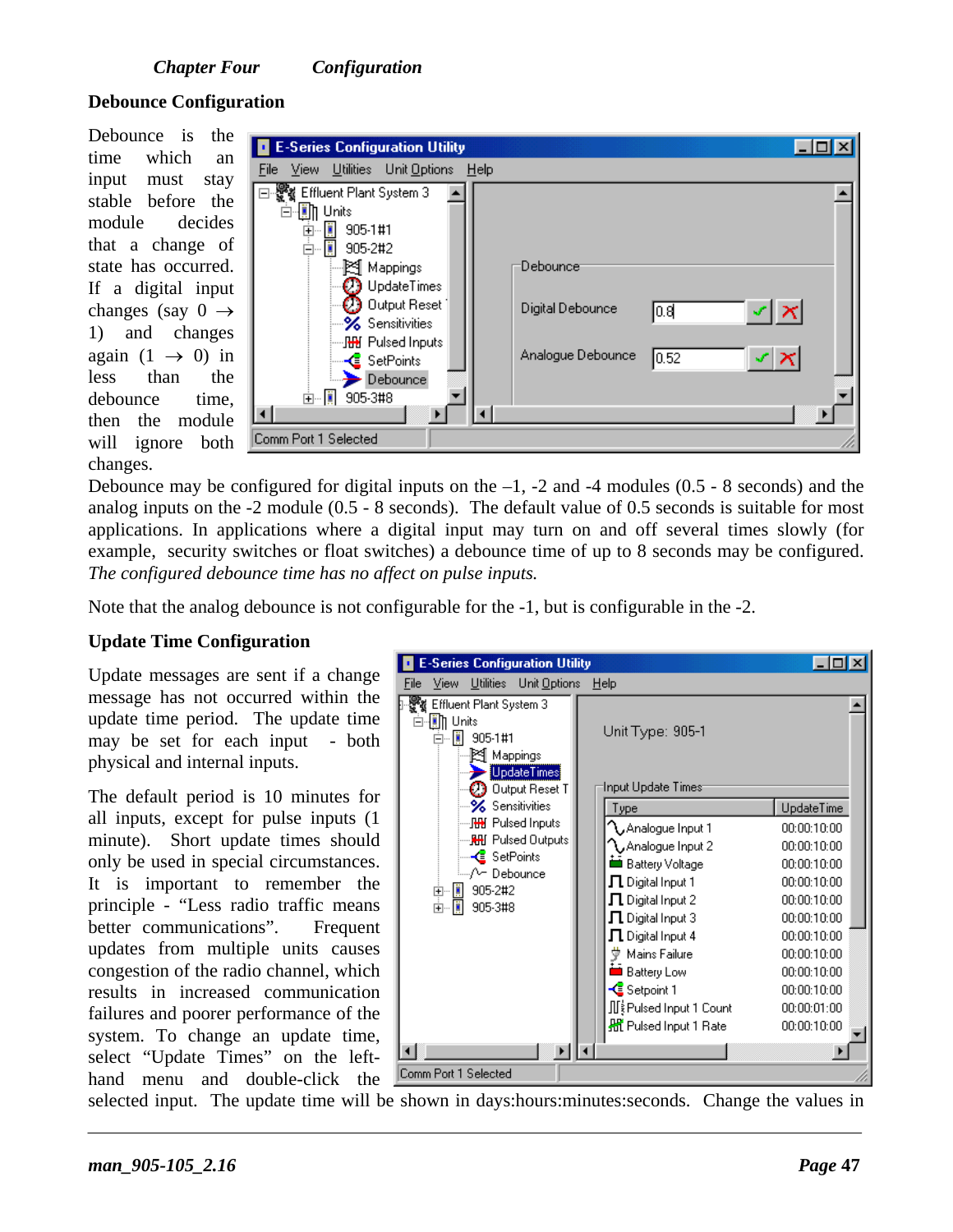#### **Debounce Configuration**

Debounce is the time which an input must stay stable before the module decides that a change of state has occurred. If a digital input changes (say  $0 \rightarrow$ 1) and changes again  $(1 \rightarrow 0)$  in less than the debounce time, then the module will ignore both changes.

| <b>E-Series Configuration Utility</b><br><u>File View Utilities Unit-Options Help</u>                                                                                            |                                                           |  |
|----------------------------------------------------------------------------------------------------------------------------------------------------------------------------------|-----------------------------------------------------------|--|
| ⊟--  Effluent Plant System 3<br>⊟- <b>∭</b> ]] Units<br>中 305-1#1<br>□ ■ 905-2#2<br>— ≹¶ Mappings<br>$\bigcirc$ UpdateTimes<br>$\oplus$ Output Reset (<br><b>%</b> Sensitivities | Debounce<br>$\leq  \times $<br>Digital Debounce<br>lo.el  |  |
| — <b>]∰ Pulsed Inputs</b><br>— <mark>&lt;</mark> SetPoints<br>$\rightarrow$ Debounce<br>由 图 905-3#8<br>Comm Port 1 Selected                                                      | Analogue Debounce<br>st.<br>0.52<br>$\boldsymbol{\times}$ |  |

Debounce may be configured for digital inputs on the  $-1$ ,  $-2$  and  $-4$  modules (0.5  $-8$  seconds) and the analog inputs on the -2 module (0.5 - 8 seconds). The default value of 0.5 seconds is suitable for most applications. In applications where a digital input may turn on and off several times slowly (for example, security switches or float switches) a debounce time of up to 8 seconds may be configured. *The configured debounce time has no affect on pulse inputs.*

Note that the analog debounce is not configurable for the -1, but is configurable in the -2.

#### **Update Time Configuration**

Update messages are sent if a change message has not occurred within the update time period. The update time may be set for each input - both physical and internal inputs.

The default period is 10 minutes for all inputs, except for pulse inputs (1 minute). Short update times should only be used in special circumstances. It is important to remember the principle - "Less radio traffic means better communications". Frequent updates from multiple units causes congestion of the radio channel, which results in increased communication failures and poorer performance of the system. To change an update time, select "Update Times" on the lefthand menu and double-click the



selected input. The update time will be shown in days:hours:minutes:seconds. Change the values in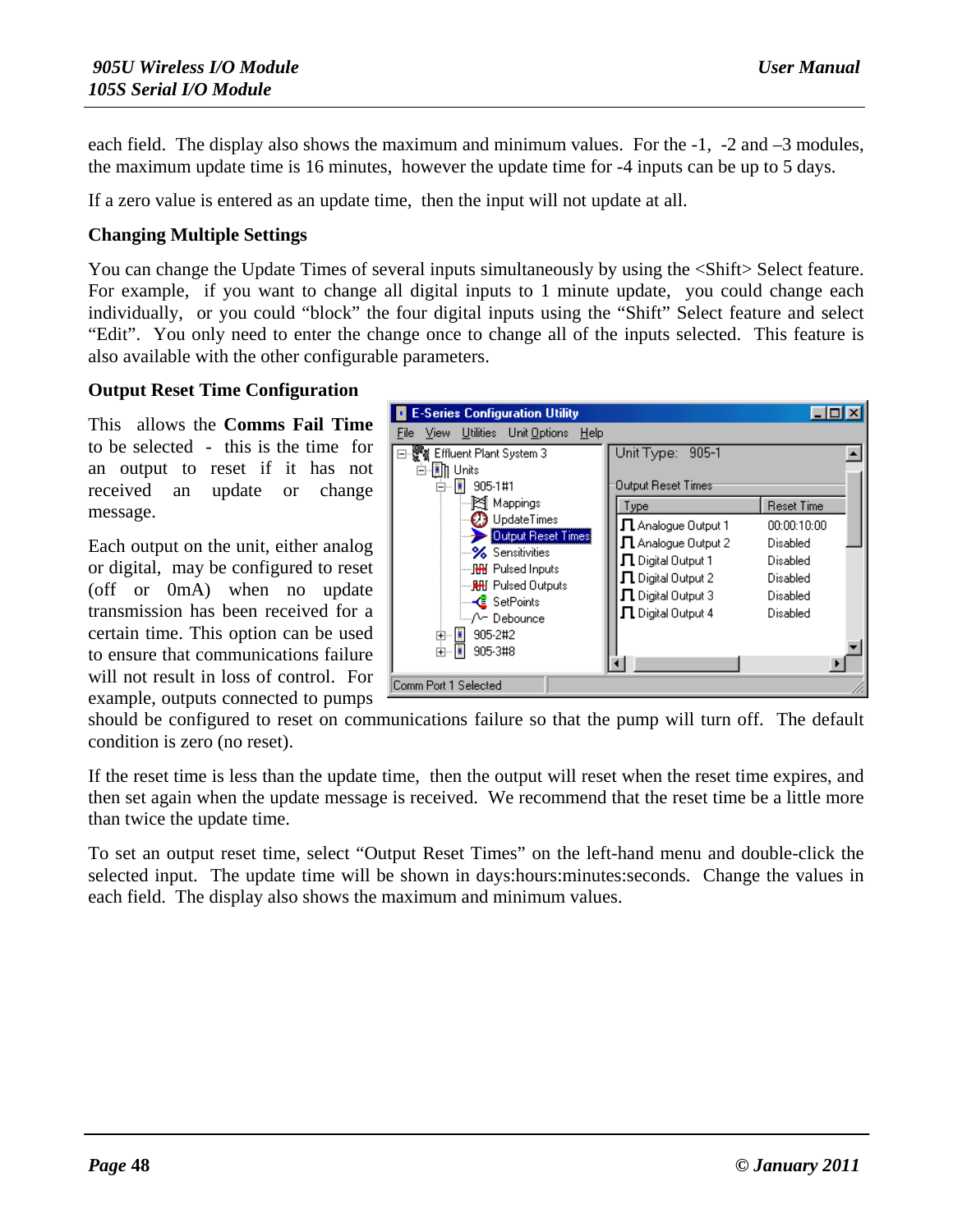each field. The display also shows the maximum and minimum values. For the -1, -2 and –3 modules, the maximum update time is 16 minutes, however the update time for -4 inputs can be up to 5 days.

If a zero value is entered as an update time, then the input will not update at all.

#### **Changing Multiple Settings**

You can change the Update Times of several inputs simultaneously by using the <Shift> Select feature. For example, if you want to change all digital inputs to 1 minute update, you could change each individually, or you could "block" the four digital inputs using the "Shift" Select feature and select "Edit". You only need to enter the change once to change all of the inputs selected. This feature is also available with the other configurable parameters.

#### **Output Reset Time Configuration**

This allows the **Comms Fail Time** to be selected - this is the time for an output to reset if it has not received an update or change message.

Each output on the unit, either analog or digital, may be configured to reset (off or 0mA) when no update transmission has been received for a certain time. This option can be used to ensure that communications failure will not result in loss of control. For example, outputs connected to pumps



should be configured to reset on communications failure so that the pump will turn off. The default condition is zero (no reset).

If the reset time is less than the update time, then the output will reset when the reset time expires, and then set again when the update message is received. We recommend that the reset time be a little more than twice the update time.

To set an output reset time, select "Output Reset Times" on the left-hand menu and double-click the selected input. The update time will be shown in days:hours:minutes:seconds. Change the values in each field. The display also shows the maximum and minimum values.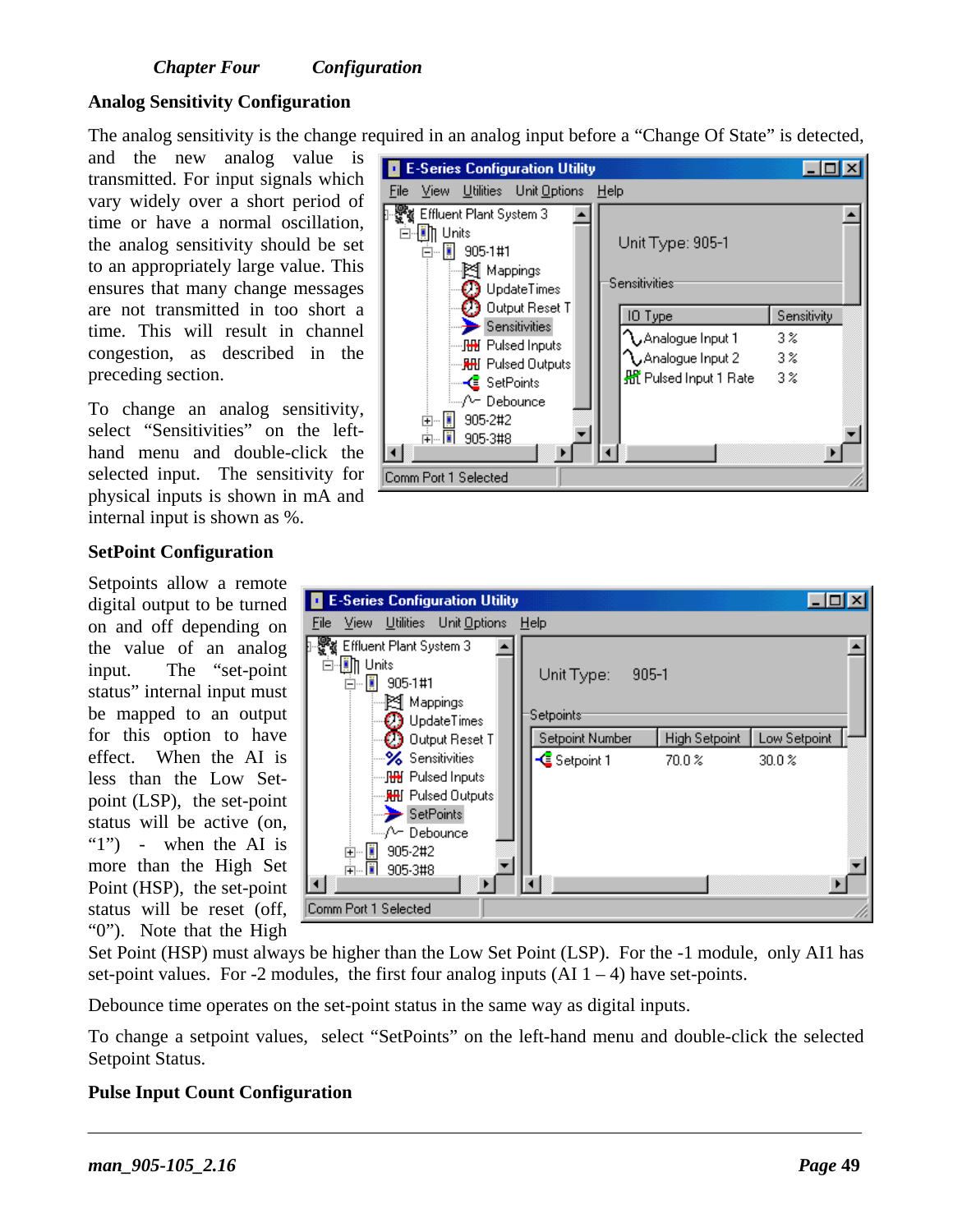#### **Analog Sensitivity Configuration**

The analog sensitivity is the change required in an analog input before a "Change Of State" is detected,

and the new analog value is transmitted. For input signals which vary widely over a short period of time or have a normal oscillation, the analog sensitivity should be set to an appropriately large value. This ensures that many change messages are not transmitted in too short a time. This will result in channel congestion, as described in the preceding section.

To change an analog sensitivity, select "Sensitivities" on the lefthand menu and double-click the selected input. The sensitivity for physical inputs is shown in mA and internal input is shown as %.

Setpoints allow a remote digital output to be turned on and off depending on the value of an analog input. The "set-point status" internal input must be mapped to an output for this option to have effect. When the AI is less than the Low Setpoint (LSP), the set-point status will be active (on, "1") - when the AI is more than the High Set Point (HSP), the set-point status will be reset (off, "0"). Note that the High

**SetPoint Configuration**

| <b>E-Series Configuration Utility</b>                                          |                            |             |
|--------------------------------------------------------------------------------|----------------------------|-------------|
| View Utilities Unit Options Help<br>File                                       |                            |             |
| Effluent Plant System 3<br>⊣∭∏ Units<br>Ė<br>H<br>905-1#1<br>Ēŀ<br>…⊠ Mappings | Unit Type: 905-1           |             |
| $\mathcal{D}$ UpdateTimes<br>Output Reset T                                    | Sensitivities:             |             |
| $\rightarrow$ Sensitivities                                                    | IO Type                    | Sensitivity |
| <b>⊞</b> Pulsed Inputs                                                         | $\gamma$ Analogue Input 1  | 3%          |
| <del>. . M</del> ill Pulsed Outputs                                            | $\Lambda$ Analogue Input 2 | 3%          |
| — <mark>&lt;</mark> SetPoints                                                  | 船 Pulsed Input 1 Rate      | $3\%$       |
| ≒…/^− Debounce                                                                 |                            |             |
| 905-2#2<br>-11<br>⊞                                                            |                            |             |
| jena kriti<br>905-3#8                                                          |                            |             |
| Comm Port 1 Selected                                                           |                            |             |



Set Point (HSP) must always be higher than the Low Set Point (LSP). For the -1 module, only AI1 has set-point values. For -2 modules, the first four analog inputs  $(AI 1 – 4)$  have set-points.

Debounce time operates on the set-point status in the same way as digital inputs.

To change a setpoint values, select "SetPoints" on the left-hand menu and double-click the selected Setpoint Status.

#### **Pulse Input Count Configuration**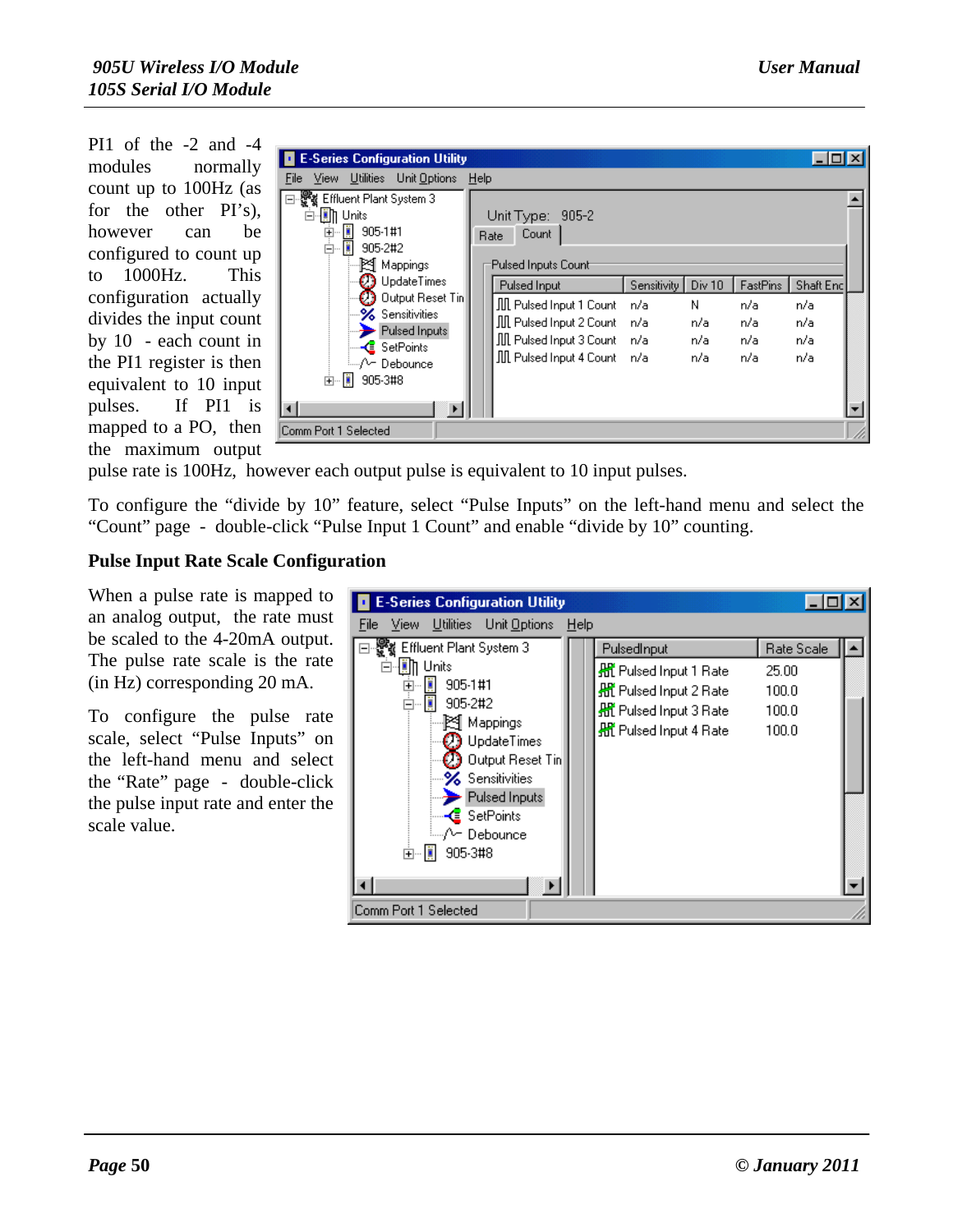PI1 of the -2 and -4 modules normally count up to 100Hz (as for the other PI's), however can be configured to count up to 1000Hz. This configuration actually divides the input count by 10 - each count in the PI1 register is then equivalent to 10 input pulses. If PI1 is mapped to a PO, then the maximum output

| <b>E-Series Configuration Utility</b>                                                                                                                                              |                                                                                                                                  |                           |                                             |                                      |                                       |  |
|------------------------------------------------------------------------------------------------------------------------------------------------------------------------------------|----------------------------------------------------------------------------------------------------------------------------------|---------------------------|---------------------------------------------|--------------------------------------|---------------------------------------|--|
| File View Utilities Unit Options                                                                                                                                                   | Help                                                                                                                             |                           |                                             |                                      |                                       |  |
| ⊟-饗餐 Effluent Plant System 3<br>白- Th Units<br>e D<br>905-1#1<br>Ė<br>□ 905-2#2<br>… ⊠¶ Mappings                                                                                   | Unit Type: 905-2<br>Count<br>Rate<br>Pulsed Inputs Count                                                                         |                           |                                             |                                      |                                       |  |
| <b>23</b> UpdateTimes<br>$\mathcal{O}$ Output Reset Tin $\parallel$<br><b>%</b> Sensitivities<br>Pulsed Inputs<br>— <mark>&lt;</mark> SetPoints<br>≒…/^− Debounce<br>面 - 1 905-3#8 | Pulsed Input<br>肌 Pulsed Input 1 Count<br>肌 Pulsed Input 2 Count<br>III Pulsed Input 3 Count n/a<br>III Pulsed Input 4 Count n/a | Sensitivity<br>n/a<br>n/a | Div <sub>10</sub><br>Ν<br>n/a<br>n/a<br>n/a | FastPins<br>n/a<br>n/a<br>n/a<br>n/a | Shaft Enc<br>n/a<br>n/a<br>n/a<br>n/a |  |
| Comm Port 1 Selected                                                                                                                                                               |                                                                                                                                  |                           |                                             |                                      |                                       |  |

pulse rate is 100Hz, however each output pulse is equivalent to 10 input pulses.

To configure the "divide by 10" feature, select "Pulse Inputs" on the left-hand menu and select the "Count" page - double-click "Pulse Input 1 Count" and enable "divide by 10" counting.

#### **Pulse Input Rate Scale Configuration**

When a pulse rate is mapped to an analog output, the rate must be scaled to the 4-20mA output. The pulse rate scale is the rate (in Hz) corresponding 20 mA.

To configure the pulse rate scale, select "Pulse Inputs" on the left-hand menu and select the "Rate" page - double-click the pulse input rate and enter the scale value.

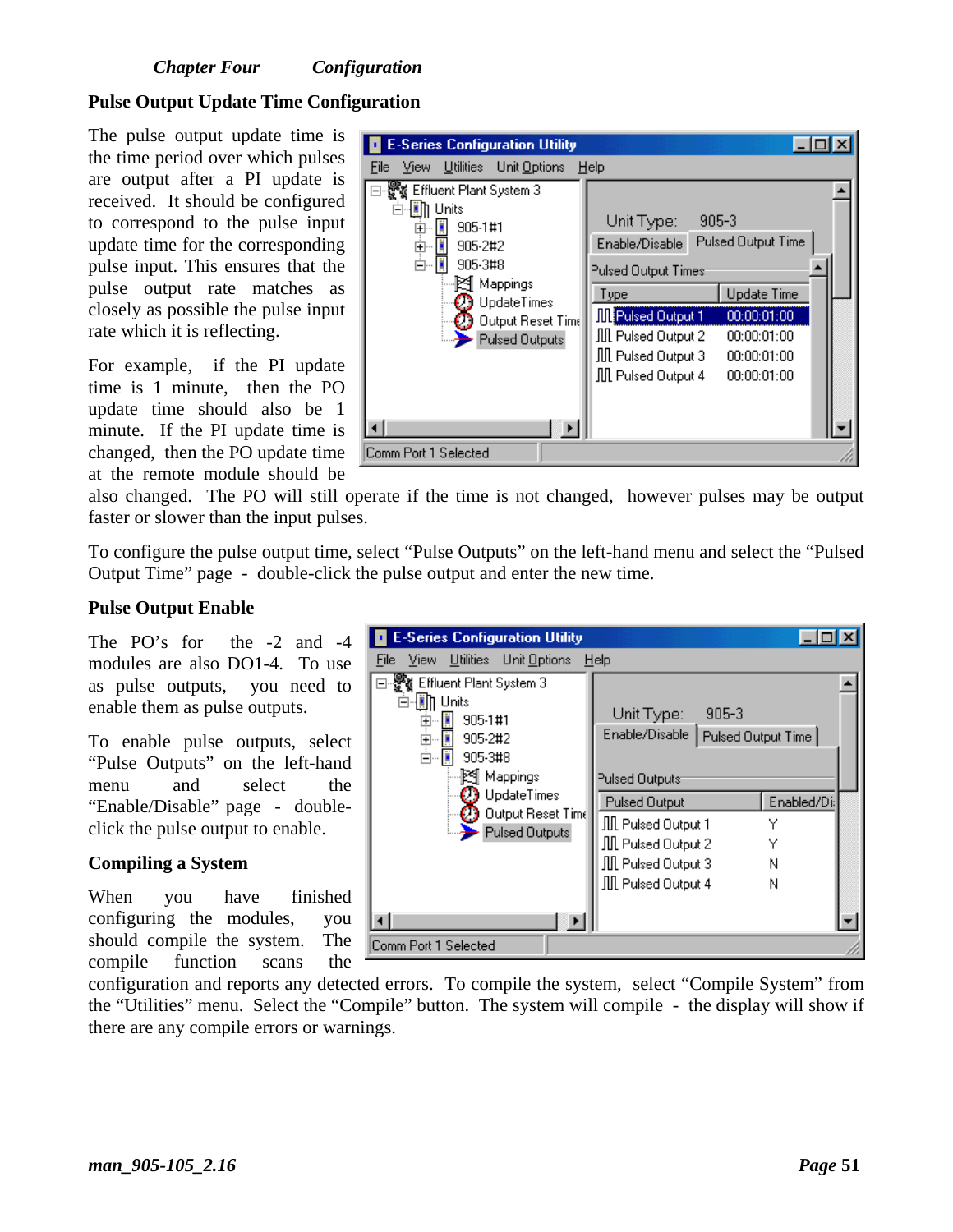#### **Pulse Output Update Time Configuration**

The pulse output update time is the time period over which pulses are output after a PI update is received. It should be configured to correspond to the pulse input update time for the corresponding pulse input. This ensures that the pulse output rate matches as closely as possible the pulse input rate which it is reflecting.

For example, if the PI update time is 1 minute, then the PO update time should also be 1 minute. If the PI update time is changed, then the PO update time at the remote module should be



also changed. The PO will still operate if the time is not changed, however pulses may be output faster or slower than the input pulses.

To configure the pulse output time, select "Pulse Outputs" on the left-hand menu and select the "Pulsed Output Time" page - double-click the pulse output and enter the new time.

#### **Pulse Output Enable**

The PO's for the -2 and -4 modules are also DO1-4. To use as pulse outputs, you need to enable them as pulse outputs.

To enable pulse outputs, select "Pulse Outputs" on the left-hand menu and select the "Enable/Disable" page - doubleclick the pulse output to enable.

#### **Compiling a System**

When you have finished configuring the modules, you should compile the system. The compile function scans the

| <b>E-Series Configuration Utility</b>                                                                                                                                                                                   |                                                                                                                                                                                                |                                 |  |
|-------------------------------------------------------------------------------------------------------------------------------------------------------------------------------------------------------------------------|------------------------------------------------------------------------------------------------------------------------------------------------------------------------------------------------|---------------------------------|--|
| View Utilities Unit Options<br>File                                                                                                                                                                                     | Help                                                                                                                                                                                           |                                 |  |
| ∃⊹∰∦ Effluent Plant System 3<br>Units<br>Ė<br>n<br>905-1#1<br>田<br>$\frac{1}{\frac{1}{2}}$<br>905-2#2<br>$\bar{\boxminus}$<br>905-3#8<br>图 Mappings<br><b>UpdateTimes</b><br>Output Reset Time<br><b>Pulsed Outputs</b> | $905 - 3$<br>Unit Type:<br>Enable/Disable   Pulsed Output Time  <br>Pulsed Outputs<br><b>Pulsed Output</b><br>肌 Pulsed Output 1<br>肌 Pulsed Output 2<br>肌 Pulsed Output 3<br>肌 Pulsed Output 4 | Enabled/Di:<br>Υ<br>Υ<br>Ν<br>Ν |  |
| Comm Port 1 Selected                                                                                                                                                                                                    |                                                                                                                                                                                                |                                 |  |

configuration and reports any detected errors. To compile the system, select "Compile System" from the "Utilities" menu. Select the "Compile" button. The system will compile - the display will show if there are any compile errors or warnings.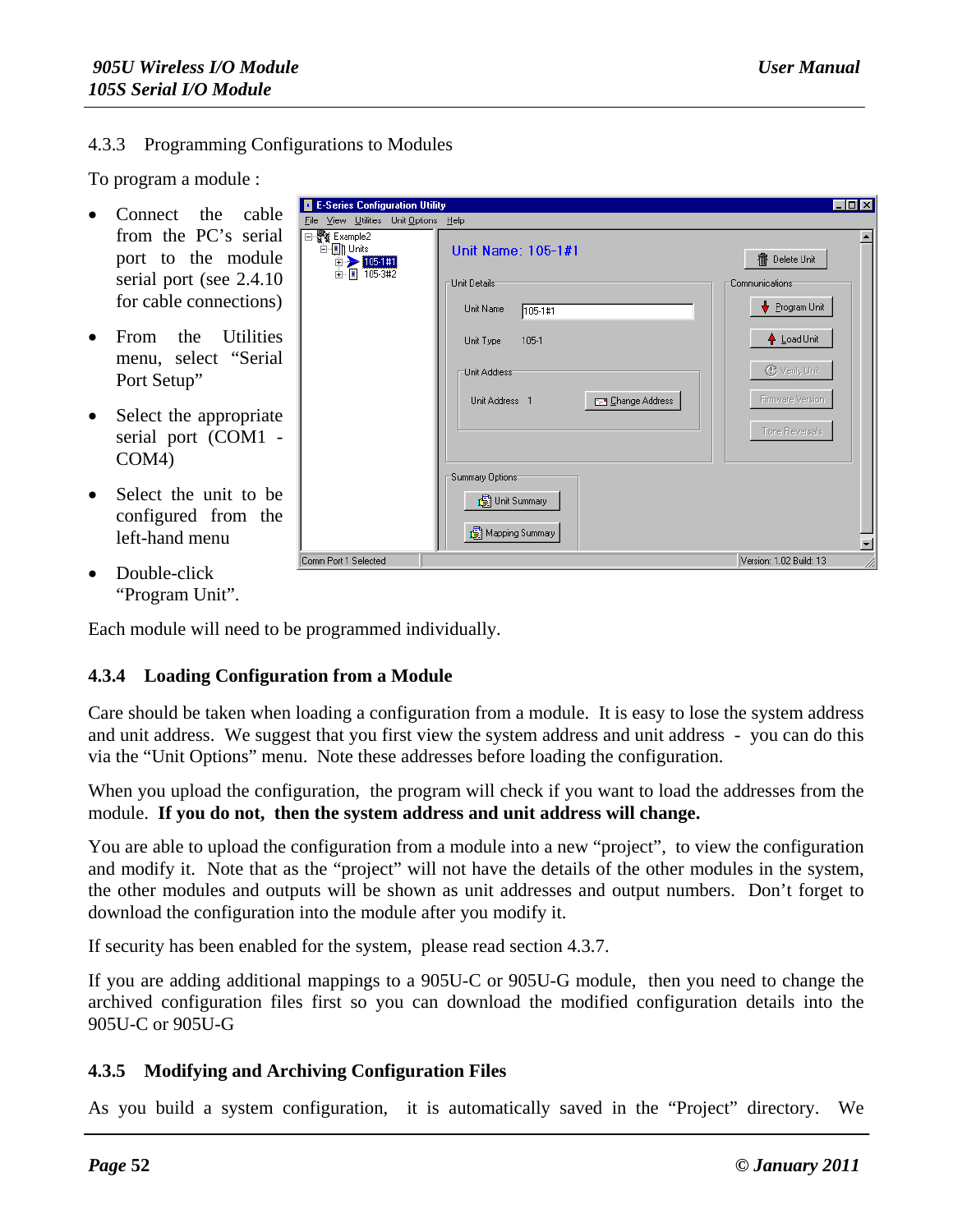#### 4.3.3 Programming Configurations to Modules

To program a module :

- $\bullet$  Connect the cal from the PC's ser port to the modu serial port (see 2.4. for cable connection
- From the Utiliti menu, select "Ser Port Setup"
- $\bullet$  Select the appropriation serial port (COM1 COM4)
- $\bullet$  Select the unit to configured from t left-hand menu
- Double-click "Program Unit".

Each module will need to be programmed individually.

### **4.3.4 Loading Configuration from a Module**

Care should be taken when loading a configuration from a module. It is easy to lose the system address and unit address. We suggest that you first view the system address and unit address - you can do this via the "Unit Options" menu. Note these addresses before loading the configuration.

When you upload the configuration, the program will check if you want to load the addresses from the module. **If you do not, then the system address and unit address will change.**

You are able to upload the configuration from a module into a new "project", to view the configuration and modify it. Note that as the "project" will not have the details of the other modules in the system, the other modules and outputs will be shown as unit addresses and output numbers. Don't forget to download the configuration into the module after you modify it.

If security has been enabled for the system, please read section 4.3.7.

If you are adding additional mappings to a 905U-C or 905U-G module, then you need to change the archived configuration files first so you can download the modified configuration details into the 905U-C or 905U-G

#### **4.3.5 Modifying and Archiving Configuration Files**

As you build a system configuration, it is automatically saved in the "Project" directory. We

| ble        | <b>E-Series Configuration Utility</b>                                          |                                             | $\Box$ DIX                  |
|------------|--------------------------------------------------------------------------------|---------------------------------------------|-----------------------------|
|            | File View Utilities Unit Options Help                                          |                                             |                             |
| ial<br>ule | ⊟ . <sup>खुव</sup> र्दू Example2<br><b>⊟-∭</b> ] Units<br>$\rightarrow$ 105111 | Unit Name: 105-1#1                          | <b>ff</b> Delete Unit       |
| .10        | 由图 105-3#2                                                                     | Unit Details <sup>.</sup>                   | Communications <sup>-</sup> |
| ns)        |                                                                                | Unit Name<br>105-1#1                        | Program Unit                |
| ies        |                                                                                | $105-1$<br>Unit Type                        | ↑ Load Unit                 |
| ial        |                                                                                | Unit Address                                | <b>C</b> Verify Unit        |
| ate        |                                                                                | <b>E-9</b> Change Address<br>Unit Address 1 | Firmware Version            |
|            |                                                                                |                                             | Tone Reversals              |
|            |                                                                                | Summary Options                             |                             |
| be<br>the  |                                                                                | <b>B</b> Unit Summary                       |                             |
|            |                                                                                | Mapping Summary                             | $\overline{\mathbf{r}}$     |
|            | Comm Port 1 Selected                                                           |                                             | Version: 1.02 Build: 13     |
|            |                                                                                |                                             |                             |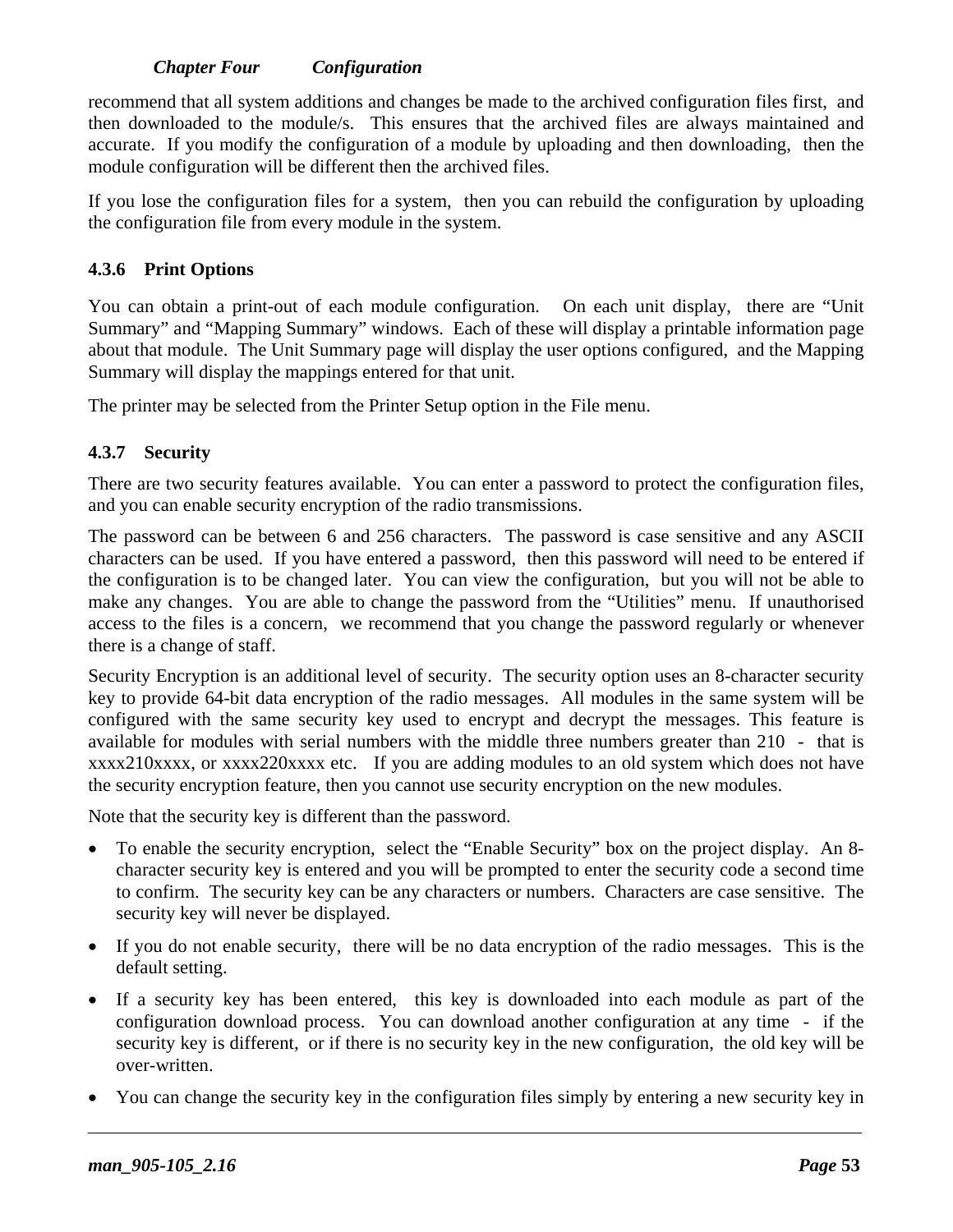recommend that all system additions and changes be made to the archived configuration files first, and then downloaded to the module/s. This ensures that the archived files are always maintained and accurate. If you modify the configuration of a module by uploading and then downloading, then the module configuration will be different then the archived files.

If you lose the configuration files for a system, then you can rebuild the configuration by uploading the configuration file from every module in the system.

### **4.3.6 Print Options**

You can obtain a print-out of each module configuration. On each unit display, there are "Unit Summary" and "Mapping Summary" windows. Each of these will display a printable information page about that module. The Unit Summary page will display the user options configured, and the Mapping Summary will display the mappings entered for that unit.

The printer may be selected from the Printer Setup option in the File menu.

### **4.3.7 Security**

There are two security features available. You can enter a password to protect the configuration files, and you can enable security encryption of the radio transmissions.

The password can be between 6 and 256 characters. The password is case sensitive and any ASCII characters can be used. If you have entered a password, then this password will need to be entered if the configuration is to be changed later. You can view the configuration, but you will not be able to make any changes. You are able to change the password from the "Utilities" menu. If unauthorised access to the files is a concern, we recommend that you change the password regularly or whenever there is a change of staff.

Security Encryption is an additional level of security. The security option uses an 8-character security key to provide 64-bit data encryption of the radio messages. All modules in the same system will be configured with the same security key used to encrypt and decrypt the messages. This feature is available for modules with serial numbers with the middle three numbers greater than 210 - that is xxxx210xxxx, or xxxx220xxxx etc. If you are adding modules to an old system which does not have the security encryption feature, then you cannot use security encryption on the new modules.

Note that the security key is different than the password.

- To enable the security encryption, select the "Enable Security" box on the project display. An 8 character security key is entered and you will be prompted to enter the security code a second time to confirm. The security key can be any characters or numbers. Characters are case sensitive. The security key will never be displayed.
- If you do not enable security, there will be no data encryption of the radio messages. This is the default setting.
- If a security key has been entered, this key is downloaded into each module as part of the configuration download process. You can download another configuration at any time - if the security key is different, or if there is no security key in the new configuration, the old key will be over-written.
- You can change the security key in the configuration files simply by entering a new security key in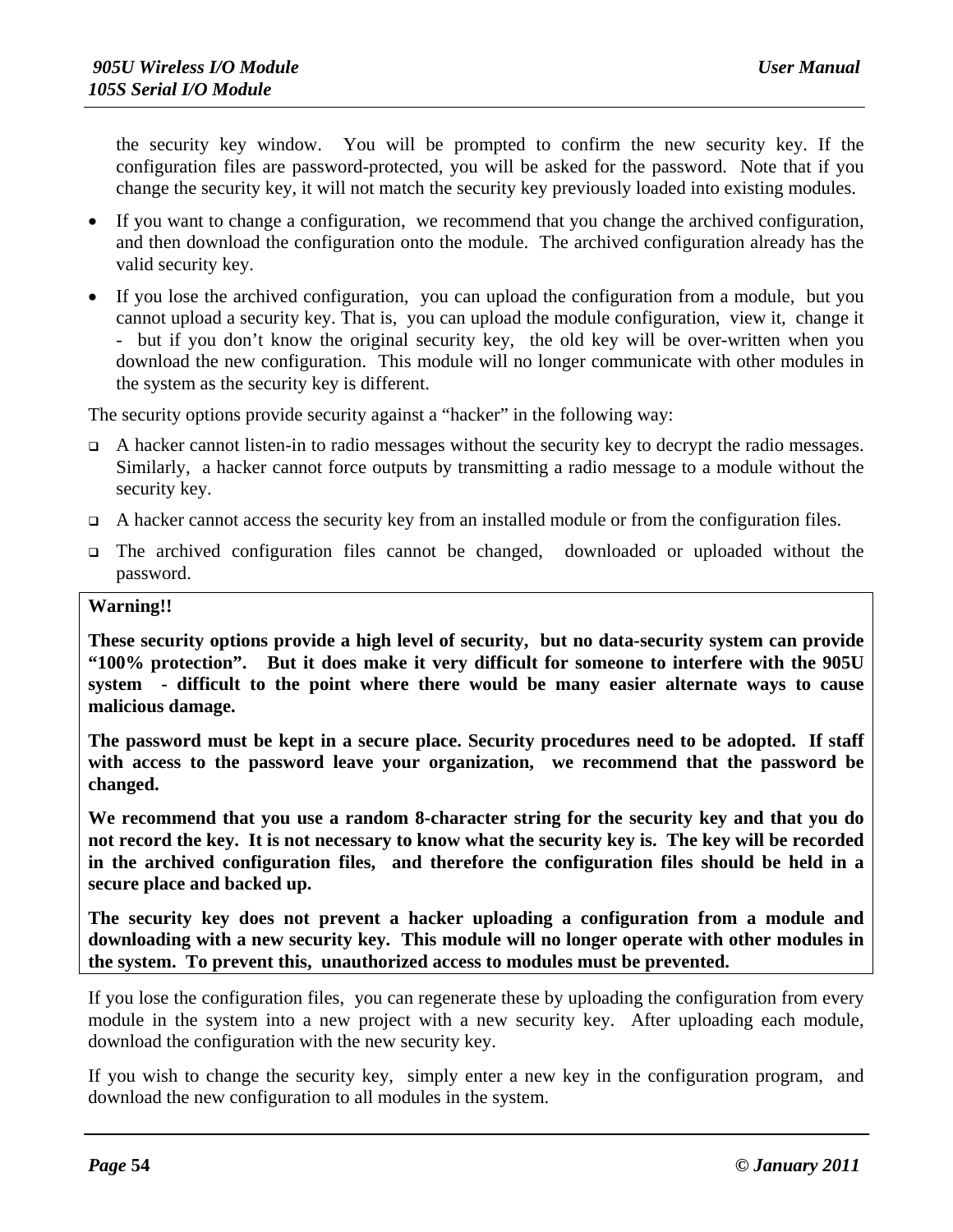the security key window. You will be prompted to confirm the new security key. If the configuration files are password-protected, you will be asked for the password. Note that if you change the security key, it will not match the security key previously loaded into existing modules.

- If you want to change a configuration, we recommend that you change the archived configuration, and then download the configuration onto the module. The archived configuration already has the valid security key.
- If you lose the archived configuration, you can upload the configuration from a module, but you cannot upload a security key. That is, you can upload the module configuration, view it, change it - but if you don't know the original security key, the old key will be over-written when you download the new configuration. This module will no longer communicate with other modules in the system as the security key is different.

The security options provide security against a "hacker" in the following way:

- $\Box$  A hacker cannot listen-in to radio messages without the security key to decrypt the radio messages. Similarly, a hacker cannot force outputs by transmitting a radio message to a module without the security key.
- $\Box$  A hacker cannot access the security key from an installed module or from the configuration files.
- The archived configuration files cannot be changed, downloaded or uploaded without the password.

#### **Warning!!**

**These security options provide a high level of security, but no data-security system can provide "100% protection". But it does make it very difficult for someone to interfere with the 905U system - difficult to the point where there would be many easier alternate ways to cause malicious damage.**

**The password must be kept in a secure place. Security procedures need to be adopted. If staff with access to the password leave your organization, we recommend that the password be changed.**

**We recommend that you use a random 8-character string for the security key and that you do not record the key. It is not necessary to know what the security key is. The key will be recorded in the archived configuration files, and therefore the configuration files should be held in a secure place and backed up.**

**The security key does not prevent a hacker uploading a configuration from a module and downloading with a new security key. This module will no longer operate with other modules in the system. To prevent this, unauthorized access to modules must be prevented.**

If you lose the configuration files, you can regenerate these by uploading the configuration from every module in the system into a new project with a new security key. After uploading each module, download the configuration with the new security key.

If you wish to change the security key, simply enter a new key in the configuration program, and download the new configuration to all modules in the system.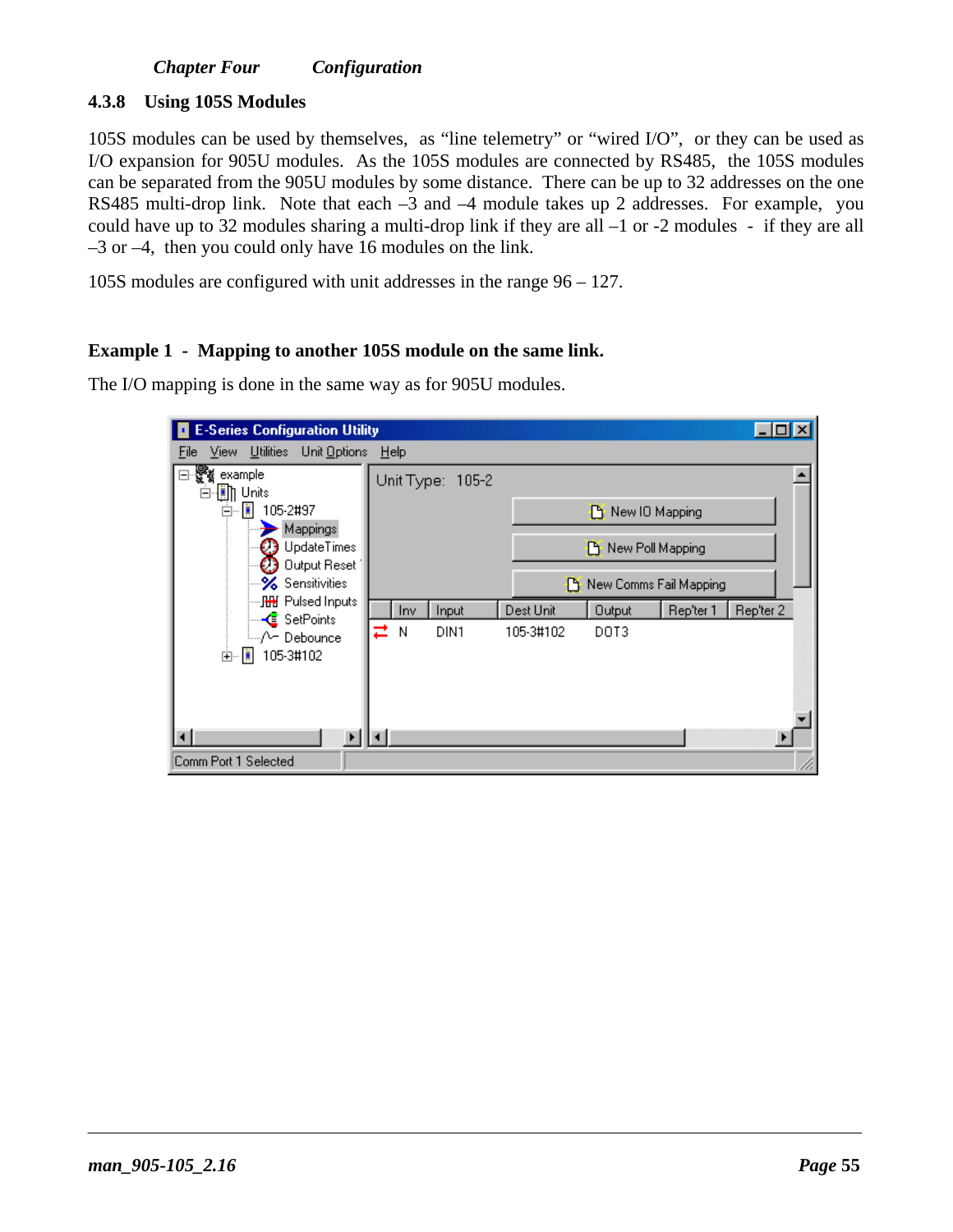#### **4.3.8 Using 105S Modules**

105S modules can be used by themselves, as "line telemetry" or "wired I/O", or they can be used as I/O expansion for 905U modules. As the 105S modules are connected by RS485, the 105S modules can be separated from the 905U modules by some distance. There can be up to 32 addresses on the one RS485 multi-drop link. Note that each –3 and –4 module takes up 2 addresses. For example, you could have up to 32 modules sharing a multi-drop link if they are all –1 or -2 modules - if they are all –3 or –4, then you could only have 16 modules on the link.

105S modules are configured with unit addresses in the range 96 – 127.

#### **Example 1 - Mapping to another 105S module on the same link.**

The I/O mapping is done in the same way as for 905U modules.

| <b>E-Series Configuration Utility</b>          |      |      |                  |           |                        |           | $\Box$ $\Box$ $\times$ |
|------------------------------------------------|------|------|------------------|-----------|------------------------|-----------|------------------------|
| Utilities Unit Options<br><b>View</b><br>Eile. | Help |      |                  |           |                        |           |                        |
| example<br>o<br><b>(iii) Units</b>             |      |      | Unit Type: 105-2 |           |                        |           |                        |
| ò ∏<br>105-2#97                                |      |      |                  |           | New IO Mapping         |           |                        |
| Mappings<br>UpdateTimes<br>Output Reset        |      |      |                  |           | New Poll Mapping       |           |                        |
| <b>≫</b> Sensitivities                         |      |      |                  |           | New Comms Fail Mapping |           |                        |
| — <mark>&lt;</mark> SetPoints                  |      | Inv. | Input            | Dest Unit | Output                 | Rep'ter 1 | Rep'ter 2              |
| i…√∽ Debounce<br>由… 圓<br>105-3#102             | z    | N    | DIN1             | 105-3#102 | DOT3                   |           |                        |
|                                                |      |      |                  |           |                        |           |                        |
|                                                |      |      |                  |           |                        |           |                        |
| Comm Port 1 Selected                           |      |      |                  |           |                        |           |                        |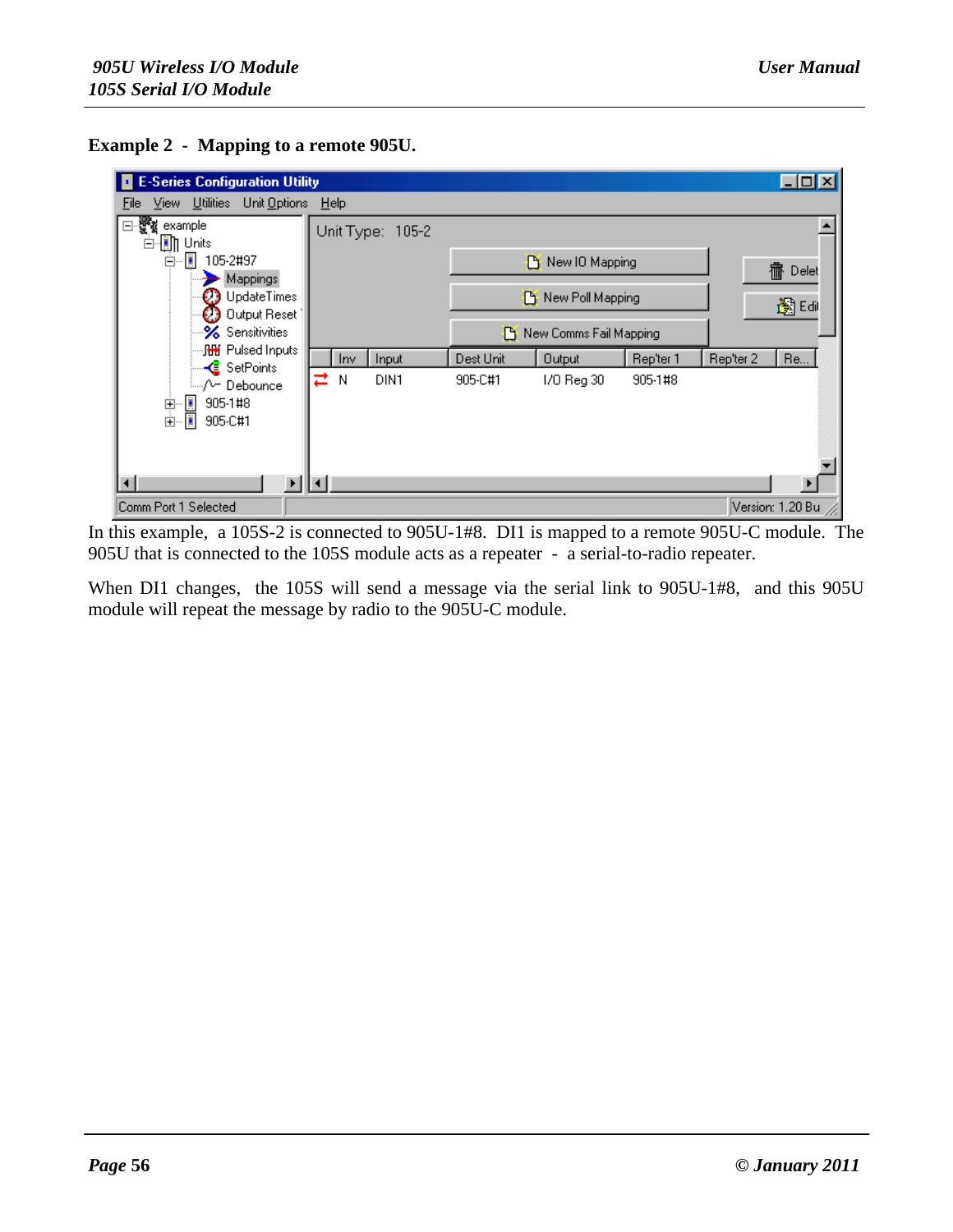



In this example, a 105S-2 is connected to 905U-1#8. DI1 is mapped to a remote 905U-C module. The 905U that is connected to the 105S module acts as a repeater - a serial-to-radio repeater.

When DI1 changes, the 105S will send a message via the serial link to 905U-1#8, and this 905U module will repeat the message by radio to the 905U-C module.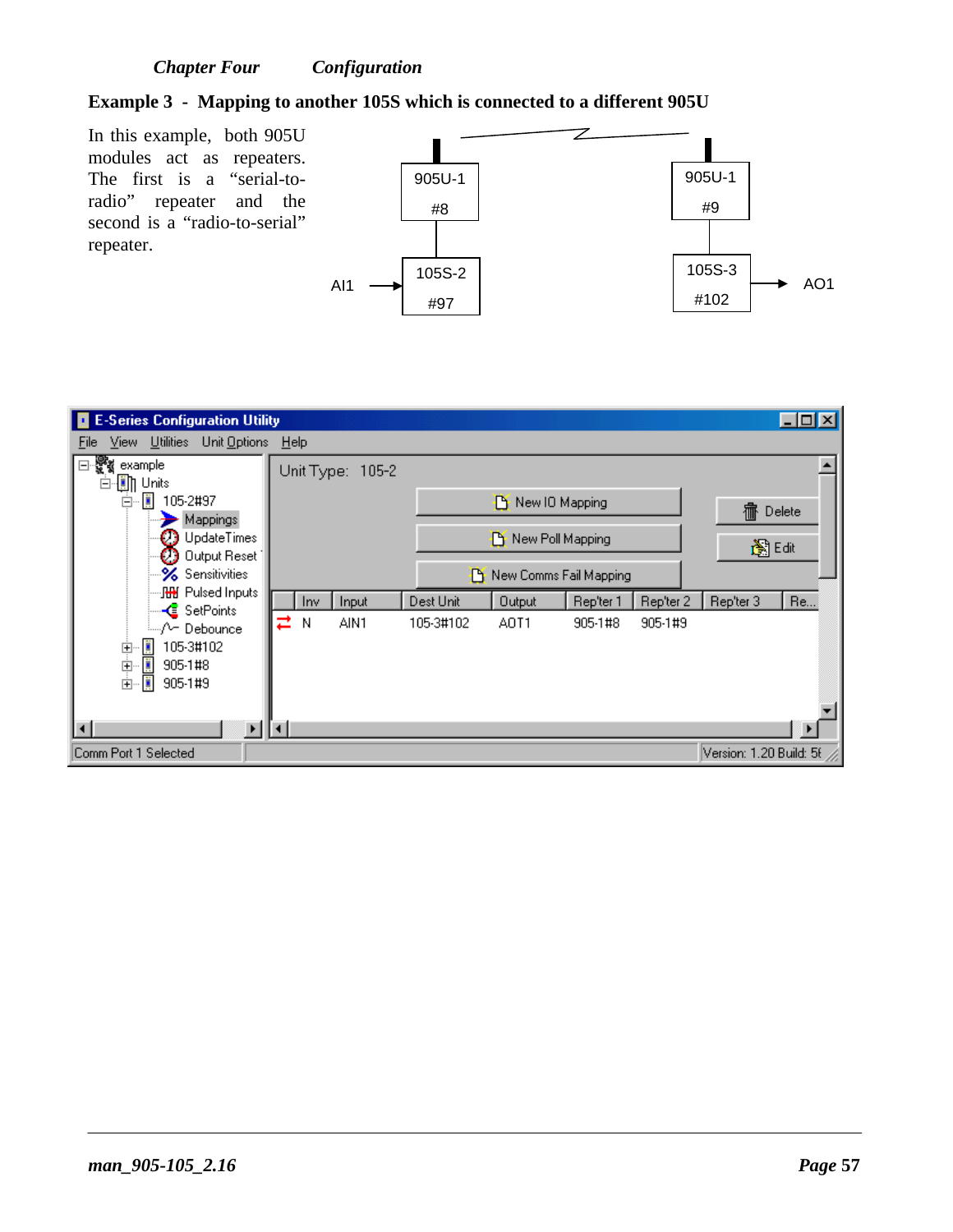#### **Example 3 - Mapping to another 105S which is connected to a different 905U**

In this example, both 905U modules act as repeaters. The first is a "serial-toradio" repeater and the second is a "radio-to-serial" repeater.



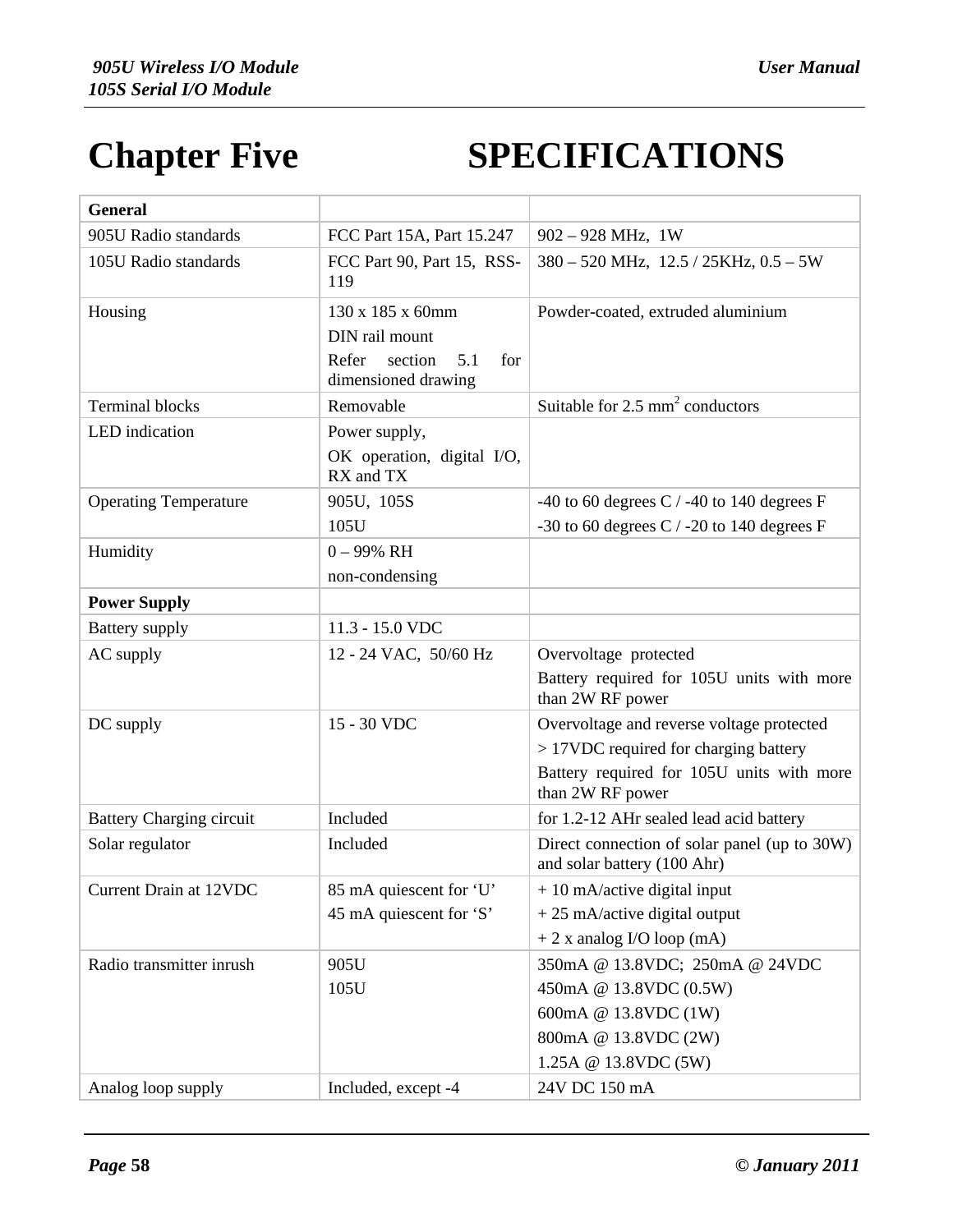# **Chapter Five SPECIFICATIONS**

| <b>General</b>                  |                                                                                             |                                                                                        |
|---------------------------------|---------------------------------------------------------------------------------------------|----------------------------------------------------------------------------------------|
| 905U Radio standards            | FCC Part 15A, Part 15.247                                                                   | $902 - 928$ MHz, 1W                                                                    |
| 105U Radio standards            | FCC Part 90, Part 15, RSS-<br>119                                                           | $380 - 520$ MHz, $12.5 / 25$ KHz, $0.5 - 5$ W                                          |
| Housing                         | 130 x 185 x 60mm<br>DIN rail mount<br>5.1<br>for<br>Refer<br>section<br>dimensioned drawing | Powder-coated, extruded aluminium                                                      |
| <b>Terminal blocks</b>          | Removable                                                                                   | Suitable for $2.5 \text{ mm}^2$ conductors                                             |
| LED indication                  | Power supply,<br>OK operation, digital I/O,<br>RX and TX                                    |                                                                                        |
| <b>Operating Temperature</b>    | 905U, 105S                                                                                  | -40 to 60 degrees C $/$ -40 to 140 degrees F                                           |
|                                 | 105U                                                                                        | -30 to 60 degrees C $/$ -20 to 140 degrees F                                           |
| Humidity                        | $0 - 99\%$ RH                                                                               |                                                                                        |
|                                 | non-condensing                                                                              |                                                                                        |
| <b>Power Supply</b>             |                                                                                             |                                                                                        |
| <b>Battery</b> supply           | 11.3 - 15.0 VDC                                                                             |                                                                                        |
| AC supply                       | 12 - 24 VAC, 50/60 Hz                                                                       | Overvoltage protected<br>Battery required for 105U units with more<br>than 2W RF power |
| DC supply                       | 15 - 30 VDC                                                                                 | Overvoltage and reverse voltage protected                                              |
|                                 |                                                                                             | > 17VDC required for charging battery                                                  |
|                                 |                                                                                             | Battery required for 105U units with more<br>than 2W RF power                          |
| <b>Battery Charging circuit</b> | Included                                                                                    | for 1.2-12 AHr sealed lead acid battery                                                |
| Solar regulator                 | Included                                                                                    | Direct connection of solar panel (up to 30W)<br>and solar battery (100 Ahr)            |
| Current Drain at 12VDC          | 85 mA quiescent for 'U'                                                                     | $+10$ mA/active digital input                                                          |
|                                 | 45 mA quiescent for 'S'                                                                     | $+25$ mA/active digital output                                                         |
|                                 |                                                                                             | $+2x$ analog I/O loop (mA)                                                             |
| Radio transmitter inrush        | 905U                                                                                        | 350mA @ 13.8VDC; 250mA @ 24VDC                                                         |
|                                 | 105U                                                                                        | 450mA @ 13.8VDC (0.5W)                                                                 |
|                                 |                                                                                             | 600mA @ 13.8VDC (1W)                                                                   |
|                                 |                                                                                             | 800mA @ 13.8VDC (2W)                                                                   |
|                                 |                                                                                             | 1.25A @ 13.8VDC (5W)                                                                   |
| Analog loop supply              | Included, except -4                                                                         | 24V DC 150 mA                                                                          |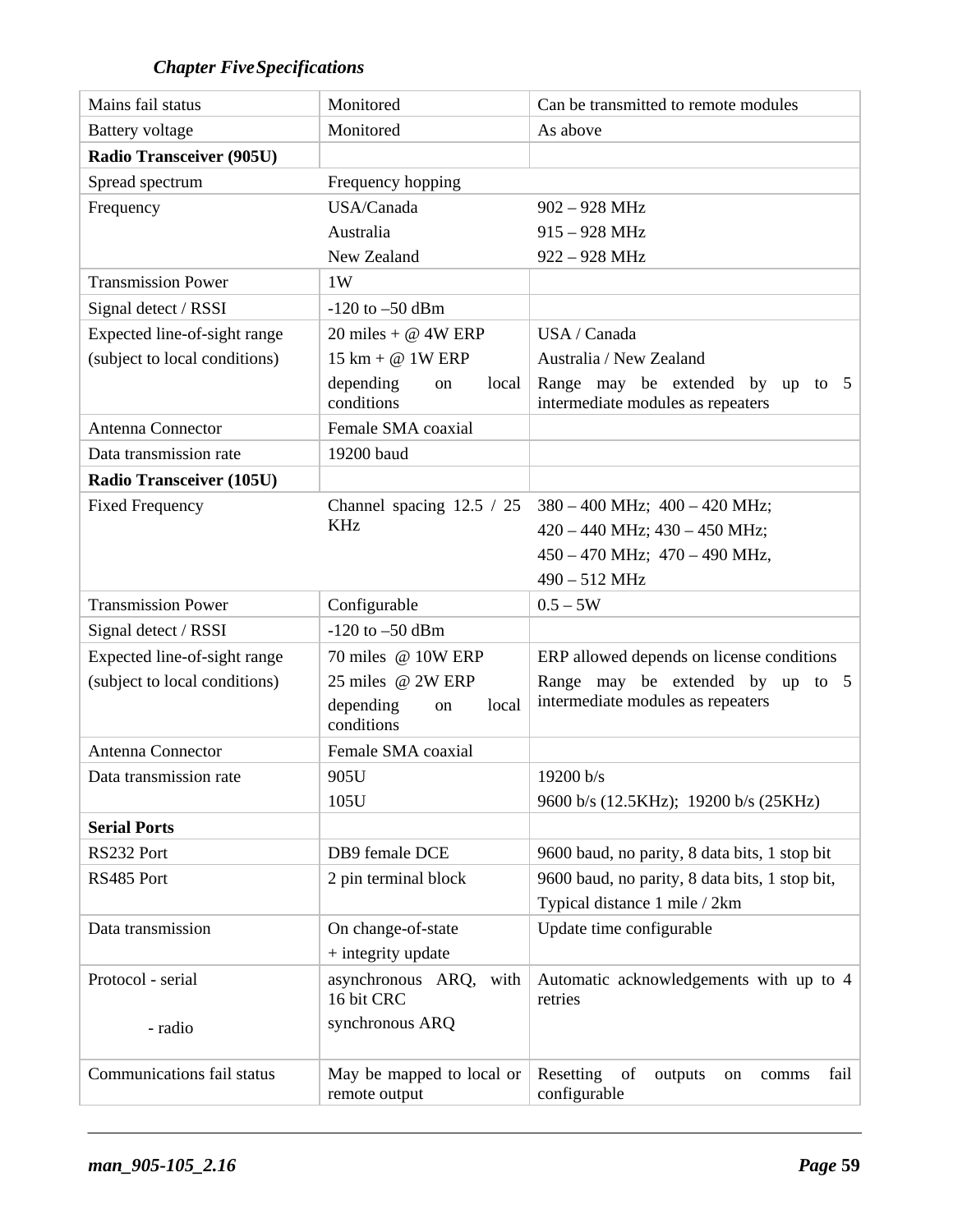## *Chapter FiveSpecifications*

| Mains fail status               | Monitored                                  | Can be transmitted to remote modules                                  |
|---------------------------------|--------------------------------------------|-----------------------------------------------------------------------|
| <b>Battery</b> voltage          | Monitored                                  | As above                                                              |
| <b>Radio Transceiver (905U)</b> |                                            |                                                                       |
| Spread spectrum                 | Frequency hopping                          |                                                                       |
| Frequency                       | USA/Canada                                 | $902 - 928$ MHz                                                       |
|                                 | Australia                                  | $915 - 928$ MHz                                                       |
|                                 | New Zealand                                | 922 - 928 MHz                                                         |
| <b>Transmission Power</b>       | 1W                                         |                                                                       |
| Signal detect / RSSI            | $-120$ to $-50$ dBm                        |                                                                       |
| Expected line-of-sight range    | 20 miles + $@$ 4W ERP                      | USA / Canada                                                          |
| (subject to local conditions)   | $15 \text{ km} + \textcircled{a}$ 1W ERP   | Australia / New Zealand                                               |
|                                 | depending<br>local<br>on<br>conditions     | Range may be extended by up to 5<br>intermediate modules as repeaters |
| Antenna Connector               | Female SMA coaxial                         |                                                                       |
| Data transmission rate          | 19200 baud                                 |                                                                       |
| <b>Radio Transceiver (105U)</b> |                                            |                                                                       |
| <b>Fixed Frequency</b>          | Channel spacing $12.5 / 25$                | $380 - 400$ MHz; $400 - 420$ MHz;                                     |
|                                 | <b>KHz</b>                                 | $420 - 440$ MHz; $430 - 450$ MHz;                                     |
|                                 |                                            | $450 - 470$ MHz; $470 - 490$ MHz,                                     |
|                                 |                                            | 490 - 512 MHz                                                         |
| <b>Transmission Power</b>       | Configurable                               | $0.5 - 5W$                                                            |
| Signal detect / RSSI            | $-120$ to $-50$ dBm                        |                                                                       |
| Expected line-of-sight range    | 70 miles @ 10W ERP                         | ERP allowed depends on license conditions                             |
| (subject to local conditions)   | 25 miles @ 2W ERP                          | Range may be extended by up to 5                                      |
|                                 | depending<br>local<br>on<br>conditions     | intermediate modules as repeaters                                     |
| Antenna Connector               | Female SMA coaxial                         |                                                                       |
| Data transmission rate          | 905U                                       | 19200 b/s                                                             |
|                                 | 105U                                       | 9600 b/s (12.5KHz); 19200 b/s (25KHz)                                 |
| <b>Serial Ports</b>             |                                            |                                                                       |
| RS232 Port                      | DB9 female DCE                             | 9600 baud, no parity, 8 data bits, 1 stop bit                         |
| RS485 Port                      | 2 pin terminal block                       | 9600 baud, no parity, 8 data bits, 1 stop bit,                        |
|                                 |                                            | Typical distance 1 mile / 2km                                         |
| Data transmission               | On change-of-state                         | Update time configurable                                              |
|                                 | + integrity update                         |                                                                       |
| Protocol - serial               | asynchronous ARQ,<br>with<br>16 bit CRC    | Automatic acknowledgements with up to 4<br>retries                    |
| - radio                         | synchronous ARQ                            |                                                                       |
| Communications fail status      | May be mapped to local or<br>remote output | Resetting<br>of<br>fail<br>outputs<br>comms<br>on<br>configurable     |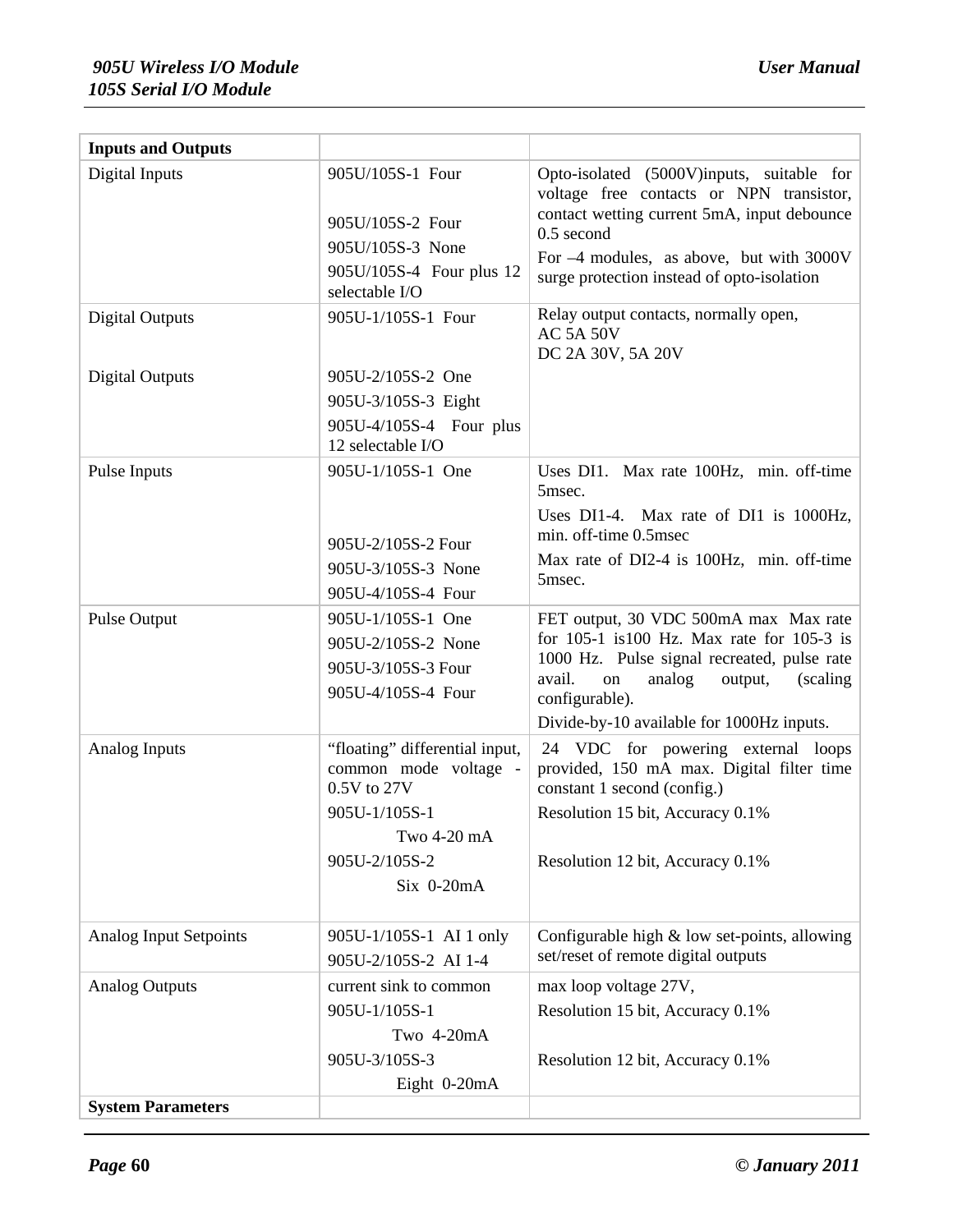| <b>Inputs and Outputs</b> |                                                                                                                                            |                                                                                                                                                                                                                                                |
|---------------------------|--------------------------------------------------------------------------------------------------------------------------------------------|------------------------------------------------------------------------------------------------------------------------------------------------------------------------------------------------------------------------------------------------|
| Digital Inputs            | 905U/105S-1 Four<br>905U/105S-2 Four<br>905U/105S-3 None<br>905U/105S-4 Four plus 12<br>selectable I/O                                     | Opto-isolated (5000V)inputs, suitable for<br>voltage free contacts or NPN transistor,<br>contact wetting current 5mA, input debounce<br>$0.5$ second<br>For -4 modules, as above, but with 3000V<br>surge protection instead of opto-isolation |
| <b>Digital Outputs</b>    | 905U-1/105S-1 Four                                                                                                                         | Relay output contacts, normally open,<br><b>AC 5A 50V</b><br>DC 2A 30V, 5A 20V                                                                                                                                                                 |
| <b>Digital Outputs</b>    | 905U-2/105S-2 One<br>905U-3/105S-3 Eight<br>905U-4/105S-4 Four plus<br>12 selectable I/O                                                   |                                                                                                                                                                                                                                                |
| Pulse Inputs              | 905U-1/105S-1 One                                                                                                                          | Uses DI1. Max rate 100Hz, min. off-time<br>5msec.<br>Uses DI1-4. Max rate of DI1 is 1000Hz,                                                                                                                                                    |
|                           | 905U-2/105S-2 Four<br>905U-3/105S-3 None<br>905U-4/105S-4 Four                                                                             | min. off-time 0.5msec<br>Max rate of DI2-4 is 100Hz, min. off-time<br>5msec.                                                                                                                                                                   |
| Pulse Output              | 905U-1/105S-1 One<br>905U-2/105S-2 None<br>905U-3/105S-3 Four<br>905U-4/105S-4 Four                                                        | FET output, 30 VDC 500mA max Max rate<br>for $105-1$ is 100 Hz. Max rate for 105-3 is<br>1000 Hz. Pulse signal recreated, pulse rate<br>avail.<br>on<br>analog<br>output,<br>(scaling)<br>configurable).                                       |
|                           |                                                                                                                                            | Divide-by-10 available for 1000Hz inputs.                                                                                                                                                                                                      |
| Analog Inputs             | "floating" differential input,<br>common mode voltage -<br>0.5V to 27V<br>905U-1/105S-1<br>Two 4-20 mA<br>905U-2/105S-2<br>$Six$ 0-20 $mA$ | 24 VDC for powering external loops<br>provided, 150 mA max. Digital filter time<br>constant 1 second (config.)<br>Resolution 15 bit, Accuracy 0.1%<br>Resolution 12 bit, Accuracy 0.1%                                                         |
| Analog Input Setpoints    | 905U-1/105S-1 AI 1 only<br>905U-2/105S-2 AI 1-4                                                                                            | Configurable high $&$ low set-points, allowing<br>set/reset of remote digital outputs                                                                                                                                                          |
| <b>Analog Outputs</b>     | current sink to common<br>905U-1/105S-1<br>Two 4-20mA                                                                                      | max loop voltage 27V,<br>Resolution 15 bit, Accuracy 0.1%                                                                                                                                                                                      |
|                           | 905U-3/105S-3<br>Eight 0-20mA                                                                                                              | Resolution 12 bit, Accuracy 0.1%                                                                                                                                                                                                               |
| <b>System Parameters</b>  |                                                                                                                                            |                                                                                                                                                                                                                                                |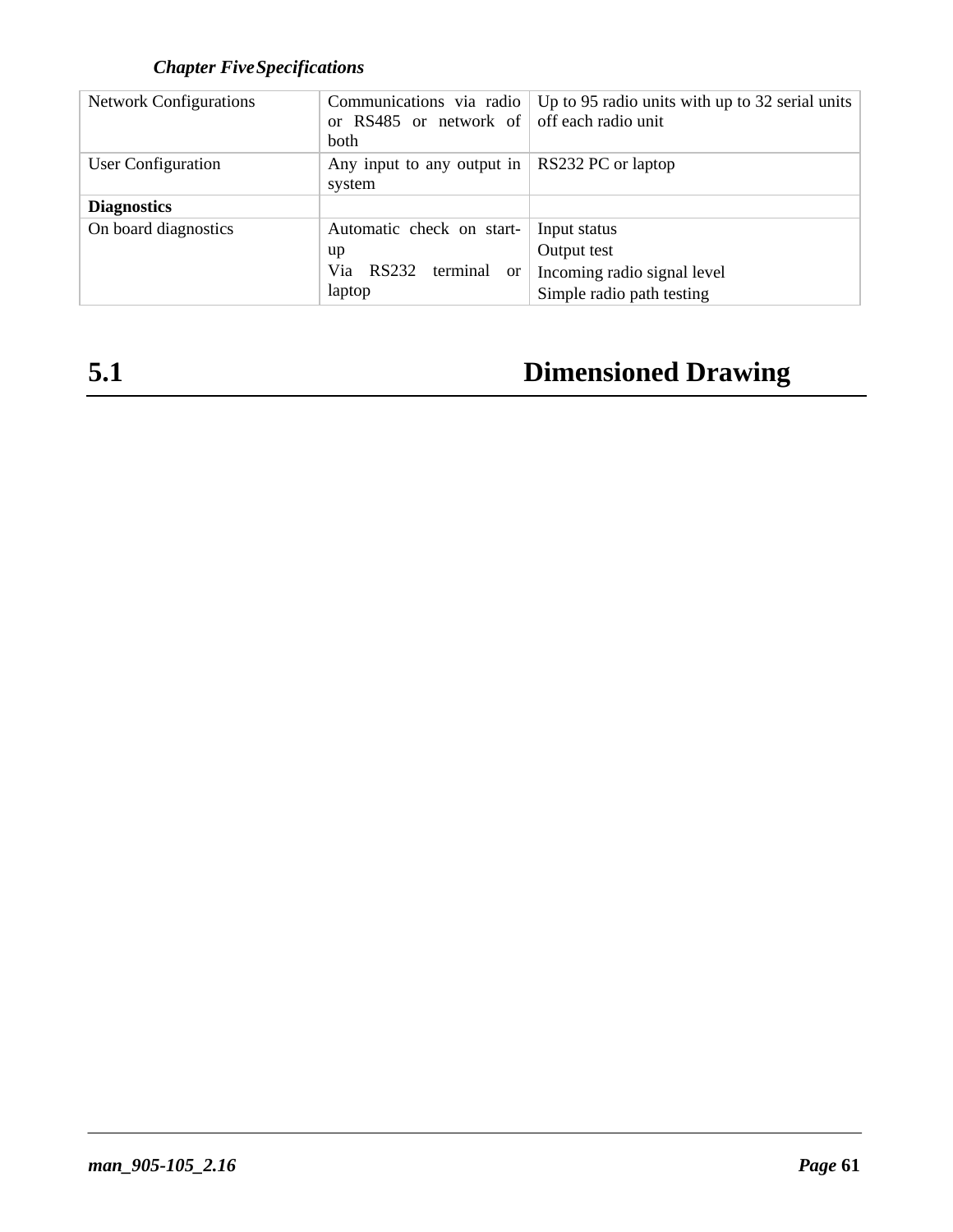## *Chapter FiveSpecifications*

| <b>Network Configurations</b> | or RS485 or network of off each radio unit<br>both | Communications via radio   Up to 95 radio units with up to 32 serial units |  |  |
|-------------------------------|----------------------------------------------------|----------------------------------------------------------------------------|--|--|
| User Configuration            | Any input to any output in $\vert$<br>system       | RS232 PC or laptop                                                         |  |  |
| <b>Diagnostics</b>            |                                                    |                                                                            |  |  |
| On board diagnostics          | Automatic check on start-                          | Input status                                                               |  |  |
|                               | up                                                 | Output test                                                                |  |  |
|                               | RS232<br>Via<br>terminal<br><sub>or</sub>          | Incoming radio signal level                                                |  |  |
|                               | laptop                                             | Simple radio path testing                                                  |  |  |

## **5.1 Dimensioned Drawing**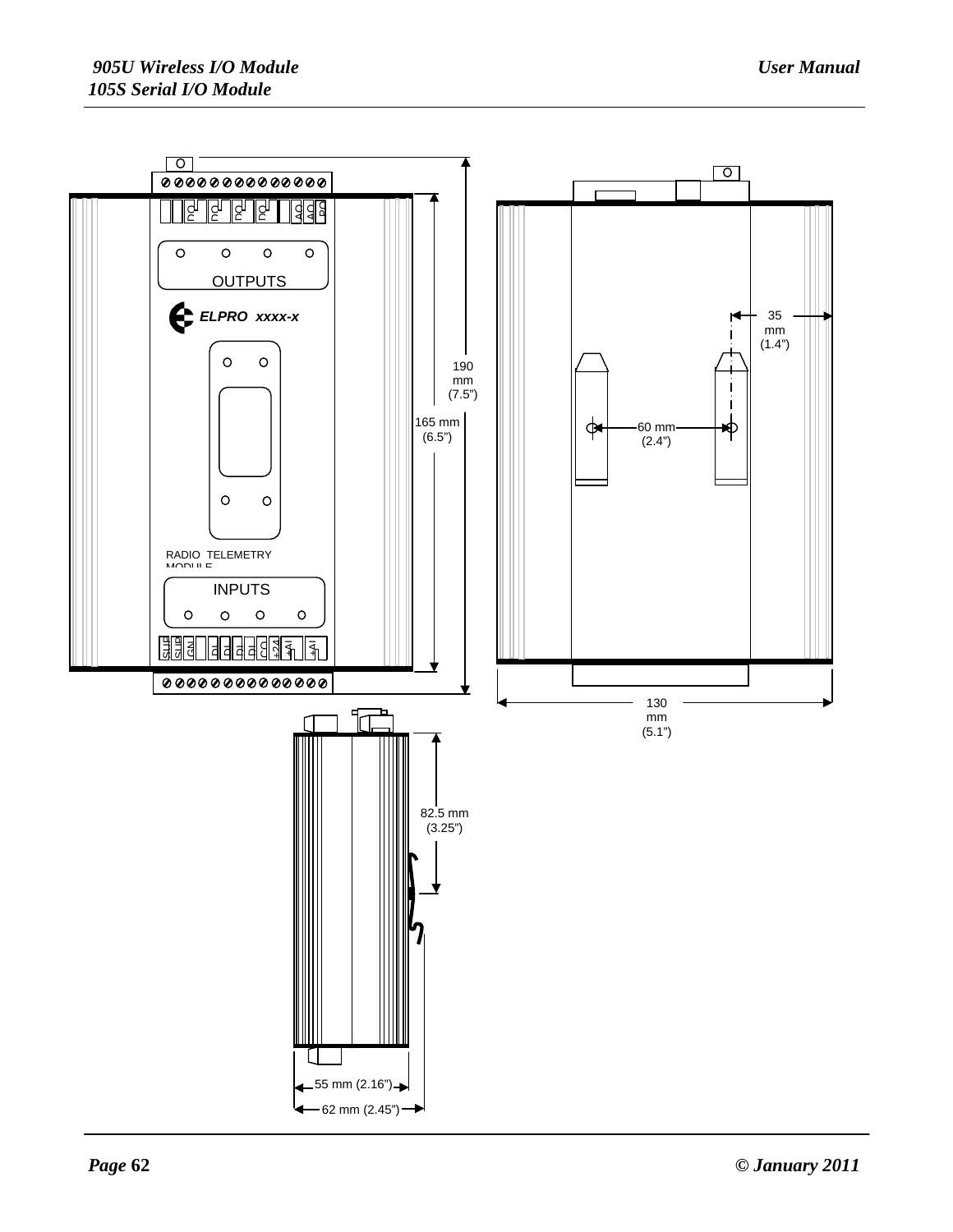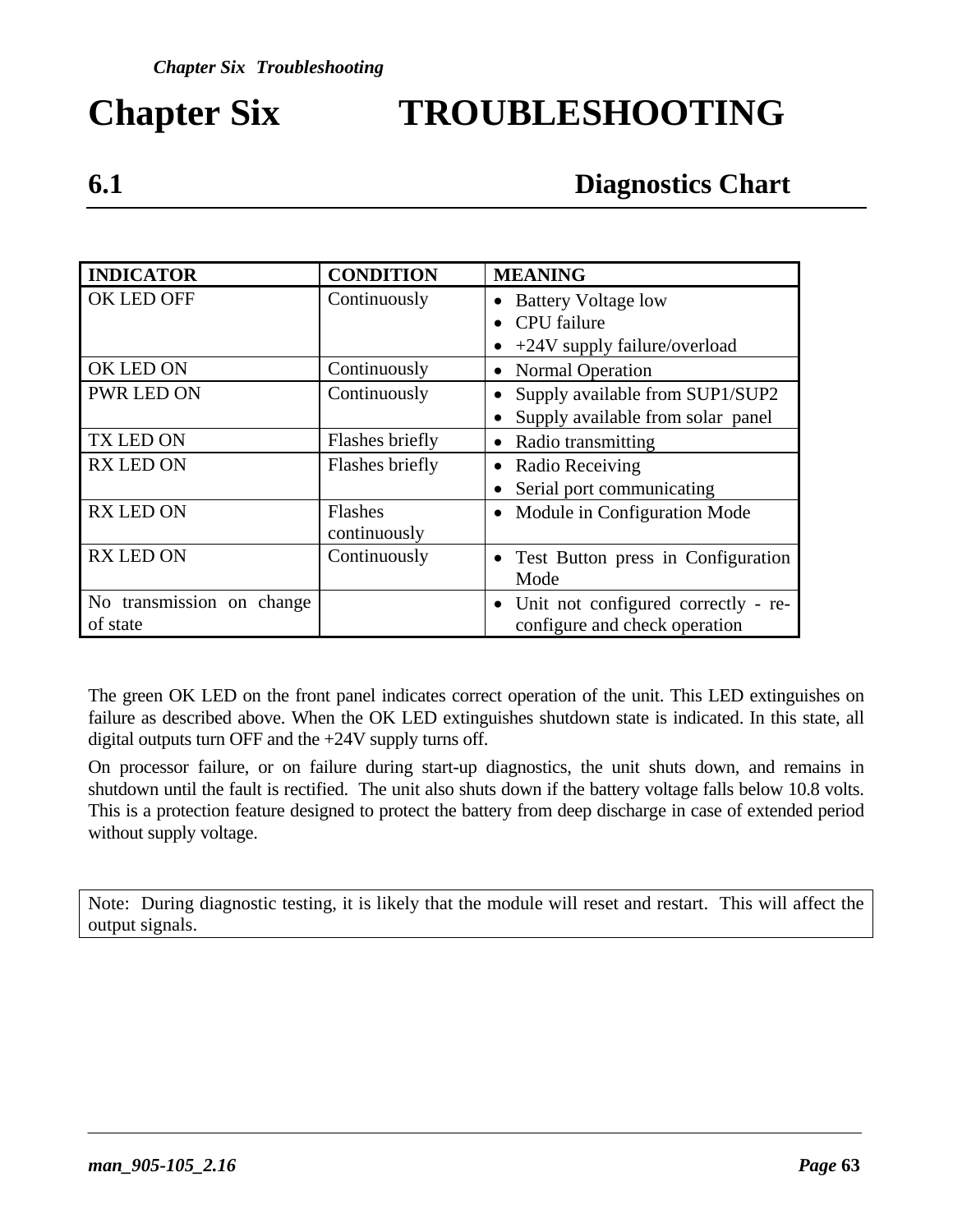# **Chapter Six TROUBLESHOOTING**

## **6.1 Diagnostics Chart**

| <b>INDICATOR</b>          | <b>CONDITION</b> | <b>MEANING</b>                            |
|---------------------------|------------------|-------------------------------------------|
| OK LED OFF                | Continuously     | <b>Battery Voltage low</b><br>$\bullet$   |
|                           |                  | CPU failure                               |
|                           |                  | +24V supply failure/overload<br>$\bullet$ |
| OK LED ON                 | Continuously     | <b>Normal Operation</b><br>$\bullet$      |
| <b>PWR LED ON</b>         | Continuously     | Supply available from SUP1/SUP2           |
|                           |                  | Supply available from solar panel         |
| TX LED ON                 | Flashes briefly  | Radio transmitting                        |
| <b>RX LED ON</b>          | Flashes briefly  | Radio Receiving<br>$\bullet$              |
|                           |                  | Serial port communicating                 |
| <b>RX LED ON</b>          | Flashes          | Module in Configuration Mode              |
|                           | continuously     |                                           |
| <b>RX LED ON</b>          | Continuously     | Test Button press in Configuration        |
|                           |                  | Mode                                      |
| No transmission on change |                  | • Unit not configured correctly - re-     |
| of state                  |                  | configure and check operation             |

The green OK LED on the front panel indicates correct operation of the unit. This LED extinguishes on failure as described above. When the OK LED extinguishes shutdown state is indicated. In this state, all digital outputs turn OFF and the +24V supply turns off.

On processor failure, or on failure during start-up diagnostics, the unit shuts down, and remains in shutdown until the fault is rectified.The unit also shuts down if the battery voltage falls below 10.8 volts. This is a protection feature designed to protect the battery from deep discharge in case of extended period without supply voltage.

Note: During diagnostic testing, it is likely that the module will reset and restart. This will affect the output signals.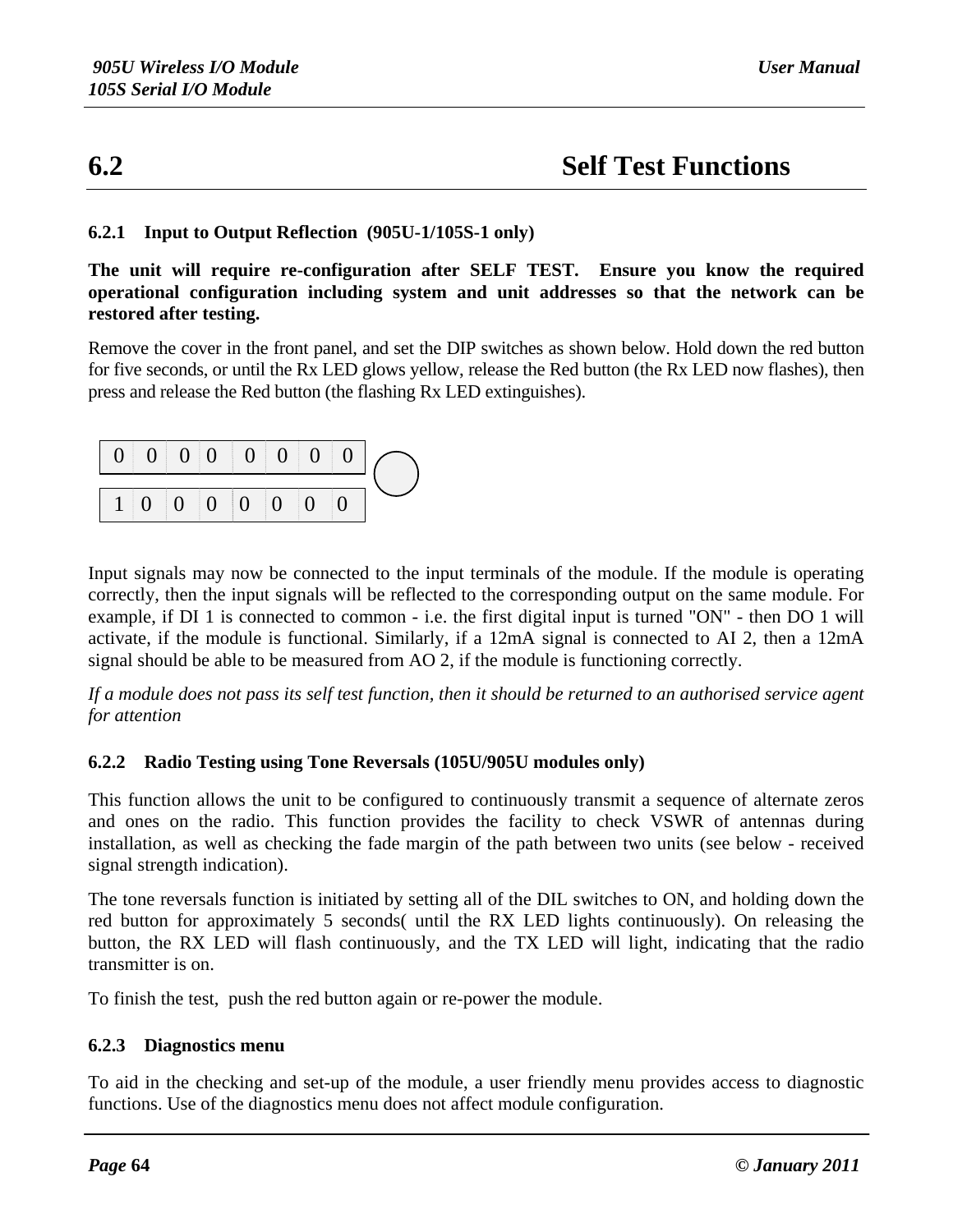## **6.2 Self Test Functions**

#### **6.2.1 Input to Output Reflection (905U-1/105S-1 only)**

**The unit will require re-configuration after SELF TEST. Ensure you know the required operational configuration including system and unit addresses so that the network can be restored after testing.**

Remove the cover in the front panel, and set the DIP switches as shown below. Hold down the red button for five seconds, or until the Rx LED glows yellow, release the Red button (the Rx LED now flashes), then press and release the Red button (the flashing Rx LED extinguishes).

|  |  |                                                      |  | 0 0 0 0 0 0 0 0 0 |  |
|--|--|------------------------------------------------------|--|-------------------|--|
|  |  | $1 \mid 0 \mid 0 \mid 0 \mid 0 \mid 0 \mid 0 \mid 0$ |  |                   |  |

Input signals may now be connected to the input terminals of the module. If the module is operating correctly, then the input signals will be reflected to the corresponding output on the same module. For example, if DI 1 is connected to common - i.e. the first digital input is turned "ON" - then DO 1 will activate, if the module is functional. Similarly, if a 12mA signal is connected to AI 2, then a 12mA signal should be able to be measured from AO 2, if the module is functioning correctly.

*If a module does not pass its self test function, then it should be returned to an authorised service agent for attention*

#### **6.2.2 Radio Testing using Tone Reversals (105U/905U modules only)**

This function allows the unit to be configured to continuously transmit a sequence of alternate zeros and ones on the radio. This function provides the facility to check VSWR of antennas during installation, as well as checking the fade margin of the path between two units (see below - received signal strength indication).

The tone reversals function is initiated by setting all of the DIL switches to ON, and holding down the red button for approximately 5 seconds( until the RX LED lights continuously). On releasing the button, the RX LED will flash continuously, and the TX LED will light, indicating that the radio transmitter is on.

To finish the test, push the red button again or re-power the module.

#### **6.2.3 Diagnostics menu**

To aid in the checking and set-up of the module, a user friendly menu provides access to diagnostic functions. Use of the diagnostics menu does not affect module configuration.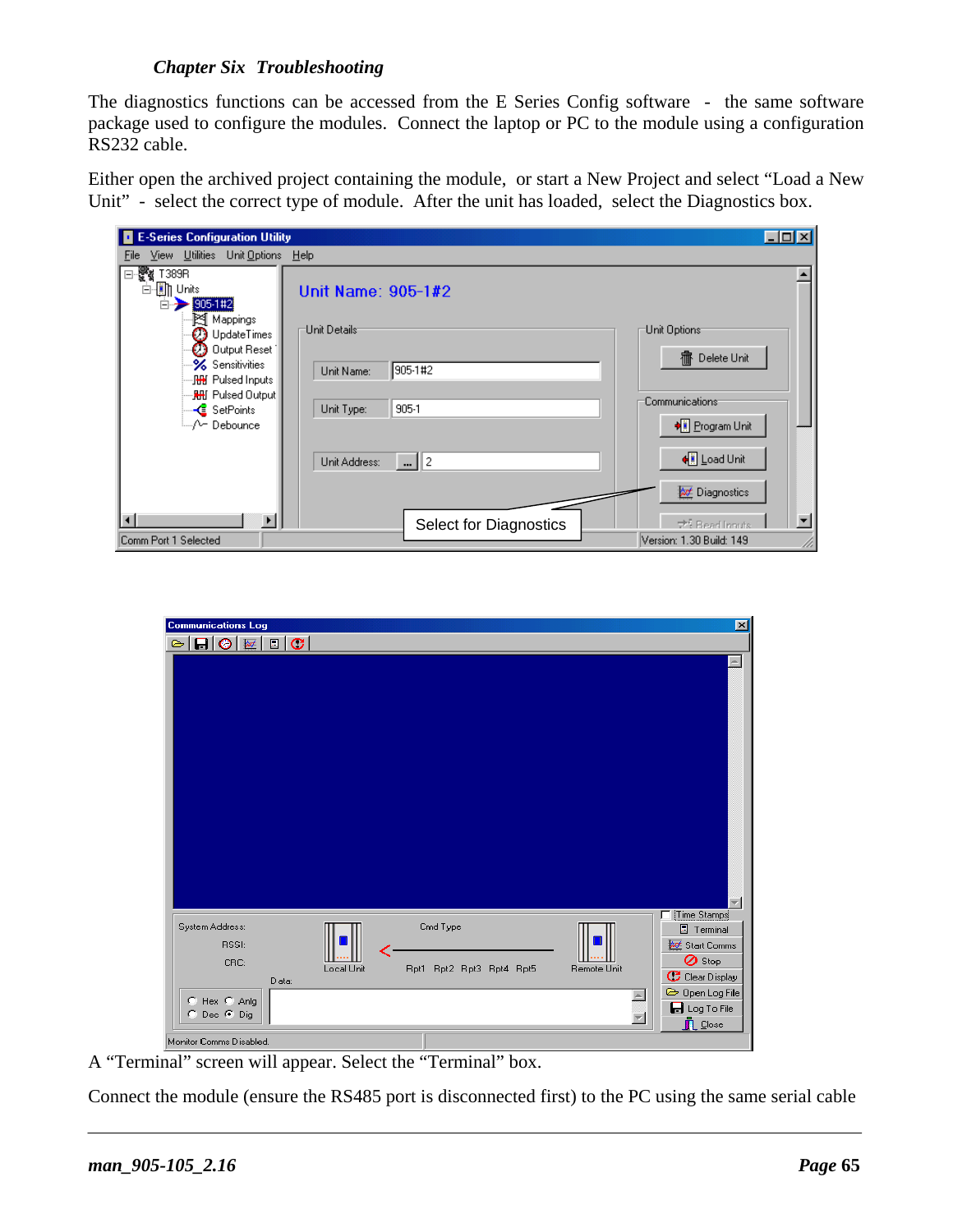#### *Chapter Six Troubleshooting*

The diagnostics functions can be accessed from the E Series Config software - the same software package used to configure the modules. Connect the laptop or PC to the module using a configuration RS232 cable.

Either open the archived project containing the module, or start a New Project and select "Load a New Unit" - select the correct type of module. After the unit has loaded, select the Diagnostics box.

| E-Series Configuration Utility                                                    |                                                                | $\Box$ ol $\times$ |
|-----------------------------------------------------------------------------------|----------------------------------------------------------------|--------------------|
| View Utilities Unit Options<br>File                                               | Help                                                           |                    |
| ⊟∙क्षुैँद्<br>T389R<br>⊟- <b>Ein</b> Units<br>$= 905 - 142$                       | Unit Name: 905-1#2                                             |                    |
| Mappings<br>$\mathcal{O}$ UpdateTimes<br><b>2</b> Output Reset                    | Unit Details <sup>.</sup><br>Unit Options <sup>.</sup>         |                    |
| <b>‰</b> Sensitivities<br>…JHH Pulsed Inputs<br>… <mark>RH</mark> I Pulsed Output | Delete Unit<br>癤<br>905-1#2<br>Unit Name:                      |                    |
| — <mark>&lt;</mark> SetPoints<br>i…/∽ Debounce                                    | <b>Communications</b><br>905-1<br>Unit Type:<br>→ Program Unit |                    |
|                                                                                   | ← Load Unit<br>$\  \cdot \ $ 2<br>Unit Address:                |                    |
|                                                                                   | <b>A</b> Diagnostics                                           |                    |
| $\blacksquare$                                                                    | Select for Diagnostics<br>→ Bead Innuts                        |                    |
| Comm Port 1 Selected                                                              | Version: 1.30 Build: 149                                       |                    |

| <b>Communications Log</b>                                                                  |       |            |                                      |             | 区                                                                                                                                                     |
|--------------------------------------------------------------------------------------------|-------|------------|--------------------------------------|-------------|-------------------------------------------------------------------------------------------------------------------------------------------------------|
| $ \mathbf{G} \otimes \mathbf{E} \mathbf{E} \mathbf{C} $<br>$\approx$                       |       |            |                                      |             |                                                                                                                                                       |
|                                                                                            |       |            |                                      |             | ×.                                                                                                                                                    |
| System Address:<br>RSSI:<br>CRC:<br>C Hex C Anlg<br>© Dec ⊙ Dig<br>Monitor Comms Disabled. | Data: | Local Unit | Cmd Type<br>Rpt1 Rpt2 Rpt3 Rpt4 Rpt5 | Remote Unit | Time Stamps<br>$\Box$ Terminal<br>Start Comms<br><b>⊘</b> Stop<br>C Clear Display<br>Open Log File<br><b>d</b> Log To File<br>$\mathbf{\Gamma}$ Close |

A "Terminal" screen will appear. Select the "Terminal" box.

Connect the module (ensure the RS485 port is disconnected first) to the PC using the same serial cable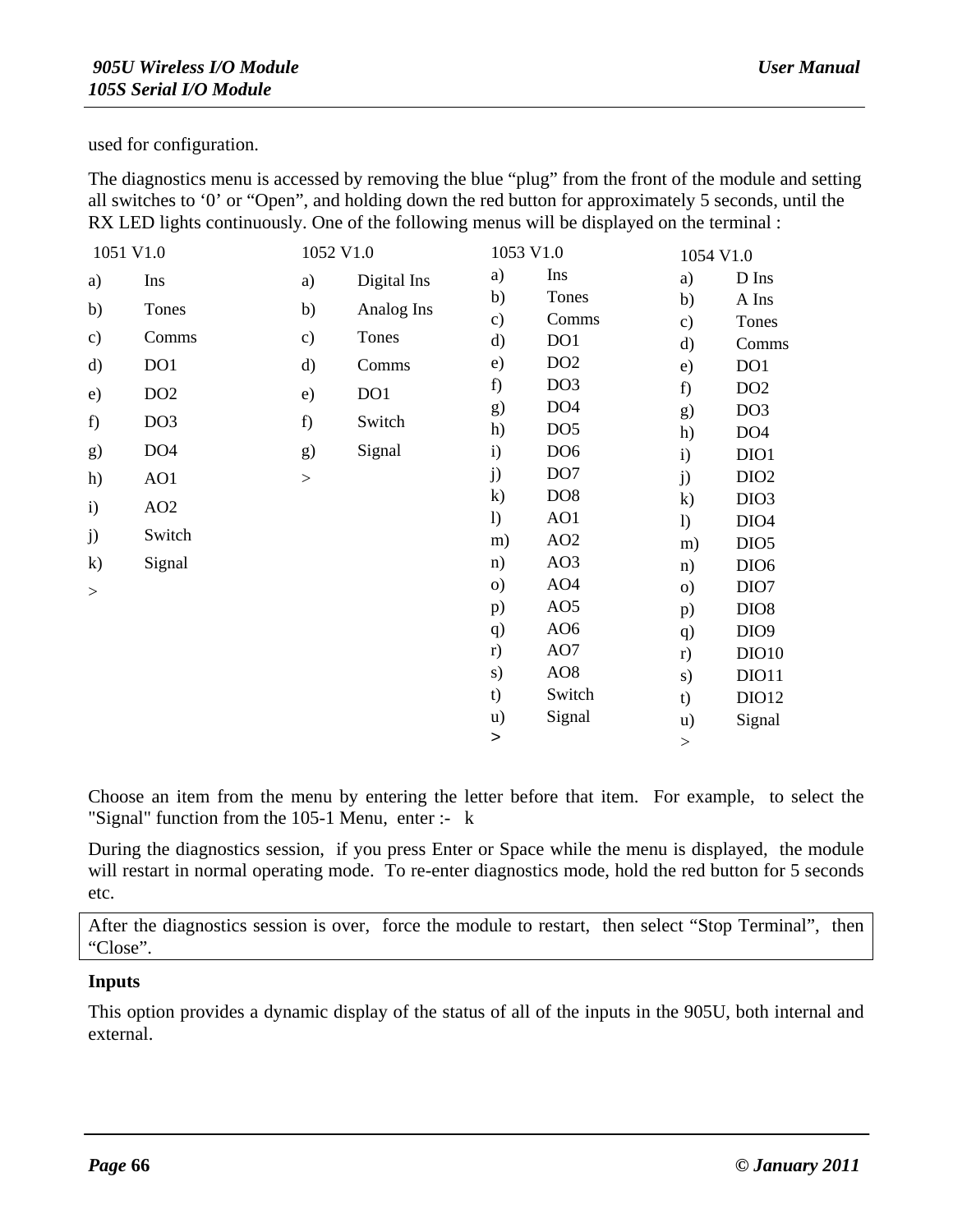used for configuration.

The diagnostics menu is accessed by removing the blue "plug" from the front of the module and setting all switches to '0' or "Open", and holding down the red button for approximately 5 seconds, until the RX LED lights continuously. One of the following menus will be displayed on the terminal :

| 1051 V1.0     |                 | 1052 V1.0     |             | 1053 V1.0        |                 | 1054 V1.0     |                  |
|---------------|-----------------|---------------|-------------|------------------|-----------------|---------------|------------------|
| a)            | Ins             | a)            | Digital Ins | a)               | Ins             | a)            | D Ins            |
| b)            | Tones           | b)            | Analog Ins  | b)               | Tones           | b)            | A Ins            |
|               |                 |               |             | $\mathbf{c})$    | Comms           | $\mathbf{c})$ | Tones            |
| $\mathbf{c})$ | Comms           | $\mathbf{c})$ | Tones       | d)               | DO1             | d)            | Comms            |
| $\mathbf{d}$  | DO1             | d)            | Comms       | e)               | DO <sub>2</sub> | e)            | DO1              |
| e)            | DO <sub>2</sub> | e)            | DO1         | f)               | DO <sub>3</sub> | f)            | DO <sub>2</sub>  |
| f)            | DO <sub>3</sub> | f)            | Switch      | g)               | DO <sub>4</sub> | g)            | DO <sub>3</sub>  |
|               |                 |               |             | h)               | DO <sub>5</sub> | h)            | DO <sub>4</sub>  |
| g)            | DO <sub>4</sub> | g)            | Signal      | $\mathbf{i}$     | DO <sub>6</sub> | $\mathbf{i}$  | DIO1             |
| h)            | AO1             | >             |             | j)               | DO <sub>7</sub> | j)            | DIO <sub>2</sub> |
| $\mathbf{i}$  | AO2             |               |             | $\mathbf{k}$     | DO <sub>8</sub> | $\mathbf{k}$  | DIO <sub>3</sub> |
|               |                 |               |             | $\left( \right)$ | AO1             | 1)            | DIO <sub>4</sub> |
| j)            | Switch          |               |             | m)               | AO2             | m)            | DIO <sub>5</sub> |
| $\mathbf{k}$  | Signal          |               |             | n)               | AO3             | n)            | DIO <sub>6</sub> |
| >             |                 |               |             | $\circ$ )        | AO <sub>4</sub> | $\circ$ )     | DIO7             |
|               |                 |               |             | p)               | AO <sub>5</sub> | p)            | DIO <sub>8</sub> |
|               |                 |               |             | q)               | AO <sub>6</sub> | q)            | DIO <sub>9</sub> |
|               |                 |               |             | r)               | AO7             | r)            | <b>DIO10</b>     |
|               |                 |               |             | s)               | AO <sub>8</sub> | s)            | DIO11            |
|               |                 |               |             | t)               | Switch          | t)            | DIO12            |
|               |                 |               |             | $\mathbf{u}$     | Signal          | $\mathbf{u}$  | Signal           |
|               |                 |               |             | $\mathbf{L}$     |                 | $\,>$         |                  |

Choose an item from the menu by entering the letter before that item. For example, to select the "Signal" function from the 105-1 Menu, enter :- k

During the diagnostics session, if you press Enter or Space while the menu is displayed, the module will restart in normal operating mode. To re-enter diagnostics mode, hold the red button for 5 seconds etc.

After the diagnostics session is over, force the module to restart, then select "Stop Terminal", then "Close".

#### **Inputs**

This option provides a dynamic display of the status of all of the inputs in the 905U, both internal and external.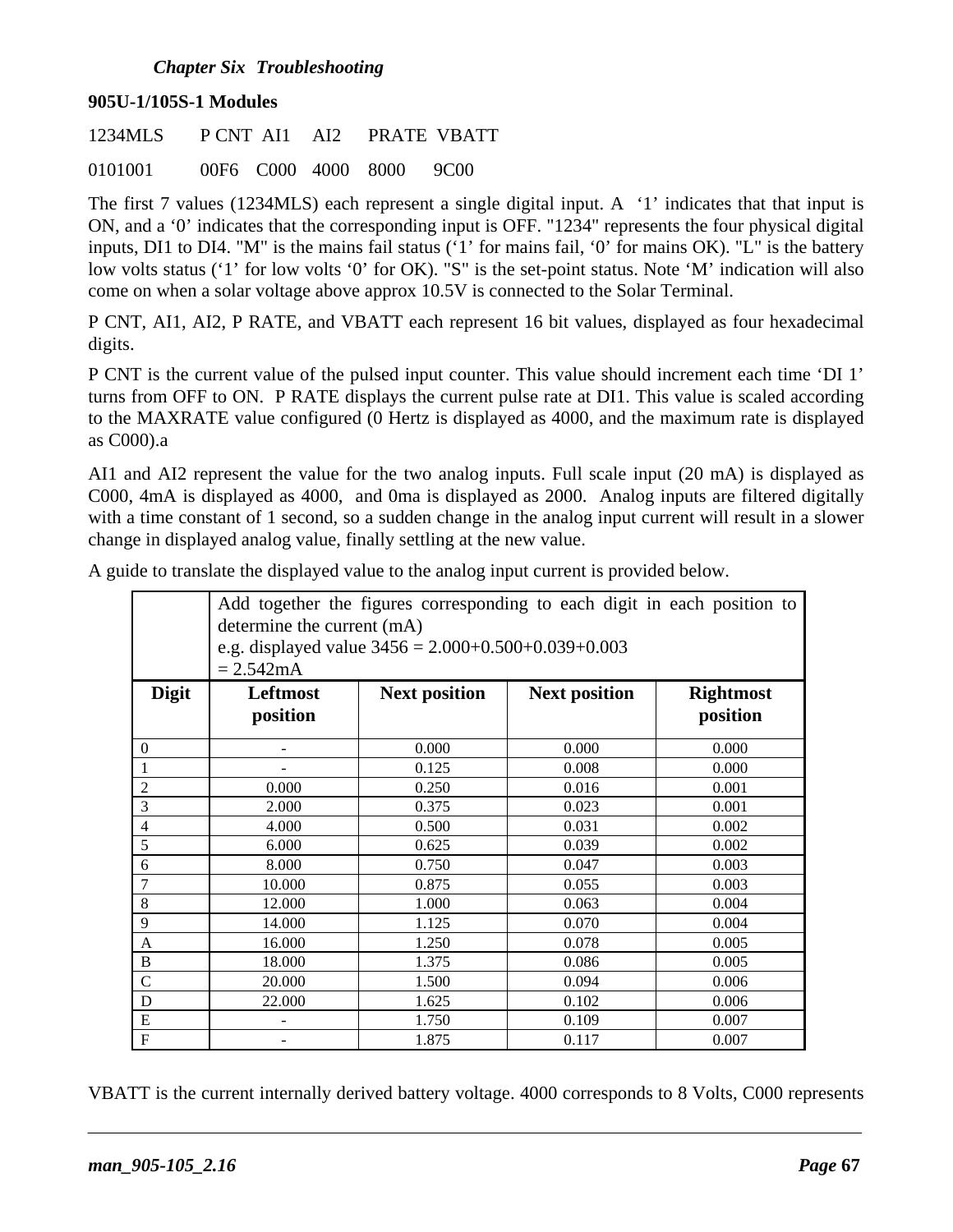#### *Chapter Six Troubleshooting*

#### **905U-1/105S-1 Modules**

| 1234MLS |  |                          | P CNT AI1 AI2 PRATE VBATT |
|---------|--|--------------------------|---------------------------|
| 0101001 |  | 00F6 C000 4000 8000 9C00 |                           |

The first 7 values (1234MLS) each represent a single digital input. A '1' indicates that that input is ON, and a '0' indicates that the corresponding input is OFF. "1234" represents the four physical digital inputs, DI1 to DI4. "M" is the mains fail status ('1' for mains fail, '0' for mains OK). "L" is the battery low volts status ('1' for low volts '0' for OK). "S" is the set-point status. Note 'M' indication will also come on when a solar voltage above approx 10.5V is connected to the Solar Terminal.

P CNT, AI1, AI2, P RATE, and VBATT each represent 16 bit values, displayed as four hexadecimal digits.

P CNT is the current value of the pulsed input counter. This value should increment each time 'DI 1' turns from OFF to ON. P RATE displays the current pulse rate at DI1. This value is scaled according to the MAXRATE value configured (0 Hertz is displayed as 4000, and the maximum rate is displayed as C000).a

AI1 and AI2 represent the value for the two analog inputs. Full scale input (20 mA) is displayed as C000, 4mA is displayed as 4000, and 0ma is displayed as 2000. Analog inputs are filtered digitally with a time constant of 1 second, so a sudden change in the analog input current will result in a slower change in displayed analog value, finally settling at the new value.

|                | Add together the figures corresponding to each digit in each position to<br>determine the current (mA) |                      |                      |                  |  |  |  |  |  |
|----------------|--------------------------------------------------------------------------------------------------------|----------------------|----------------------|------------------|--|--|--|--|--|
|                | e.g. displayed value $3456 = 2.000 + 0.500 + 0.039 + 0.003$<br>$= 2.542mA$                             |                      |                      |                  |  |  |  |  |  |
| <b>Digit</b>   | Leftmost                                                                                               | <b>Next position</b> | <b>Next position</b> | <b>Rightmost</b> |  |  |  |  |  |
|                | position                                                                                               |                      |                      | position         |  |  |  |  |  |
| $\theta$       |                                                                                                        | 0.000                | 0.000                | 0.000            |  |  |  |  |  |
| -1             |                                                                                                        | 0.125                | 0.008                | 0.000            |  |  |  |  |  |
| $\overline{2}$ | 0.000                                                                                                  | 0.250                | 0.016                | 0.001            |  |  |  |  |  |
| 3              | 2.000                                                                                                  | 0.375                | 0.023                | 0.001            |  |  |  |  |  |
| $\overline{4}$ | 4.000                                                                                                  | 0.500                | 0.031                | 0.002            |  |  |  |  |  |
| 5              | 6.000                                                                                                  | 0.625                | 0.039                | 0.002            |  |  |  |  |  |
| 6              | 8.000                                                                                                  | 0.750                | 0.047                | 0.003            |  |  |  |  |  |
| 7              | 10.000                                                                                                 | 0.875                | 0.055                | 0.003            |  |  |  |  |  |
| 8              | 12.000                                                                                                 | 1.000                | 0.063                | 0.004            |  |  |  |  |  |
| 9              | 14.000                                                                                                 | 1.125                | 0.070                | 0.004            |  |  |  |  |  |
| A              | 16.000                                                                                                 | 1.250                | 0.078                | 0.005            |  |  |  |  |  |
| B              | 18.000                                                                                                 | 1.375                | 0.086                | 0.005            |  |  |  |  |  |
| $\mathcal{C}$  | 20.000                                                                                                 | 1.500                | 0.094                | 0.006            |  |  |  |  |  |
| D              | 22.000                                                                                                 | 1.625                | 0.102                | 0.006            |  |  |  |  |  |
| E              |                                                                                                        | 1.750                | 0.109                | 0.007            |  |  |  |  |  |
| $\mathbf F$    |                                                                                                        | 1.875                | 0.117                | 0.007            |  |  |  |  |  |

A guide to translate the displayed value to the analog input current is provided below.

VBATT is the current internally derived battery voltage. 4000 corresponds to 8 Volts, C000 represents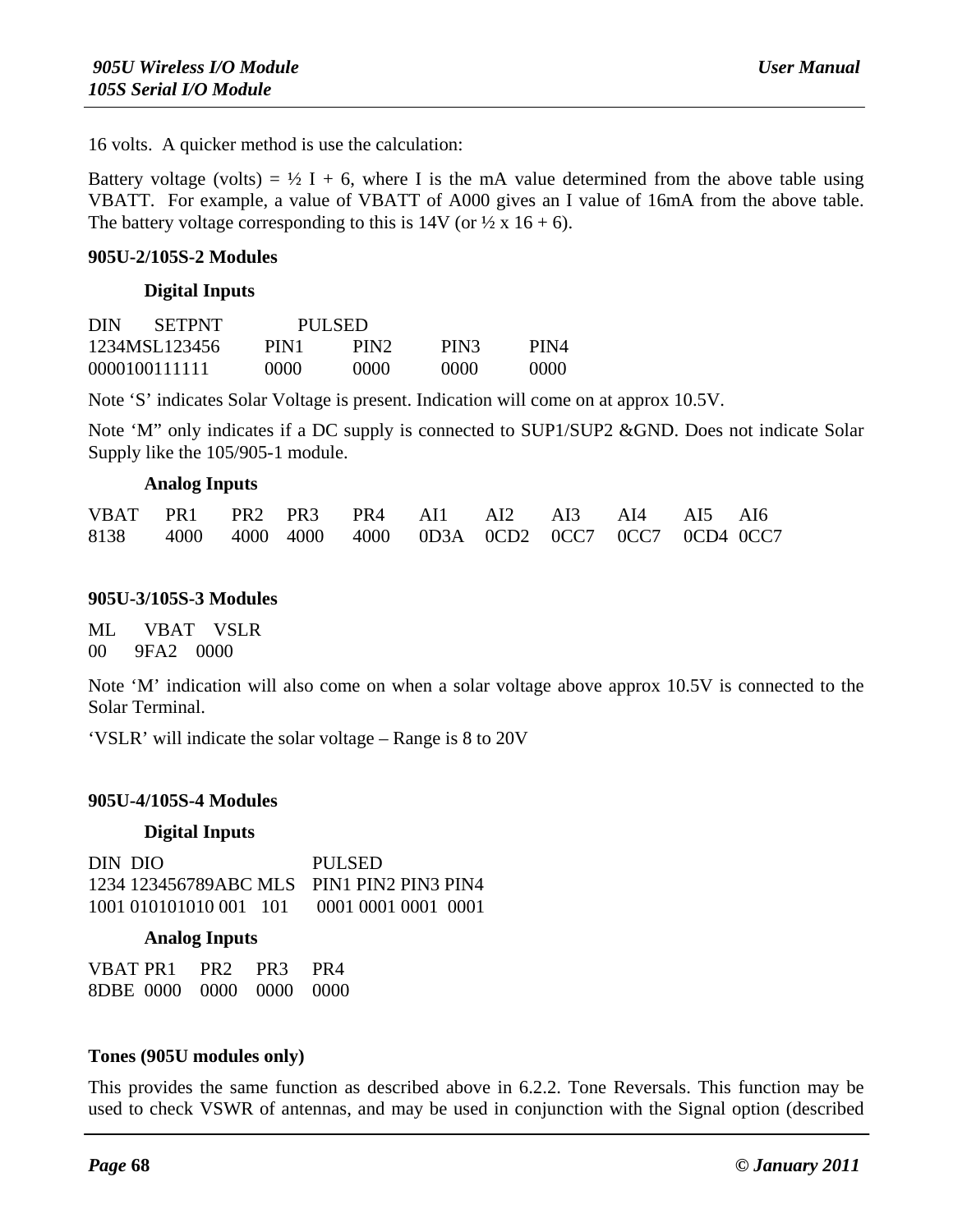16 volts. A quicker method is use the calculation:

Battery voltage (volts) =  $\frac{1}{2}$  I + 6, where I is the mA value determined from the above table using VBATT. For example, a value of VBATT of A000 gives an I value of 16mA from the above table. The battery voltage corresponding to this is  $14V$  (or  $\frac{1}{2} \times 16 + 6$ ).

#### **905U-2/105S-2 Modules**

#### **Digital Inputs**

| <b>SETPNT</b><br>DIN |      | PULSED.          |      |        |
|----------------------|------|------------------|------|--------|
| 1234MSL123456        | PIN1 | PIN <sub>2</sub> | PIN3 | PIN4   |
| 0000100111111        | 0000 | 0000             | 0000 | (1000) |

Note 'S' indicates Solar Voltage is present. Indication will come on at approx 10.5V.

Note 'M" only indicates if a DC supply is connected to SUP1/SUP2 &GND. Does not indicate Solar Supply like the 105/905-1 module.

#### **Analog Inputs**

| VBAT PR1 PR2 PR3 PR4 AI1 AI2 AI3 AI4 AI5 AI6           |  |  |  |  |  |
|--------------------------------------------------------|--|--|--|--|--|
| 8138 4000 4000 4000 4000 0D3A 0CD2 0CC7 0CC7 0CD4 0CC7 |  |  |  |  |  |

#### **905U-3/105S-3 Modules**

ML VBAT VSLR 00 9FA2 0000

Note 'M' indication will also come on when a solar voltage above approx 10.5V is connected to the Solar Terminal.

'VSLR' will indicate the solar voltage – Range is 8 to 20V

#### **905U-4/105S-4 Modules**

#### **Digital Inputs**

| DIN DIO                                   | PULSED              |
|-------------------------------------------|---------------------|
| 1234 123456789ABC MLS PIN1 PIN2 PIN3 PIN4 |                     |
| 1001 010101010 001 101                    | 0001 0001 0001 0001 |

#### **Analog Inputs**

| VBAT PR1                 | PR <sub>2</sub> PR <sub>3</sub> PR <sub>4</sub> |  |
|--------------------------|-------------------------------------------------|--|
| 8DBE 0000 0000 0000 0000 |                                                 |  |

#### **Tones (905U modules only)**

This provides the same function as described above in 6.2.2. Tone Reversals. This function may be used to check VSWR of antennas, and may be used in conjunction with the Signal option (described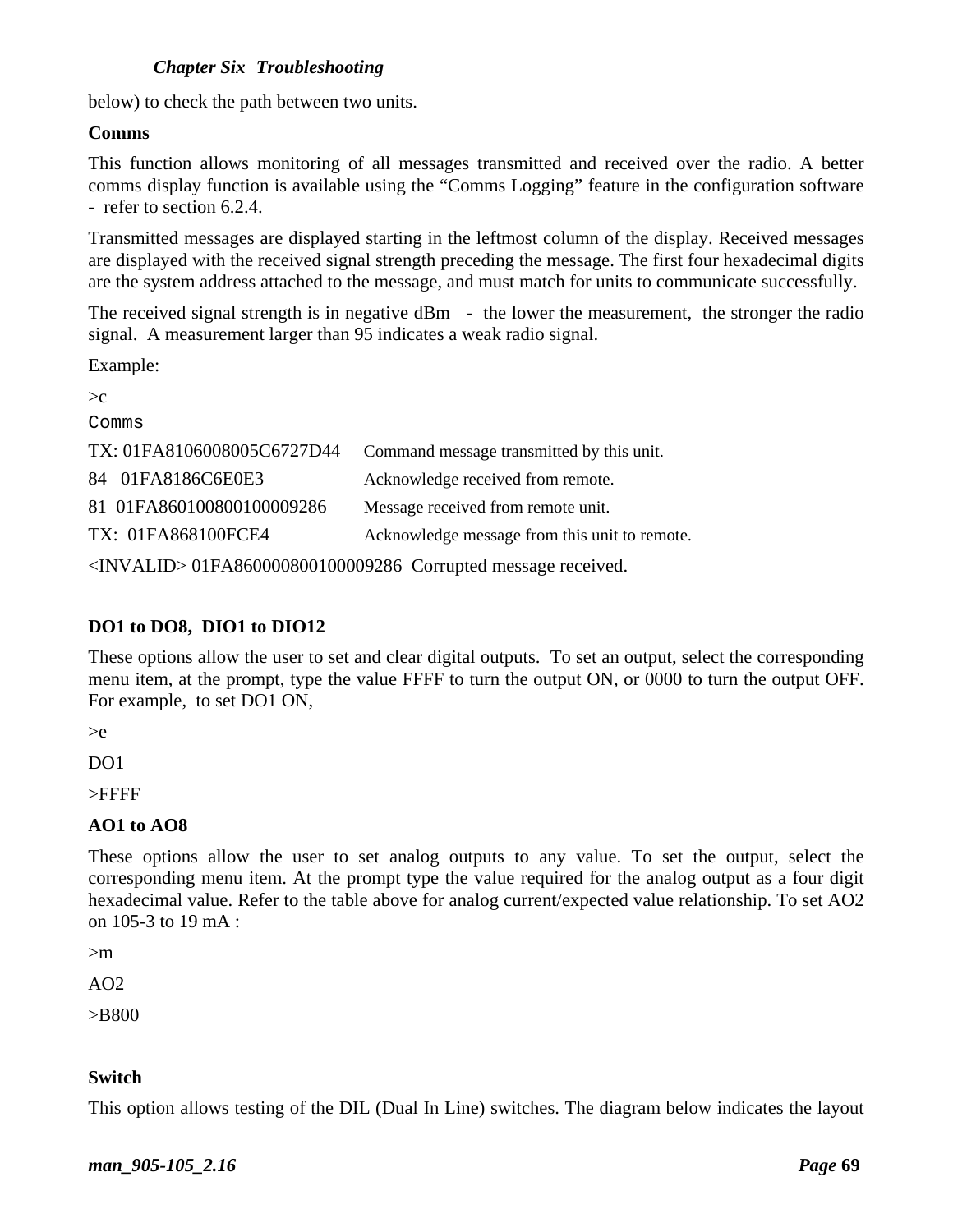#### *Chapter Six Troubleshooting*

below) to check the path between two units.

#### **Comms**

This function allows monitoring of all messages transmitted and received over the radio. A better comms display function is available using the "Comms Logging" feature in the configuration software - refer to section 6.2.4.

Transmitted messages are displayed starting in the leftmost column of the display. Received messages are displayed with the received signal strength preceding the message. The first four hexadecimal digits are the system address attached to the message, and must match for units to communicate successfully.

The received signal strength is in negative dBm - the lower the measurement, the stronger the radio signal. A measurement larger than 95 indicates a weak radio signal.

Example:

| >c                         |                                                                            |
|----------------------------|----------------------------------------------------------------------------|
| Comms                      |                                                                            |
| TX: 01FA8106008005C6727D44 | Command message transmitted by this unit.                                  |
| 84 01FA8186C6E0E3          | Acknowledge received from remote.                                          |
| 81 01FA860100800100009286  | Message received from remote unit.                                         |
| TX: 01FA868100FCE4         | Acknowledge message from this unit to remote.                              |
|                            | $\lambda$ IMILAI ID: 01EA 9600000001000000006 Committed magazine magazined |

<INVALID> 01FA860000800100009286 Corrupted message received.

### **DO1 to DO8, DIO1 to DIO12**

These options allow the user to set and clear digital outputs. To set an output, select the corresponding menu item, at the prompt, type the value FFFF to turn the output ON, or 0000 to turn the output OFF. For example, to set DO1 ON,

>e

D<sub>O</sub>1

>FFFF

#### **AO1 to AO8**

These options allow the user to set analog outputs to any value. To set the output, select the corresponding menu item. At the prompt type the value required for the analog output as a four digit hexadecimal value. Refer to the table above for analog current/expected value relationship. To set AO2 on 105-3 to 19 mA :

>m

 $AO2$ 

>B800

#### **Switch**

This option allows testing of the DIL (Dual In Line) switches. The diagram below indicates the layout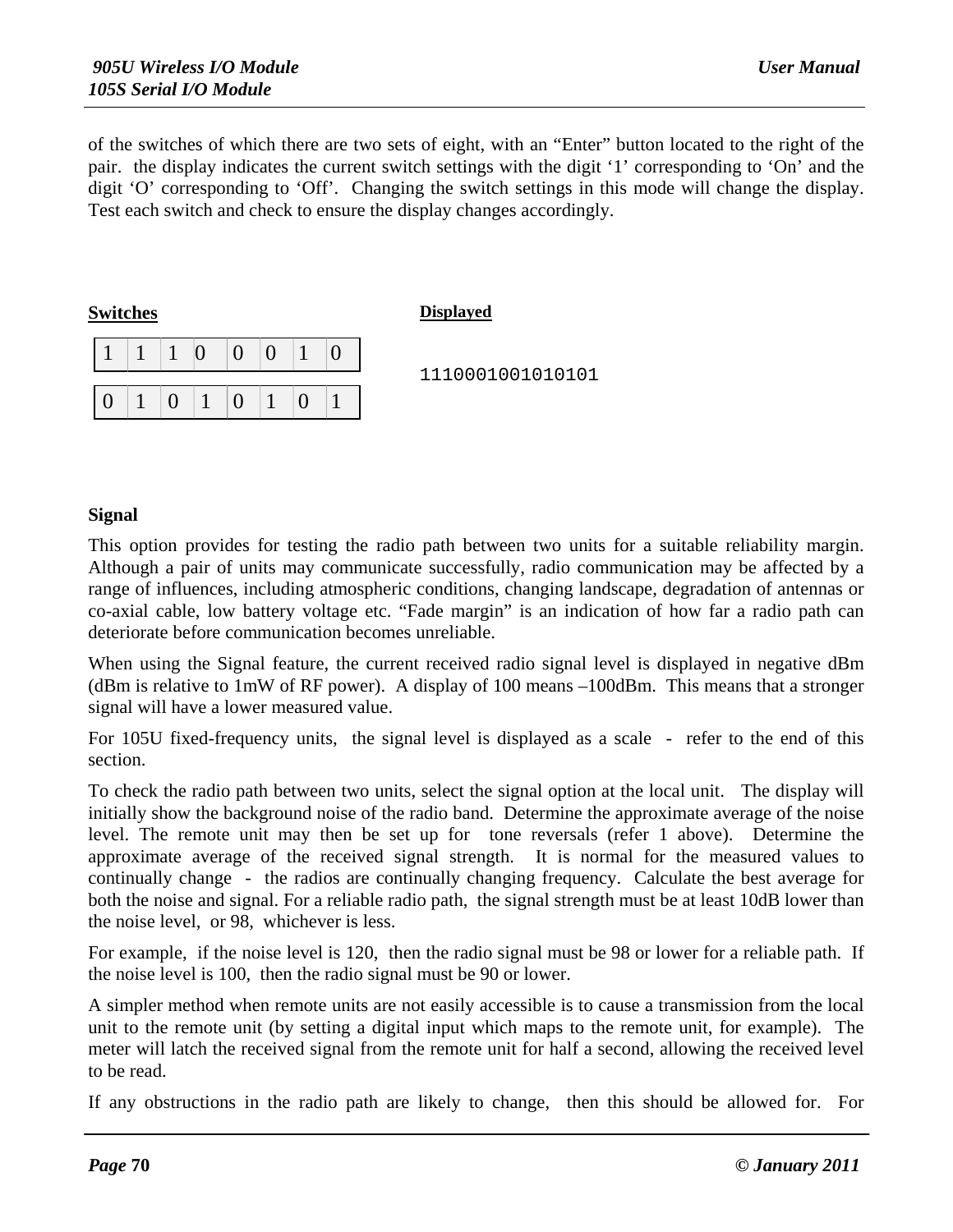of the switches of which there are two sets of eight, with an "Enter" button located to the right of the pair. the display indicates the current switch settings with the digit '1' corresponding to 'On' and the digit 'O' corresponding to 'Off'. Changing the switch settings in this mode will change the display. Test each switch and check to ensure the display changes accordingly.

| <b>Switches</b> |  |          |  | <b>Displayed</b> |
|-----------------|--|----------|--|------------------|
|                 |  | ∩        |  |                  |
|                 |  |          |  | 1110001          |
|                 |  | $\Omega$ |  |                  |

1110001001010101

#### **Signal**

This option provides for testing the radio path between two units for a suitable reliability margin. Although a pair of units may communicate successfully, radio communication may be affected by a range of influences, including atmospheric conditions, changing landscape, degradation of antennas or co-axial cable, low battery voltage etc. "Fade margin" is an indication of how far a radio path can deteriorate before communication becomes unreliable.

When using the Signal feature, the current received radio signal level is displayed in negative dBm (dBm is relative to 1mW of RF power). A display of 100 means –100dBm. This means that a stronger signal will have a lower measured value.

For 105U fixed-frequency units, the signal level is displayed as a scale - refer to the end of this section.

To check the radio path between two units, select the signal option at the local unit. The display will initially show the background noise of the radio band. Determine the approximate average of the noise level. The remote unit may then be set up for tone reversals (refer 1 above). Determine the approximate average of the received signal strength. It is normal for the measured values to continually change - the radios are continually changing frequency. Calculate the best average for both the noise and signal. For a reliable radio path, the signal strength must be at least 10dB lower than the noise level, or 98, whichever is less.

For example, if the noise level is 120, then the radio signal must be 98 or lower for a reliable path. If the noise level is 100, then the radio signal must be 90 or lower.

A simpler method when remote units are not easily accessible is to cause a transmission from the local unit to the remote unit (by setting a digital input which maps to the remote unit, for example). The meter will latch the received signal from the remote unit for half a second, allowing the received level to be read.

If any obstructions in the radio path are likely to change, then this should be allowed for. For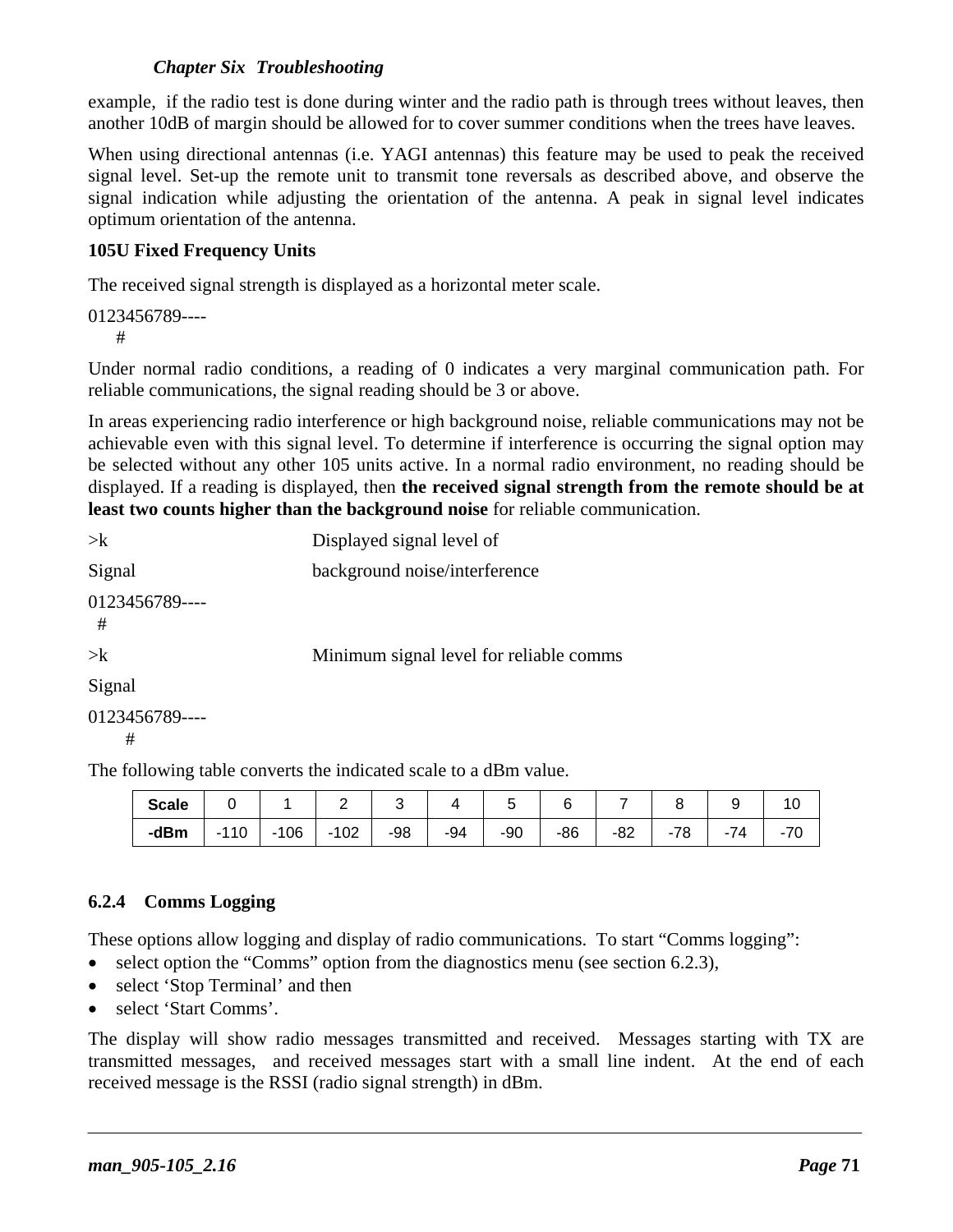#### *Chapter Six Troubleshooting*

example, if the radio test is done during winter and the radio path is through trees without leaves, then another 10dB of margin should be allowed for to cover summer conditions when the trees have leaves.

When using directional antennas (i.e. YAGI antennas) this feature may be used to peak the received signal level. Set-up the remote unit to transmit tone reversals as described above, and observe the signal indication while adjusting the orientation of the antenna. A peak in signal level indicates optimum orientation of the antenna.

#### **105U Fixed Frequency Units**

The received signal strength is displayed as a horizontal meter scale.

0123456789---- #

Under normal radio conditions, a reading of 0 indicates a very marginal communication path. For reliable communications, the signal reading should be 3 or above.

In areas experiencing radio interference or high background noise, reliable communications may not be achievable even with this signal level. To determine if interference is occurring the signal option may be selected without any other 105 units active. In a normal radio environment, no reading should be displayed. If a reading is displayed, then **the received signal strength from the remote should be at least two counts higher than the background noise** for reliable communication.

| $>\kappa$           | Displayed signal level of               |
|---------------------|-----------------------------------------|
| Signal              | background noise/interference           |
| 0123456789----<br># |                                         |
| $>\kappa$           | Minimum signal level for reliable comms |
| Signal              |                                         |
| 0123456789----      |                                         |

#

The following table converts the indicated scale to a dBm value.

| Scale |        |        |              |             |       |       |       |       |     |       |           |
|-------|--------|--------|--------------|-------------|-------|-------|-------|-------|-----|-------|-----------|
| -dBm  | $-110$ | $-106$ | $\vert$ -102 | $\vert$ -98 | $-94$ | $-90$ | $-86$ | $-82$ | -78 | $-74$ | 70<br>-70 |

#### **6.2.4 Comms Logging**

These options allow logging and display of radio communications. To start "Comms logging":

- select option the "Comms" option from the diagnostics menu (see section 6.2.3),
- select 'Stop Terminal' and then
- select 'Start Comms'.

The display will show radio messages transmitted and received. Messages starting with TX are transmitted messages, and received messages start with a small line indent. At the end of each received message is the RSSI (radio signal strength) in dBm.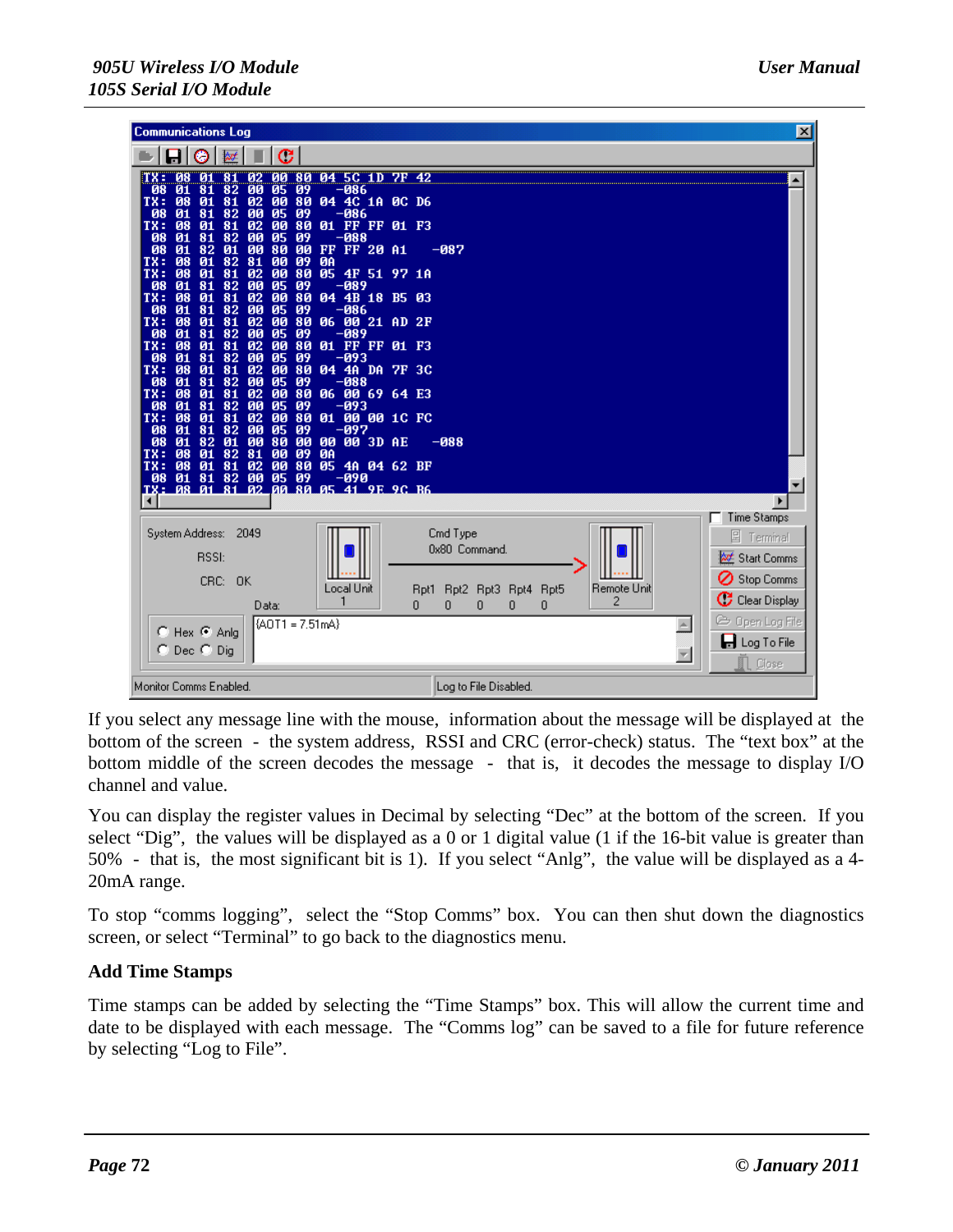| <b>Communications Log</b>                                                                                                                                                                                                                                                                                                                                                                                                                                                                                                                                                                                                                                                                                                                                                                                                                                                                                                                                                                                                                                                                                                                                                                                                                                                              | $\vert x \vert$                                                                                       |
|----------------------------------------------------------------------------------------------------------------------------------------------------------------------------------------------------------------------------------------------------------------------------------------------------------------------------------------------------------------------------------------------------------------------------------------------------------------------------------------------------------------------------------------------------------------------------------------------------------------------------------------------------------------------------------------------------------------------------------------------------------------------------------------------------------------------------------------------------------------------------------------------------------------------------------------------------------------------------------------------------------------------------------------------------------------------------------------------------------------------------------------------------------------------------------------------------------------------------------------------------------------------------------------|-------------------------------------------------------------------------------------------------------|
| С<br>Ο                                                                                                                                                                                                                                                                                                                                                                                                                                                                                                                                                                                                                                                                                                                                                                                                                                                                                                                                                                                                                                                                                                                                                                                                                                                                                 |                                                                                                       |
| 80 04 5C 1D 7F 42<br>08<br>ิตต<br>TX :<br>TØ1<br>02<br>81<br>00<br>09<br>08<br>01<br>05<br>-086<br>81<br>82<br>TX:<br>01<br>02<br>80<br>04 4C 1A 0C D6<br>08<br>81<br>00<br>82<br>00<br>08<br>01<br>81<br>05<br>09<br>-086<br>02<br>TX:<br>08<br>00<br>80<br>01 FF FF 01 F3<br>01<br>81<br>01<br>81<br>82<br>00<br>05<br>$-088$<br>08<br>09<br>08<br>01<br>82<br>00<br>FF FF 20 A1<br>01<br>80<br><b>ØØ</b><br>TX:<br>08<br>01<br>82<br>81<br>ØA<br>ØЙ<br>09<br>02<br>05 4F 51 97 1A<br>TX:<br>08<br>01<br>00<br>80<br>81<br>00<br>01<br>82<br>08<br>81<br>05<br>09<br>-089<br>TX:<br>02<br>08<br>01<br>81<br>00<br>80<br>04 4B 18 B5 03<br>$\overline{00}$<br>82<br>08<br>01<br>81<br>05<br>09<br>$-086$<br>TX:<br>02<br>08<br>01<br>81<br>00<br>80<br>06 00 21 AD 2F<br>00<br>82<br>08<br>01<br>81<br>05<br>09<br>$-089$<br>02<br>TX:<br>08<br>01<br>00<br>80<br>01 FF FF 01 F3<br>81<br>01<br>82<br>00<br>08<br>81<br>05<br>09<br>-093<br>TX:<br>02<br>08<br>01<br>81<br>80<br>04 4A DA 7F 3C<br>00<br>00<br>08<br>81<br>82<br>05<br>01<br>09<br>-088<br>TX:<br>02<br>08<br>01<br>81<br>00<br>80<br>06 00 69 64 E3<br>08<br>01<br>82<br>00<br>05<br>-093<br>81<br>09<br>TX:<br>02<br>08<br>01<br>00<br>80<br>01 00 00 1C FC<br>81<br>82<br>00<br>08<br>01<br>81<br>05<br>09<br>-097 | $-087$                                                                                                |
| 08<br>01<br>82<br>00<br>00 00 3D AE<br>Q <sub>1</sub><br>80<br><b>DD</b><br>81<br>TX:<br>08<br>01<br>82<br>ØA<br>00<br>09<br>02<br>05 4A 04 62 BF<br>TX:<br>08<br>01<br>81<br><b>ØØ</b><br>80<br>82 00<br>01<br>81<br>05<br>09<br>-090<br>08<br><b>Й1 81 Й2</b><br>TX:<br>00 80 05 41 9E 9C B6<br><b>PR</b>                                                                                                                                                                                                                                                                                                                                                                                                                                                                                                                                                                                                                                                                                                                                                                                                                                                                                                                                                                            | $-088$<br>▾                                                                                           |
| System Address:<br>2049<br><b>RSSI:</b><br>CRC:<br><b>OK</b>                                                                                                                                                                                                                                                                                                                                                                                                                                                                                                                                                                                                                                                                                                                                                                                                                                                                                                                                                                                                                                                                                                                                                                                                                           | Time Stamps<br>Cmd Type<br><b>图 Terminal</b><br>0x80 Command.<br><b>M</b> Start Comms<br>Stop Comms   |
| Local Unit<br>Data:                                                                                                                                                                                                                                                                                                                                                                                                                                                                                                                                                                                                                                                                                                                                                                                                                                                                                                                                                                                                                                                                                                                                                                                                                                                                    | Remote Unit<br>Rpt2 Rpt3 Rpt4 Rpt5<br>Rpt1<br>$\mathbf C$ Clear Display<br>2<br>0<br>O<br>O<br>O<br>0 |
| {AOT1 = 7.51mA}<br>$\bullet$ Hex $\bullet$ Anla<br>C Dec C Dig                                                                                                                                                                                                                                                                                                                                                                                                                                                                                                                                                                                                                                                                                                                                                                                                                                                                                                                                                                                                                                                                                                                                                                                                                         | © Open Log File<br><b>d</b> Log To File<br>Close                                                      |
| Monitor Comms Enabled.                                                                                                                                                                                                                                                                                                                                                                                                                                                                                                                                                                                                                                                                                                                                                                                                                                                                                                                                                                                                                                                                                                                                                                                                                                                                 | Log to File Disabled.                                                                                 |

If you select any message line with the mouse, information about the message will be displayed at the bottom of the screen - the system address, RSSI and CRC (error-check) status. The "text box" at the bottom middle of the screen decodes the message - that is, it decodes the message to display I/O channel and value.

You can display the register values in Decimal by selecting "Dec" at the bottom of the screen. If you select "Dig", the values will be displayed as a 0 or 1 digital value (1 if the 16-bit value is greater than 50% - that is, the most significant bit is 1). If you select "Anlg", the value will be displayed as a 4- 20mA range.

To stop "comms logging", select the "Stop Comms" box. You can then shut down the diagnostics screen, or select "Terminal" to go back to the diagnostics menu.

#### **Add Time Stamps**

Time stamps can be added by selecting the "Time Stamps" box. This will allow the current time and date to be displayed with each message. The "Comms log" can be saved to a file for future reference by selecting "Log to File".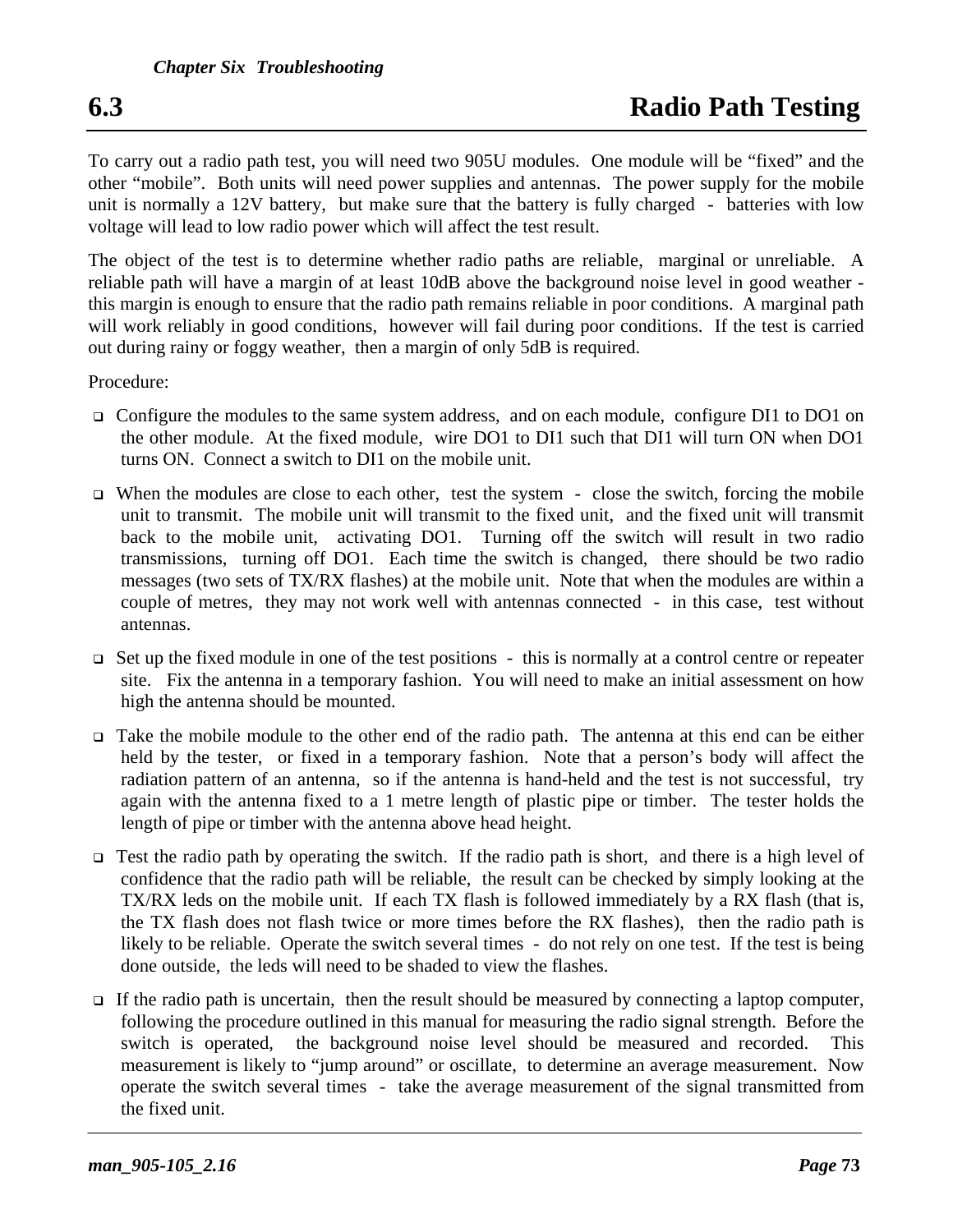To carry out a radio path test, you will need two 905U modules. One module will be "fixed" and the other "mobile". Both units will need power supplies and antennas. The power supply for the mobile unit is normally a 12V battery, but make sure that the battery is fully charged - batteries with low voltage will lead to low radio power which will affect the test result.

The object of the test is to determine whether radio paths are reliable, marginal or unreliable. A reliable path will have a margin of at least 10dB above the background noise level in good weather this margin is enough to ensure that the radio path remains reliable in poor conditions. A marginal path will work reliably in good conditions, however will fail during poor conditions. If the test is carried out during rainy or foggy weather, then a margin of only 5dB is required.

Procedure:

- □ Configure the modules to the same system address, and on each module, configure DI1 to DO1 on the other module. At the fixed module, wire DO1 to DI1 such that DI1 will turn ON when DO1 turns ON. Connect a switch to DI1 on the mobile unit.
- When the modules are close to each other, test the system close the switch, forcing the mobile unit to transmit. The mobile unit will transmit to the fixed unit, and the fixed unit will transmit back to the mobile unit, activating DO1. Turning off the switch will result in two radio transmissions, turning off DO1. Each time the switch is changed, there should be two radio messages (two sets of TX/RX flashes) at the mobile unit. Note that when the modules are within a couple of metres, they may not work well with antennas connected - in this case, test without antennas.
- Set up the fixed module in one of the test positions this is normally at a control centre or repeater site. Fix the antenna in a temporary fashion. You will need to make an initial assessment on how high the antenna should be mounted.
- Take the mobile module to the other end of the radio path. The antenna at this end can be either held by the tester, or fixed in a temporary fashion. Note that a person's body will affect the radiation pattern of an antenna, so if the antenna is hand-held and the test is not successful, try again with the antenna fixed to a 1 metre length of plastic pipe or timber. The tester holds the length of pipe or timber with the antenna above head height.
- Test the radio path by operating the switch. If the radio path is short, and there is a high level of confidence that the radio path will be reliable, the result can be checked by simply looking at the TX/RX leds on the mobile unit. If each TX flash is followed immediately by a RX flash (that is, the TX flash does not flash twice or more times before the RX flashes), then the radio path is likely to be reliable. Operate the switch several times - do not rely on one test. If the test is being done outside, the leds will need to be shaded to view the flashes.
- $\Box$  If the radio path is uncertain, then the result should be measured by connecting a laptop computer, following the procedure outlined in this manual for measuring the radio signal strength. Before the switch is operated, the background noise level should be measured and recorded. This measurement is likely to "jump around" or oscillate, to determine an average measurement. Now operate the switch several times - take the average measurement of the signal transmitted from the fixed unit.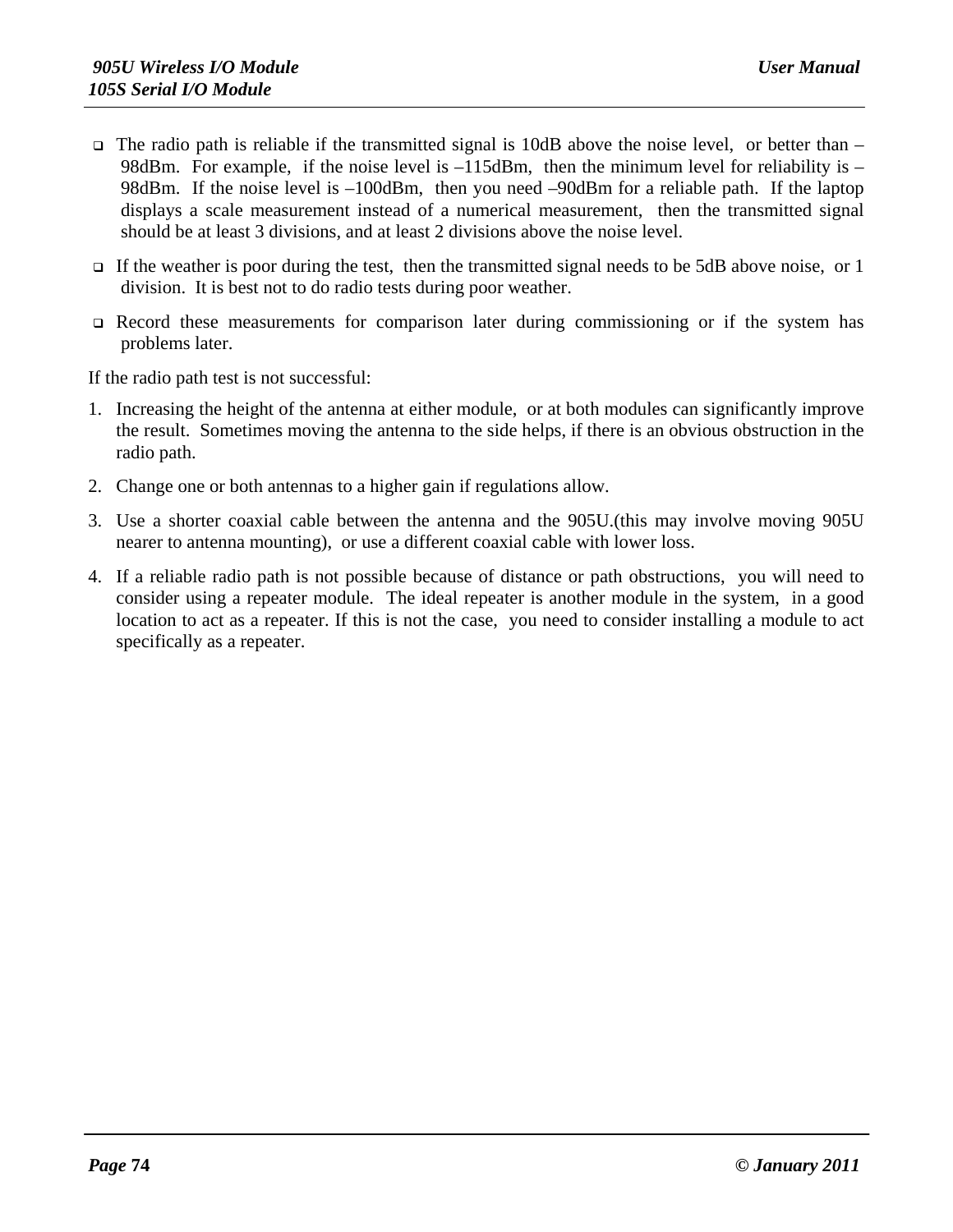- $\Box$  The radio path is reliable if the transmitted signal is 10dB above the noise level, or better than 98dBm. For example, if the noise level is  $-115$ dBm, then the minimum level for reliability is  $-$ 98dBm. If the noise level is  $-100$ dBm, then you need  $-90$ dBm for a reliable path. If the laptop displays a scale measurement instead of a numerical measurement, then the transmitted signal should be at least 3 divisions, and at least 2 divisions above the noise level.
- If the weather is poor during the test, then the transmitted signal needs to be 5dB above noise, or 1 division. It is best not to do radio tests during poor weather.
- Record these measurements for comparison later during commissioning or if the system has problems later.

If the radio path test is not successful:

- 1. Increasing the height of the antenna at either module, or at both modules can significantly improve the result. Sometimes moving the antenna to the side helps, if there is an obvious obstruction in the radio path.
- 2. Change one or both antennas to a higher gain if regulations allow.
- 3. Use a shorter coaxial cable between the antenna and the 905U.(this may involve moving 905U nearer to antenna mounting), or use a different coaxial cable with lower loss.
- 4. If a reliable radio path is not possible because of distance or path obstructions, you will need to consider using a repeater module. The ideal repeater is another module in the system, in a good location to act as a repeater. If this is not the case, you need to consider installing a module to act specifically as a repeater.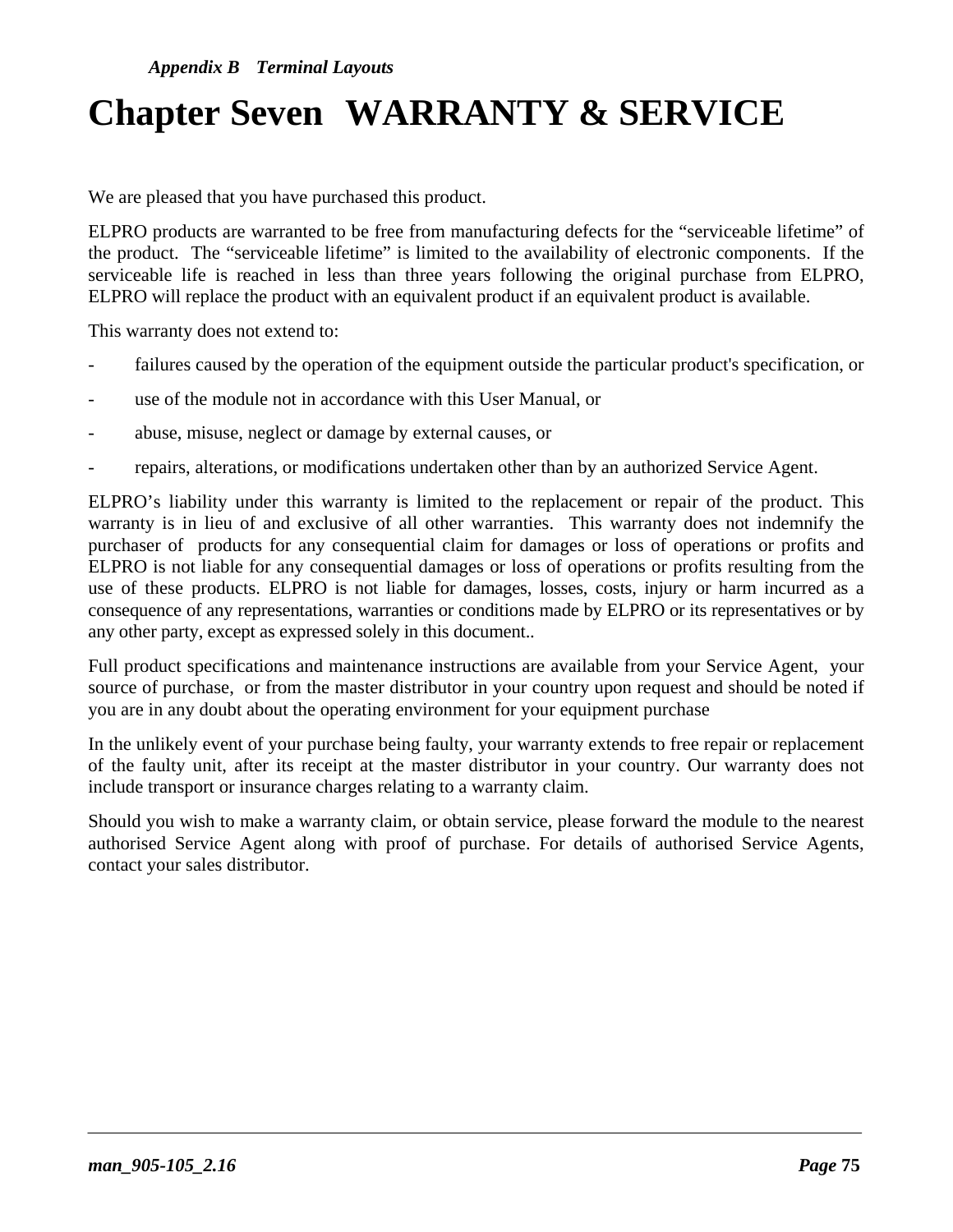## **Chapter Seven WARRANTY & SERVICE**

We are pleased that you have purchased this product.

ELPRO products are warranted to be free from manufacturing defects for the "serviceable lifetime" of the product. The "serviceable lifetime" is limited to the availability of electronic components. If the serviceable life is reached in less than three years following the original purchase from ELPRO, ELPRO will replace the product with an equivalent product if an equivalent product is available.

This warranty does not extend to:

- failures caused by the operation of the equipment outside the particular product's specification, or
- use of the module not in accordance with this User Manual, or
- abuse, misuse, neglect or damage by external causes, or
- repairs, alterations, or modifications undertaken other than by an authorized Service Agent.

ELPRO's liability under this warranty is limited to the replacement or repair of the product. This warranty is in lieu of and exclusive of all other warranties. This warranty does not indemnify the purchaser of products for any consequential claim for damages or loss of operations or profits and ELPRO is not liable for any consequential damages or loss of operations or profits resulting from the use of these products. ELPRO is not liable for damages, losses, costs, injury or harm incurred as a consequence of any representations, warranties or conditions made by ELPRO or its representatives or by any other party, except as expressed solely in this document..

Full product specifications and maintenance instructions are available from your Service Agent, your source of purchase, or from the master distributor in your country upon request and should be noted if you are in any doubt about the operating environment for your equipment purchase

In the unlikely event of your purchase being faulty, your warranty extends to free repair or replacement of the faulty unit, after its receipt at the master distributor in your country. Our warranty does not include transport or insurance charges relating to a warranty claim.

Should you wish to make a warranty claim, or obtain service, please forward the module to the nearest authorised Service Agent along with proof of purchase. For details of authorised Service Agents, contact your sales distributor.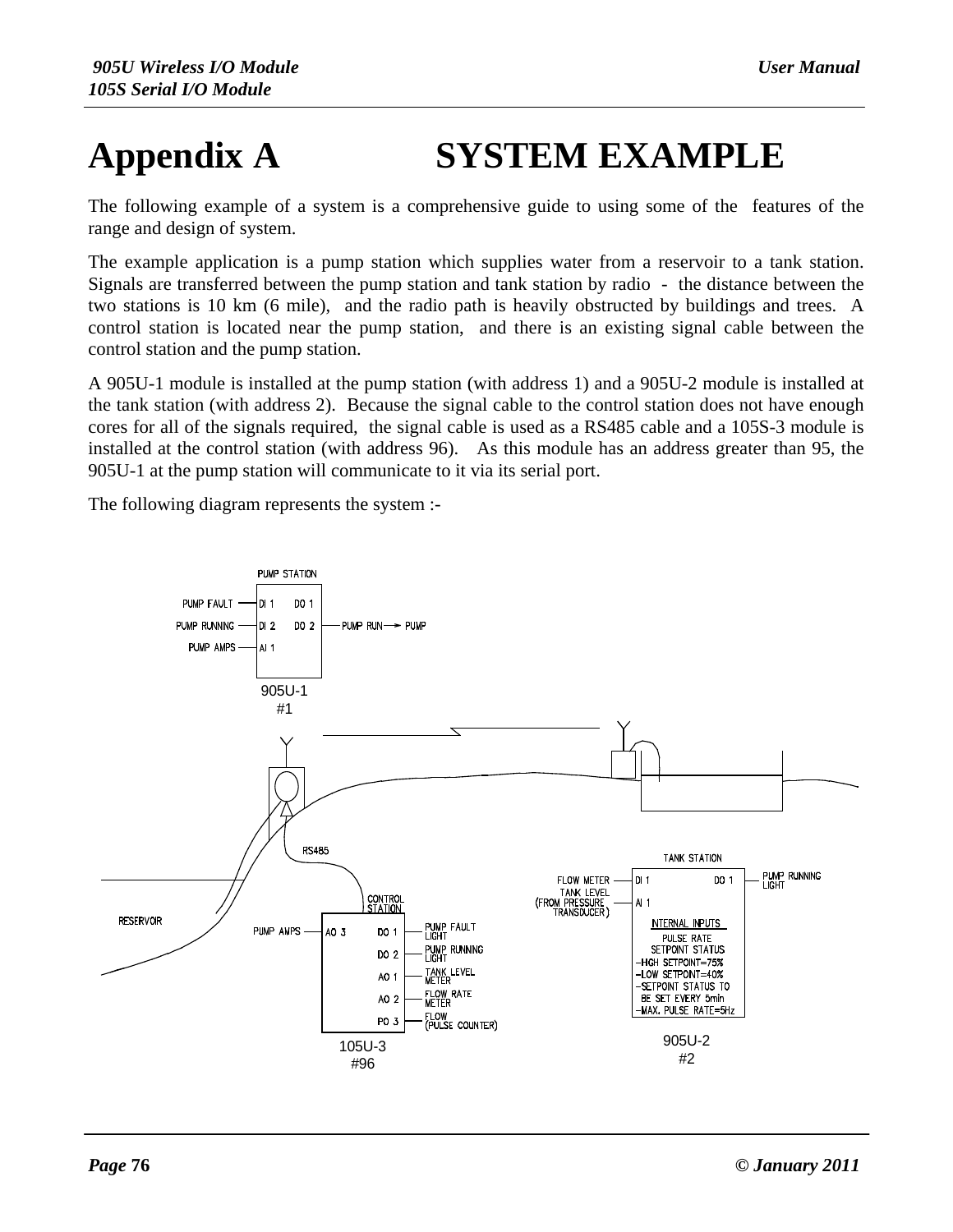# **Appendix A SYSTEM EXAMPLE**

The following example of a system is a comprehensive guide to using some of the features of the range and design of system.

The example application is a pump station which supplies water from a reservoir to a tank station. Signals are transferred between the pump station and tank station by radio - the distance between the two stations is 10 km (6 mile), and the radio path is heavily obstructed by buildings and trees. A control station is located near the pump station, and there is an existing signal cable between the control station and the pump station.

A 905U-1 module is installed at the pump station (with address 1) and a 905U-2 module is installed at the tank station (with address 2). Because the signal cable to the control station does not have enough cores for all of the signals required, the signal cable is used as a RS485 cable and a 105S-3 module is installed at the control station (with address 96). As this module has an address greater than 95, the 905U-1 at the pump station will communicate to it via its serial port.

The following diagram represents the system :-

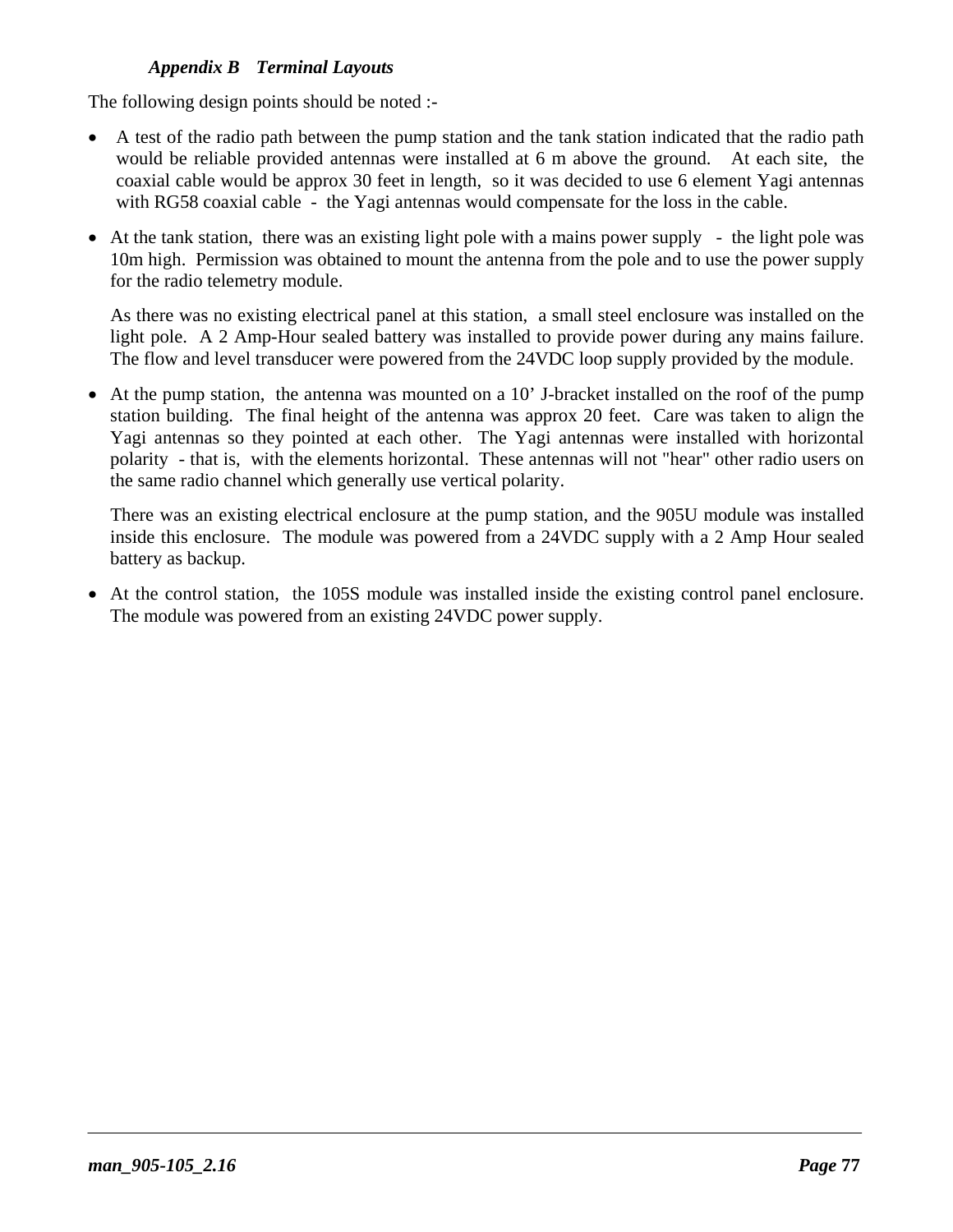The following design points should be noted :-

- A test of the radio path between the pump station and the tank station indicated that the radio path would be reliable provided antennas were installed at 6 m above the ground. At each site, the coaxial cable would be approx 30 feet in length, so it was decided to use 6 element Yagi antennas with RG58 coaxial cable - the Yagi antennas would compensate for the loss in the cable.
- At the tank station, there was an existing light pole with a mains power supply the light pole was 10m high. Permission was obtained to mount the antenna from the pole and to use the power supply for the radio telemetry module.

As there was no existing electrical panel at this station, a small steel enclosure was installed on the light pole. A 2 Amp-Hour sealed battery was installed to provide power during any mains failure. The flow and level transducer were powered from the 24VDC loop supply provided by the module.

• At the pump station, the antenna was mounted on a 10' J-bracket installed on the roof of the pump station building. The final height of the antenna was approx 20 feet. Care was taken to align the Yagi antennas so they pointed at each other. The Yagi antennas were installed with horizontal polarity - that is, with the elements horizontal. These antennas will not "hear" other radio users on the same radio channel which generally use vertical polarity.

There was an existing electrical enclosure at the pump station, and the 905U module was installed inside this enclosure. The module was powered from a 24VDC supply with a 2 Amp Hour sealed battery as backup.

• At the control station, the 105S module was installed inside the existing control panel enclosure. The module was powered from an existing 24VDC power supply.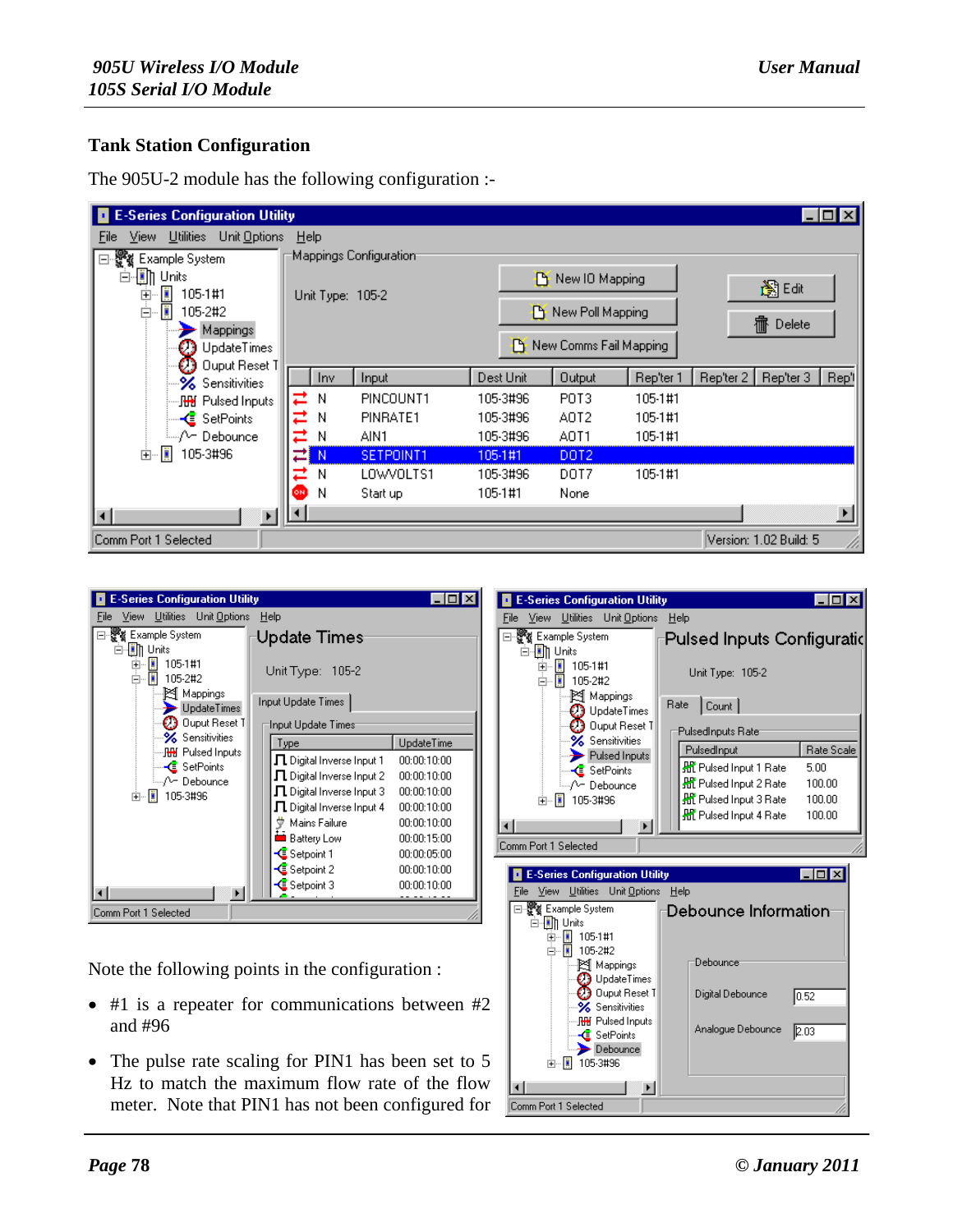#### **Tank Station Configuration**

| <b>E-Series Configuration Utility</b><br>$\Box$ o $\mathbf{x}$ |                        |           |         |                        |                  |           |                        |                       |
|----------------------------------------------------------------|------------------------|-----------|---------|------------------------|------------------|-----------|------------------------|-----------------------|
| Utilities<br>Unit Options<br>Help<br>Eile<br>View.             |                        |           |         |                        |                  |           |                        |                       |
| Example System<br>F.                                           | Mappings Configuration |           |         |                        |                  |           |                        |                       |
| $\mathbb{E}$ Units<br>Ė                                        |                        |           |         | New IO Mapping         |                  |           |                        |                       |
| Ë<br>105-1#1<br>車                                              | Unit Type: 105-2       |           |         |                        |                  |           | 胸咽                     |                       |
| Ë<br>ė.<br>105-2#2                                             |                        |           |         | New Poll Mapping       |                  |           | <b>宿</b> Delete        |                       |
| Mappings<br>UpdateTimes                                        |                        |           |         | New Comms Fail Mapping |                  |           |                        |                       |
| Ouput Reset 1                                                  |                        |           |         |                        |                  |           |                        |                       |
| <b>%</b> Sensitivities                                         | <b>Inv</b>             | Input     |         | Dest Unit              | <b>Output</b>    | Rep'ter 1 | Rep'ter 2<br>Rep'ter 3 | Rep't                 |
| …JHH Pulsed Inputs                                             | ㄹ<br>N                 | PINCOUNT1 |         | 105-3#96               | POT3             | 105-1#1   |                        |                       |
| — <mark>&lt;</mark> SetPoints                                  | ⋍<br>Ν                 | PINRATE1  |         | 105-3#96               | AOT2             | 105-1#1   |                        |                       |
| ≒…/^− Debounce                                                 | ⇄<br>Ν                 | AIN1      |         | 105-3#96               | AOT1             | 105-1#1   |                        |                       |
| Ë<br>105-3#96<br>由                                             | ≃<br>N                 | SETPOINT1 | 105-1#1 |                        | DOT <sub>2</sub> |           |                        |                       |
|                                                                | ⇄<br>N                 | LOWVOLTS1 |         | 105-3#96               | DOT7             | 105-1#1   |                        |                       |
|                                                                | ON)<br>N               | Start up  | 105-1#1 |                        | None             |           |                        |                       |
| $\left  \cdot \right $                                         | ◂                      |           |         |                        |                  |           |                        | $\blacktriangleright$ |
| Comm Port 1 Selected                                           |                        |           |         |                        |                  |           | Version: 1.02 Build: 5 |                       |

The 905U-2 module has the following configuration :-



Note the following points in the configuration :

- #1 is a repeater for communications between #2 and #96
- The pulse rate scaling for PIN1 has been set to 5 Hz to match the maximum flow rate of the flow meter. Note that PIN1 has not been configured for

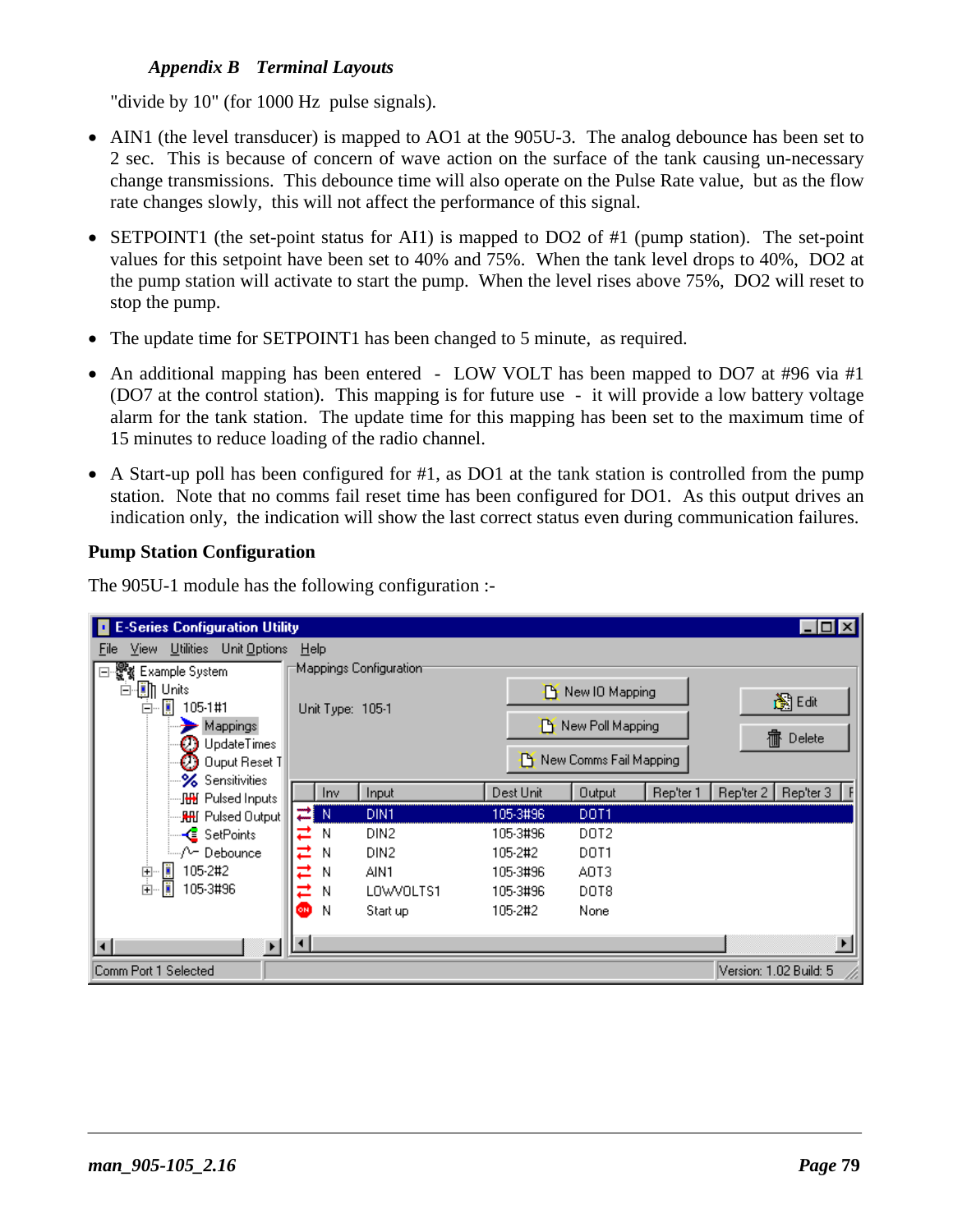"divide by 10" (for 1000 Hz pulse signals).

- AIN1 (the level transducer) is mapped to AO1 at the 905U-3. The analog debounce has been set to 2 sec. This is because of concern of wave action on the surface of the tank causing un-necessary change transmissions. This debounce time will also operate on the Pulse Rate value, but as the flow rate changes slowly, this will not affect the performance of this signal.
- SETPOINT1 (the set-point status for AI1) is mapped to DO2 of #1 (pump station). The set-point values for this setpoint have been set to 40% and 75%. When the tank level drops to 40%, DO2 at the pump station will activate to start the pump. When the level rises above 75%, DO2 will reset to stop the pump.
- The update time for SETPOINT1 has been changed to 5 minute, as required.
- An additional mapping has been entered LOW VOLT has been mapped to DO7 at #96 via #1 (DO7 at the control station). This mapping is for future use - it will provide a low battery voltage alarm for the tank station. The update time for this mapping has been set to the maximum time of 15 minutes to reduce loading of the radio channel.
- A Start-up poll has been configured for #1, as DO1 at the tank station is controlled from the pump station. Note that no comms fail reset time has been configured for DO1. As this output drives an indication only, the indication will show the last correct status even during communication failures.

#### **Pump Station Configuration**

The 905U-1 module has the following configuration :-

| <b>E-Series Configuration Utility</b><br>$ \Box$ $\times$             |                        |                  |           |                        |           |                        |  |  |
|-----------------------------------------------------------------------|------------------------|------------------|-----------|------------------------|-----------|------------------------|--|--|
| Unit Options<br>$\underline{\text{Utilities}}$<br>He<br>View.<br>Eile |                        |                  |           |                        |           |                        |  |  |
| 쁗g Example System                                                     | Mappings Configuration |                  |           |                        |           |                        |  |  |
| - The Units<br>$\Box$                                                 |                        |                  |           | New IO Mapping         |           | 胸咽                     |  |  |
| ū<br>105-1#1<br>Ė                                                     | Unit Type: 105-1       |                  |           |                        |           |                        |  |  |
| Mappings<br>UpdateTimes                                               |                        |                  |           | New Poll Mapping       |           | 霝<br>Delete            |  |  |
| Ouput Reset T                                                         |                        |                  |           | New Comms Fail Mapping |           |                        |  |  |
| <b>‰⁄Sensitivities</b>                                                |                        |                  |           |                        |           |                        |  |  |
| …见 Pulsed Inputs                                                      |                        | Input<br>Inv     | Dest Unit | <b>Output</b>          | Rep'ter 1 | Rep'ter 2<br>Rep'ter 3 |  |  |
| <mark>HH</mark> Pulsed Output                                         | 검 N                    | DIN1             | 105-3#96  | DOT1                   |           |                        |  |  |
| — <mark>&lt;</mark> SetPoints                                         | Ν                      | DIN2             | 105-3#96  | DOT <sub>2</sub>       |           |                        |  |  |
| <sub>i</sub> ,∧– Debounce                                             | Ν                      | DIN <sub>2</sub> | 105-2#2   | DOT1                   |           |                        |  |  |
| Ë<br>105-2#2<br>Ė                                                     | Ν                      | AIN1             | 105-3#96  | AOT3                   |           |                        |  |  |
| Ë<br>ட்<br>ட்<br>105-3#96                                             | Ν                      | LOWVOLTS1        | 105-3#96  | DOT8                   |           |                        |  |  |
|                                                                       | Ν<br>ON)               | Start up         | 105-2#2   | None                   |           |                        |  |  |
|                                                                       |                        |                  |           |                        |           |                        |  |  |
| $\rightarrow$<br>$\overline{ }$                                       | ∣ю                     |                  |           |                        |           |                        |  |  |
| Comm Port 1 Selected                                                  |                        |                  |           |                        |           | Version: 1.02 Build: 5 |  |  |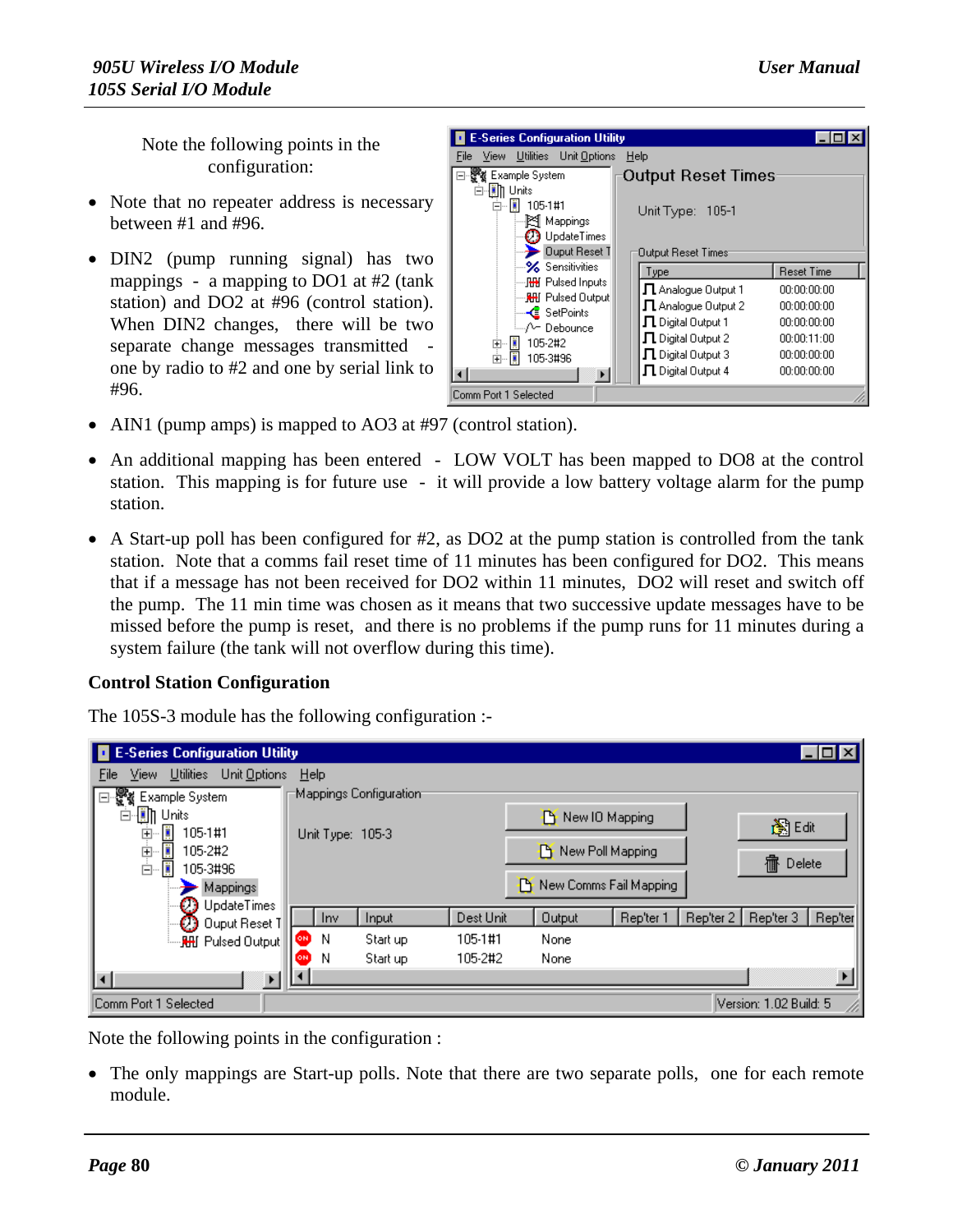Note the following points in the configuration:

- Note that no repeater address is necessary between #1 and #96.
- DIN2 (pump running signal) has two mappings - a mapping to DO1 at #2 (tank station) and DO2 at #96 (control station). When DIN2 changes, there will be two separate change messages transmitted one by radio to #2 and one by serial link to #96.



- AIN1 (pump amps) is mapped to AO3 at #97 (control station).
- An additional mapping has been entered LOW VOLT has been mapped to DO8 at the control station. This mapping is for future use - it will provide a low battery voltage alarm for the pump station.
- A Start-up poll has been configured for #2, as DO2 at the pump station is controlled from the tank station. Note that a comms fail reset time of 11 minutes has been configured for DO2. This means that if a message has not been received for DO2 within 11 minutes, DO2 will reset and switch off the pump. The 11 min time was chosen as it means that two successive update messages have to be missed before the pump is reset, and there is no problems if the pump runs for 11 minutes during a system failure (the tank will not overflow during this time).

#### **Control Station Configuration**

The 105S-3 module has the following configuration :-

| E-Series Configuration Utility             |                  |                        |           |               |                           |           |                        | $\Box$  |
|--------------------------------------------|------------------|------------------------|-----------|---------------|---------------------------|-----------|------------------------|---------|
| Unit Options<br>Utilities<br>File<br>View. | Help             |                        |           |               |                           |           |                        |         |
| ₩.<br>Example System<br>F                  |                  | Mappings Configuration |           |               |                           |           |                        |         |
| -圓] Units                                  |                  |                        |           |               | New IO Mapping            |           |                        |         |
| Ë<br>105-1#1<br>Ė                          | Unit Type: 105-3 |                        |           |               |                           |           | 胸晒                     |         |
| i<br>庚<br>105-2#2                          |                  |                        |           |               | <b>P</b> New Poll Mapping |           |                        |         |
| ė<br>105-3#96                              |                  |                        |           |               |                           |           | 霝<br>Delete            |         |
| Mappings                                   |                  |                        |           |               | New Comms Fail Mapping    |           |                        |         |
| <b>UpdateTimes</b>                         | <b>Inv</b>       | Input                  | Dest Unit | <b>Output</b> | Rep'ter 1                 | Rep'ter 2 | Rep'ter 3              | Rep'ter |
| Ouput Reset T                              | N<br>ON          | Start up               | 105-1#1   | None          |                           |           |                        |         |
| ं <b>R⊞</b> Pulsed Output                  | ίоні             |                        |           |               |                           |           |                        |         |
|                                            | N                | Start up               | 105-2#2   | None          |                           |           |                        |         |
| $\overline{\mathbf{A}}$                    |                  |                        |           |               |                           |           |                        |         |
| Comm Port 1 Selected                       |                  |                        |           |               |                           |           | Version: 1.02 Build: 5 | n       |

Note the following points in the configuration :

• The only mappings are Start-up polls. Note that there are two separate polls, one for each remote module.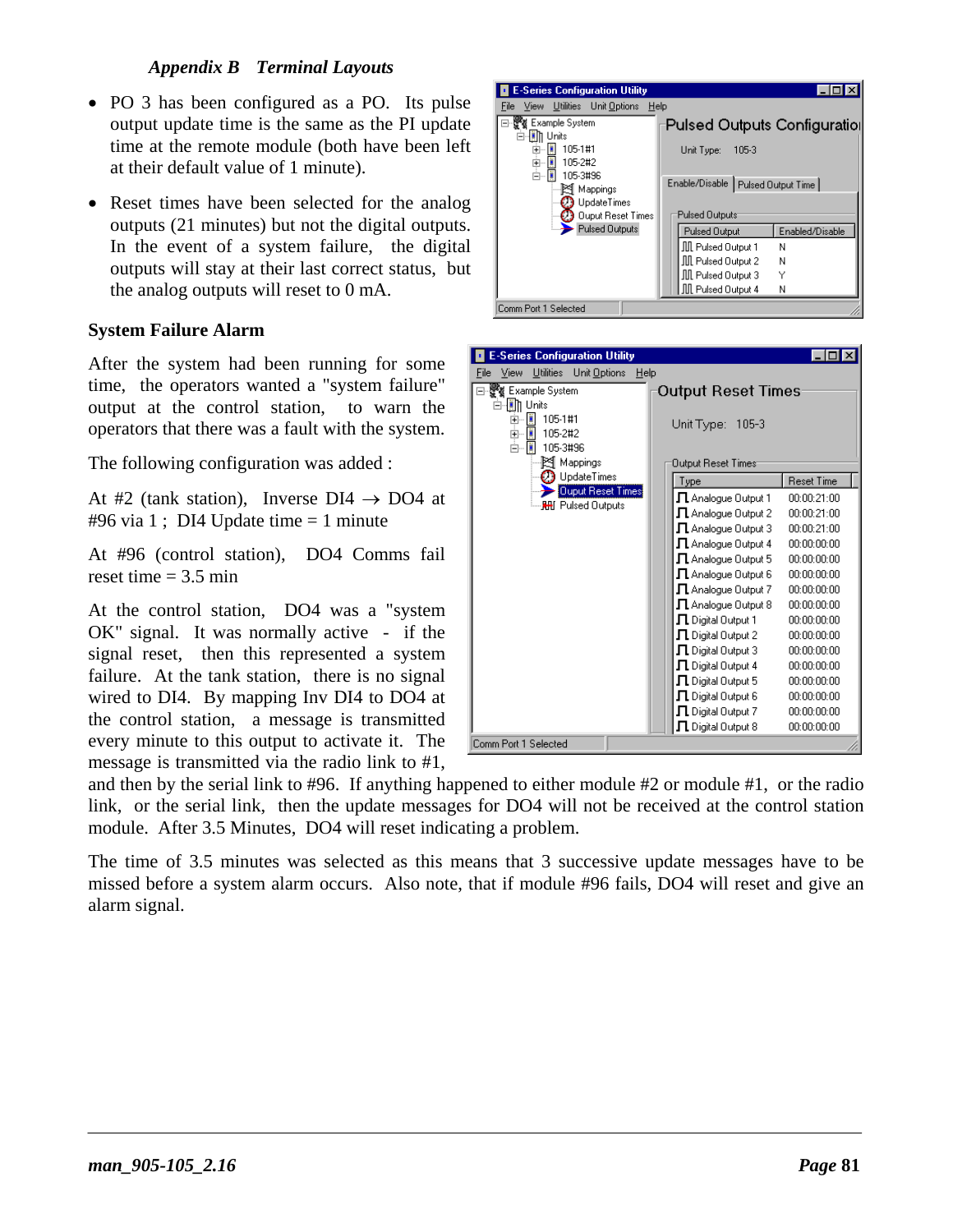- PO 3 has been configured as a PO. Its pulse output update time is the same as the PI update time at the remote module (both have been left at their default value of 1 minute).
- Reset times have been selected for the analog outputs (21 minutes) but not the digital outputs. In the event of a system failure, the digital outputs will stay at their last correct status, but the analog outputs will reset to 0 mA.

#### **System Failure Alarm**

After the system had been running for some time, the operators wanted a "system failure" output at the control station, to warn the operators that there was a fault with the system.

The following configuration was added :

At #2 (tank station), Inverse  $DI4 \rightarrow DO4$  at #96 via 1; DI4 Update time  $= 1$  minute

At #96 (control station), DO4 Comms fail reset time  $= 3.5$  min

At the control station, DO4 was a "system OK" signal. It was normally active - if the signal reset, then this represented a system failure. At the tank station, there is no signal wired to DI4. By mapping Inv DI4 to DO4 at the control station, a message is transmitted every minute to this output to activate it. The message is transmitted via the radio link to #1,



| <b>E-Series Configuration Utility</b>             |                                                                           |                   |  |  |  |  |  |
|---------------------------------------------------|---------------------------------------------------------------------------|-------------------|--|--|--|--|--|
| Utilities<br>Unit Options<br>View<br>Help<br>File |                                                                           |                   |  |  |  |  |  |
| Example System<br>-l∭∏ Units<br>ü<br>105-1#1<br>Ė | Output Reset Times<br>Unit Type: 105-3<br>Output Reset Times <sup>.</sup> |                   |  |  |  |  |  |
| Ë<br>105-2#2<br>Ėŀ<br>105-3#96<br>图 Mappings      |                                                                           |                   |  |  |  |  |  |
| $\mathbb D$ UpdateTimes                           | Type                                                                      | <b>Reset Time</b> |  |  |  |  |  |
| <b>Ouput Reset Times</b>                          | $\Pi$ Analogue Output 1                                                   | በቡበቡ 21:በበ        |  |  |  |  |  |
| ं <b>RHI Pulsed Outputs</b>                       | $\Pi$ Analoque Output 2                                                   | 00:00:21:00       |  |  |  |  |  |
|                                                   | $\Pi$ Analogue Output 3                                                   | 00:00:21:00       |  |  |  |  |  |
|                                                   | $\Pi$ Analogue Output 4                                                   | 00:00:00:00       |  |  |  |  |  |
|                                                   | $\Pi$ Analogue Output 5                                                   | 00:00:00:00       |  |  |  |  |  |
|                                                   | $\Pi$ Analoque Output 6                                                   | 00:00:00:00       |  |  |  |  |  |
|                                                   | $\Pi$ Analoque Output 7                                                   | nn nn nn nn       |  |  |  |  |  |
|                                                   | $\Pi$ Analoque Output 8                                                   | 00:00:00:00       |  |  |  |  |  |
|                                                   | $\Pi$ Digital Output 1                                                    | 00:00:00:00       |  |  |  |  |  |
|                                                   | $\Pi$ Digital Output 2                                                    | 00:00:00:00       |  |  |  |  |  |
|                                                   | $\Pi$ Digital Output 3                                                    | 00:00:00:00       |  |  |  |  |  |
|                                                   | $\Pi$ Digital Output 4                                                    | 00:00:00:00       |  |  |  |  |  |
|                                                   | $\Pi$ Digital Output 5                                                    | 00:00:00:00       |  |  |  |  |  |
|                                                   | $\Pi$ Digital Output 6                                                    | 00:00:00:00       |  |  |  |  |  |
|                                                   | $\Pi$ Digital Output 7                                                    | 00:00:00:00       |  |  |  |  |  |
|                                                   | $\Pi$ Digital Output 8                                                    | 00:00:00:00       |  |  |  |  |  |
| Comm Port 1 Selected                              |                                                                           |                   |  |  |  |  |  |

and then by the serial link to #96. If anything happened to either module #2 or module #1, or the radio link, or the serial link, then the update messages for DO4 will not be received at the control station module. After 3.5 Minutes, DO4 will reset indicating a problem.

The time of 3.5 minutes was selected as this means that 3 successive update messages have to be missed before a system alarm occurs. Also note, that if module #96 fails, DO4 will reset and give an alarm signal.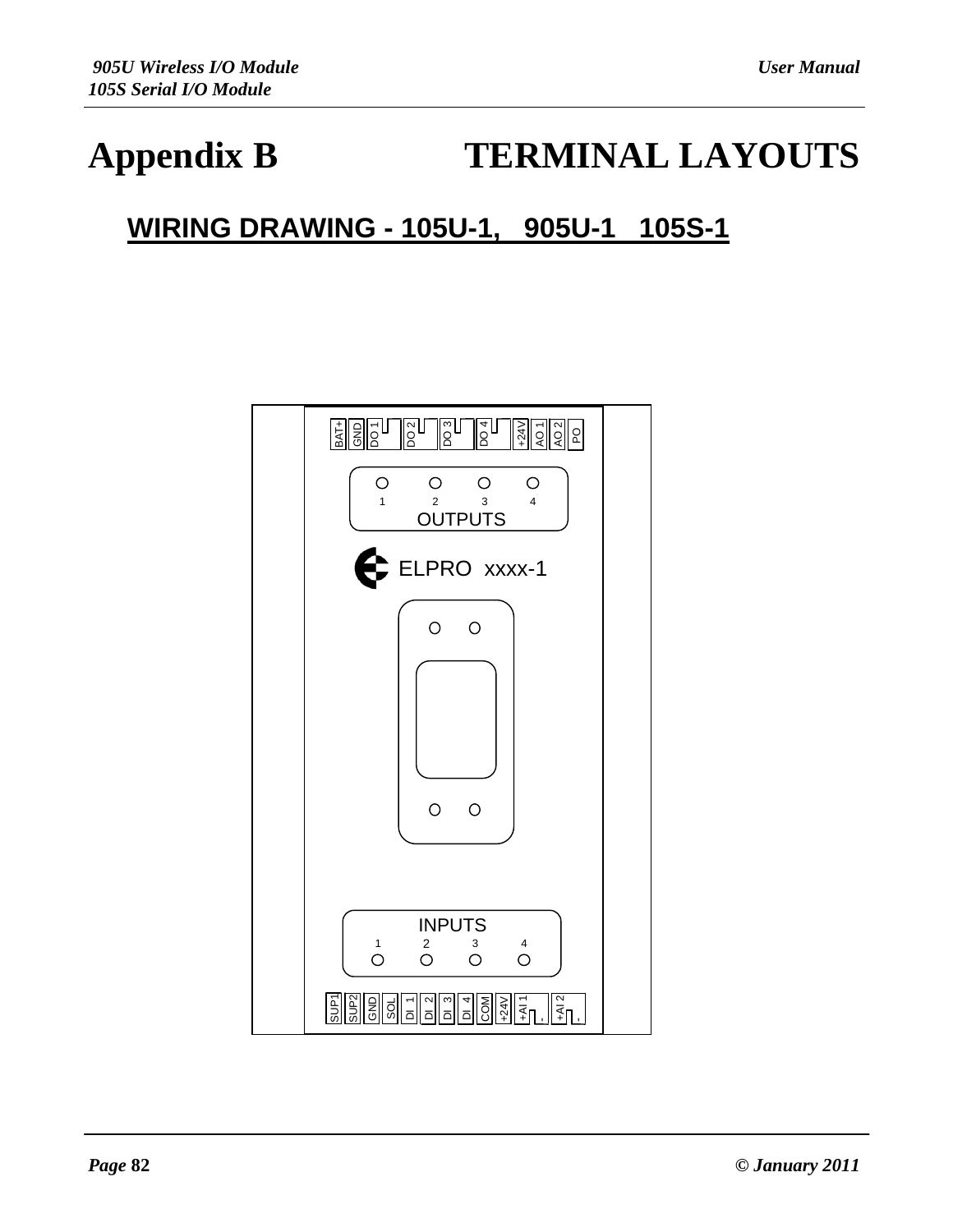## **Appendix B TERMINAL LAYOUTS**

## **WIRING DRAWING - 105U-1, 905U-1 105S-1**

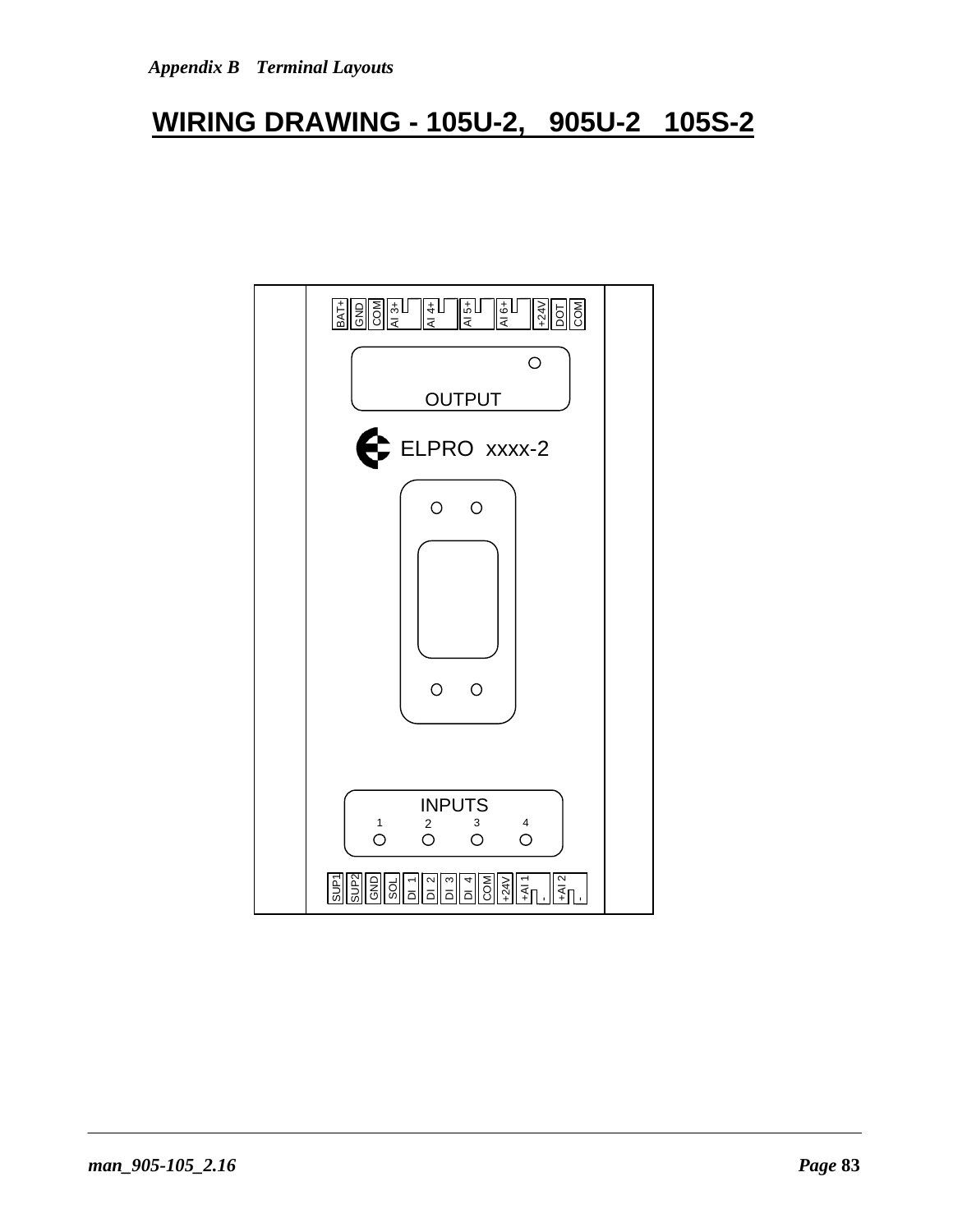### **WIRING DRAWING - 105U-2, 905U-2 105S-2**

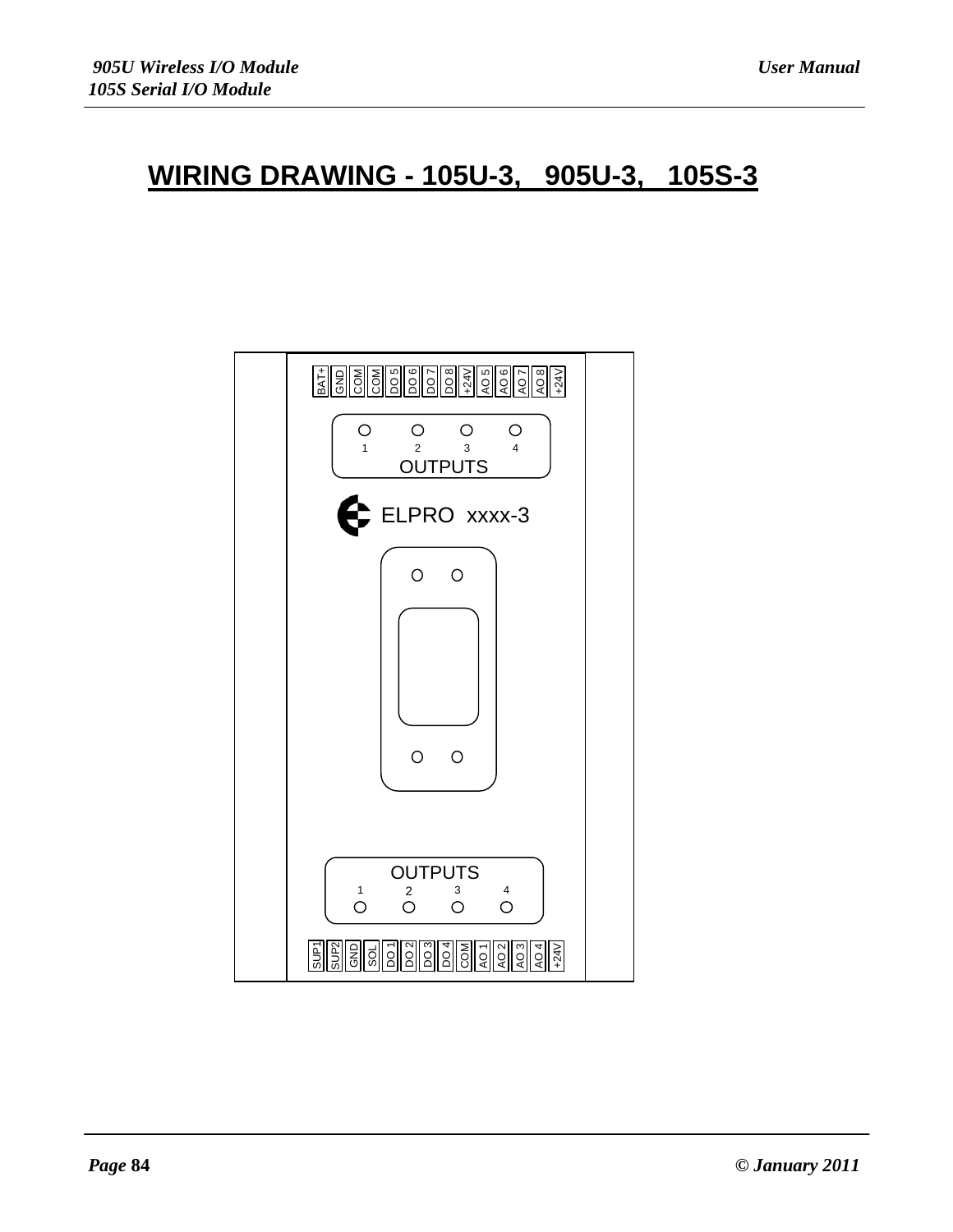### **WIRING DRAWING - 105U-3, 905U-3, 105S-3**